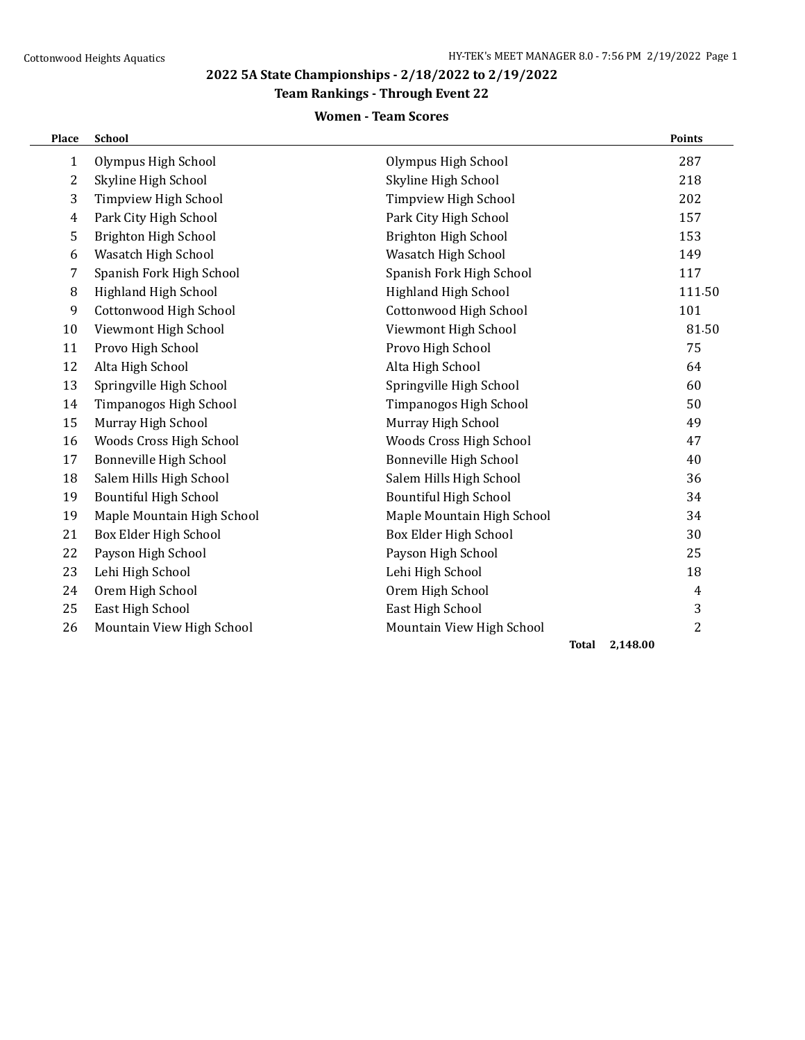# **Team Rankings - Through Event 22**

# **Women - Team Scores**

| Place | School                       |                              | Points         |
|-------|------------------------------|------------------------------|----------------|
| 1     | Olympus High School          | Olympus High School          | 287            |
| 2     | Skyline High School          | Skyline High School          | 218            |
| 3     | Timpview High School         | Timpview High School         | 202            |
| 4     | Park City High School        | Park City High School        | 157            |
| 5     | Brighton High School         | Brighton High School         | 153            |
| 6     | Wasatch High School          | Wasatch High School          | 149            |
| 7     | Spanish Fork High School     | Spanish Fork High School     | 117            |
| 8     | Highland High School         | Highland High School         | 111.50         |
| 9     | Cottonwood High School       | Cottonwood High School       | 101            |
| 10    | Viewmont High School         | Viewmont High School         | 81.50          |
| 11    | Provo High School            | Provo High School            | 75             |
| 12    | Alta High School             | Alta High School             | 64             |
| 13    | Springville High School      | Springville High School      | 60             |
| 14    | Timpanogos High School       | Timpanogos High School       | 50             |
| 15    | Murray High School           | Murray High School           | 49             |
| 16    | Woods Cross High School      | Woods Cross High School      | 47             |
| 17    | Bonneville High School       | Bonneville High School       | 40             |
| 18    | Salem Hills High School      | Salem Hills High School      | 36             |
| 19    | <b>Bountiful High School</b> | <b>Bountiful High School</b> | 34             |
| 19    | Maple Mountain High School   | Maple Mountain High School   | 34             |
| 21    | Box Elder High School        | Box Elder High School        | 30             |
| 22    | Payson High School           | Payson High School           | 25             |
| 23    | Lehi High School             | Lehi High School             | 18             |
| 24    | Orem High School             | Orem High School             | $\overline{4}$ |
| 25    | East High School             | East High School             | $\mathbf{3}$   |
| 26    | Mountain View High School    | Mountain View High School    | 2              |
|       |                              | <b>Total</b>                 | 2,148.00       |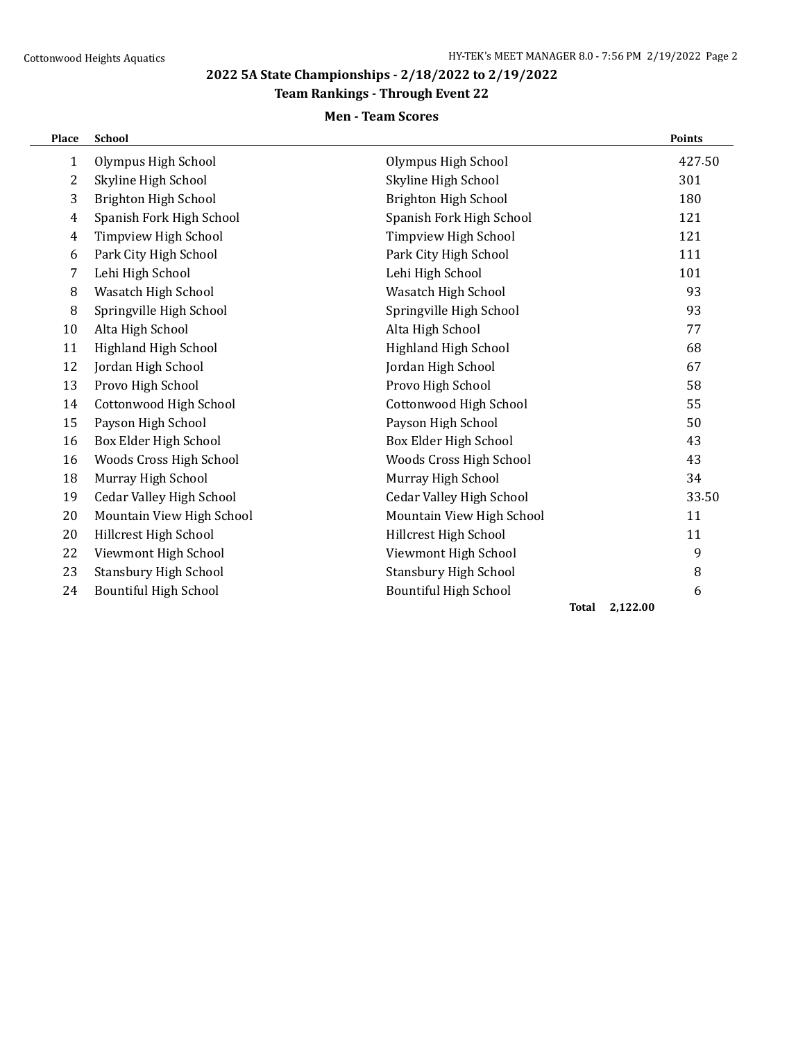# **Team Rankings - Through Event 22**

# **Men - Team Scores**

| Place          | <b>School</b>                   |                                 |                          | <b>Points</b> |
|----------------|---------------------------------|---------------------------------|--------------------------|---------------|
| $\mathbf{1}$   | Olympus High School             | Olympus High School             |                          | 427.50        |
| 2              | Skyline High School             | Skyline High School             |                          | 301           |
| 3              | Brighton High School            | Brighton High School            |                          | 180           |
| $\overline{4}$ | Spanish Fork High School        | Spanish Fork High School        |                          | 121           |
| 4              | Timpview High School            | Timpview High School            |                          | 121           |
| 6              | Park City High School           | Park City High School           |                          | 111           |
| 7              | Lehi High School                | Lehi High School                |                          | 101           |
| 8              | Wasatch High School             | Wasatch High School             |                          | 93            |
| 8              | Springville High School         | Springville High School         |                          | 93            |
| 10             | Alta High School                | Alta High School                |                          | 77            |
| 11             | Highland High School            | Highland High School            |                          | 68            |
| 12             | Jordan High School              | Jordan High School              |                          | 67            |
| 13             | Provo High School               | Provo High School               |                          | 58            |
| 14             | Cottonwood High School          | Cottonwood High School          |                          | 55            |
| 15             | Payson High School              | Payson High School              |                          | 50            |
| 16             | Box Elder High School           | Box Elder High School           |                          | 43            |
| 16             | Woods Cross High School         | Woods Cross High School         |                          | 43            |
| 18             | Murray High School              | Murray High School              |                          | 34            |
| 19             | <b>Cedar Valley High School</b> | <b>Cedar Valley High School</b> |                          | 33.50         |
| 20             | Mountain View High School       | Mountain View High School       |                          | 11            |
| 20             | Hillcrest High School           | Hillcrest High School           |                          | 11            |
| 22             | Viewmont High School            | Viewmont High School            |                          | 9             |
| 23             | <b>Stansbury High School</b>    | <b>Stansbury High School</b>    |                          | 8             |
| 24             | <b>Bountiful High School</b>    | <b>Bountiful High School</b>    |                          | 6             |
|                |                                 |                                 | 2,122.00<br><b>Total</b> |               |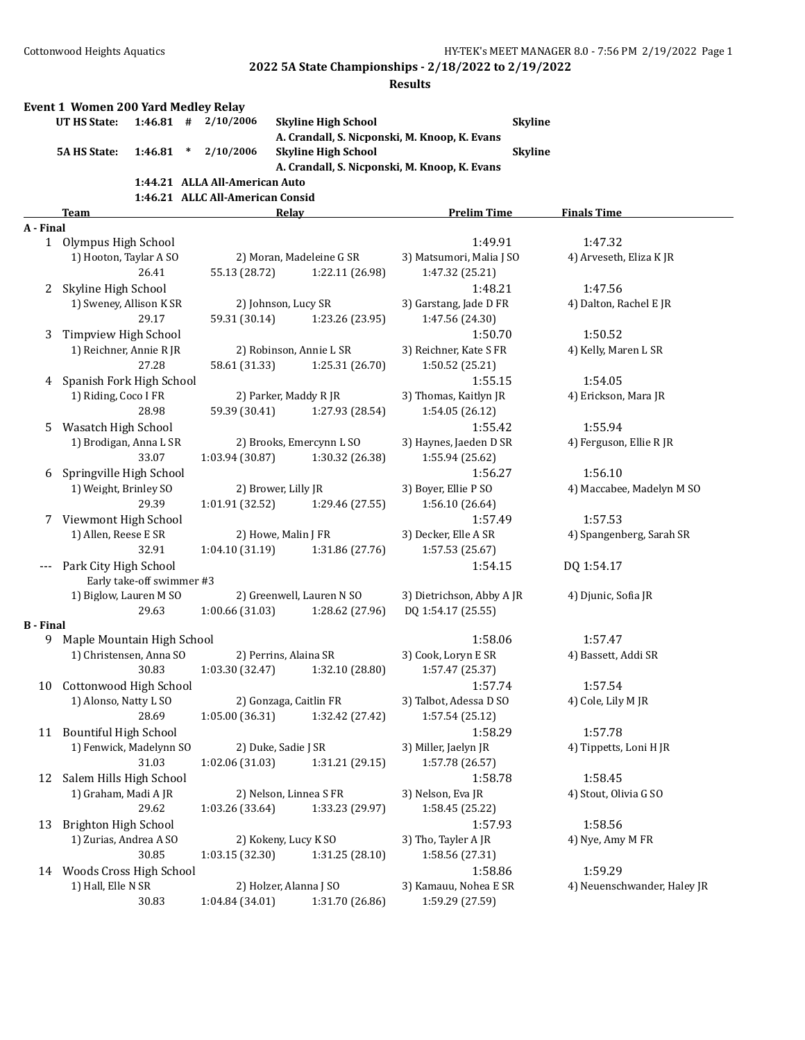|                  | <b>Event 1 Women 200 Yard Medley Relay</b><br>UT HS State: | $1:46.81$ # | 2/10/2006                        | <b>Skyline High School</b><br>A. Crandall, S. Nicponski, M. Knoop, K. Evans | <b>Skyline</b>                              |                             |
|------------------|------------------------------------------------------------|-------------|----------------------------------|-----------------------------------------------------------------------------|---------------------------------------------|-----------------------------|
|                  | <b>5A HS State:</b><br>1:46.81                             | $\ast$      | 2/10/2006                        | <b>Skyline High School</b><br>A. Crandall, S. Nicponski, M. Knoop, K. Evans | <b>Skyline</b>                              |                             |
|                  |                                                            |             | 1:44.21 ALLA All-American Auto   |                                                                             |                                             |                             |
|                  |                                                            |             | 1:46.21 ALLC All-American Consid |                                                                             |                                             |                             |
|                  | Team                                                       |             |                                  | <b>Relay</b>                                                                | <b>Prelim Time</b>                          | <b>Finals Time</b>          |
| A - Final        |                                                            |             |                                  |                                                                             |                                             |                             |
|                  | 1 Olympus High School                                      |             |                                  |                                                                             | 1:49.91                                     | 1:47.32                     |
|                  | 1) Hooton, Taylar A SO<br>26.41                            |             | 55.13 (28.72)                    | 2) Moran, Madeleine G SR<br>1:22.11 (26.98)                                 | 3) Matsumori, Malia J SO<br>1:47.32 (25.21) | 4) Arveseth, Eliza K JR     |
|                  | 2 Skyline High School                                      |             |                                  |                                                                             | 1:48.21                                     | 1:47.56                     |
|                  | 1) Sweney, Allison K SR<br>29.17                           |             | 59.31 (30.14)                    | 2) Johnson, Lucy SR<br>1:23.26 (23.95)                                      | 3) Garstang, Jade D FR<br>1:47.56 (24.30)   | 4) Dalton, Rachel E JR      |
| 3                | Timpview High School                                       |             |                                  |                                                                             | 1:50.70                                     | 1:50.52                     |
|                  | 1) Reichner, Annie R JR<br>27.28                           |             | 58.61 (31.33)                    | 2) Robinson, Annie L SR<br>1:25.31 (26.70)                                  | 3) Reichner, Kate S FR<br>1:50.52 (25.21)   | 4) Kelly, Maren L SR        |
| 4                | Spanish Fork High School                                   |             |                                  |                                                                             | 1:55.15                                     | 1:54.05                     |
|                  | 1) Riding, Coco I FR<br>28.98                              |             | 59.39 (30.41)                    | 2) Parker, Maddy R JR<br>1:27.93 (28.54)                                    | 3) Thomas, Kaitlyn JR<br>1:54.05 (26.12)    | 4) Erickson, Mara JR        |
| 5.               | Wasatch High School                                        |             |                                  |                                                                             | 1:55.42                                     | 1:55.94                     |
|                  | 1) Brodigan, Anna L SR<br>33.07                            |             | 1:03.94 (30.87)                  | 2) Brooks, Emercynn L SO<br>1:30.32 (26.38)                                 | 3) Haynes, Jaeden D SR<br>1:55.94 (25.62)   | 4) Ferguson, Ellie R JR     |
| 6                | Springville High School                                    |             |                                  |                                                                             | 1:56.27                                     | 1:56.10                     |
|                  | 1) Weight, Brinley SO<br>29.39                             |             | 1:01.91 (32.52)                  | 2) Brower, Lilly JR<br>1:29.46 (27.55)                                      | 3) Boyer, Ellie P SO<br>1:56.10 (26.64)     | 4) Maccabee, Madelyn M SO   |
| 7                | Viewmont High School                                       |             |                                  |                                                                             | 1:57.49                                     | 1:57.53                     |
|                  | 1) Allen, Reese E SR<br>32.91                              |             | 1:04.10 (31.19)                  | 2) Howe, Malin J FR<br>1:31.86 (27.76)                                      | 3) Decker, Elle A SR<br>1:57.53 (25.67)     | 4) Spangenberg, Sarah SR    |
|                  | Park City High School                                      |             |                                  |                                                                             | 1:54.15                                     | DQ 1:54.17                  |
|                  | Early take-off swimmer #3                                  |             |                                  |                                                                             |                                             |                             |
|                  | 1) Biglow, Lauren M SO<br>29.63                            |             |                                  | 2) Greenwell, Lauren N SO                                                   | 3) Dietrichson, Abby A JR                   | 4) Djunic, Sofia JR         |
| <b>B</b> - Final |                                                            |             | 1:00.66 (31.03)                  | 1:28.62 (27.96)                                                             | DQ 1:54.17 (25.55)                          |                             |
| 9.               | Maple Mountain High School                                 |             |                                  |                                                                             | 1:58.06                                     | 1:57.47                     |
|                  | 1) Christensen, Anna SO<br>30.83                           |             | 1:03.30 (32.47)                  | 2) Perrins, Alaina SR<br>1:32.10 (28.80)                                    | 3) Cook, Loryn E SR<br>1:57.47 (25.37)      | 4) Bassett, Addi SR         |
| 10               | Cottonwood High School                                     |             |                                  |                                                                             | 1:57.74                                     | 1:57.54                     |
|                  | 1) Alonso, Natty L SO<br>28.69                             |             | 1:05.00 (36.31)                  | 2) Gonzaga, Caitlin FR<br>1:32.42 (27.42)                                   | 3) Talbot, Adessa D SO<br>1:57.54 (25.12)   | 4) Cole, Lily M JR          |
|                  | 11 Bountiful High School                                   |             |                                  |                                                                             | 1:58.29                                     | 1:57.78                     |
|                  | 1) Fenwick, Madelynn SO<br>31.03                           |             | 1:02.06 (31.03)                  | 2) Duke, Sadie J SR<br>1:31.21 (29.15)                                      | 3) Miller, Jaelyn JR<br>1:57.78 (26.57)     | 4) Tippetts, Loni H JR      |
|                  | 12 Salem Hills High School                                 |             |                                  |                                                                             | 1:58.78                                     | 1:58.45                     |
|                  | 1) Graham, Madi A JR<br>29.62                              |             | 1:03.26 (33.64)                  | 2) Nelson, Linnea S FR<br>1:33.23 (29.97)                                   | 3) Nelson, Eva JR<br>1:58.45 (25.22)        | 4) Stout, Olivia G SO       |
| 13               | Brighton High School                                       |             |                                  |                                                                             | 1:57.93                                     | 1:58.56                     |
|                  | 1) Zurias, Andrea A SO<br>30.85                            |             | 1:03.15 (32.30)                  | 2) Kokeny, Lucy K SO<br>1:31.25 (28.10)                                     | 3) Tho, Tayler A JR<br>1:58.56 (27.31)      | 4) Nye, Amy M FR            |
|                  | 14 Woods Cross High School                                 |             |                                  |                                                                             | 1:58.86                                     | 1:59.29                     |
|                  | 1) Hall, Elle N SR<br>30.83                                |             | 1:04.84 (34.01)                  | 2) Holzer, Alanna J SO<br>1:31.70 (26.86)                                   | 3) Kamauu, Nohea E SR<br>1:59.29 (27.59)    | 4) Neuenschwander, Haley JR |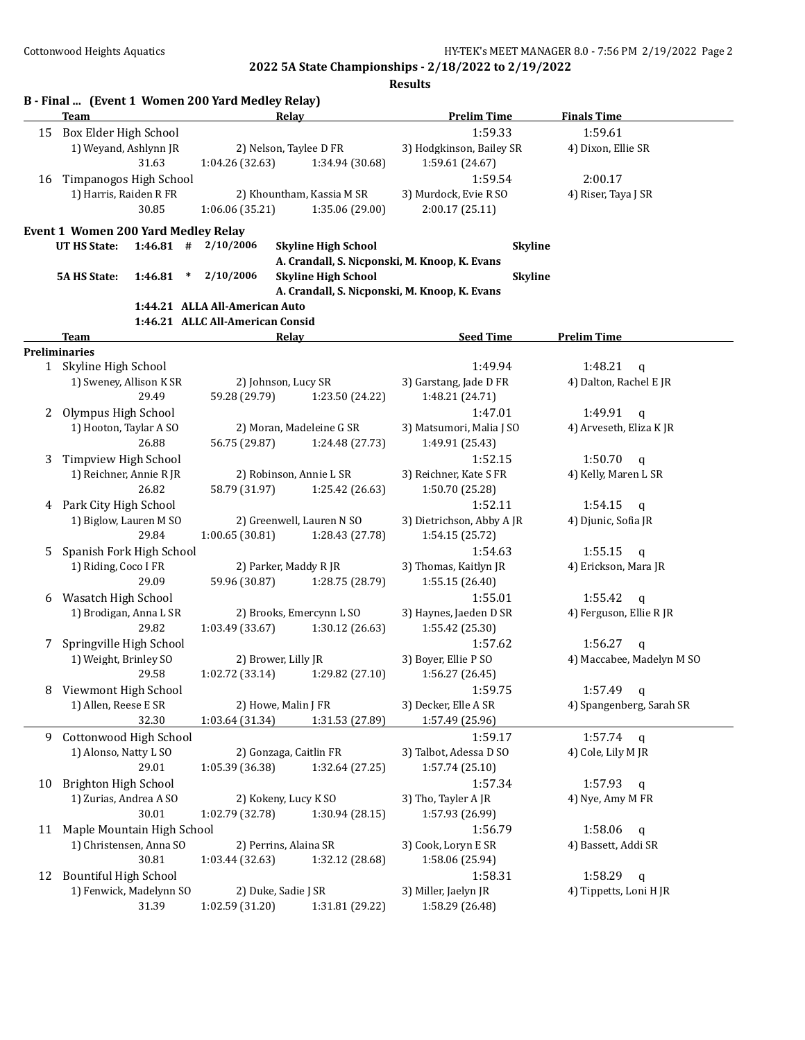|    | <b>Team</b>                         |                                  | Relay                                         | <b>Prelim Time</b>        | <b>Finals Time</b>        |
|----|-------------------------------------|----------------------------------|-----------------------------------------------|---------------------------|---------------------------|
|    | 15 Box Elder High School            |                                  |                                               | 1:59.33                   | 1:59.61                   |
|    | 1) Weyand, Ashlynn JR               |                                  | 2) Nelson, Taylee D FR                        | 3) Hodgkinson, Bailey SR  | 4) Dixon, Ellie SR        |
|    | 31.63                               | 1:04.26 (32.63)                  | 1:34.94 (30.68)                               | 1:59.61 (24.67)           |                           |
|    |                                     |                                  |                                               | 1:59.54                   | 2:00.17                   |
| 16 | Timpanogos High School              |                                  |                                               |                           |                           |
|    | 1) Harris, Raiden R FR              |                                  | 2) Khountham, Kassia M SR                     | 3) Murdock, Evie R SO     | 4) Riser, Taya J SR       |
|    | 30.85                               | 1:06.06(35.21)                   | 1:35.06 (29.00)                               | 2:00.17(25.11)            |                           |
|    | Event 1 Women 200 Yard Medley Relay |                                  |                                               |                           |                           |
|    | UT HS State:                        | $1:46.81$ # $2/10/2006$          | <b>Skyline High School</b>                    | <b>Skyline</b>            |                           |
|    |                                     |                                  | A. Crandall, S. Nicponski, M. Knoop, K. Evans |                           |                           |
|    | <b>5A HS State:</b><br>1:46.81      | 2/10/2006<br>$\ast$              | <b>Skyline High School</b>                    | <b>Skyline</b>            |                           |
|    |                                     |                                  | A. Crandall, S. Nicponski, M. Knoop, K. Evans |                           |                           |
|    |                                     | 1:44.21 ALLA All-American Auto   |                                               |                           |                           |
|    |                                     | 1:46.21 ALLC All-American Consid |                                               |                           |                           |
|    | Team                                |                                  | <b>Relay</b>                                  | <b>Seed Time</b>          | <b>Prelim Time</b>        |
|    | <b>Preliminaries</b>                |                                  |                                               |                           |                           |
|    | 1 Skyline High School               |                                  |                                               | 1:49.94                   | 1:48.21<br>$\mathbf q$    |
|    | 1) Sweney, Allison K SR             |                                  | 2) Johnson, Lucy SR                           | 3) Garstang, Jade D FR    | 4) Dalton, Rachel E JR    |
|    | 29.49                               | 59.28 (29.79)                    | 1:23.50 (24.22)                               | 1:48.21 (24.71)           |                           |
| 2  | Olympus High School                 |                                  |                                               | 1:47.01                   | 1:49.91                   |
|    |                                     |                                  |                                               |                           | q                         |
|    | 1) Hooton, Taylar A SO              |                                  | 2) Moran, Madeleine G SR                      | 3) Matsumori, Malia J SO  | 4) Arveseth, Eliza K JR   |
|    | 26.88                               | 56.75 (29.87)                    | 1:24.48 (27.73)                               | 1:49.91 (25.43)           |                           |
| 3  | Timpview High School                |                                  |                                               | 1:52.15                   | 1:50.70<br>$\mathsf{q}$   |
|    | 1) Reichner, Annie R JR             |                                  | 2) Robinson, Annie L SR                       | 3) Reichner, Kate S FR    | 4) Kelly, Maren L SR      |
|    | 26.82                               | 58.79 (31.97)                    | 1:25.42 (26.63)                               | 1:50.70 (25.28)           |                           |
|    | 4 Park City High School             |                                  |                                               | 1:52.11                   | 1:54.15<br>$\mathbf q$    |
|    | 1) Biglow, Lauren M SO              |                                  | 2) Greenwell, Lauren N SO                     | 3) Dietrichson, Abby A JR | 4) Djunic, Sofia JR       |
|    | 29.84                               | 1:00.65(30.81)                   | 1:28.43 (27.78)                               | 1:54.15 (25.72)           |                           |
| 5. | Spanish Fork High School            |                                  |                                               | 1:54.63                   | 1:55.15<br>q              |
|    | 1) Riding, Coco I FR                |                                  | 2) Parker, Maddy R JR                         | 3) Thomas, Kaitlyn JR     | 4) Erickson, Mara JR      |
|    | 29.09                               | 59.96 (30.87)                    | 1:28.75 (28.79)                               | 1:55.15 (26.40)           |                           |
| 6  | Wasatch High School                 |                                  |                                               | 1:55.01                   | 1:55.42<br>q              |
|    | 1) Brodigan, Anna L SR              |                                  | 2) Brooks, Emercynn L SO                      | 3) Haynes, Jaeden D SR    | 4) Ferguson, Ellie R JR   |
|    | 29.82                               | 1:03.49 (33.67)                  | 1:30.12 (26.63)                               | 1:55.42 (25.30)           |                           |
| 7  | Springville High School             |                                  |                                               | 1:57.62                   | 1:56.27<br>q              |
|    | 1) Weight, Brinley SO               |                                  | 2) Brower, Lilly JR                           | 3) Boyer, Ellie P SO      | 4) Maccabee, Madelyn M SO |
|    | 29.58                               | 1:02.72 (33.14)                  | 1:29.82 (27.10)                               | 1:56.27 (26.45)           |                           |
|    | Viewmont High School                |                                  |                                               | 1:59.75                   | $1:57.49$ q               |
| 8  | 1) Allen, Reese E SR                |                                  | 2) Howe, Malin J FR                           | 3) Decker, Elle A SR      | 4) Spangenberg, Sarah SR  |
|    |                                     |                                  |                                               |                           |                           |
|    | 32.30                               | 1:03.64 (31.34)                  | 1:31.53 (27.89)                               | 1:57.49 (25.96)           |                           |
| 9  | Cottonwood High School              |                                  |                                               | 1:59.17                   | 1:57.74<br>q              |
|    | 1) Alonso, Natty L SO               |                                  | 2) Gonzaga, Caitlin FR                        | 3) Talbot, Adessa D SO    | 4) Cole, Lily M JR        |
|    | 29.01                               | 1:05.39 (36.38)                  | 1:32.64 (27.25)                               | 1:57.74 (25.10)           |                           |
| 10 | Brighton High School                |                                  |                                               | 1:57.34                   | 1:57.93<br>q              |
|    | 1) Zurias, Andrea A SO              |                                  | 2) Kokeny, Lucy K SO                          | 3) Tho, Tayler A JR       | 4) Nye, Amy M FR          |
|    | 30.01                               | 1:02.79 (32.78)                  | 1:30.94(28.15)                                | 1:57.93 (26.99)           |                           |
| 11 | Maple Mountain High School          |                                  |                                               | 1:56.79                   | 1:58.06<br>q              |
|    | 1) Christensen, Anna SO             |                                  | 2) Perrins, Alaina SR                         | 3) Cook, Loryn E SR       | 4) Bassett, Addi SR       |
|    | 30.81                               | 1:03.44 (32.63)                  | 1:32.12 (28.68)                               | 1:58.06 (25.94)           |                           |
|    | 12 Bountiful High School            |                                  |                                               | 1:58.31                   | 1:58.29<br>q              |
|    |                                     |                                  |                                               |                           |                           |
|    | 1) Fenwick, Madelynn SO             |                                  | 2) Duke, Sadie J SR                           | 3) Miller, Jaelyn JR      | 4) Tippetts, Loni H JR    |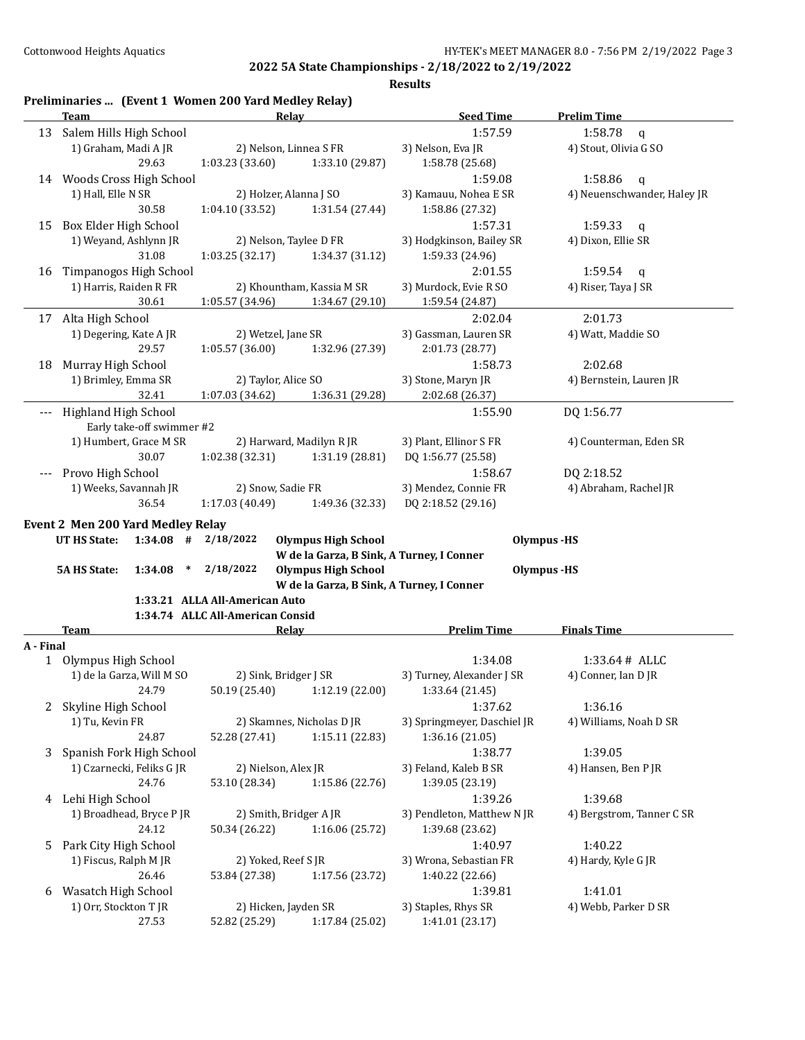|           | <b>Team</b>                              | Relay                                 |                                           | <b>Seed Time</b>                       | <b>Prelim Time</b>          |
|-----------|------------------------------------------|---------------------------------------|-------------------------------------------|----------------------------------------|-----------------------------|
|           | 13 Salem Hills High School               |                                       |                                           | 1:57.59                                | 1:58.78<br>$\mathbf q$      |
|           | 1) Graham, Madi A JR                     | 2) Nelson, Linnea S FR                |                                           | 3) Nelson, Eva JR                      | 4) Stout, Olivia G SO       |
|           | 29.63                                    | 1:03.23 (33.60)                       | 1:33.10 (29.87)                           | 1:58.78 (25.68)                        |                             |
|           | 14 Woods Cross High School               |                                       |                                           | 1:59.08                                | 1:58.86<br>$\mathbf q$      |
|           | 1) Hall, Elle N SR                       | 2) Holzer, Alanna J SO                |                                           | 3) Kamauu, Nohea E SR                  | 4) Neuenschwander, Haley JR |
|           | 30.58                                    | 1:04.10 (33.52)                       | 1:31.54 (27.44)                           | 1:58.86 (27.32)                        |                             |
| 15        | Box Elder High School                    |                                       |                                           | 1:57.31                                | 1:59.33<br>q                |
|           | 1) Weyand, Ashlynn JR                    | 2) Nelson, Taylee D FR                |                                           | 3) Hodgkinson, Bailey SR               | 4) Dixon, Ellie SR          |
|           | 31.08                                    | 1:03.25 (32.17)                       | 1:34.37(31.12)                            | 1:59.33 (24.96)                        |                             |
| 16        | Timpanogos High School                   |                                       |                                           | 2:01.55                                | 1:59.54<br>$\mathbf q$      |
|           | 1) Harris, Raiden R FR                   |                                       | 2) Khountham, Kassia M SR                 | 3) Murdock, Evie R SO                  | 4) Riser, Taya J SR         |
|           | 30.61                                    | 1:05.57 (34.96)                       | 1:34.67 (29.10)                           |                                        |                             |
|           |                                          |                                       |                                           | 1:59.54 (24.87)                        |                             |
|           | 17 Alta High School                      |                                       |                                           | 2:02.04                                | 2:01.73                     |
|           | 1) Degering, Kate A JR                   | 2) Wetzel, Jane SR                    |                                           | 3) Gassman, Lauren SR                  | 4) Watt, Maddie SO          |
|           | 29.57                                    | 1:05.57(36.00)                        | 1:32.96 (27.39)                           | 2:01.73 (28.77)                        |                             |
| 18        | Murray High School                       |                                       |                                           | 1:58.73                                | 2:02.68                     |
|           | 1) Brimley, Emma SR                      | 2) Taylor, Alice SO                   |                                           | 3) Stone, Maryn JR                     | 4) Bernstein, Lauren JR     |
|           | 32.41                                    | 1:07.03 (34.62)                       | 1:36.31 (29.28)                           | 2:02.68 (26.37)                        |                             |
| ---       | Highland High School                     |                                       |                                           | 1:55.90                                | DQ 1:56.77                  |
|           | Early take-off swimmer #2                |                                       |                                           |                                        |                             |
|           | 1) Humbert, Grace M SR                   |                                       | 2) Harward, Madilyn R JR                  | 3) Plant, Ellinor S FR                 | 4) Counterman, Eden SR      |
|           | 30.07                                    | 1:02.38(32.31)                        | 1:31.19 (28.81)                           | DQ 1:56.77 (25.58)                     |                             |
|           | Provo High School                        |                                       |                                           | 1:58.67                                | DQ 2:18.52                  |
|           | 1) Weeks, Savannah JR                    | 2) Snow, Sadie FR                     |                                           | 3) Mendez, Connie FR                   | 4) Abraham, Rachel JR       |
|           | 36.54                                    | 1:17.03 (40.49)                       | 1:49.36 (32.33)                           | DQ 2:18.52 (29.16)                     |                             |
|           | <b>Event 2 Men 200 Yard Medley Relay</b> |                                       |                                           |                                        |                             |
|           | $1:34.08$ #<br>UT HS State:              | 2/18/2022                             | <b>Olympus High School</b>                |                                        | <b>Olympus</b> -HS          |
|           |                                          |                                       | W de la Garza, B Sink, A Turney, I Conner |                                        |                             |
|           | <b>5A HS State:</b><br>1:34.08<br>$\ast$ | 2/18/2022                             | <b>Olympus High School</b>                |                                        | <b>Olympus</b> -HS          |
|           |                                          |                                       | W de la Garza, B Sink, A Turney, I Conner |                                        |                             |
|           |                                          | 1:33.21 ALLA All-American Auto        |                                           |                                        |                             |
|           |                                          | 1:34.74 ALLC All-American Consid      |                                           |                                        |                             |
|           | <b>Team</b>                              | <b>Relay</b>                          |                                           | <b>Prelim Time</b>                     | <b>Finals Time</b>          |
|           |                                          |                                       |                                           |                                        |                             |
|           | 1 Olympus High School                    |                                       |                                           | 1:34.08                                | 1:33.64# ALLC               |
|           | 1) de la Garza, Will M SO                | 2) Sink, Bridger J SR                 |                                           | 3) Turney, Alexander J SR              | 4) Conner, Ian D JR         |
|           | 24.79                                    | 50.19 (25.40)                         | 1:12.19 (22.00)                           | 1:33.64 (21.45)                        |                             |
| 2         | Skyline High School                      |                                       |                                           | 1:37.62                                | 1:36.16                     |
|           | 1) Tu, Kevin FR                          |                                       | 2) Skamnes, Nicholas D JR                 | 3) Springmeyer, Daschiel JR            | 4) Williams, Noah D SR      |
|           | 24.87                                    | 52.28 (27.41)                         | 1:15.11 (22.83)                           | 1:36.16 (21.05)                        |                             |
| 3         | Spanish Fork High School                 |                                       |                                           | 1:38.77                                |                             |
|           |                                          |                                       |                                           |                                        | 1:39.05                     |
|           | 1) Czarnecki, Feliks G JR                | 2) Nielson, Alex JR                   |                                           | 3) Feland, Kaleb B SR                  | 4) Hansen, Ben P JR         |
|           | 24.76                                    | 53.10 (28.34)                         | 1:15.86 (22.76)                           | 1:39.05 (23.19)                        |                             |
| 4         | Lehi High School                         |                                       |                                           | 1:39.26                                | 1:39.68                     |
|           | 1) Broadhead, Bryce P JR                 | 2) Smith, Bridger A JR                |                                           | 3) Pendleton, Matthew N JR             | 4) Bergstrom, Tanner C SR   |
|           | 24.12                                    | 50.34 (26.22)                         | 1:16.06 (25.72)                           | 1:39.68 (23.62)                        |                             |
| 5         | Park City High School                    |                                       |                                           | 1:40.97                                | 1:40.22                     |
|           | 1) Fiscus, Ralph M JR                    | 2) Yoked, Reef S JR                   |                                           | 3) Wrona, Sebastian FR                 | 4) Hardy, Kyle G JR         |
|           | 26.46                                    | 53.84 (27.38)                         | 1:17.56 (23.72)                           | 1:40.22 (22.66)                        |                             |
| 6         | Wasatch High School                      |                                       |                                           | 1:39.81                                | 1:41.01                     |
| A - Final | 1) Orr, Stockton T JR<br>27.53           | 2) Hicken, Jayden SR<br>52.82 (25.29) | 1:17.84 (25.02)                           | 3) Staples, Rhys SR<br>1:41.01 (23.17) | 4) Webb, Parker D SR        |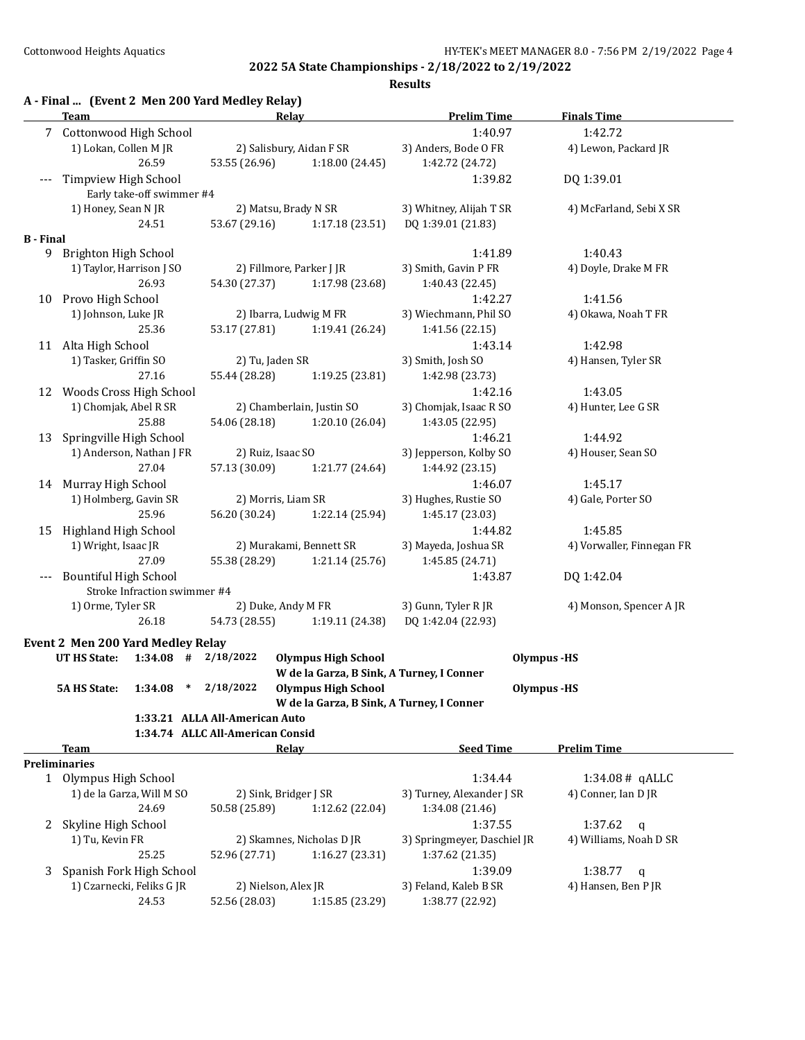|                  | Team                                          |         |                                                                    | Relay                                     | <b>Prelim Time</b>          | <b>Finals Time</b>        |
|------------------|-----------------------------------------------|---------|--------------------------------------------------------------------|-------------------------------------------|-----------------------------|---------------------------|
|                  | 7 Cottonwood High School                      |         |                                                                    |                                           | 1:40.97                     | 1:42.72                   |
|                  | 1) Lokan, Collen M JR                         |         |                                                                    | 2) Salisbury, Aidan F SR                  | 3) Anders, Bode O FR        | 4) Lewon, Packard JR      |
|                  |                                               | 26.59   | 53.55 (26.96)                                                      | 1:18.00 (24.45)                           | 1:42.72 (24.72)             |                           |
| $---$            | Timpview High School                          |         |                                                                    |                                           | 1:39.82                     | DQ 1:39.01                |
|                  | Early take-off swimmer #4                     |         |                                                                    |                                           |                             |                           |
|                  | 1) Honey, Sean N JR                           |         |                                                                    | 2) Matsu, Brady N SR                      | 3) Whitney, Alijah T SR     | 4) McFarland, Sebi X SR   |
|                  |                                               | 24.51   | 53.67 (29.16)                                                      | 1:17.18(23.51)                            | DQ 1:39.01 (21.83)          |                           |
| <b>B</b> - Final |                                               |         |                                                                    |                                           |                             |                           |
|                  | 9 Brighton High School                        |         |                                                                    |                                           | 1:41.89                     | 1:40.43                   |
|                  | 1) Taylor, Harrison J SO                      |         |                                                                    | 2) Fillmore, Parker J JR                  | 3) Smith, Gavin P FR        | 4) Doyle, Drake M FR      |
|                  |                                               | 26.93   | 54.30 (27.37)                                                      | 1:17.98 (23.68)                           | 1:40.43 (22.45)             |                           |
|                  | 10 Provo High School                          |         |                                                                    |                                           | 1:42.27                     | 1:41.56                   |
|                  | 1) Johnson, Luke JR                           |         |                                                                    | 2) Ibarra, Ludwig M FR                    | 3) Wiechmann, Phil SO       | 4) Okawa, Noah T FR       |
|                  |                                               | 25.36   | 53.17 (27.81)                                                      | 1:19.41 (26.24)                           | 1:41.56 (22.15)             |                           |
|                  | 11 Alta High School                           |         |                                                                    |                                           | 1:43.14                     | 1:42.98                   |
|                  | 1) Tasker, Griffin SO                         |         | 2) Tu, Jaden SR                                                    |                                           | 3) Smith, Josh SO           | 4) Hansen, Tyler SR       |
|                  |                                               | 27.16   | 55.44 (28.28)                                                      | 1:19.25 (23.81)                           | 1:42.98 (23.73)             |                           |
| 12               | Woods Cross High School                       |         |                                                                    |                                           | 1:42.16                     | 1:43.05                   |
|                  | 1) Chomjak, Abel R SR                         |         |                                                                    | 2) Chamberlain, Justin SO                 | 3) Chomjak, Isaac R SO      | 4) Hunter, Lee G SR       |
|                  |                                               | 25.88   | 54.06 (28.18)                                                      | 1:20.10(26.04)                            | 1:43.05 (22.95)             |                           |
| 13               | Springville High School                       |         |                                                                    |                                           | 1:46.21                     | 1:44.92                   |
|                  | 1) Anderson, Nathan J FR                      |         |                                                                    | 2) Ruiz, Isaac SO                         | 3) Jepperson, Kolby SO      | 4) Houser, Sean SO        |
|                  |                                               | 27.04   | 57.13 (30.09)                                                      | 1:21.77 (24.64)                           | 1:44.92 (23.15)             |                           |
| 14               | Murray High School                            |         |                                                                    |                                           | 1:46.07                     | 1:45.17                   |
|                  | 1) Holmberg, Gavin SR                         |         |                                                                    | 2) Morris, Liam SR                        | 3) Hughes, Rustie SO        | 4) Gale, Porter SO        |
|                  |                                               | 25.96   | 56.20 (30.24)                                                      | 1:22.14 (25.94)                           | 1:45.17 (23.03)             |                           |
| 15               | Highland High School                          |         |                                                                    |                                           | 1:44.82                     | 1:45.85                   |
|                  | 1) Wright, Isaac JR                           |         |                                                                    | 2) Murakami, Bennett SR                   | 3) Mayeda, Joshua SR        | 4) Vorwaller, Finnegan FR |
|                  |                                               | 27.09   | 55.38 (28.29)                                                      | 1:21.14 (25.76)                           | 1:45.85 (24.71)             |                           |
| $---$            | <b>Bountiful High School</b>                  |         |                                                                    |                                           | 1:43.87                     | DQ 1:42.04                |
|                  | Stroke Infraction swimmer #4                  |         |                                                                    |                                           |                             |                           |
|                  | 1) Orme, Tyler SR                             |         |                                                                    | 2) Duke, Andy M FR                        | 3) Gunn, Tyler R JR         | 4) Monson, Spencer A JR   |
|                  |                                               | 26.18   | 54.73 (28.55)                                                      | 1:19.11 (24.38)                           | DQ 1:42.04 (22.93)          |                           |
|                  |                                               |         |                                                                    |                                           |                             |                           |
|                  | Event 2 Men 200 Yard Medley Relay             |         |                                                                    |                                           |                             |                           |
|                  | <b>UT HS State:</b>                           |         | $1:34.08$ # $2/18/2022$                                            | <b>Olympus High School</b>                |                             | <b>Olympus</b> -HS        |
|                  |                                               |         |                                                                    | W de la Garza, B Sink, A Turney, I Conner |                             |                           |
|                  | 5A HS State:                                  | 1:34.08 | $*$ 2/18/2022                                                      | Olympus High School                       |                             | Olympus -HS               |
|                  |                                               |         |                                                                    | W de la Garza, B Sink, A Turney, I Conner |                             |                           |
|                  |                                               |         | 1:33.21 ALLA All-American Auto<br>1:34.74 ALLC All-American Consid |                                           |                             |                           |
|                  |                                               |         |                                                                    |                                           |                             |                           |
|                  | Team                                          |         |                                                                    | <b>Relay</b>                              | <b>Seed Time</b>            | <b>Prelim Time</b>        |
|                  | <b>Preliminaries</b><br>1 Olympus High School |         |                                                                    |                                           | 1:34.44                     |                           |
|                  |                                               |         |                                                                    |                                           |                             | $1:34.08#$ qALLC          |
|                  | 1) de la Garza, Will M SO                     | 24.69   |                                                                    | 2) Sink, Bridger J SR                     | 3) Turney, Alexander J SR   | 4) Conner, Ian D JR       |
|                  |                                               |         | 50.58 (25.89)                                                      | 1:12.62 (22.04)                           | 1:34.08 (21.46)             |                           |
| 2                | Skyline High School                           |         |                                                                    |                                           | 1:37.55                     | 1:37.62<br>$\mathbf q$    |
|                  | 1) Tu, Kevin FR                               |         |                                                                    | 2) Skamnes, Nicholas D JR                 | 3) Springmeyer, Daschiel JR | 4) Williams, Noah D SR    |
|                  |                                               | 25.25   | 52.96 (27.71)                                                      | 1:16.27 (23.31)                           | 1:37.62 (21.35)             |                           |
| 3                | Spanish Fork High School                      |         |                                                                    |                                           | 1:39.09                     | 1:38.77<br>q              |
|                  | 1) Czarnecki, Feliks G JR                     |         |                                                                    | 2) Nielson, Alex JR                       | 3) Feland, Kaleb B SR       | 4) Hansen, Ben P JR       |
|                  |                                               | 24.53   | 52.56 (28.03)                                                      | 1:15.85 (23.29)                           | 1:38.77 (22.92)             |                           |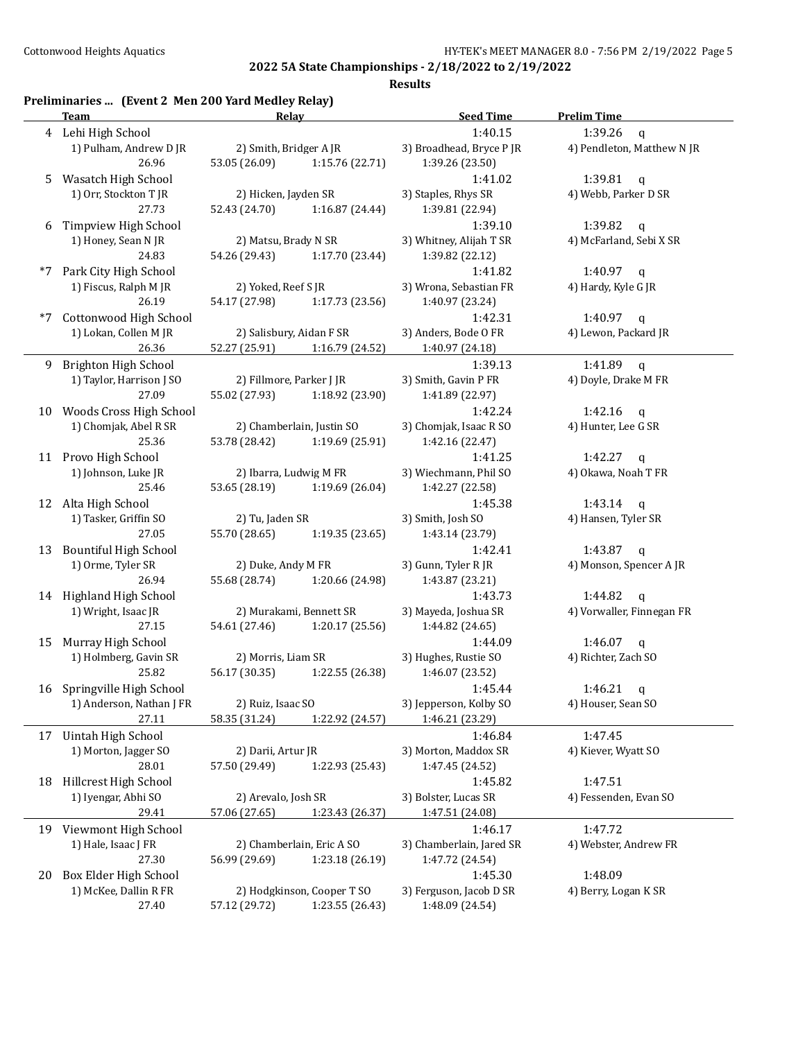|  | Preliminaries  (Event 2 Men 200 Yard Medley Relay) |
|--|----------------------------------------------------|
|  |                                                    |

|      | <b>Team</b>                  | Relay                                 |                            | <b>Seed Time</b>         | <b>Prelim Time</b>         |  |
|------|------------------------------|---------------------------------------|----------------------------|--------------------------|----------------------------|--|
|      | 4 Lehi High School           |                                       |                            | 1:40.15                  | 1:39.26<br>$\mathfrak{q}$  |  |
|      | 1) Pulham, Andrew D JR       | 2) Smith, Bridger A JR                |                            | 3) Broadhead, Bryce P JR | 4) Pendleton, Matthew N JR |  |
|      | 26.96                        | 53.05 (26.09)                         | 1:15.76 (22.71)            | 1:39.26 (23.50)          |                            |  |
| 5    | Wasatch High School          |                                       |                            | 1:41.02                  | 1:39.81<br>$\mathbf q$     |  |
|      | 1) Orr, Stockton T JR        | 2) Hicken, Jayden SR                  |                            | 3) Staples, Rhys SR      | 4) Webb, Parker D SR       |  |
|      | 27.73                        | 52.43 (24.70)                         | 1:16.87 (24.44)            | 1:39.81 (22.94)          |                            |  |
|      | Timpview High School         |                                       |                            | 1:39.10                  | 1:39.82                    |  |
| 6    |                              |                                       |                            | 3) Whitney, Alijah T SR  | $\mathbf{q}$               |  |
|      | 1) Honey, Sean N JR          | 2) Matsu, Brady N SR<br>54.26 (29.43) |                            |                          | 4) McFarland, Sebi X SR    |  |
|      | 24.83                        |                                       | 1:17.70 (23.44)            | 1:39.82 (22.12)          |                            |  |
| $*7$ | Park City High School        |                                       |                            | 1:41.82                  | 1:40.97<br>$\mathsf{q}$    |  |
|      | 1) Fiscus, Ralph M JR        | 2) Yoked, Reef S JR                   |                            | 3) Wrona, Sebastian FR   | 4) Hardy, Kyle G JR        |  |
|      | 26.19                        | 54.17 (27.98)                         | 1:17.73 (23.56)            | 1:40.97 (23.24)          |                            |  |
| $*7$ | Cottonwood High School       |                                       |                            | 1:42.31                  | 1:40.97 $q$                |  |
|      | 1) Lokan, Collen M JR        | 2) Salisbury, Aidan F SR              |                            | 3) Anders, Bode O FR     | 4) Lewon, Packard JR       |  |
|      | 26.36                        | 52.27 (25.91)                         | 1:16.79 (24.52)            | 1:40.97 (24.18)          |                            |  |
| 9    | Brighton High School         |                                       |                            | 1:39.13                  | 1:41.89<br>$\mathbf q$     |  |
|      | 1) Taylor, Harrison J SO     | 2) Fillmore, Parker J JR              |                            | 3) Smith, Gavin P FR     | 4) Doyle, Drake M FR       |  |
|      | 27.09                        | 55.02 (27.93)                         | 1:18.92 (23.90)            | 1:41.89 (22.97)          |                            |  |
| 10   | Woods Cross High School      |                                       |                            | 1:42.24                  | 1:42.16<br>$\mathsf{q}$    |  |
|      | 1) Chomjak, Abel R SR        |                                       | 2) Chamberlain, Justin SO  | 3) Chomjak, Isaac R SO   | 4) Hunter, Lee G SR        |  |
|      | 25.36                        | 53.78 (28.42)                         | 1:19.69 (25.91)            | 1:42.16 (22.47)          |                            |  |
|      |                              |                                       |                            |                          |                            |  |
|      | 11 Provo High School         |                                       |                            | 1:41.25                  | 1:42.27<br>$\mathsf{q}$    |  |
|      | 1) Johnson, Luke JR          | 2) Ibarra, Ludwig M FR                |                            | 3) Wiechmann, Phil SO    | 4) Okawa, Noah T FR        |  |
|      | 25.46                        | 53.65 (28.19)                         | 1:19.69 (26.04)            | 1:42.27 (22.58)          |                            |  |
|      | 12 Alta High School          |                                       |                            | 1:45.38                  | 1:43.14<br>$\mathbf{q}$    |  |
|      | 1) Tasker, Griffin SO        | 2) Tu, Jaden SR                       |                            | 3) Smith, Josh SO        | 4) Hansen, Tyler SR        |  |
|      | 27.05                        | 55.70 (28.65)                         | 1:19.35 (23.65)            | 1:43.14 (23.79)          |                            |  |
| 13   | <b>Bountiful High School</b> |                                       |                            | 1:42.41                  | 1:43.87 $q$                |  |
|      | 1) Orme, Tyler SR            | 2) Duke, Andy M FR                    |                            | 3) Gunn, Tyler R JR      | 4) Monson, Spencer A JR    |  |
|      | 26.94                        | 55.68 (28.74)                         | 1:20.66 (24.98)            | 1:43.87 (23.21)          |                            |  |
| 14   | <b>Highland High School</b>  |                                       |                            | 1:43.73                  | 1:44.82<br>q               |  |
|      | 1) Wright, Isaac JR          |                                       | 2) Murakami, Bennett SR    | 3) Mayeda, Joshua SR     | 4) Vorwaller, Finnegan FR  |  |
|      | 27.15                        | 54.61 (27.46)                         | 1:20.17 (25.56)            | 1:44.82 (24.65)          |                            |  |
| 15   | Murray High School           |                                       |                            | 1:44.09                  | 1:46.07<br>$\mathsf{q}$    |  |
|      | 1) Holmberg, Gavin SR        | 2) Morris, Liam SR                    |                            | 3) Hughes, Rustie SO     | 4) Richter, Zach SO        |  |
|      | 25.82                        | 56.17 (30.35)                         | 1:22.55 (26.38)            | 1:46.07 (23.52)          |                            |  |
| 16   | Springville High School      |                                       |                            | 1:45.44                  | 1:46.21                    |  |
|      |                              |                                       |                            |                          | q                          |  |
|      | 1) Anderson, Nathan J FR     | 2) Ruiz, Isaac SO                     |                            | 3) Jepperson, Kolby SO   | 4) Houser, Sean SO         |  |
|      | 27.11                        | 58.35 (31.24)                         | 1:22.92 (24.57)            | 1:46.21 (23.29)          |                            |  |
| 17   | Uintah High School           |                                       |                            | 1:46.84                  | 1:47.45                    |  |
|      | 1) Morton, Jagger SO         | 2) Darii, Artur JR                    |                            | 3) Morton, Maddox SR     | 4) Kiever, Wyatt SO        |  |
|      | 28.01                        | 57.50 (29.49)                         | 1:22.93 (25.43)            | 1:47.45 (24.52)          |                            |  |
| 18   | Hillcrest High School        |                                       |                            | 1:45.82                  | 1:47.51                    |  |
|      | 1) Iyengar, Abhi SO          | 2) Arevalo, Josh SR                   |                            | 3) Bolster, Lucas SR     | 4) Fessenden, Evan SO      |  |
|      | 29.41                        | 57.06 (27.65)                         | 1:23.43 (26.37)            | 1:47.51 (24.08)          |                            |  |
|      | 19 Viewmont High School      |                                       |                            | 1:46.17                  | 1:47.72                    |  |
|      | 1) Hale, Isaac J FR          |                                       | 2) Chamberlain, Eric A SO  | 3) Chamberlain, Jared SR | 4) Webster, Andrew FR      |  |
|      | 27.30                        | 56.99 (29.69)                         | 1:23.18 (26.19)            | 1:47.72 (24.54)          |                            |  |
| 20   | Box Elder High School        |                                       |                            | 1:45.30                  | 1:48.09                    |  |
|      | 1) McKee, Dallin R FR        |                                       | 2) Hodgkinson, Cooper T SO | 3) Ferguson, Jacob D SR  | 4) Berry, Logan K SR       |  |
|      | 27.40                        | 57.12 (29.72)                         | 1:23.55 (26.43)            | 1:48.09 (24.54)          |                            |  |
|      |                              |                                       |                            |                          |                            |  |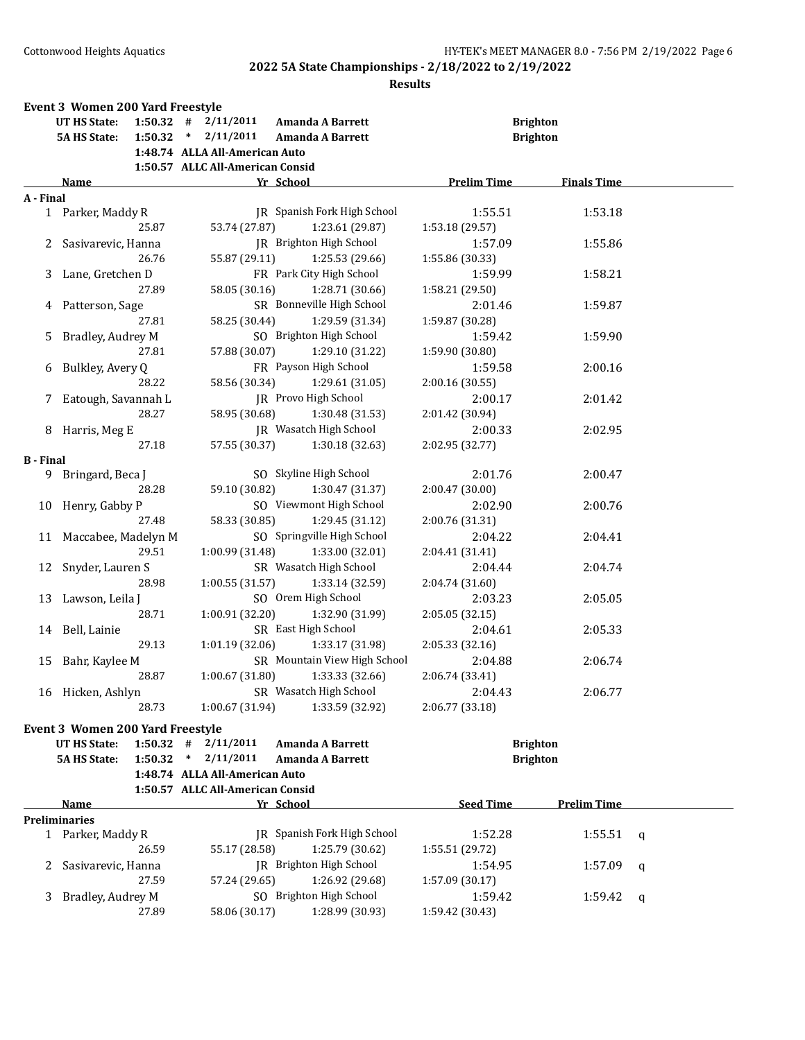|                  | <b>Event 3 Women 200 Yard Freestyle</b><br>UT HS State: |         | $1:50.32$ # $2/11/2011$                                   | <b>Amanda A Barrett</b>      |                    | <b>Brighton</b>                    |   |
|------------------|---------------------------------------------------------|---------|-----------------------------------------------------------|------------------------------|--------------------|------------------------------------|---|
|                  | <b>5A HS State:</b>                                     |         | $1:50.32$ * $2/11/2011$<br>1:48.74 ALLA All-American Auto | <b>Amanda A Barrett</b>      |                    | <b>Brighton</b>                    |   |
|                  |                                                         |         | 1:50.57 ALLC All-American Consid                          |                              |                    |                                    |   |
|                  | Name                                                    |         |                                                           | Yr School                    | <b>Prelim Time</b> | <b>Finals Time</b>                 |   |
| A - Final        |                                                         |         |                                                           |                              |                    |                                    |   |
|                  | 1 Parker, Maddy R                                       |         |                                                           | JR Spanish Fork High School  | 1:55.51            | 1:53.18                            |   |
|                  |                                                         | 25.87   | 53.74 (27.87)                                             | 1:23.61 (29.87)              | 1:53.18 (29.57)    |                                    |   |
| 2                | Sasivarevic, Hanna                                      |         |                                                           | JR Brighton High School      | 1:57.09            | 1:55.86                            |   |
|                  |                                                         | 26.76   | 55.87 (29.11)                                             | 1:25.53 (29.66)              | 1:55.86 (30.33)    |                                    |   |
|                  | 3 Lane, Gretchen D                                      |         |                                                           | FR Park City High School     | 1:59.99            | 1:58.21                            |   |
|                  |                                                         | 27.89   | 58.05 (30.16)                                             | 1:28.71 (30.66)              | 1:58.21 (29.50)    |                                    |   |
|                  | 4 Patterson, Sage                                       |         |                                                           | SR Bonneville High School    | 2:01.46            | 1:59.87                            |   |
|                  |                                                         | 27.81   | 58.25 (30.44)                                             | 1:29.59 (31.34)              | 1:59.87 (30.28)    |                                    |   |
| 5                | Bradley, Audrey M                                       |         |                                                           | SO Brighton High School      | 1:59.42            | 1:59.90                            |   |
|                  |                                                         | 27.81   | 57.88 (30.07)                                             | 1:29.10 (31.22)              | 1:59.90 (30.80)    |                                    |   |
| 6                | Bulkley, Avery Q                                        |         |                                                           | FR Payson High School        | 1:59.58            | 2:00.16                            |   |
|                  |                                                         | 28.22   | 58.56 (30.34)                                             | 1:29.61 (31.05)              | 2:00.16 (30.55)    |                                    |   |
|                  | 7 Eatough, Savannah L                                   |         |                                                           | JR Provo High School         | 2:00.17            | 2:01.42                            |   |
|                  |                                                         | 28.27   | 58.95 (30.68)                                             | 1:30.48 (31.53)              | 2:01.42 (30.94)    |                                    |   |
|                  | 8 Harris, Meg E                                         |         |                                                           | JR Wasatch High School       | 2:00.33            | 2:02.95                            |   |
|                  |                                                         | 27.18   | 57.55 (30.37)                                             | 1:30.18 (32.63)              | 2:02.95 (32.77)    |                                    |   |
| <b>B</b> - Final |                                                         |         |                                                           |                              |                    |                                    |   |
|                  | 9 Bringard, Beca J                                      |         |                                                           | SO Skyline High School       | 2:01.76            | 2:00.47                            |   |
|                  |                                                         | 28.28   | 59.10 (30.82)                                             | 1:30.47 (31.37)              | 2:00.47 (30.00)    |                                    |   |
|                  | 10 Henry, Gabby P                                       |         |                                                           | SO Viewmont High School      | 2:02.90            | 2:00.76                            |   |
|                  |                                                         | 27.48   | 58.33 (30.85)                                             | 1:29.45 (31.12)              | 2:00.76 (31.31)    |                                    |   |
|                  | 11 Maccabee, Madelyn M                                  |         |                                                           | SO Springville High School   | 2:04.22            | 2:04.41                            |   |
|                  |                                                         | 29.51   | 1:00.99 (31.48)                                           | 1:33.00 (32.01)              | 2:04.41 (31.41)    |                                    |   |
|                  | 12 Snyder, Lauren S                                     |         |                                                           | SR Wasatch High School       | 2:04.44            | 2:04.74                            |   |
|                  |                                                         | 28.98   | 1:00.55 (31.57)                                           | 1:33.14 (32.59)              | 2:04.74 (31.60)    |                                    |   |
|                  | 13 Lawson, Leila J                                      |         |                                                           | SO Orem High School          | 2:03.23            | 2:05.05                            |   |
|                  |                                                         | 28.71   | 1:00.91 (32.20)                                           | 1:32.90 (31.99)              | 2:05.05 (32.15)    |                                    |   |
|                  | 14 Bell, Lainie                                         |         |                                                           | SR East High School          | 2:04.61            | 2:05.33                            |   |
|                  |                                                         | 29.13   | 1:01.19(32.06)                                            | 1:33.17 (31.98)              | 2:05.33 (32.16)    |                                    |   |
| 15               | Bahr, Kaylee M                                          |         |                                                           | SR Mountain View High School | 2:04.88            | 2:06.74                            |   |
|                  |                                                         | 28.87   | 1:00.67(31.80)                                            | 1:33.33 (32.66)              | 2:06.74 (33.41)    |                                    |   |
|                  | 16 Hicken, Ashlyn                                       |         |                                                           | SR Wasatch High School       | 2:04.43            | 2:06.77                            |   |
|                  |                                                         | 28.73   | 1:00.67 (31.94)                                           | 1:33.59 (32.92)              | 2:06.77 (33.18)    |                                    |   |
|                  |                                                         |         |                                                           |                              |                    |                                    |   |
|                  | <b>Event 3 Women 200 Yard Freestyle</b>                 |         | 2/11/2011<br>#                                            | <b>Amanda A Barrett</b>      |                    |                                    |   |
|                  | <b>UT HS State:</b>                                     | 1:50.32 | $\ast$<br>2/11/2011                                       | <b>Amanda A Barrett</b>      |                    | <b>Brighton</b><br><b>Brighton</b> |   |
|                  | <b>5A HS State:</b>                                     | 1:50.32 | 1:48.74 ALLA All-American Auto                            |                              |                    |                                    |   |
|                  |                                                         |         | 1:50.57 ALLC All-American Consid                          |                              |                    |                                    |   |
|                  | Name                                                    |         |                                                           | Yr School                    | <b>Seed Time</b>   | <b>Prelim Time</b>                 |   |
|                  | Preliminaries                                           |         |                                                           |                              |                    |                                    |   |
|                  | 1 Parker, Maddy R                                       |         |                                                           | JR Spanish Fork High School  | 1:52.28            | 1:55.51                            | q |
|                  |                                                         | 26.59   | 55.17 (28.58)                                             | 1:25.79 (30.62)              | 1:55.51 (29.72)    |                                    |   |
| 2                | Sasivarevic, Hanna                                      |         |                                                           | JR Brighton High School      | 1:54.95            | 1:57.09                            | q |
|                  |                                                         | 27.59   | 57.24 (29.65)                                             | 1:26.92 (29.68)              | 1:57.09 (30.17)    |                                    |   |
| 3                | Bradley, Audrey M                                       |         |                                                           | SO Brighton High School      | 1:59.42            | 1:59.42                            | q |
|                  |                                                         | 27.89   | 58.06 (30.17)                                             | 1:28.99 (30.93)              | 1:59.42 (30.43)    |                                    |   |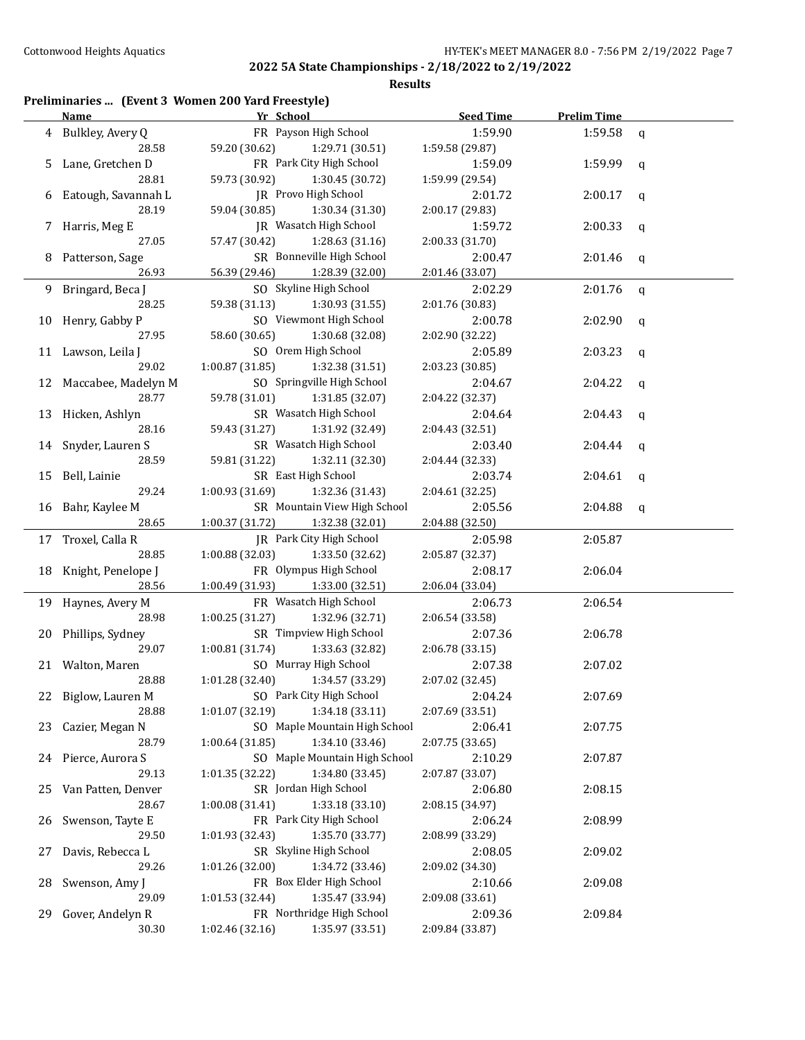| Preliminaries  (Event 3 Women 200 Yard Freestyle) |  |  |  |
|---------------------------------------------------|--|--|--|
|---------------------------------------------------|--|--|--|

|    | <b>Name</b>            | Yr School                          | <b>Seed Time</b> | <b>Prelim Time</b> |              |
|----|------------------------|------------------------------------|------------------|--------------------|--------------|
|    | 4 Bulkley, Avery Q     | FR Payson High School              | 1:59.90          | 1:59.58            | q            |
|    | 28.58                  | 59.20 (30.62)<br>1:29.71 (30.51)   | 1:59.58 (29.87)  |                    |              |
|    | 5 Lane, Gretchen D     | FR Park City High School           | 1:59.09          | 1:59.99            | q            |
|    | 28.81                  | 59.73 (30.92)<br>1:30.45 (30.72)   | 1:59.99 (29.54)  |                    |              |
|    | 6 Eatough, Savannah L  | JR Provo High School               | 2:01.72          | 2:00.17            | q            |
|    | 28.19                  | 59.04 (30.85)<br>1:30.34 (31.30)   | 2:00.17 (29.83)  |                    |              |
|    | 7 Harris, Meg E        | JR Wasatch High School             | 1:59.72          | 2:00.33            | $\mathbf{q}$ |
|    | 27.05                  | 57.47 (30.42)<br>1:28.63 (31.16)   | 2:00.33 (31.70)  |                    |              |
|    | 8 Patterson, Sage      | SR Bonneville High School          | 2:00.47          | 2:01.46            |              |
|    | 26.93                  | 56.39 (29.46)<br>1:28.39 (32.00)   | 2:01.46 (33.07)  |                    | q            |
|    |                        | SO Skyline High School             |                  |                    |              |
|    | 9 Bringard, Beca J     |                                    | 2:02.29          | 2:01.76            | q            |
|    | 28.25                  | 59.38 (31.13)<br>1:30.93 (31.55)   | 2:01.76 (30.83)  |                    |              |
|    | 10 Henry, Gabby P      | SO Viewmont High School            | 2:00.78          | 2:02.90            | $\mathbf{q}$ |
|    | 27.95                  | 58.60 (30.65)<br>1:30.68 (32.08)   | 2:02.90 (32.22)  |                    |              |
|    | 11 Lawson, Leila J     | SO Orem High School                | 2:05.89          | 2:03.23            | q            |
|    | 29.02                  | 1:00.87(31.85)<br>1:32.38 (31.51)  | 2:03.23 (30.85)  |                    |              |
|    | 12 Maccabee, Madelyn M | SO Springville High School         | 2:04.67          | 2:04.22            | q            |
|    | 28.77                  | 59.78 (31.01)<br>1:31.85 (32.07)   | 2:04.22 (32.37)  |                    |              |
|    | 13 Hicken, Ashlyn      | SR Wasatch High School             | 2:04.64          | 2:04.43            | q            |
|    | 28.16                  | 59.43 (31.27)<br>1:31.92 (32.49)   | 2:04.43 (32.51)  |                    |              |
|    | 14 Snyder, Lauren S    | SR Wasatch High School             | 2:03.40          | 2:04.44            | q            |
|    | 28.59                  | 59.81 (31.22)<br>1:32.11 (32.30)   | 2:04.44 (32.33)  |                    |              |
|    | 15 Bell, Lainie        | SR East High School                | 2:03.74          | 2:04.61            | q            |
|    | 29.24                  | 1:00.93(31.69)<br>1:32.36 (31.43)  | 2:04.61 (32.25)  |                    |              |
|    | 16 Bahr, Kaylee M      | SR Mountain View High School       | 2:05.56          | 2:04.88            | q            |
|    | 28.65                  | 1:00.37(31.72)<br>1:32.38 (32.01)  | 2:04.88 (32.50)  |                    |              |
|    | 17 Troxel, Calla R     | JR Park City High School           | 2:05.98          | 2:05.87            |              |
|    | 28.85                  | 1:00.88(32.03)<br>1:33.50 (32.62)  | 2:05.87 (32.37)  |                    |              |
|    | 18 Knight, Penelope J  | FR Olympus High School             | 2:08.17          | 2:06.04            |              |
|    | 28.56                  | $1:00.49(31.93)$ $1:33.00(32.51)$  | 2:06.04 (33.04)  |                    |              |
|    |                        |                                    |                  |                    |              |
|    | 19 Haynes, Avery M     | FR Wasatch High School             | 2:06.73          | 2:06.54            |              |
|    | 28.98                  | 1:00.25(31.27)<br>1:32.96 (32.71)  | 2:06.54 (33.58)  |                    |              |
|    | 20 Phillips, Sydney    | SR Timpview High School            | 2:07.36          | 2:06.78            |              |
|    | 29.07                  | 1:00.81(31.74)<br>1:33.63 (32.82)  | 2:06.78 (33.15)  |                    |              |
|    | 21 Walton, Maren       | SO Murray High School              | 2:07.38          | 2:07.02            |              |
|    | 28.88                  | 1:01.28 (32.40)<br>1:34.57 (33.29) | 2:07.02 (32.45)  |                    |              |
|    | 22 Biglow, Lauren M    | SO Park City High School           | 2:04.24          | 2:07.69            |              |
|    | 28.88                  | 1:34.18 (33.11)<br>1:01.07(32.19)  | 2:07.69 (33.51)  |                    |              |
| 23 | Cazier, Megan N        | SO Maple Mountain High School      | 2:06.41          | 2:07.75            |              |
|    | 28.79                  | 1:00.64(31.85)<br>1:34.10 (33.46)  | 2:07.75 (33.65)  |                    |              |
|    | 24 Pierce, Aurora S    | SO Maple Mountain High School      | 2:10.29          | 2:07.87            |              |
|    | 29.13                  | 1:01.35 (32.22)<br>1:34.80 (33.45) | 2:07.87 (33.07)  |                    |              |
| 25 | Van Patten, Denver     | SR Jordan High School              | 2:06.80          | 2:08.15            |              |
|    | 28.67                  | 1:33.18 (33.10)<br>1:00.08 (31.41) | 2:08.15 (34.97)  |                    |              |
| 26 | Swenson, Tayte E       | FR Park City High School           | 2:06.24          | 2:08.99            |              |
|    | 29.50                  | 1:35.70 (33.77)<br>1:01.93 (32.43) | 2:08.99 (33.29)  |                    |              |
| 27 | Davis, Rebecca L       | SR Skyline High School             | 2:08.05          | 2:09.02            |              |
|    | 29.26                  | 1:01.26 (32.00)<br>1:34.72 (33.46) | 2:09.02 (34.30)  |                    |              |
| 28 | Swenson, Amy J         | FR Box Elder High School           | 2:10.66          | 2:09.08            |              |
|    | 29.09                  | 1:01.53 (32.44)<br>1:35.47 (33.94) | 2:09.08 (33.61)  |                    |              |
| 29 | Gover, Andelyn R       | FR Northridge High School          |                  |                    |              |
|    | 30.30                  | 1:35.97 (33.51)                    | 2:09.36          | 2:09.84            |              |
|    |                        | 1:02.46 (32.16)                    | 2:09.84 (33.87)  |                    |              |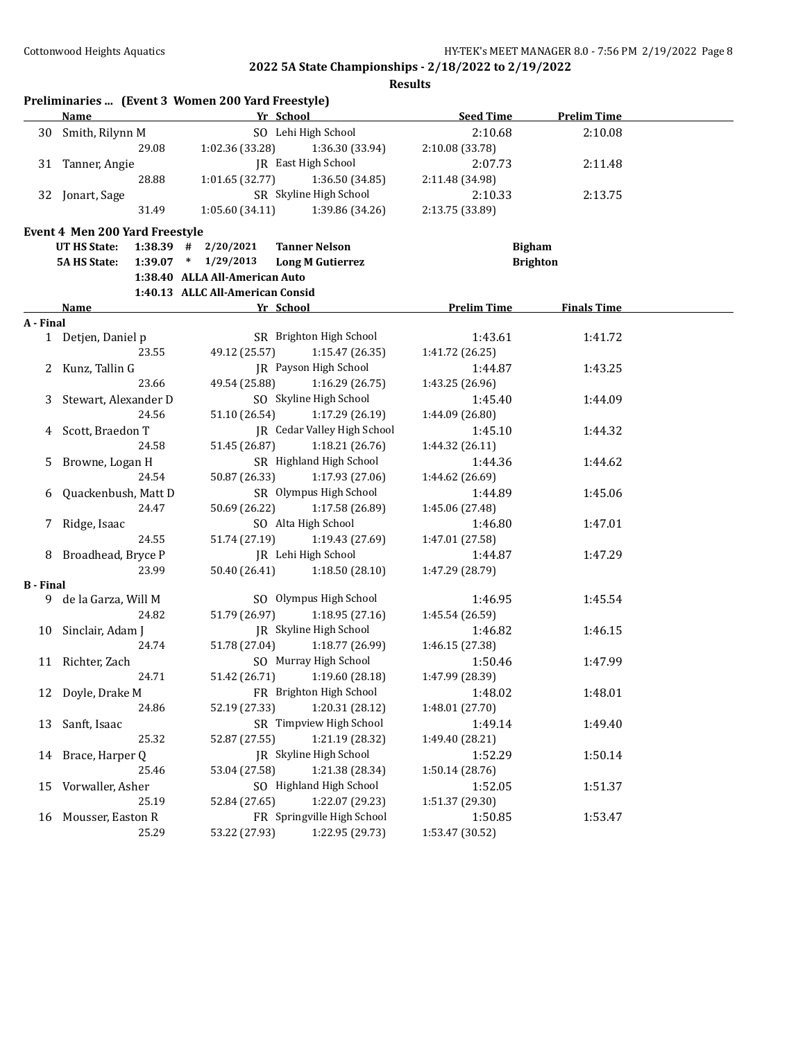|                  | Preliminaries  (Event 3 Women 200 Yard Freestyle) |                                  |                                    |                    |                    |  |
|------------------|---------------------------------------------------|----------------------------------|------------------------------------|--------------------|--------------------|--|
|                  | Name                                              | Yr School                        |                                    | <b>Seed Time</b>   | <b>Prelim Time</b> |  |
| 30 -             | Smith, Rilynn M                                   |                                  | SO Lehi High School                | 2:10.68            | 2:10.08            |  |
|                  | 29.08                                             | 1:02.36 (33.28)                  | 1:36.30 (33.94)                    | 2:10.08 (33.78)    |                    |  |
| 31               | Tanner, Angie                                     |                                  | JR East High School                | 2:07.73            | 2:11.48            |  |
|                  | 28.88                                             | 1:01.65(32.77)                   | 1:36.50 (34.85)                    | 2:11.48 (34.98)    |                    |  |
|                  | 32 Jonart, Sage                                   |                                  | SR Skyline High School             | 2:10.33            | 2:13.75            |  |
|                  | 31.49                                             | 1:05.60(34.11)                   | 1:39.86 (34.26)                    | 2:13.75 (33.89)    |                    |  |
|                  | Event 4 Men 200 Yard Freestyle                    |                                  |                                    |                    |                    |  |
|                  | UT HS State:                                      | $1:38.39$ # $2/20/2021$          | <b>Tanner Nelson</b>               | <b>Bigham</b>      |                    |  |
|                  | <b>5A HS State:</b>                               | $1:39.07$ * $1/29/2013$          | <b>Long M Gutierrez</b>            |                    | <b>Brighton</b>    |  |
|                  |                                                   | 1:38.40 ALLA All-American Auto   |                                    |                    |                    |  |
|                  |                                                   | 1:40.13 ALLC All-American Consid |                                    |                    |                    |  |
|                  | Name                                              | Yr School                        |                                    | <b>Prelim Time</b> | <b>Finals Time</b> |  |
| A - Final        |                                                   |                                  |                                    |                    |                    |  |
|                  | 1 Detjen, Daniel p                                |                                  | SR Brighton High School            | 1:43.61            | 1:41.72            |  |
|                  | 23.55                                             | 49.12 (25.57)                    | 1:15.47(26.35)                     | 1:41.72 (26.25)    |                    |  |
|                  | Kunz, Tallin G                                    |                                  | JR Payson High School              | 1:44.87            | 1:43.25            |  |
|                  | 23.66                                             | 49.54 (25.88)                    | 1:16.29 (26.75)                    | 1:43.25 (26.96)    |                    |  |
|                  | Stewart, Alexander D                              |                                  | SO Skyline High School             | 1:45.40            | 1:44.09            |  |
|                  | 24.56                                             | 51.10 (26.54)                    | 1:17.29 (26.19)                    | 1:44.09 (26.80)    |                    |  |
|                  | Scott, Braedon T                                  |                                  | <b>IR</b> Cedar Valley High School | 1:45.10            | 1:44.32            |  |
|                  | 24.58                                             | 51.45 (26.87)                    | 1:18.21 (26.76)                    | 1:44.32 (26.11)    |                    |  |
| 5                | Browne, Logan H                                   |                                  | SR Highland High School            | 1:44.36            | 1:44.62            |  |
|                  | 24.54                                             | 50.87 (26.33)                    | 1:17.93 (27.06)                    | 1:44.62 (26.69)    |                    |  |
|                  |                                                   |                                  |                                    |                    |                    |  |
| 6                | Quackenbush, Matt D                               |                                  | SR Olympus High School             | 1:44.89            | 1:45.06            |  |
|                  | 24.47                                             | 50.69 (26.22)                    | 1:17.58 (26.89)                    | 1:45.06 (27.48)    |                    |  |
| 7                | Ridge, Isaac                                      |                                  | SO Alta High School                | 1:46.80            | 1:47.01            |  |
|                  | 24.55                                             | 51.74 (27.19)                    | 1:19.43 (27.69)                    | 1:47.01 (27.58)    |                    |  |
| 8                | Broadhead, Bryce P                                |                                  | JR Lehi High School                | 1:44.87            | 1:47.29            |  |
|                  | 23.99                                             | 50.40 (26.41)                    | 1:18.50(28.10)                     | 1:47.29 (28.79)    |                    |  |
| <b>B</b> - Final |                                                   |                                  |                                    |                    |                    |  |
|                  | 9 de la Garza, Will M                             |                                  | SO Olympus High School             | 1:46.95            | 1:45.54            |  |
|                  | 24.82                                             | 51.79 (26.97)                    | 1:18.95(27.16)                     | 1:45.54 (26.59)    |                    |  |
|                  | 10 Sinclair, Adam J                               |                                  | JR Skyline High School             | 1:46.82            | 1:46.15            |  |
|                  | 24.74                                             | 51.78 (27.04)                    | 1:18.77 (26.99)                    | 1:46.15 (27.38)    |                    |  |
|                  | 11 Richter, Zach                                  |                                  | SO Murray High School              | 1:50.46            | 1:47.99            |  |
|                  | 24.71                                             |                                  | 51.42 (26.71) 1:19.60 (28.18)      | 1:47.99 (28.39)    |                    |  |
| 12               | Doyle, Drake M                                    |                                  | FR Brighton High School            | 1:48.02            | 1:48.01            |  |
|                  | 24.86                                             | 52.19 (27.33)                    | 1:20.31 (28.12)                    | 1:48.01 (27.70)    |                    |  |
| 13               | Sanft, Isaac                                      |                                  | SR Timpview High School            | 1:49.14            | 1:49.40            |  |
|                  | 25.32                                             | 52.87 (27.55)                    | 1:21.19 (28.32)                    | 1:49.40 (28.21)    |                    |  |
| 14               | Brace, Harper Q                                   |                                  | JR Skyline High School             | 1:52.29            | 1:50.14            |  |
|                  | 25.46                                             | 53.04 (27.58)                    | 1:21.38 (28.34)                    | 1:50.14 (28.76)    |                    |  |
| 15               | Vorwaller, Asher                                  |                                  | SO Highland High School            | 1:52.05            | 1:51.37            |  |
|                  | 25.19                                             | 52.84 (27.65)                    | 1:22.07 (29.23)                    | 1:51.37 (29.30)    |                    |  |
| 16               | Mousser, Easton R                                 |                                  | FR Springville High School         | 1:50.85            | 1:53.47            |  |
|                  | 25.29                                             | 53.22 (27.93)                    | 1:22.95 (29.73)                    | 1:53.47 (30.52)    |                    |  |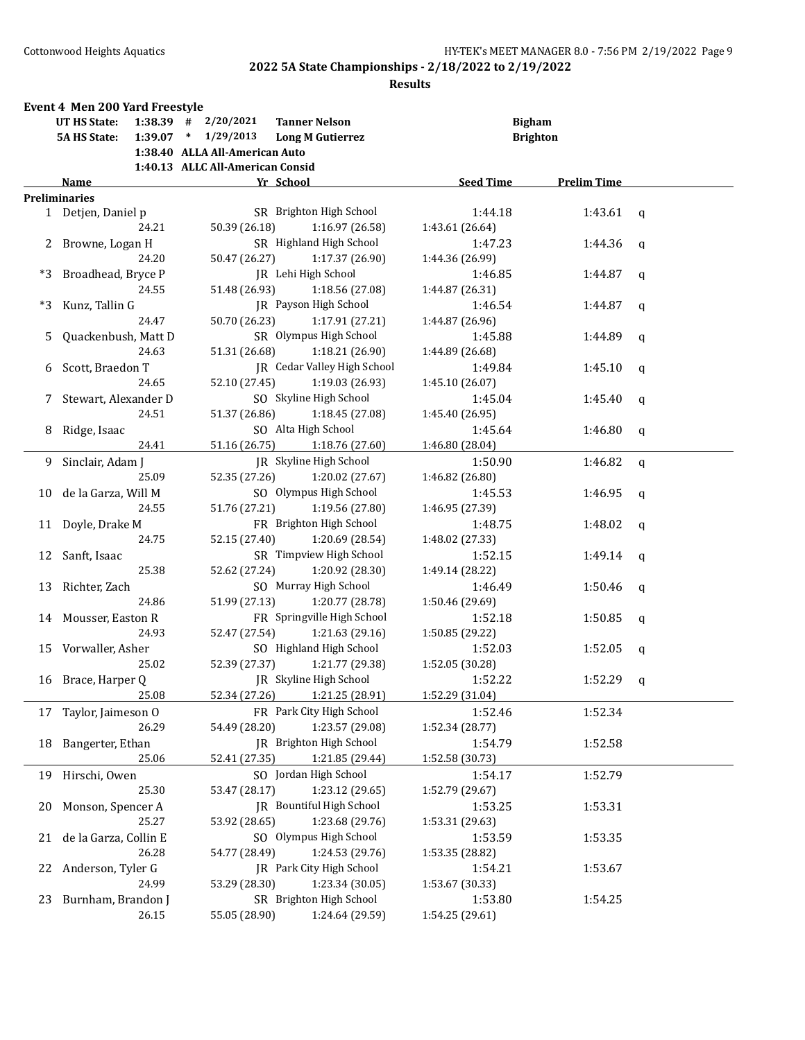|      | Event 4 Men 200 Yard Freestyle<br>UT HS State: |       | $1:38.39$ # $2/20/2021$          | <b>Tanner Nelson</b>            |                  | <b>Bigham</b>      |              |
|------|------------------------------------------------|-------|----------------------------------|---------------------------------|------------------|--------------------|--------------|
|      | <b>5A HS State:</b>                            |       | $1:39.07$ * $1/29/2013$          | <b>Long M Gutierrez</b>         |                  | <b>Brighton</b>    |              |
|      |                                                |       | 1:38.40 ALLA All-American Auto   |                                 |                  |                    |              |
|      |                                                |       | 1:40.13 ALLC All-American Consid |                                 |                  |                    |              |
|      | Name                                           |       |                                  | Yr School                       | <b>Seed Time</b> | <b>Prelim Time</b> |              |
|      | <b>Preliminaries</b>                           |       |                                  |                                 |                  |                    |              |
|      | 1 Detjen, Daniel p                             |       |                                  | SR Brighton High School         | 1:44.18          | 1:43.61            | q            |
|      |                                                | 24.21 | 50.39 (26.18)                    | 1:16.97 (26.58)                 | 1:43.61 (26.64)  |                    |              |
|      | 2 Browne, Logan H                              |       |                                  | SR Highland High School         | 1:47.23          | 1:44.36            | $\mathbf q$  |
|      |                                                | 24.20 | 50.47 (26.27)                    | 1:17.37 (26.90)                 | 1:44.36 (26.99)  |                    |              |
|      | *3 Broadhead, Bryce P                          |       |                                  | JR Lehi High School             | 1:46.85          | 1:44.87            | $\mathbf q$  |
|      |                                                | 24.55 | 51.48 (26.93)                    | 1:18.56 (27.08)                 | 1:44.87 (26.31)  |                    |              |
| $*3$ | Kunz, Tallin G                                 |       |                                  | JR Payson High School           | 1:46.54          | 1:44.87            | q            |
|      |                                                | 24.47 | 50.70 (26.23)                    | 1:17.91 (27.21)                 | 1:44.87 (26.96)  |                    |              |
| 5.   | Quackenbush, Matt D                            |       |                                  | SR Olympus High School          | 1:45.88          | 1:44.89            | q            |
|      |                                                | 24.63 | 51.31 (26.68)                    | 1:18.21 (26.90)                 | 1:44.89 (26.68)  |                    |              |
|      | Scott, Braedon T                               |       |                                  | JR Cedar Valley High School     | 1:49.84          | 1:45.10            | q            |
|      |                                                | 24.65 | 52.10 (27.45)                    | 1:19.03 (26.93)                 | 1:45.10 (26.07)  |                    |              |
| 7.   | Stewart, Alexander D                           |       |                                  | SO Skyline High School          | 1:45.04          | 1:45.40            | $\mathbf q$  |
|      |                                                | 24.51 | 51.37 (26.86)                    | 1:18.45 (27.08)                 | 1:45.40 (26.95)  |                    |              |
| 8    | Ridge, Isaac                                   |       |                                  | SO Alta High School             | 1:45.64          | 1:46.80            | q            |
|      |                                                | 24.41 |                                  | 51.16 (26.75) 1:18.76 (27.60)   | 1:46.80 (28.04)  |                    |              |
| 9.   | Sinclair, Adam J                               |       |                                  | JR Skyline High School          | 1:50.90          | 1:46.82            | $\mathsf{q}$ |
|      |                                                | 25.09 | 52.35 (27.26)                    | 1:20.02 (27.67)                 | 1:46.82 (26.80)  |                    |              |
| 10   | de la Garza, Will M                            |       |                                  | SO Olympus High School          | 1:45.53          | 1:46.95            | q            |
|      |                                                | 24.55 | 51.76 (27.21)                    | 1:19.56 (27.80)                 | 1:46.95 (27.39)  |                    |              |
| 11   | Doyle, Drake M                                 |       |                                  | FR Brighton High School         | 1:48.75          | 1:48.02            | $\mathbf q$  |
|      |                                                | 24.75 | 52.15 (27.40)                    | 1:20.69 (28.54)                 | 1:48.02 (27.33)  |                    |              |
| 12   | Sanft, Isaac                                   |       |                                  | SR Timpview High School         | 1:52.15          | 1:49.14            | $\mathbf q$  |
|      |                                                | 25.38 | 52.62 (27.24)                    | 1:20.92 (28.30)                 | 1:49.14 (28.22)  |                    |              |
| 13   | Richter, Zach                                  |       |                                  | SO Murray High School           | 1:46.49          | 1:50.46            | q            |
|      |                                                | 24.86 | 51.99 (27.13)                    | 1:20.77 (28.78)                 | 1:50.46 (29.69)  |                    |              |
|      | 14 Mousser, Easton R                           |       |                                  | FR Springville High School      | 1:52.18          | 1:50.85            | $\mathbf q$  |
|      |                                                | 24.93 | 52.47 (27.54)                    | 1:21.63 (29.16)                 | 1:50.85 (29.22)  |                    |              |
|      | 15 Vorwaller, Asher                            |       |                                  | SO Highland High School         | 1:52.03          | 1:52.05            |              |
|      |                                                | 25.02 | 52.39 (27.37)                    | 1:21.77 (29.38)                 | 1:52.05 (30.28)  |                    | q            |
|      | 16 Brace, Harper Q                             |       |                                  | JR Skyline High School          | 1:52.22          | 1:52.29            |              |
|      |                                                | 25.08 | 52.34 (27.26)                    | 1:21.25 (28.91)                 | 1:52.29 (31.04)  |                    | q            |
|      |                                                |       |                                  |                                 |                  |                    |              |
| 17   | Taylor, Jaimeson O                             |       |                                  | FR Park City High School        | 1:52.46          | 1:52.34            |              |
|      |                                                | 26.29 | 54.49 (28.20)                    | 1:23.57 (29.08)                 | 1:52.34 (28.77)  |                    |              |
| 18   | Bangerter, Ethan                               |       |                                  | JR Brighton High School         | 1:54.79          | 1:52.58            |              |
|      |                                                | 25.06 | 52.41 (27.35)                    | 1:21.85 (29.44)                 | 1:52.58 (30.73)  |                    |              |
| 19   | Hirschi, Owen                                  |       |                                  | SO Jordan High School           | 1:54.17          | 1:52.79            |              |
|      |                                                | 25.30 | 53.47 (28.17)                    | 1:23.12 (29.65)                 | 1:52.79 (29.67)  |                    |              |
| 20   | Monson, Spencer A                              |       |                                  | <b>IR</b> Bountiful High School | 1:53.25          | 1:53.31            |              |
|      |                                                | 25.27 | 53.92 (28.65)                    | 1:23.68 (29.76)                 | 1:53.31 (29.63)  |                    |              |
| 21   | de la Garza, Collin E                          |       |                                  | SO Olympus High School          | 1:53.59          | 1:53.35            |              |
|      |                                                | 26.28 | 54.77 (28.49)                    | 1:24.53 (29.76)                 | 1:53.35 (28.82)  |                    |              |
| 22   | Anderson, Tyler G                              |       |                                  | JR Park City High School        | 1:54.21          | 1:53.67            |              |
|      |                                                | 24.99 | 53.29 (28.30)                    | 1:23.34 (30.05)                 | 1:53.67 (30.33)  |                    |              |
| 23   | Burnham, Brandon J                             |       |                                  | SR Brighton High School         | 1:53.80          | 1:54.25            |              |
|      |                                                | 26.15 | 55.05 (28.90)                    | 1:24.64 (29.59)                 | 1:54.25 (29.61)  |                    |              |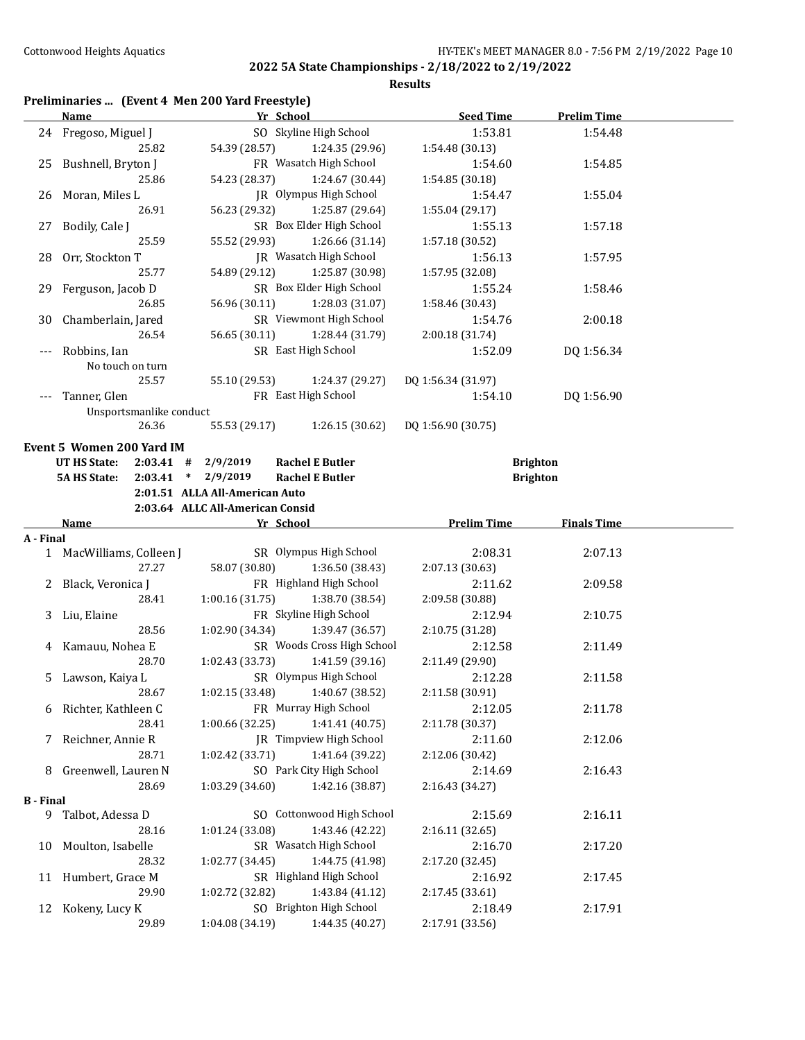#### **Results**

## **Preliminaries ... (Event 4 Men 200 Yard Freestyle)**

|                          | Name and the same state of the state of the state of the state of the state of the state of the state of the state of the state of the state of the state of the state of the state of the state of the state of the state of | Yr School                        |                                            | <b>Seed Time</b>           | <b>Prelim Time</b> |  |
|--------------------------|-------------------------------------------------------------------------------------------------------------------------------------------------------------------------------------------------------------------------------|----------------------------------|--------------------------------------------|----------------------------|--------------------|--|
|                          | 24 Fregoso, Miguel J                                                                                                                                                                                                          |                                  | SO Skyline High School                     | 1:53.81                    | 1:54.48            |  |
|                          | 25.82                                                                                                                                                                                                                         | 54.39 (28.57)                    | 1:24.35 (29.96)                            | 1:54.48 (30.13)            |                    |  |
| 25                       | Bushnell, Bryton J                                                                                                                                                                                                            |                                  | FR Wasatch High School                     | 1:54.60                    | 1:54.85            |  |
|                          | 25.86                                                                                                                                                                                                                         | 54.23 (28.37)                    | 1:24.67 (30.44)                            | 1:54.85 (30.18)            |                    |  |
| 26                       | Moran, Miles L                                                                                                                                                                                                                |                                  | JR Olympus High School                     | 1:54.47                    | 1:55.04            |  |
|                          | 26.91                                                                                                                                                                                                                         | 56.23 (29.32)                    | 1:25.87 (29.64)                            | 1:55.04 (29.17)            |                    |  |
| 27                       | Bodily, Cale J                                                                                                                                                                                                                |                                  | SR Box Elder High School                   | 1:55.13                    | 1:57.18            |  |
|                          | 25.59                                                                                                                                                                                                                         | 55.52 (29.93)                    | 1:26.66 (31.14)                            | 1:57.18 (30.52)            |                    |  |
| 28                       | Orr, Stockton T                                                                                                                                                                                                               |                                  | <b>IR</b> Wasatch High School              | 1:56.13                    | 1:57.95            |  |
|                          | 25.77                                                                                                                                                                                                                         | 54.89 (29.12)                    | 1:25.87 (30.98)                            | 1:57.95 (32.08)            |                    |  |
| 29                       | Ferguson, Jacob D                                                                                                                                                                                                             |                                  | SR Box Elder High School                   | 1:55.24                    | 1:58.46            |  |
|                          | 26.85                                                                                                                                                                                                                         | 56.96 (30.11)                    | 1:28.03 (31.07)                            | 1:58.46 (30.43)            |                    |  |
| 30                       | Chamberlain, Jared                                                                                                                                                                                                            |                                  | SR Viewmont High School                    | 1:54.76                    | 2:00.18            |  |
|                          | 26.54                                                                                                                                                                                                                         | 56.65 (30.11)                    | 1:28.44 (31.79)                            | 2:00.18 (31.74)            |                    |  |
| $\scriptstyle{\cdots}$ . | Robbins, Ian                                                                                                                                                                                                                  |                                  | SR East High School                        | 1:52.09                    | DQ 1:56.34         |  |
|                          | No touch on turn                                                                                                                                                                                                              |                                  |                                            |                            |                    |  |
|                          | 25.57                                                                                                                                                                                                                         | 55.10 (29.53)                    | 1:24.37 (29.27)                            | DQ 1:56.34 (31.97)         |                    |  |
|                          | Tanner, Glen                                                                                                                                                                                                                  |                                  | FR East High School                        | 1:54.10                    | DQ 1:56.90         |  |
|                          | Unsportsmanlike conduct                                                                                                                                                                                                       |                                  |                                            |                            |                    |  |
|                          | 26.36                                                                                                                                                                                                                         | 55.53 (29.17)                    | 1:26.15 (30.62)                            | DQ 1:56.90 (30.75)         |                    |  |
|                          | Event 5 Women 200 Yard IM                                                                                                                                                                                                     |                                  |                                            |                            |                    |  |
|                          | <b>UT HS State:</b><br>$2:03.41$ #                                                                                                                                                                                            | 2/9/2019                         | <b>Rachel E Butler</b>                     |                            | <b>Brighton</b>    |  |
|                          | <b>5A HS State:</b>                                                                                                                                                                                                           | $2:03.41$ * $2/9/2019$           | <b>Rachel E Butler</b>                     |                            | <b>Brighton</b>    |  |
|                          |                                                                                                                                                                                                                               | 2:01.51 ALLA All-American Auto   |                                            |                            |                    |  |
|                          |                                                                                                                                                                                                                               | 2:03.64 ALLC All-American Consid |                                            |                            |                    |  |
|                          | Name                                                                                                                                                                                                                          |                                  |                                            |                            |                    |  |
|                          |                                                                                                                                                                                                                               |                                  |                                            |                            |                    |  |
| A - Final                |                                                                                                                                                                                                                               | Yr School                        |                                            | <b>Prelim Time</b>         | <b>Finals Time</b> |  |
|                          | 1 MacWilliams, Colleen J                                                                                                                                                                                                      |                                  | SR Olympus High School                     | 2:08.31                    | 2:07.13            |  |
|                          | 27.27                                                                                                                                                                                                                         | 58.07 (30.80)                    | 1:36.50 (38.43)                            | 2:07.13 (30.63)            |                    |  |
|                          | 2 Black, Veronica J                                                                                                                                                                                                           |                                  | FR Highland High School                    | 2:11.62                    | 2:09.58            |  |
|                          | 28.41                                                                                                                                                                                                                         | 1:00.16(31.75)                   | 1:38.70 (38.54)                            | 2:09.58 (30.88)            |                    |  |
|                          | 3 Liu, Elaine                                                                                                                                                                                                                 |                                  | FR Skyline High School                     | 2:12.94                    | 2:10.75            |  |
|                          | 28.56                                                                                                                                                                                                                         | 1:02.90(34.34)                   | 1:39.47 (36.57)                            | 2:10.75 (31.28)            |                    |  |
|                          | 4 Kamauu, Nohea E                                                                                                                                                                                                             |                                  | SR Woods Cross High School                 | 2:12.58                    | 2:11.49            |  |
|                          | 28.70                                                                                                                                                                                                                         | 1:02.43(33.73)                   | 1:41.59 (39.16)                            | 2:11.49 (29.90)            |                    |  |
| 5.                       | Lawson, Kaiya L                                                                                                                                                                                                               |                                  | SR Olympus High School                     | 2:12.28                    | 2:11.58            |  |
|                          | 28.67                                                                                                                                                                                                                         |                                  | $1:02.15(33.48)$ $1:40.67(38.52)$          | 2:11.58 (30.91)            |                    |  |
| 6                        | Richter, Kathleen C                                                                                                                                                                                                           |                                  | FR Murray High School                      | 2:12.05                    | 2:11.78            |  |
|                          | 28.41                                                                                                                                                                                                                         | 1:00.66 (32.25)                  | 1:41.41(40.75)                             | 2:11.78 (30.37)            |                    |  |
| 7                        | Reichner, Annie R                                                                                                                                                                                                             |                                  | JR Timpview High School                    | 2:11.60                    | 2:12.06            |  |
|                          | 28.71                                                                                                                                                                                                                         | 1:02.42 (33.71)                  | 1:41.64 (39.22)                            | 2:12.06 (30.42)            |                    |  |
| 8                        | Greenwell, Lauren N                                                                                                                                                                                                           |                                  | SO Park City High School                   | 2:14.69                    | 2:16.43            |  |
|                          | 28.69                                                                                                                                                                                                                         | 1:03.29 (34.60)                  | 1:42.16 (38.87)                            | 2:16.43 (34.27)            |                    |  |
| <b>B</b> - Final         |                                                                                                                                                                                                                               |                                  |                                            |                            |                    |  |
|                          | 9 Talbot, Adessa D                                                                                                                                                                                                            |                                  | SO Cottonwood High School                  | 2:15.69                    | 2:16.11            |  |
|                          | 28.16                                                                                                                                                                                                                         | 1:01.24 (33.08)                  | 1:43.46 (42.22)                            | 2:16.11 (32.65)            |                    |  |
| 10                       | Moulton, Isabelle                                                                                                                                                                                                             |                                  | SR Wasatch High School                     | 2:16.70                    | 2:17.20            |  |
|                          | 28.32                                                                                                                                                                                                                         | 1:02.77 (34.45)                  | 1:44.75 (41.98)                            | 2:17.20 (32.45)            |                    |  |
|                          | 11 Humbert, Grace M                                                                                                                                                                                                           |                                  | SR Highland High School                    | 2:16.92                    | 2:17.45            |  |
|                          | 29.90                                                                                                                                                                                                                         | 1:02.72 (32.82)                  | 1:43.84 (41.12)                            | 2:17.45 (33.61)            |                    |  |
|                          | 12 Kokeny, Lucy K<br>29.89                                                                                                                                                                                                    | 1:04.08 (34.19)                  | SO Brighton High School<br>1:44.35 (40.27) | 2:18.49<br>2:17.91 (33.56) | 2:17.91            |  |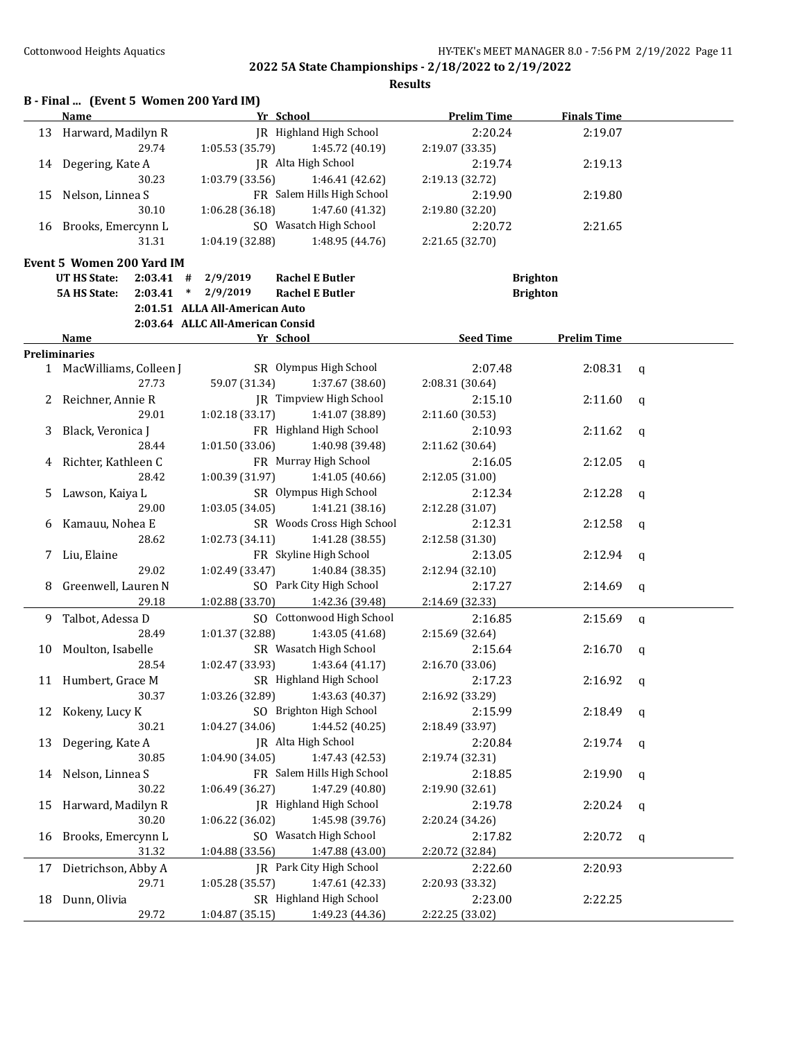|              | B - Final  (Event 5 Women 200 Yard IM)<br>Name | Yr School                                    | <b>Prelim Time</b> | <b>Finals Time</b> |              |
|--------------|------------------------------------------------|----------------------------------------------|--------------------|--------------------|--------------|
| 13           | Harward, Madilyn R                             | JR Highland High School                      | 2:20.24            | 2:19.07            |              |
|              | 29.74                                          | 1:05.53 (35.79)<br>1:45.72 (40.19)           | 2:19.07 (33.35)    |                    |              |
| 14           | Degering, Kate A                               | JR Alta High School                          | 2:19.74            | 2:19.13            |              |
|              | 30.23                                          | 1:46.41 (42.62)<br>1:03.79 (33.56)           | 2:19.13 (32.72)    |                    |              |
| 15           | Nelson, Linnea S                               | FR Salem Hills High School                   | 2:19.90            | 2:19.80            |              |
|              | 30.10                                          | 1:06.28(36.18)<br>1:47.60 (41.32)            | 2:19.80 (32.20)    |                    |              |
| 16           | Brooks, Emercynn L                             | SO Wasatch High School                       | 2:20.72            | 2:21.65            |              |
|              | 31.31                                          | 1:48.95 (44.76)<br>1:04.19 (32.88)           | 2:21.65 (32.70)    |                    |              |
|              |                                                |                                              |                    |                    |              |
|              | Event 5 Women 200 Yard IM                      |                                              |                    |                    |              |
|              | <b>UT HS State:</b><br>$2:03.41$ #             | 2/9/2019<br><b>Rachel E Butler</b>           |                    | <b>Brighton</b>    |              |
|              | 2:03.41<br><b>5A HS State:</b>                 | $\ast$<br>2/9/2019<br><b>Rachel E Butler</b> |                    | <b>Brighton</b>    |              |
|              |                                                | 2:01.51 ALLA All-American Auto               |                    |                    |              |
|              |                                                | 2:03.64 ALLC All-American Consid             |                    |                    |              |
|              | Name                                           | Yr School                                    | <b>Seed Time</b>   | <b>Prelim Time</b> |              |
|              | Preliminaries                                  |                                              |                    |                    |              |
|              | 1 MacWilliams, Colleen J                       | SR Olympus High School                       | 2:07.48            | 2:08.31            | q            |
|              | 27.73                                          | 59.07 (31.34)<br>1:37.67 (38.60)             | 2:08.31 (30.64)    |                    |              |
| $\mathbf{Z}$ | Reichner, Annie R                              | JR Timpview High School                      | 2:15.10            | 2:11.60            | q            |
|              | 29.01                                          | 1:02.18(33.17)<br>1:41.07 (38.89)            | 2:11.60 (30.53)    |                    |              |
| 3            | Black, Veronica J                              | FR Highland High School                      | 2:10.93            | 2:11.62            | q            |
|              | 28.44                                          | 1:01.50 (33.06)<br>1:40.98 (39.48)           | 2:11.62 (30.64)    |                    |              |
| 4            | Richter, Kathleen C                            | FR Murray High School                        | 2:16.05            | 2:12.05            | q            |
|              | 28.42                                          | 1:00.39 (31.97)<br>1:41.05(40.66)            | 2:12.05 (31.00)    |                    |              |
| 5            | Lawson, Kaiya L                                | SR Olympus High School                       | 2:12.34            | 2:12.28            | a            |
|              | 29.00                                          | 1:03.05(34.05)<br>1:41.21(38.16)             | 2:12.28 (31.07)    |                    |              |
| 6            | Kamauu, Nohea E                                | SR Woods Cross High School                   | 2:12.31            | 2:12.58            | q            |
|              | 28.62                                          | 1:41.28 (38.55)<br>1:02.73 (34.11)           | 2:12.58 (31.30)    |                    |              |
| 7.           | Liu, Elaine                                    | FR Skyline High School                       | 2:13.05            | 2:12.94            | q            |
|              | 29.02                                          | 1:02.49 (33.47)<br>1:40.84 (38.35)           | 2:12.94 (32.10)    |                    |              |
| 8            | Greenwell, Lauren N                            | SO Park City High School                     | 2:17.27            | 2:14.69            | $\mathbf q$  |
|              | 29.18                                          | 1:02.88 (33.70)<br>1:42.36 (39.48)           | 2:14.69 (32.33)    |                    |              |
| 9            | Talbot, Adessa D                               | SO Cottonwood High School                    | 2:16.85            | 2:15.69            | $\mathbf q$  |
|              | 28.49                                          | 1:01.37 (32.88)<br>1:43.05 (41.68)           | 2:15.69 (32.64)    |                    |              |
| 10           | Moulton, Isabelle                              | SR Wasatch High School                       | 2:15.64            | 2:16.70            | a            |
|              | 28.54                                          | 1:02.47 (33.93)<br>1:43.64(41.17)            | 2:16.70 (33.06)    |                    |              |
|              | 11 Humbert, Grace M                            | SR Highland High School                      | 2:17.23            | 2:16.92            | $\mathbf{q}$ |
|              | 30.37                                          | 1:43.63 (40.37)<br>1:03.26 (32.89)           | 2:16.92 (33.29)    |                    |              |
| 12           | Kokeny, Lucy K                                 | SO Brighton High School                      | 2:15.99            | 2:18.49            | q            |
|              | 30.21                                          | 1:44.52 (40.25)<br>1:04.27 (34.06)           | 2:18.49 (33.97)    |                    |              |
| 13           | Degering, Kate A                               | JR Alta High School                          | 2:20.84            | 2:19.74            | q            |
|              | 30.85                                          | 1:47.43 (42.53)<br>1:04.90 (34.05)           | 2:19.74 (32.31)    |                    |              |
|              | 14 Nelson, Linnea S                            | FR Salem Hills High School                   | 2:18.85            | 2:19.90            | q            |
|              | 30.22                                          | 1:47.29 (40.80)<br>1:06.49 (36.27)           | 2:19.90 (32.61)    |                    |              |
| 15           | Harward, Madilyn R                             | JR Highland High School                      | 2:19.78            | 2:20.24            | q            |
|              | 30.20                                          | 1:06.22 (36.02)<br>1:45.98 (39.76)           | 2:20.24 (34.26)    |                    |              |
| 16           | Brooks, Emercynn L                             | SO Wasatch High School                       | 2:17.82            | 2:20.72            | q            |
|              | 31.32                                          | 1:47.88 (43.00)<br>1:04.88 (33.56)           | 2:20.72 (32.84)    |                    |              |
|              | Dietrichson, Abby A                            | JR Park City High School                     | 2:22.60            | 2:20.93            |              |
| 17           | 29.71                                          | 1:47.61 (42.33)<br>1:05.28 (35.57)           | 2:20.93 (33.32)    |                    |              |
| 18           | Dunn, Olivia                                   | SR Highland High School                      | 2:23.00            | 2:22.25            |              |
|              |                                                |                                              |                    |                    |              |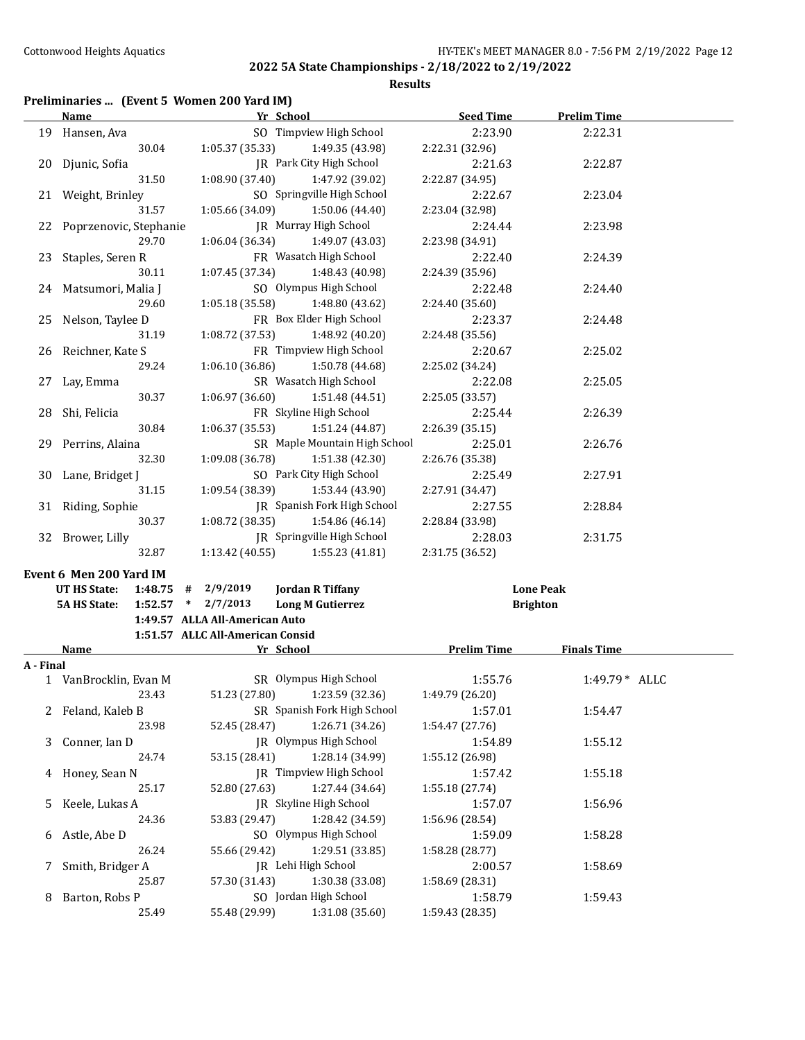**Results**

# **Preliminaries ... (Event 5 Women 200 Yard IM)**

|           | <b>Name</b>                                                                   | Yr School                                                      | <b>Seed Time</b>                    | <b>Prelim Time</b> |
|-----------|-------------------------------------------------------------------------------|----------------------------------------------------------------|-------------------------------------|--------------------|
|           | 19 Hansen, Ava                                                                | SO Timpview High School                                        | 2:23.90                             | 2:22.31            |
|           | 30.04                                                                         | 1:05.37 (35.33)<br>1:49.35 (43.98)                             | 2:22.31 (32.96)                     |                    |
| 20        | Djunic, Sofia                                                                 | JR Park City High School                                       | 2:21.63                             | 2:22.87            |
|           | 31.50                                                                         | 1:08.90 (37.40)<br>1:47.92 (39.02)                             | 2:22.87 (34.95)                     |                    |
|           | 21 Weight, Brinley                                                            | SO Springville High School                                     | 2:22.67                             | 2:23.04            |
|           | 31.57                                                                         | 1:05.66 (34.09)<br>1:50.06 (44.40)                             | 2:23.04 (32.98)                     |                    |
|           | 22 Poprzenovic, Stephanie                                                     | JR Murray High School                                          | 2:24.44                             | 2:23.98            |
|           | 29.70                                                                         | 1:06.04 (36.34)<br>1:49.07 (43.03)                             | 2:23.98 (34.91)                     |                    |
| 23        | Staples, Seren R                                                              | FR Wasatch High School                                         | 2:22.40                             | 2:24.39            |
|           | 30.11                                                                         | 1:07.45 (37.34)<br>1:48.43 (40.98)                             | 2:24.39 (35.96)                     |                    |
|           | 24 Matsumori, Malia J                                                         | SO Olympus High School                                         | 2:22.48                             | 2:24.40            |
|           | 29.60                                                                         | 1:05.18 (35.58)<br>1:48.80 (43.62)                             | 2:24.40 (35.60)                     |                    |
| 25        | Nelson, Taylee D                                                              | FR Box Elder High School                                       | 2:23.37                             | 2:24.48            |
|           | 31.19                                                                         | 1:08.72 (37.53)<br>1:48.92 (40.20)                             | 2:24.48 (35.56)                     |                    |
| 26        | Reichner, Kate S                                                              | FR Timpview High School                                        | 2:20.67                             | 2:25.02            |
|           | 29.24                                                                         | 1:06.10 (36.86)<br>1:50.78 (44.68)                             | 2:25.02 (34.24)                     |                    |
| 27        | Lay, Emma                                                                     | SR Wasatch High School                                         | 2:22.08                             | 2:25.05            |
|           | 30.37                                                                         | 1:06.97 (36.60)<br>1:51.48 (44.51)                             | 2:25.05 (33.57)                     |                    |
| 28        | Shi, Felicia                                                                  | FR Skyline High School                                         | 2:25.44                             | 2:26.39            |
|           | 30.84                                                                         | 1:06.37 (35.53)<br>1:51.24 (44.87)                             | 2:26.39 (35.15)                     |                    |
|           | 29 Perrins, Alaina                                                            | SR Maple Mountain High School                                  | 2:25.01                             | 2:26.76            |
|           | 32.30                                                                         | 1:09.08 (36.78)<br>1:51.38 (42.30)                             | 2:26.76 (35.38)                     |                    |
| 30        | Lane, Bridget J                                                               | SO Park City High School                                       | 2:25.49                             | 2:27.91            |
|           | 31.15                                                                         | 1:09.54 (38.39)<br>1:53.44 (43.90)                             | 2:27.91 (34.47)                     |                    |
|           | 31 Riding, Sophie                                                             | JR Spanish Fork High School                                    | 2:27.55                             | 2:28.84            |
|           | 30.37                                                                         | 1:08.72(38.35)<br>1:54.86 (46.14)                              | 2:28.84 (33.98)                     |                    |
|           | 32 Brower, Lilly                                                              | JR Springville High School                                     | 2:28.03                             | 2:31.75            |
|           | 32.87                                                                         | 1:13.42 (40.55)<br>1:55.23 (41.81)                             | 2:31.75 (36.52)                     |                    |
|           |                                                                               |                                                                |                                     |                    |
|           | Event 6 Men 200 Yard IM                                                       |                                                                |                                     |                    |
|           | UT HS State:<br>1:48.75<br>#<br>$1:52.57$ * $2/7/2013$<br><b>5A HS State:</b> | 2/9/2019<br><b>Jordan R Tiffany</b><br><b>Long M Gutierrez</b> | <b>Lone Peak</b><br><b>Brighton</b> |                    |
|           |                                                                               | 1:49.57 ALLA All-American Auto                                 |                                     |                    |
|           |                                                                               | 1:51.57 ALLC All-American Consid                               |                                     |                    |
|           | <b>Name</b>                                                                   | Yr School                                                      | <b>Prelim Time</b>                  | <b>Finals Time</b> |
| A - Final |                                                                               |                                                                |                                     |                    |
|           | 1 VanBrocklin, Evan M                                                         | SR Olympus High School                                         | 1:55.76                             | 1:49.79 * ALLC     |
|           | 23.43                                                                         | 51.23 (27.80) 1:23.59 (32.36)                                  | 1:49.79 (26.20)                     |                    |
|           | 2 Feland, Kaleb B                                                             | SR Spanish Fork High School                                    | 1:57.01                             | 1:54.47            |
|           | 23.98                                                                         | 52.45 (28.47)<br>1:26.71 (34.26)                               | 1:54.47 (27.76)                     |                    |
| 3         | Conner, Ian D                                                                 | JR Olympus High School                                         | 1:54.89                             | 1:55.12            |
|           | 24.74                                                                         | 1:28.14 (34.99)<br>53.15 (28.41)                               | 1:55.12 (26.98)                     |                    |
| 4         | Honey, Sean N                                                                 | JR Timpview High School                                        | 1:57.42                             | 1:55.18            |
|           | 25.17                                                                         | 1:27.44 (34.64)<br>52.80 (27.63)                               | 1:55.18 (27.74)                     |                    |
| 5         | Keele, Lukas A                                                                | JR Skyline High School                                         | 1:57.07                             | 1:56.96            |
|           | 24.36                                                                         | 1:28.42 (34.59)<br>53.83 (29.47)                               | 1:56.96 (28.54)                     |                    |
| 6         | Astle, Abe D                                                                  | SO Olympus High School                                         | 1:59.09                             | 1:58.28            |
|           | 26.24                                                                         | 1:29.51 (33.85)<br>55.66 (29.42)                               | 1:58.28 (28.77)                     |                    |
| 7         | Smith, Bridger A                                                              | JR Lehi High School                                            | 2:00.57                             | 1:58.69            |
|           | 25.87                                                                         | 57.30 (31.43)<br>1:30.38 (33.08)                               | 1:58.69 (28.31)                     |                    |
| 8         | Barton, Robs P                                                                | SO Jordan High School                                          | 1:58.79                             | 1:59.43            |
|           | 25.49                                                                         | 1:31.08 (35.60)<br>55.48 (29.99)                               | 1:59.43 (28.35)                     |                    |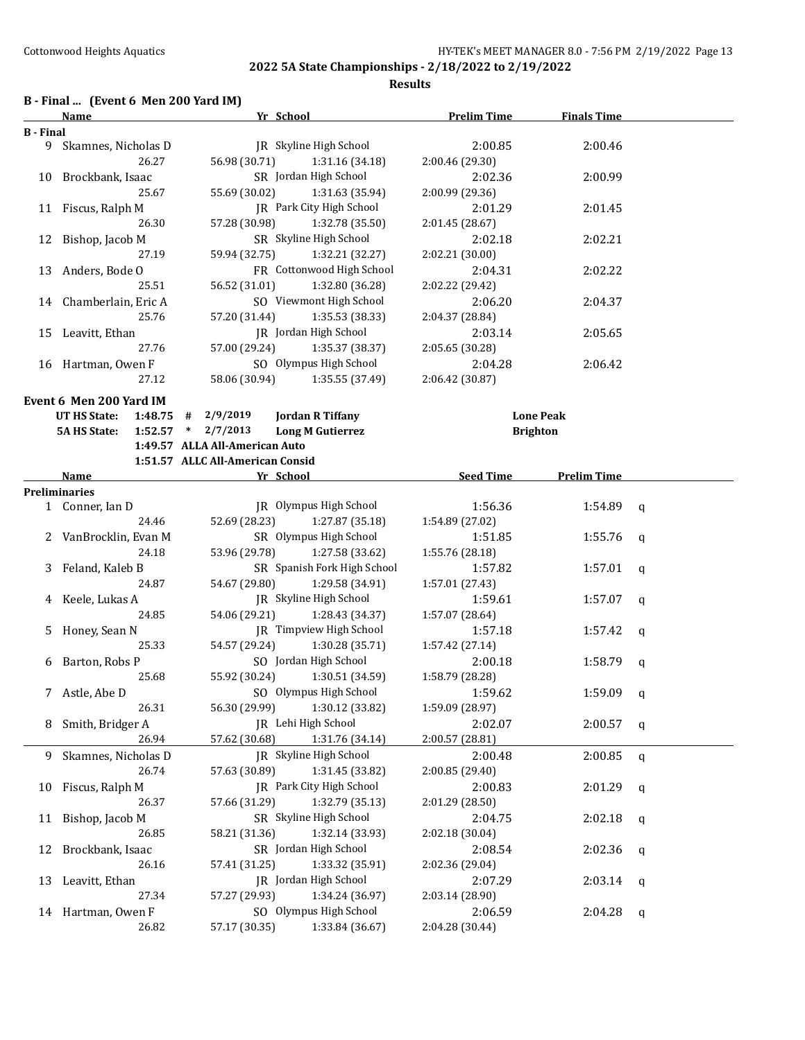**Results**

#### **B - Final ... (Event 6 Men 200 Yard IM)**

|                  | Name                    |             |                                  | Yr School                   | <b>Prelim Time</b>         | <b>Finals Time</b> |              |
|------------------|-------------------------|-------------|----------------------------------|-----------------------------|----------------------------|--------------------|--------------|
| <b>B</b> - Final |                         |             |                                  |                             |                            |                    |              |
| 9                | Skamnes, Nicholas D     |             |                                  | JR Skyline High School      | 2:00.85                    | 2:00.46            |              |
|                  |                         | 26.27       | 56.98 (30.71)                    | 1:31.16 (34.18)             | 2:00.46 (29.30)            |                    |              |
|                  | 10 Brockbank, Isaac     |             |                                  | SR Jordan High School       | 2:02.36                    | 2:00.99            |              |
|                  |                         | 25.67       | 55.69 (30.02)                    | 1:31.63 (35.94)             | 2:00.99 (29.36)            |                    |              |
|                  | 11 Fiscus, Ralph M      |             |                                  | JR Park City High School    | 2:01.29                    | 2:01.45            |              |
|                  |                         | 26.30       | 57.28 (30.98)                    | 1:32.78 (35.50)             | 2:01.45 (28.67)            |                    |              |
|                  | 12 Bishop, Jacob M      |             |                                  | SR Skyline High School      | 2:02.18                    | 2:02.21            |              |
|                  |                         | 27.19       | 59.94 (32.75)                    | 1:32.21 (32.27)             | 2:02.21 (30.00)            |                    |              |
| 13               |                         |             |                                  | FR Cottonwood High School   | 2:04.31                    | 2:02.22            |              |
|                  | Anders, Bode O          | 25.51       | 56.52 (31.01)                    | 1:32.80 (36.28)             |                            |                    |              |
|                  |                         |             |                                  | SO Viewmont High School     | 2:02.22 (29.42)            |                    |              |
|                  | 14 Chamberlain, Eric A  |             |                                  |                             | 2:06.20                    | 2:04.37            |              |
|                  |                         | 25.76       | 57.20 (31.44)                    | 1:35.53 (38.33)             | 2:04.37 (28.84)            |                    |              |
|                  | 15 Leavitt, Ethan       |             |                                  | JR Jordan High School       | 2:03.14                    | 2:05.65            |              |
|                  |                         | 27.76       | 57.00 (29.24)                    | 1:35.37 (38.37)             | 2:05.65 (30.28)            |                    |              |
|                  | 16 Hartman, Owen F      |             |                                  | SO Olympus High School      | 2:04.28                    | 2:06.42            |              |
|                  |                         | 27.12       | 58.06 (30.94)                    | 1:35.55 (37.49)             | 2:06.42 (30.87)            |                    |              |
|                  | Event 6 Men 200 Yard IM |             |                                  |                             |                            |                    |              |
|                  | UT HS State:            | 1:48.75     | #<br>2/9/2019                    | <b>Jordan R Tiffany</b>     |                            | <b>Lone Peak</b>   |              |
|                  | <b>5A HS State:</b>     | $1:52.57$ * | 2/7/2013                         | <b>Long M Gutierrez</b>     |                            | <b>Brighton</b>    |              |
|                  |                         |             | 1:49.57 ALLA All-American Auto   |                             |                            |                    |              |
|                  |                         |             | 1:51.57 ALLC All-American Consid |                             |                            |                    |              |
|                  | Name                    |             |                                  | Yr School                   | <b>Seed Time</b>           | <b>Prelim Time</b> |              |
|                  | <b>Preliminaries</b>    |             |                                  |                             |                            |                    |              |
|                  | 1 Conner, Ian D         |             |                                  | JR Olympus High School      | 1:56.36                    | 1:54.89            | q            |
|                  |                         | 24.46       | 52.69 (28.23)                    | 1:27.87 (35.18)             | 1:54.89 (27.02)            |                    |              |
|                  | 2 VanBrocklin, Evan M   |             |                                  | SR Olympus High School      | 1:51.85                    | 1:55.76            | $\mathsf{q}$ |
|                  |                         | 24.18       | 53.96 (29.78)                    | 1:27.58 (33.62)             | 1:55.76 (28.18)            |                    |              |
| 3                | Feland, Kaleb B         |             |                                  | SR Spanish Fork High School | 1:57.82                    | 1:57.01            | $\mathsf{q}$ |
|                  |                         | 24.87       | 54.67 (29.80)                    | 1:29.58 (34.91)             | 1:57.01 (27.43)            |                    |              |
|                  | 4 Keele, Lukas A        |             |                                  | JR Skyline High School      | 1:59.61                    | 1:57.07            | q            |
|                  |                         | 24.85       | 54.06 (29.21)                    | 1:28.43 (34.37)             | 1:57.07 (28.64)            |                    |              |
| 5.               | Honey, Sean N           |             |                                  | JR Timpview High School     | 1:57.18                    | 1:57.42            | $\mathbf q$  |
|                  |                         | 25.33       | 54.57 (29.24)                    | 1:30.28 (35.71)             | 1:57.42 (27.14)            |                    |              |
|                  | 6 Barton, Robs P        |             |                                  | SO Jordan High School       | 2:00.18                    | 1:58.79            | q            |
|                  |                         | 25.68       | 55.92 (30.24)                    | 1:30.51 (34.59)             | 1:58.79 (28.28)            |                    |              |
|                  | 7 Astle, Abe D          |             |                                  | SO Olympus High School      | 1:59.62                    | 1:59.09            |              |
|                  |                         | 26.31       | 56.30 (29.99)                    | 1:30.12 (33.82)             |                            |                    | q            |
|                  | 8 Smith, Bridger A      |             |                                  | JR Lehi High School         | 1:59.09 (28.97)<br>2:02.07 | 2:00.57            |              |
|                  |                         | 26.94       | 57.62 (30.68)                    | 1:31.76 (34.14)             | 2:00.57 (28.81)            |                    | q            |
|                  |                         |             |                                  | IR Skyline High School      |                            |                    |              |
| 9.               | Skamnes, Nicholas D     |             |                                  |                             | 2:00.48                    | 2:00.85            | $\mathsf{q}$ |
|                  |                         | 26.74       | 57.63 (30.89)                    | 1:31.45 (33.82)             | 2:00.85 (29.40)            |                    |              |
| 10               | Fiscus, Ralph M         |             |                                  | JR Park City High School    | 2:00.83                    | 2:01.29            | q            |
|                  |                         | 26.37       | 57.66 (31.29)                    | 1:32.79 (35.13)             | 2:01.29 (28.50)            |                    |              |
| 11               | Bishop, Jacob M         |             |                                  | SR Skyline High School      | 2:04.75                    | 2:02.18            | q            |
|                  |                         | 26.85       | 58.21 (31.36)                    | 1:32.14 (33.93)             | 2:02.18 (30.04)            |                    |              |
| 12               | Brockbank, Isaac        |             |                                  | SR Jordan High School       | 2:08.54                    | 2:02.36            | q            |
|                  |                         | 26.16       | 57.41 (31.25)                    | 1:33.32 (35.91)             | 2:02.36 (29.04)            |                    |              |
| 13               | Leavitt, Ethan          |             |                                  | JR Jordan High School       | 2:07.29                    | 2:03.14            | q            |
|                  |                         | 27.34       | 57.27 (29.93)                    | 1:34.24 (36.97)             | 2:03.14 (28.90)            |                    |              |
|                  | 14 Hartman, Owen F      |             |                                  | SO Olympus High School      | 2:06.59                    | 2:04.28            | q            |
|                  |                         | 26.82       | 57.17 (30.35)                    | 1:33.84 (36.67)             | 2:04.28 (30.44)            |                    |              |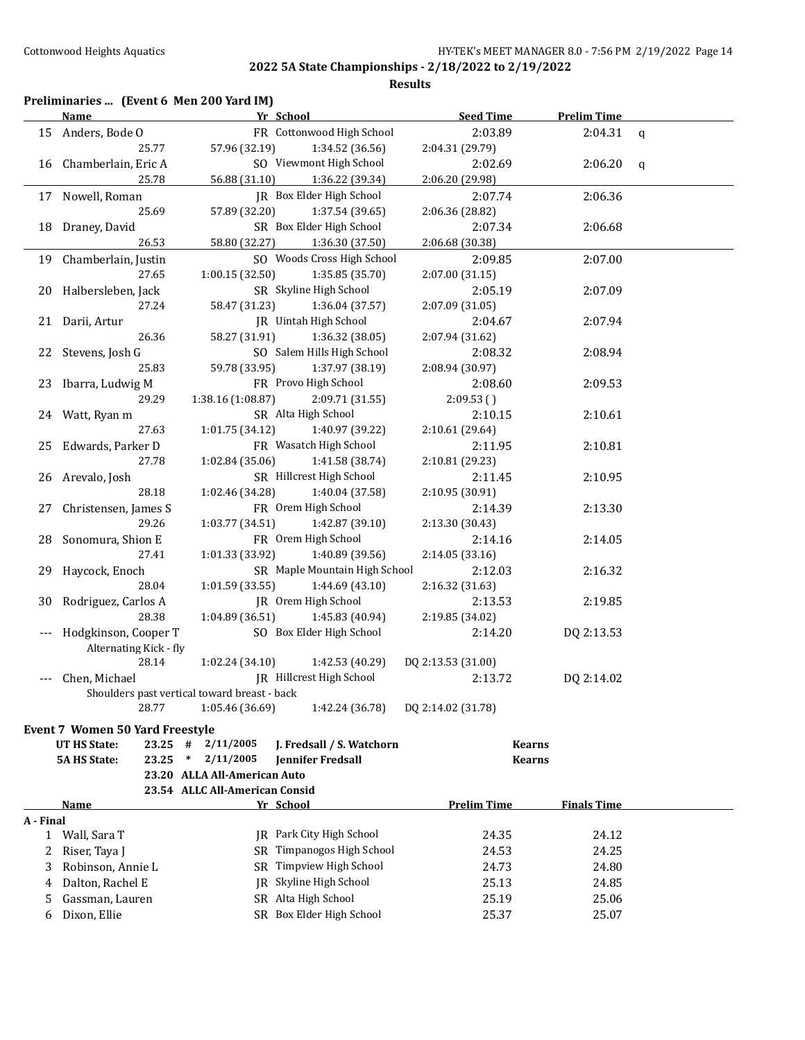|  |  |  | Preliminaries  (Event 6 Men 200 Yard IM) |
|--|--|--|------------------------------------------|
|--|--|--|------------------------------------------|

|             | <b>Name</b>                                  |                                | Yr School                     | <b>Seed Time</b>   | <b>Prelim Time</b> |             |
|-------------|----------------------------------------------|--------------------------------|-------------------------------|--------------------|--------------------|-------------|
|             | 15 Anders, Bode O                            |                                | FR Cottonwood High School     | 2:03.89            | 2:04.31            | $\mathbf q$ |
|             | 25.77                                        | 57.96 (32.19)                  | 1:34.52 (36.56)               | 2:04.31 (29.79)    |                    |             |
| 16          | Chamberlain, Eric A                          |                                | SO Viewmont High School       | 2:02.69            | 2:06.20            | q           |
|             | 25.78                                        | 56.88 (31.10)                  | 1:36.22 (39.34)               | 2:06.20 (29.98)    |                    |             |
|             | 17 Nowell, Roman                             |                                | JR Box Elder High School      | 2:07.74            | 2:06.36            |             |
|             | 25.69                                        | 57.89 (32.20)                  | 1:37.54 (39.65)               | 2:06.36 (28.82)    |                    |             |
| 18          | Draney, David                                |                                | SR Box Elder High School      | 2:07.34            | 2:06.68            |             |
|             | 26.53                                        | 58.80 (32.27)                  | 1:36.30 (37.50)               | 2:06.68 (30.38)    |                    |             |
| 19          | Chamberlain, Justin                          |                                | SO Woods Cross High School    | 2:09.85            | 2:07.00            |             |
|             | 27.65                                        | 1:00.15 (32.50)                | 1:35.85 (35.70)               | 2:07.00 (31.15)    |                    |             |
| 20          | Halbersleben, Jack                           |                                | SR Skyline High School        | 2:05.19            | 2:07.09            |             |
|             | 27.24                                        | 58.47 (31.23)                  | 1:36.04 (37.57)               | 2:07.09 (31.05)    |                    |             |
|             | 21 Darii, Artur                              |                                | JR Uintah High School         | 2:04.67            | 2:07.94            |             |
|             | 26.36                                        | 58.27 (31.91)                  | 1:36.32 (38.05)               | 2:07.94 (31.62)    |                    |             |
|             | 22 Stevens, Josh G                           |                                | SO Salem Hills High School    | 2:08.32            | 2:08.94            |             |
|             | 25.83                                        | 59.78 (33.95)                  | 1:37.97 (38.19)               | 2:08.94 (30.97)    |                    |             |
|             | 23 Ibarra, Ludwig M                          |                                | FR Provo High School          | 2:08.60            | 2:09.53            |             |
|             | 29.29                                        | 1:38.16 (1:08.87)              | 2:09.71 (31.55)               | 2:09.53()          |                    |             |
|             | 24 Watt, Ryan m                              |                                | SR Alta High School           | 2:10.15            | 2:10.61            |             |
|             | 27.63                                        | 1:01.75(34.12)                 | 1:40.97 (39.22)               | 2:10.61 (29.64)    |                    |             |
| 25          | Edwards, Parker D                            |                                | FR Wasatch High School        | 2:11.95            | 2:10.81            |             |
|             | 27.78                                        | 1:02.84(35.06)                 | 1:41.58 (38.74)               | 2:10.81 (29.23)    |                    |             |
| 26          | Arevalo, Josh                                |                                | SR Hillcrest High School      | 2:11.45            | 2:10.95            |             |
|             | 28.18                                        | 1:02.46 (34.28)                | 1:40.04 (37.58)               | 2:10.95 (30.91)    |                    |             |
| 27          | Christensen, James S                         |                                | FR Orem High School           | 2:14.39            | 2:13.30            |             |
|             | 29.26                                        | 1:03.77 (34.51)                | 1:42.87 (39.10)               | 2:13.30 (30.43)    |                    |             |
| 28          | Sonomura, Shion E                            |                                | FR Orem High School           | 2:14.16            | 2:14.05            |             |
|             | 27.41                                        | 1:01.33 (33.92)                | 1:40.89 (39.56)               | 2:14.05 (33.16)    |                    |             |
| 29          | Haycock, Enoch                               |                                | SR Maple Mountain High School | 2:12.03            | 2:16.32            |             |
|             | 28.04                                        | 1:01.59(33.55)                 | 1:44.69 (43.10)               | 2:16.32 (31.63)    |                    |             |
| 30          | Rodriguez, Carlos A                          |                                | JR Orem High School           | 2:13.53            | 2:19.85            |             |
|             | 28.38                                        | 1:04.89 (36.51)                | 1:45.83 (40.94)               | 2:19.85 (34.02)    |                    |             |
| $-\, -\, -$ | Hodgkinson, Cooper T                         |                                | SO Box Elder High School      | 2:14.20            | DQ 2:13.53         |             |
|             | Alternating Kick - fly                       |                                |                               |                    |                    |             |
|             | 28.14                                        | 1:02.24(34.10)                 | 1:42.53 (40.29)               | DQ 2:13.53 (31.00) |                    |             |
| $---$       | Chen, Michael                                |                                | JR Hillcrest High School      | 2:13.72            | DQ 2:14.02         |             |
|             | Shoulders past vertical toward breast - back |                                |                               |                    |                    |             |
|             | 28.77                                        | 1:05.46 (36.69)                | 1:42.24 (36.78)               | DQ 2:14.02 (31.78) |                    |             |
|             | Event 7 Women 50 Yard Freestyle              |                                |                               |                    |                    |             |
|             | <b>UT HS State:</b><br>$23.25$ #             | 2/11/2005                      | J. Fredsall / S. Watchorn     |                    | <b>Kearns</b>      |             |
|             | 23.25<br><b>5A HS State:</b>                 | 2/11/2005<br>$\ast$            | <b>Jennifer Fredsall</b>      |                    | <b>Kearns</b>      |             |
|             |                                              | 23.20 ALLA All-American Auto   |                               |                    |                    |             |
|             |                                              | 23.54 ALLC All-American Consid |                               |                    |                    |             |
|             | Name                                         |                                | Yr School                     | <b>Prelim Time</b> | <b>Finals Time</b> |             |
| A - Final   |                                              |                                |                               |                    |                    |             |
| 1           | Wall, Sara T                                 |                                | JR Park City High School      | 24.35              | 24.12              |             |
| 2           | Riser, Taya J                                | SR                             | Timpanogos High School        | 24.53              | 24.25              |             |
| 3           | Robinson, Annie L                            | SR                             | Timpview High School          | 24.73              | 24.80              |             |
| 4           | Dalton, Rachel E                             | IR                             | Skyline High School           | 25.13              | 24.85              |             |
| 5           | Gassman, Lauren                              |                                | SR Alta High School           | 25.19              | 25.06              |             |
| 6           | Dixon, Ellie                                 |                                | SR Box Elder High School      | 25.37              | 25.07              |             |
|             |                                              |                                |                               |                    |                    |             |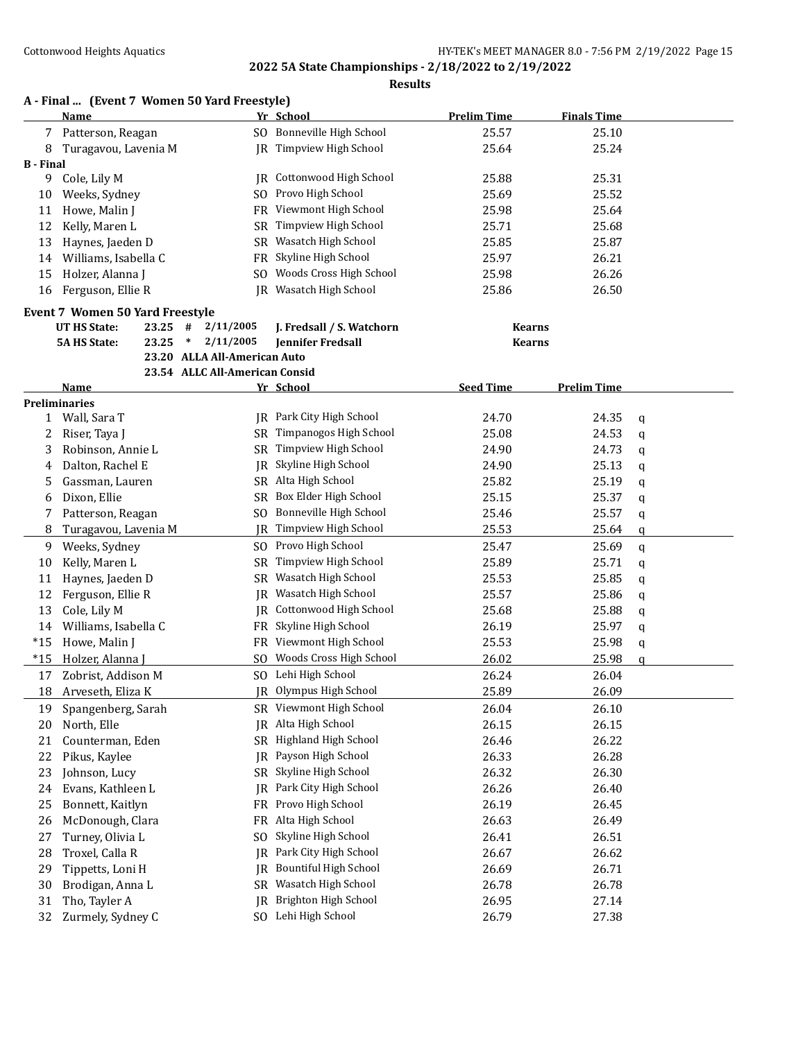|                  | A - Final  (Event 7 Women 50 Yard Freestyle)<br>Name |                                | Yr School                 | <b>Prelim Time</b> | <b>Finals Time</b> |   |
|------------------|------------------------------------------------------|--------------------------------|---------------------------|--------------------|--------------------|---|
| 7                | Patterson, Reagan                                    |                                | SO Bonneville High School | 25.57              | 25.10              |   |
| 8                | Turagavou, Lavenia M                                 |                                | JR Timpview High School   | 25.64              | 25.24              |   |
| <b>B</b> - Final |                                                      |                                |                           |                    |                    |   |
| 9                | Cole, Lily M                                         | IR                             | Cottonwood High School    | 25.88              | 25.31              |   |
| 10               | Weeks, Sydney                                        | S <sub>O</sub>                 | Provo High School         | 25.69              | 25.52              |   |
| 11               | Howe, Malin J                                        | FR                             | Viewmont High School      | 25.98              | 25.64              |   |
| 12               | Kelly, Maren L                                       | SR                             | Timpview High School      | 25.71              | 25.68              |   |
| 13               | Haynes, Jaeden D                                     | SR                             | Wasatch High School       | 25.85              | 25.87              |   |
| 14               | Williams, Isabella C                                 | FR                             | Skyline High School       | 25.97              | 26.21              |   |
| 15               | Holzer, Alanna J                                     | SO.                            | Woods Cross High School   | 25.98              | 26.26              |   |
| 16               | Ferguson, Ellie R                                    |                                | JR Wasatch High School    | 25.86              | 26.50              |   |
|                  | <b>Event 7 Women 50 Yard Freestyle</b>               |                                |                           |                    |                    |   |
|                  | <b>UT HS State:</b><br>23.25                         | $\#$<br>2/11/2005              | J. Fredsall / S. Watchorn | <b>Kearns</b>      |                    |   |
|                  | <b>5A HS State:</b><br>23.25                         | $\ast$<br>2/11/2005            | <b>Jennifer Fredsall</b>  | <b>Kearns</b>      |                    |   |
|                  |                                                      | 23.20 ALLA All-American Auto   |                           |                    |                    |   |
|                  |                                                      | 23.54 ALLC All-American Consid |                           |                    |                    |   |
|                  | Name                                                 |                                | Yr School                 | <b>Seed Time</b>   | <b>Prelim Time</b> |   |
|                  | <b>Preliminaries</b>                                 |                                |                           |                    |                    |   |
|                  | 1 Wall, Sara T                                       |                                | JR Park City High School  | 24.70              | 24.35              | q |
| 2                | Riser, Taya J                                        | SR                             | Timpanogos High School    | 25.08              | 24.53              | q |
| 3                | Robinson, Annie L                                    | SR                             | Timpview High School      | 24.90              | 24.73              | q |
| 4                | Dalton, Rachel E                                     | IR                             | Skyline High School       | 24.90              | 25.13              | q |
| 5.               | Gassman, Lauren                                      |                                | SR Alta High School       | 25.82              | 25.19              | q |
| 6                | Dixon, Ellie                                         | SR                             | Box Elder High School     | 25.15              | 25.37              | q |
| 7                | Patterson, Reagan                                    | SO.                            | Bonneville High School    | 25.46              | 25.57              | q |
| 8                | Turagavou, Lavenia M                                 | IR                             | Timpview High School      | 25.53              | 25.64              | a |
| 9                | Weeks, Sydney                                        |                                | SO Provo High School      | 25.47              | 25.69              | q |
| 10               | Kelly, Maren L                                       | <b>SR</b>                      | Timpview High School      | 25.89              | 25.71              | q |
| 11               | Haynes, Jaeden D                                     |                                | SR Wasatch High School    | 25.53              | 25.85              | q |
| 12               | Ferguson, Ellie R                                    | IR                             | Wasatch High School       | 25.57              | 25.86              | q |
| 13               | Cole, Lily M                                         | IR                             | Cottonwood High School    | 25.68              | 25.88              | q |
| 14               | Williams, Isabella C                                 | FR                             | Skyline High School       | 26.19              | 25.97              | q |
| $*15$            | Howe, Malin J                                        |                                | FR Viewmont High School   | 25.53              | 25.98              | q |
| $*15$            | Holzer, Alanna J                                     | SO.                            | Woods Cross High School   | 26.02              | 25.98              | a |
| 17               | Zobrist, Addison M                                   |                                | SO Lehi High School       | 26.24              | 26.04              |   |
| 18               | Arveseth, Eliza K                                    |                                | JR Olympus High School    | 25.89              | 26.09              |   |
| 19               | Spangenberg, Sarah                                   |                                | SR Viewmont High School   | 26.04              | 26.10              |   |
| 20               | North, Elle                                          | IR                             | Alta High School          | 26.15              | 26.15              |   |
| 21               | Counterman, Eden                                     | SR                             | Highland High School      | 26.46              | 26.22              |   |
| 22               | Pikus, Kaylee                                        | IR                             | Payson High School        | 26.33              | 26.28              |   |
| 23               | Johnson, Lucy                                        | SR                             | Skyline High School       | 26.32              | 26.30              |   |
| 24               | Evans, Kathleen L                                    | IR                             | Park City High School     | 26.26              | 26.40              |   |
| 25               | Bonnett, Kaitlyn                                     | <b>FR</b>                      | Provo High School         | 26.19              | 26.45              |   |
| 26               | McDonough, Clara                                     | FR                             | Alta High School          | 26.63              | 26.49              |   |
| 27               | Turney, Olivia L                                     | S <sub>0</sub>                 | Skyline High School       | 26.41              | 26.51              |   |
| 28               | Troxel, Calla R                                      | IR                             | Park City High School     | 26.67              | 26.62              |   |
| 29               | Tippetts, Loni H                                     | IR                             | Bountiful High School     | 26.69              | 26.71              |   |
| 30               | Brodigan, Anna L                                     | SR                             | Wasatch High School       | 26.78              | 26.78              |   |
|                  |                                                      |                                |                           |                    |                    |   |
| 31               | Tho, Tayler A                                        | IR                             | Brighton High School      | 26.95              | 27.14              |   |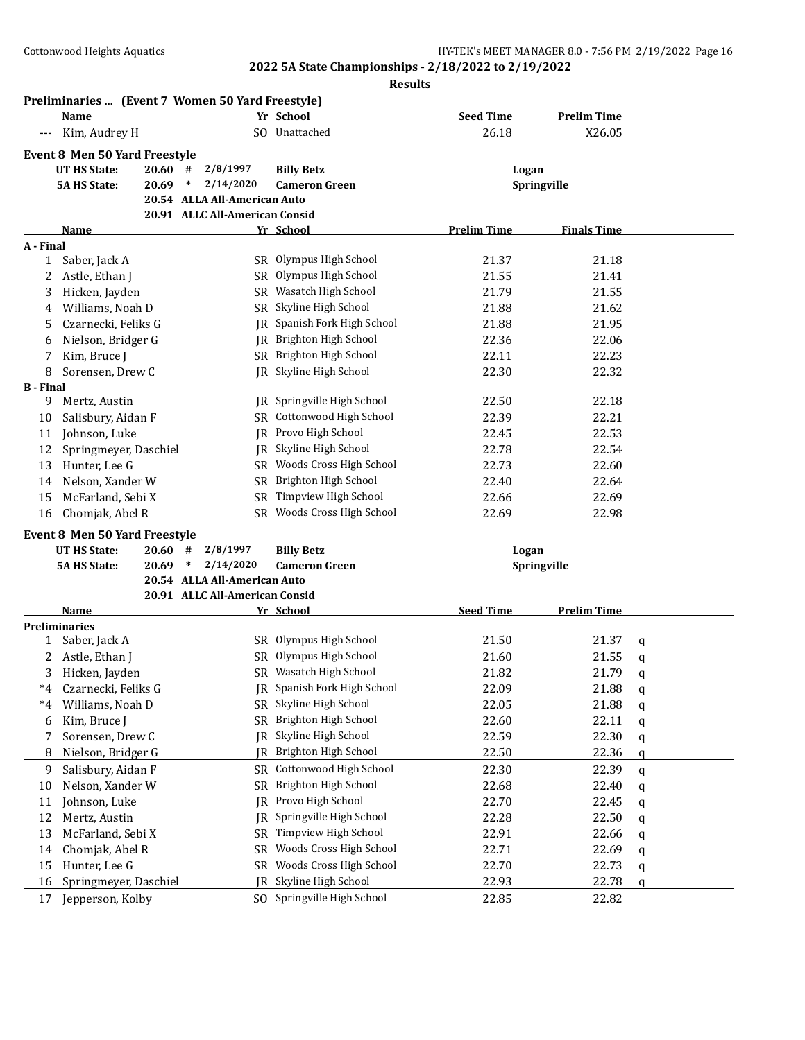|                  | Preliminaries  (Event 7 Women 50 Yard Freestyle) |                                |                                    |                    |                    |   |
|------------------|--------------------------------------------------|--------------------------------|------------------------------------|--------------------|--------------------|---|
|                  | Name                                             |                                | Yr School                          | <b>Seed Time</b>   | <b>Prelim Time</b> |   |
| $---$            | Kim, Audrey H                                    |                                | SO Unattached                      | 26.18              | X26.05             |   |
|                  | <b>Event 8 Men 50 Yard Freestyle</b>             |                                |                                    |                    |                    |   |
|                  | <b>UT HS State:</b><br>20.60                     | 2/8/1997<br>#                  | <b>Billy Betz</b>                  | Logan              |                    |   |
|                  | <b>5A HS State:</b><br>20.69                     | 2/14/2020<br>$\ast$            | <b>Cameron Green</b>               |                    | Springville        |   |
|                  |                                                  | 20.54 ALLA All-American Auto   |                                    |                    |                    |   |
|                  |                                                  | 20.91 ALLC All-American Consid |                                    |                    |                    |   |
|                  | Name                                             |                                | Yr School                          | <b>Prelim Time</b> | <b>Finals Time</b> |   |
| A - Final        |                                                  |                                |                                    |                    |                    |   |
| $\mathbf{1}$     | Saber, Jack A                                    |                                | SR Olympus High School             | 21.37              | 21.18              |   |
| 2                | Astle, Ethan J                                   |                                | SR Olympus High School             | 21.55              | 21.41              |   |
| 3                | Hicken, Jayden                                   |                                | SR Wasatch High School             | 21.79              | 21.55              |   |
| 4                | Williams, Noah D                                 |                                | SR Skyline High School             | 21.88              | 21.62              |   |
| 5                | Czarnecki, Feliks G                              |                                | <b>IR</b> Spanish Fork High School | 21.88              | 21.95              |   |
| 6                | Nielson, Bridger G                               |                                | JR Brighton High School            | 22.36              | 22.06              |   |
| 7                | Kim, Bruce J                                     |                                | SR Brighton High School            | 22.11              | 22.23              |   |
| 8                | Sorensen, Drew C                                 |                                | JR Skyline High School             | 22.30              | 22.32              |   |
| <b>B</b> - Final |                                                  |                                |                                    |                    |                    |   |
| 9.               | Mertz, Austin                                    |                                | <b>IR</b> Springville High School  | 22.50              | 22.18              |   |
| 10               | Salisbury, Aidan F                               |                                | SR Cottonwood High School          | 22.39              | 22.21              |   |
| 11               | Johnson, Luke                                    |                                | <b>IR</b> Provo High School        | 22.45              | 22.53              |   |
| 12               | Springmeyer, Daschiel                            |                                | JR Skyline High School             | 22.78              | 22.54              |   |
| 13               | Hunter, Lee G                                    |                                | SR Woods Cross High School         | 22.73              | 22.60              |   |
| 14               | Nelson, Xander W                                 |                                | SR Brighton High School            | 22.40              | 22.64              |   |
| 15               | McFarland, Sebi X                                |                                | SR Timpview High School            | 22.66              | 22.69              |   |
| 16               | Chomjak, Abel R                                  |                                | SR Woods Cross High School         | 22.69              | 22.98              |   |
|                  | <b>Event 8 Men 50 Yard Freestyle</b>             |                                |                                    |                    |                    |   |
|                  | <b>UT HS State:</b><br>20.60                     | 2/8/1997<br>#                  | <b>Billy Betz</b>                  | Logan              |                    |   |
|                  | <b>5A HS State:</b><br>20.69                     | 2/14/2020<br>$\ast$            | <b>Cameron Green</b>               |                    | Springville        |   |
|                  |                                                  | 20.54 ALLA All-American Auto   |                                    |                    |                    |   |
|                  |                                                  | 20.91 ALLC All-American Consid |                                    |                    |                    |   |
|                  | Name                                             |                                | Yr School                          | <b>Seed Time</b>   | <b>Prelim Time</b> |   |
|                  | <b>Preliminaries</b>                             |                                |                                    |                    |                    |   |
| 1                | Saber, Jack A                                    |                                | SR Olympus High School             | 21.50              | 21.37              | q |
| 2                | Astle, Ethan J                                   |                                | SR Olympus High School             | 21.60              | 21.55              | q |
| 3                | Hicken, Jayden                                   |                                | SR Wasatch High School             | 21.82              | 21.79              | q |
| $*4$             | Czarnecki, Feliks G                              | IR                             | Spanish Fork High School           | 22.09              | 21.88              | q |
| $*4$             | Williams, Noah D                                 | SR                             | Skyline High School                | 22.05              | 21.88              | q |
| 6                | Kim, Bruce J                                     | <b>SR</b>                      | Brighton High School               | 22.60              | 22.11              | q |
| 7                | Sorensen, Drew C                                 | IR                             | Skyline High School                | 22.59              | 22.30              | q |
| 8                | Nielson, Bridger G                               | IR                             | Brighton High School               | 22.50              | 22.36              | q |
| 9                | Salisbury, Aidan F                               | SR                             | Cottonwood High School             | 22.30              | 22.39              | q |
| 10               | Nelson, Xander W                                 | SR                             | Brighton High School               | 22.68              | 22.40              | q |
| 11               | Johnson, Luke                                    | IR                             | Provo High School                  | 22.70              | 22.45              | q |
| 12               | Mertz, Austin                                    | IR                             | Springville High School            | 22.28              | 22.50              | q |
| 13               | McFarland, Sebi X                                | <b>SR</b>                      | Timpview High School               | 22.91              | 22.66              | q |
| 14               | Chomjak, Abel R                                  | <b>SR</b>                      | Woods Cross High School            | 22.71              | 22.69              | q |
| 15               | Hunter, Lee G                                    | SR                             | Woods Cross High School            | 22.70              | 22.73              | q |
| 16               | Springmeyer, Daschiel                            | IR                             | Skyline High School                | 22.93              | 22.78              | q |
| 17               | Jepperson, Kolby                                 |                                | SO Springville High School         | 22.85              | 22.82              |   |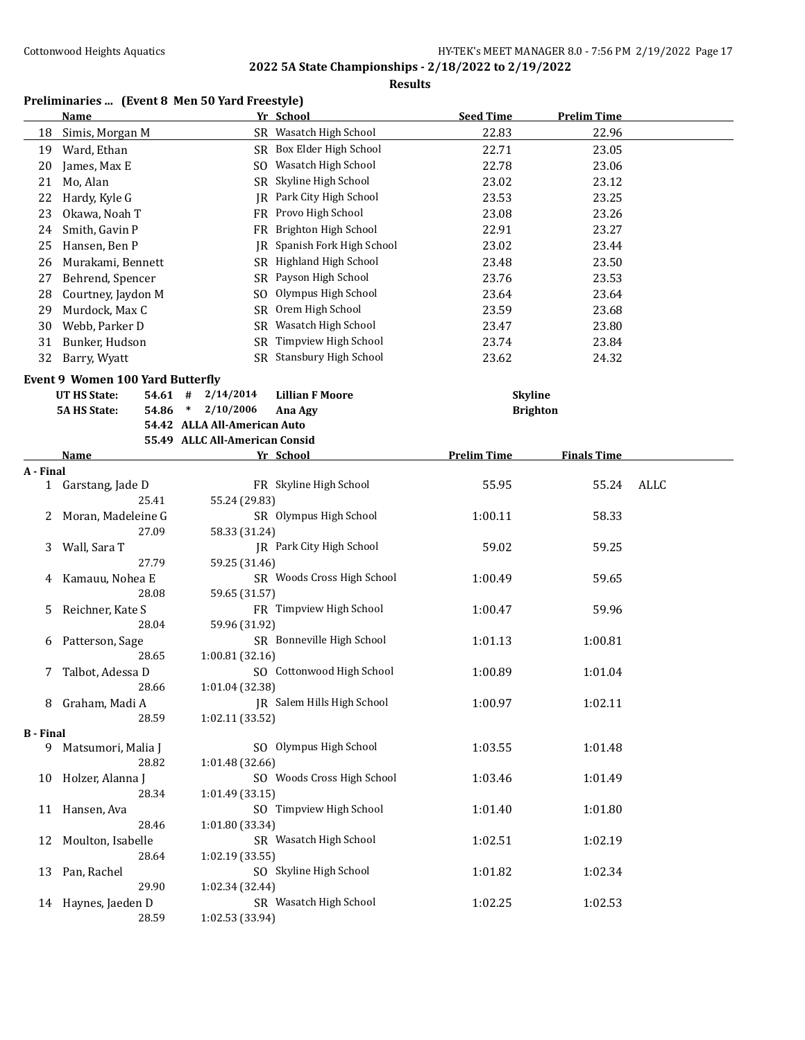**Results**

## **Preliminaries ... (Event 8 Men 50 Yard Freestyle)**

|                  | <b>Name</b>                             |                                | Yr School                   | <b>Seed Time</b>   | <b>Prelim Time</b> |      |
|------------------|-----------------------------------------|--------------------------------|-----------------------------|--------------------|--------------------|------|
| 18               | Simis, Morgan M                         |                                | SR Wasatch High School      | 22.83              | 22.96              |      |
| 19               | Ward, Ethan                             |                                | SR Box Elder High School    | 22.71              | 23.05              |      |
| 20               | James, Max E                            |                                | SO Wasatch High School      | 22.78              | 23.06              |      |
| 21               | Mo, Alan                                |                                | SR Skyline High School      | 23.02              | 23.12              |      |
| 22               | Hardy, Kyle G                           |                                | JR Park City High School    | 23.53              | 23.25              |      |
| 23               | Okawa, Noah T                           |                                | FR Provo High School        | 23.08              | 23.26              |      |
| 24               | Smith, Gavin P                          |                                | FR Brighton High School     | 22.91              | 23.27              |      |
| 25               | Hansen, Ben P                           |                                | JR Spanish Fork High School | 23.02              | 23.44              |      |
| 26               | Murakami, Bennett                       |                                | SR Highland High School     | 23.48              | 23.50              |      |
| 27               | Behrend, Spencer                        |                                | SR Payson High School       | 23.76              | 23.53              |      |
| 28               | Courtney, Jaydon M                      | SO.                            | Olympus High School         | 23.64              | 23.64              |      |
| 29               | Murdock, Max C                          |                                | SR Orem High School         | 23.59              | 23.68              |      |
| 30               | Webb, Parker D                          |                                | SR Wasatch High School      | 23.47              | 23.80              |      |
| 31               | Bunker, Hudson                          |                                | SR Timpview High School     | 23.74              | 23.84              |      |
| 32               | Barry, Wyatt                            |                                | SR Stansbury High School    | 23.62              | 24.32              |      |
|                  | <b>Event 9 Women 100 Yard Butterfly</b> |                                |                             |                    |                    |      |
|                  | <b>UT HS State:</b><br>54.61            | 2/14/2014<br>#                 | <b>Lillian F Moore</b>      | <b>Skyline</b>     |                    |      |
|                  | <b>5A HS State:</b><br>54.86            | $\ast$<br>2/10/2006            | Ana Agy                     |                    | <b>Brighton</b>    |      |
|                  |                                         | 54.42 ALLA All-American Auto   |                             |                    |                    |      |
|                  |                                         | 55.49 ALLC All-American Consid |                             |                    |                    |      |
|                  | <b>Name</b>                             |                                | Yr School                   | <b>Prelim Time</b> | <b>Finals Time</b> |      |
| A - Final        |                                         |                                |                             |                    |                    |      |
|                  | 1 Garstang, Jade D                      |                                | FR Skyline High School      | 55.95              | 55.24              | ALLC |
|                  | 25.41                                   | 55.24 (29.83)                  |                             |                    |                    |      |
| 2                | Moran, Madeleine G                      |                                | SR Olympus High School      | 1:00.11            | 58.33              |      |
|                  | 27.09                                   | 58.33 (31.24)                  |                             |                    |                    |      |
| 3                | Wall, Sara T                            |                                | JR Park City High School    | 59.02              | 59.25              |      |
|                  | 27.79                                   | 59.25 (31.46)                  |                             |                    |                    |      |
| 4                | Kamauu, Nohea E                         |                                | SR Woods Cross High School  | 1:00.49            | 59.65              |      |
|                  | 28.08                                   | 59.65 (31.57)                  |                             |                    |                    |      |
| 5                | Reichner, Kate S                        |                                | FR Timpview High School     | 1:00.47            | 59.96              |      |
|                  | 28.04                                   | 59.96 (31.92)                  | SR Bonneville High School   |                    |                    |      |
| 6                | Patterson, Sage<br>28.65                |                                |                             | 1:01.13            | 1:00.81            |      |
| 7                | Talbot, Adessa D                        | 1:00.81 (32.16)                | SO Cottonwood High School   | 1:00.89            | 1:01.04            |      |
|                  | 28.66                                   | 1:01.04 (32.38)                |                             |                    |                    |      |
|                  | 8 Graham, Madi A                        |                                | JR Salem Hills High School  | 1:00.97            | 1:02.11            |      |
|                  | 28.59                                   | 1:02.11 (33.52)                |                             |                    |                    |      |
| <b>B</b> - Final |                                         |                                |                             |                    |                    |      |
|                  | 9 Matsumori, Malia J                    |                                | SO Olympus High School      | 1:03.55            | 1:01.48            |      |
|                  | 28.82                                   | 1:01.48 (32.66)                |                             |                    |                    |      |
|                  | 10 Holzer, Alanna J                     |                                | SO Woods Cross High School  | 1:03.46            | 1:01.49            |      |
|                  | 28.34                                   | 1:01.49 (33.15)                |                             |                    |                    |      |
|                  | 11 Hansen, Ava                          |                                | SO Timpview High School     | 1:01.40            | 1:01.80            |      |
|                  | 28.46                                   | 1:01.80 (33.34)                |                             |                    |                    |      |
| 12               | Moulton, Isabelle                       |                                | SR Wasatch High School      | 1:02.51            | 1:02.19            |      |
|                  | 28.64                                   | 1:02.19 (33.55)                |                             |                    |                    |      |
| 13               | Pan, Rachel                             |                                | SO Skyline High School      | 1:01.82            | 1:02.34            |      |
|                  | 29.90                                   | 1:02.34 (32.44)                |                             |                    |                    |      |
|                  | 14 Haynes, Jaeden D                     |                                | SR Wasatch High School      | 1:02.25            | 1:02.53            |      |
|                  | 28.59                                   | 1:02.53 (33.94)                |                             |                    |                    |      |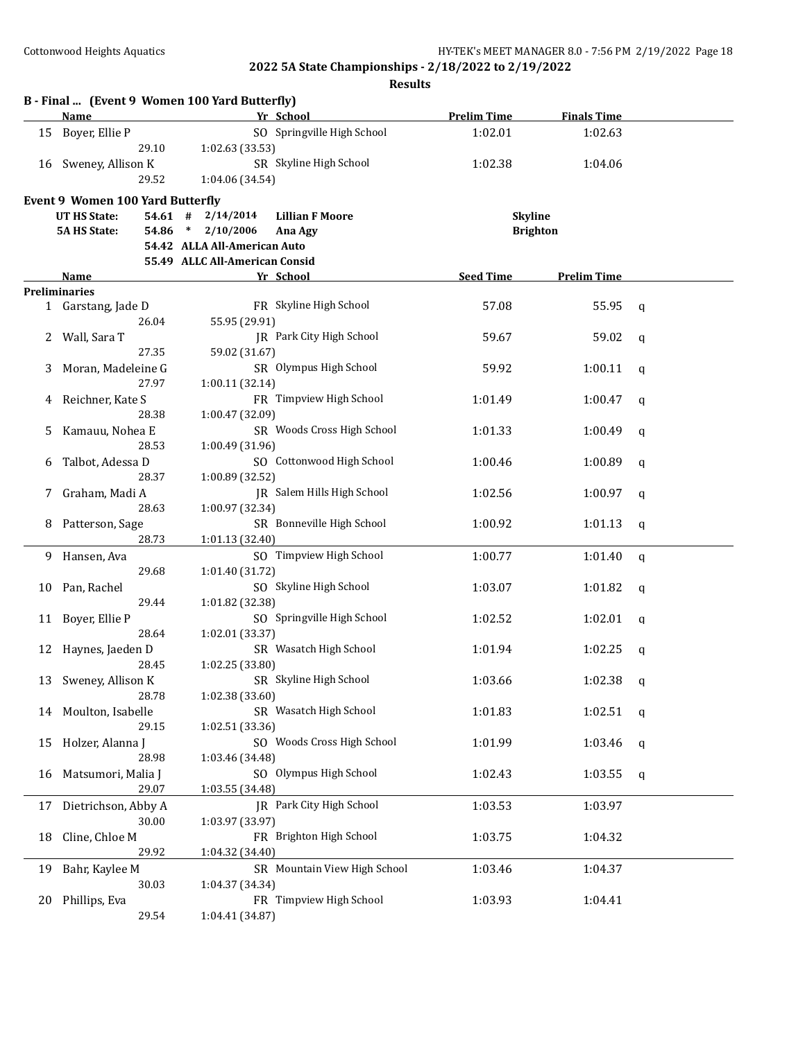|    | B - Final  (Event 9 Women 100 Yard Butterfly)<br>Name |                                | Yr School                       | <b>Prelim Time</b> | <b>Finals Time</b> |   |
|----|-------------------------------------------------------|--------------------------------|---------------------------------|--------------------|--------------------|---|
| 15 | Boyer, Ellie P                                        |                                | SO Springville High School      | 1:02.01            | 1:02.63            |   |
|    | 29.10                                                 | 1:02.63 (33.53)                |                                 |                    |                    |   |
|    | 16 Sweney, Allison K                                  |                                | SR Skyline High School          | 1:02.38            | 1:04.06            |   |
|    | 29.52                                                 | 1:04.06 (34.54)                |                                 |                    |                    |   |
|    |                                                       |                                |                                 |                    |                    |   |
|    | Event 9 Women 100 Yard Butterfly                      |                                |                                 |                    |                    |   |
|    | UT HS State:                                          | $54.61$ # $2/14/2014$          | <b>Lillian F Moore</b>          |                    | <b>Skyline</b>     |   |
|    | <b>5A HS State:</b>                                   | $54.86$ * $2/10/2006$          | Ana Agy                         |                    | <b>Brighton</b>    |   |
|    |                                                       | 54.42 ALLA All-American Auto   |                                 |                    |                    |   |
|    |                                                       | 55.49 ALLC All-American Consid |                                 |                    |                    |   |
|    | Name                                                  |                                | Yr School                       | <b>Seed Time</b>   | <b>Prelim Time</b> |   |
|    | <b>Preliminaries</b>                                  |                                |                                 |                    |                    |   |
|    | 1 Garstang, Jade D                                    |                                | FR Skyline High School          | 57.08              | 55.95              | q |
|    | 26.04                                                 | 55.95 (29.91)                  |                                 |                    |                    |   |
|    | Wall, Sara T                                          |                                | JR Park City High School        | 59.67              | 59.02              | q |
|    | 27.35                                                 | 59.02 (31.67)                  |                                 |                    |                    |   |
|    | Moran, Madeleine G                                    |                                | SR Olympus High School          | 59.92              | 1:00.11            | a |
|    | 27.97                                                 | 1:00.11 (32.14)                |                                 |                    |                    |   |
|    | Reichner, Kate S                                      |                                | FR Timpview High School         | 1:01.49            | 1:00.47            | a |
|    | 28.38                                                 | 1:00.47 (32.09)                |                                 |                    |                    |   |
| 5  | Kamauu, Nohea E                                       |                                | SR Woods Cross High School      | 1:01.33            | 1:00.49            | q |
|    | 28.53                                                 | 1:00.49 (31.96)                |                                 |                    |                    |   |
| 6  | Talbot, Adessa D                                      |                                | SO Cottonwood High School       | 1:00.46            | 1:00.89            | q |
|    | 28.37                                                 | 1:00.89 (32.52)                |                                 |                    |                    |   |
|    | Graham, Madi A                                        |                                | JR Salem Hills High School      | 1:02.56            | 1:00.97            | q |
|    | 28.63                                                 | 1:00.97 (32.34)                |                                 |                    |                    |   |
| 8  | Patterson, Sage                                       |                                | SR Bonneville High School       | 1:00.92            | 1:01.13            | q |
|    | 28.73                                                 | 1:01.13 (32.40)                |                                 |                    |                    |   |
| 9. | Hansen, Ava                                           |                                | SO Timpview High School         | 1:00.77            | 1:01.40            | q |
|    | 29.68                                                 | 1:01.40 (31.72)                |                                 |                    |                    |   |
| 10 | Pan, Rachel                                           |                                | SO Skyline High School          | 1:03.07            | 1:01.82            | q |
|    | 29.44                                                 | 1:01.82 (32.38)                |                                 |                    |                    |   |
| 11 | Boyer, Ellie P                                        |                                | SO Springville High School      | 1:02.52            | 1:02.01            |   |
|    | 28.64                                                 | 1:02.01 (33.37)                |                                 |                    |                    | q |
|    |                                                       |                                | SR Wasatch High School          |                    |                    |   |
| 12 | Haynes, Jaeden D                                      |                                |                                 | 1:01.94            | 1:02.25            | q |
|    | 28.45                                                 | 1:02.25 (33.80)                | SR Skyline High School          |                    |                    |   |
|    | 13 Sweney, Allison K                                  |                                |                                 | 1:03.66            | $1:02.38$ q        |   |
|    | 28.78                                                 | 1:02.38 (33.60)                |                                 |                    |                    |   |
| 14 | Moulton, Isabelle                                     |                                | SR Wasatch High School          | 1:01.83            | 1:02.51            | q |
|    | 29.15                                                 | 1:02.51 (33.36)                |                                 |                    |                    |   |
| 15 | Holzer, Alanna J                                      |                                | SO Woods Cross High School      | 1:01.99            | 1:03.46            | q |
|    | 28.98                                                 | 1:03.46 (34.48)                |                                 |                    |                    |   |
| 16 | Matsumori, Malia J                                    |                                | SO Olympus High School          | 1:02.43            | 1:03.55            | q |
|    | 29.07                                                 | 1:03.55 (34.48)                |                                 |                    |                    |   |
| 17 | Dietrichson, Abby A                                   |                                | <b>IR</b> Park City High School | 1:03.53            | 1:03.97            |   |
|    | 30.00                                                 | 1:03.97 (33.97)                |                                 |                    |                    |   |
| 18 | Cline, Chloe M                                        |                                | FR Brighton High School         | 1:03.75            | 1:04.32            |   |
|    | 29.92                                                 | 1:04.32 (34.40)                |                                 |                    |                    |   |
| 19 | Bahr, Kaylee M                                        |                                | SR Mountain View High School    | 1:03.46            | 1:04.37            |   |
|    | 30.03                                                 | 1:04.37 (34.34)                |                                 |                    |                    |   |
| 20 | Phillips, Eva                                         |                                | FR Timpview High School         | 1:03.93            | 1:04.41            |   |
|    | 29.54                                                 | 1:04.41 (34.87)                |                                 |                    |                    |   |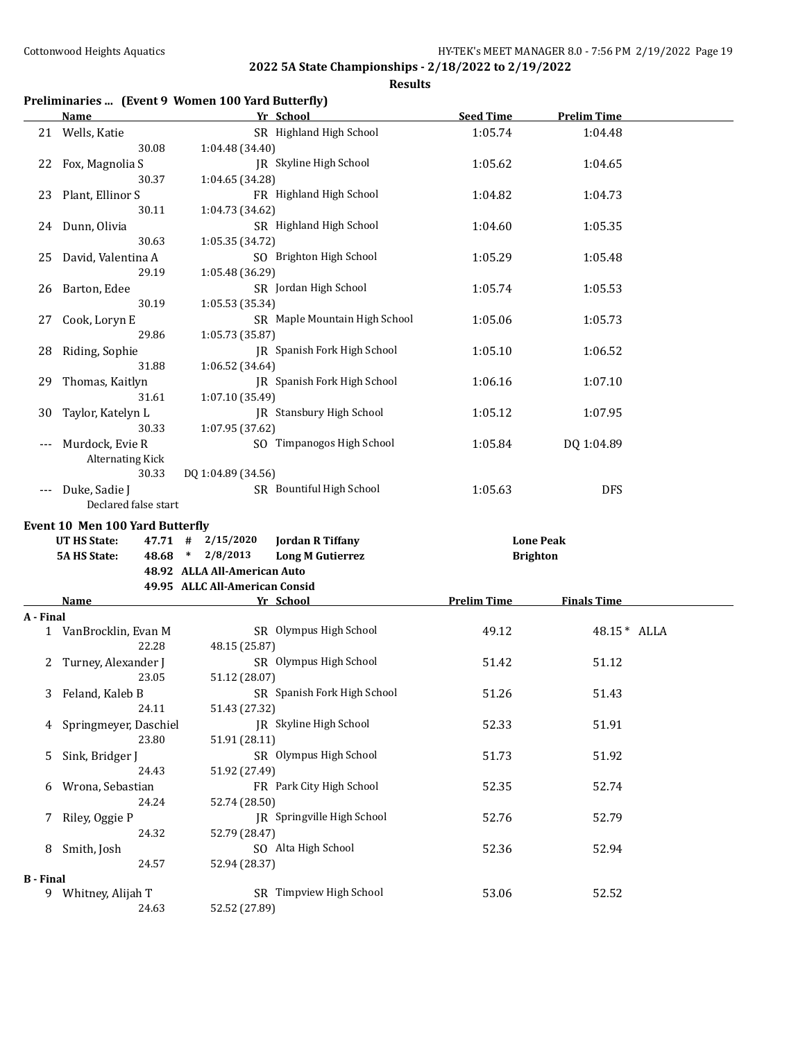**Results**

## **Preliminaries ... (Event 9 Women 100 Yard Butterfly)**

|                  | <b>Name</b>                            | Yr School                                    | <b>Seed Time</b>   | <b>Prelim Time</b> |  |
|------------------|----------------------------------------|----------------------------------------------|--------------------|--------------------|--|
|                  | 21 Wells, Katie                        | SR Highland High School                      | 1:05.74            | 1:04.48            |  |
|                  | 30.08                                  | 1:04.48 (34.40)                              |                    |                    |  |
| 22               | Fox, Magnolia S                        | JR Skyline High School                       | 1:05.62            | 1:04.65            |  |
|                  | 30.37                                  | 1:04.65 (34.28)                              |                    |                    |  |
| 23               | Plant, Ellinor S                       | FR Highland High School                      | 1:04.82            | 1:04.73            |  |
|                  | 30.11                                  | 1:04.73 (34.62)                              |                    |                    |  |
|                  | 24 Dunn, Olivia                        | SR Highland High School                      | 1:04.60            | 1:05.35            |  |
|                  | 30.63                                  | 1:05.35 (34.72)                              |                    |                    |  |
| 25               | David, Valentina A                     | SO Brighton High School                      | 1:05.29            | 1:05.48            |  |
|                  | 29.19                                  | 1:05.48 (36.29)                              |                    |                    |  |
| 26               | Barton, Edee                           | SR Jordan High School                        | 1:05.74            | 1:05.53            |  |
|                  | 30.19                                  | 1:05.53 (35.34)                              |                    |                    |  |
| 27               | Cook, Loryn E                          | SR Maple Mountain High School                | 1:05.06            | 1:05.73            |  |
|                  | 29.86                                  | 1:05.73 (35.87)                              |                    |                    |  |
| 28               | Riding, Sophie                         | JR Spanish Fork High School                  | 1:05.10            | 1:06.52            |  |
|                  | 31.88                                  | 1:06.52 (34.64)                              |                    |                    |  |
| 29               | Thomas, Kaitlyn                        | JR Spanish Fork High School                  | 1:06.16            | 1:07.10            |  |
|                  | 31.61                                  | 1:07.10 (35.49)                              |                    |                    |  |
| 30               | Taylor, Katelyn L                      | JR Stansbury High School                     | 1:05.12            | 1:07.95            |  |
|                  | 30.33                                  | 1:07.95 (37.62)                              |                    |                    |  |
| $---$            | Murdock, Evie R                        | SO Timpanogos High School                    | 1:05.84            | DQ 1:04.89         |  |
|                  | <b>Alternating Kick</b>                |                                              |                    |                    |  |
|                  | 30.33                                  | DQ 1:04.89 (34.56)                           |                    |                    |  |
| $---$            | Duke, Sadie J                          | SR Bountiful High School                     | 1:05.63            | <b>DFS</b>         |  |
|                  | Declared false start                   |                                              |                    |                    |  |
|                  | <b>Event 10 Men 100 Yard Butterfly</b> |                                              |                    |                    |  |
|                  | UT HS State:                           | 47.71 # 2/15/2020<br><b>Jordan R Tiffany</b> |                    | <b>Lone Peak</b>   |  |
|                  | <b>5A HS State:</b>                    | 48.68 * 2/8/2013<br><b>Long M Gutierrez</b>  | <b>Brighton</b>    |                    |  |
|                  |                                        | 48.92 ALLA All-American Auto                 |                    |                    |  |
|                  |                                        | 49.95 ALLC All-American Consid               |                    |                    |  |
|                  | Name                                   | Yr School                                    | <b>Prelim Time</b> | <b>Finals Time</b> |  |
| A - Final        |                                        |                                              |                    |                    |  |
|                  | 1 VanBrocklin, Evan M                  | SR Olympus High School                       | 49.12              | 48.15 * ALLA       |  |
|                  | 22.28                                  | 48.15 (25.87)                                |                    |                    |  |
| 2                | Turney, Alexander J                    | SR Olympus High School                       | 51.42              | 51.12              |  |
|                  | 23.05                                  | 51.12 (28.07)                                |                    |                    |  |
| 3                | Feland, Kaleb B                        | SR Spanish Fork High School                  | 51.26              | 51.43              |  |
|                  | 24.11                                  | 51.43 (27.32)                                |                    |                    |  |
|                  | 4 Springmeyer, Daschiel                | JR Skyline High School                       | 52.33              | 51.91              |  |
|                  | 23.80                                  | 51.91 (28.11)                                |                    |                    |  |
| 5                | Sink, Bridger J                        | SR Olympus High School                       | 51.73              | 51.92              |  |
|                  | 24.43                                  | 51.92 (27.49)                                |                    |                    |  |
| 6                | Wrona, Sebastian                       | FR Park City High School                     | 52.35              | 52.74              |  |
|                  | 24.24                                  | 52.74 (28.50)                                |                    |                    |  |
| 7                | Riley, Oggie P                         | JR Springville High School                   | 52.76              | 52.79              |  |
|                  | 24.32                                  | 52.79 (28.47)                                |                    |                    |  |
| 8                | Smith, Josh                            | SO Alta High School                          | 52.36              | 52.94              |  |
|                  | 24.57                                  | 52.94 (28.37)                                |                    |                    |  |
| <b>B</b> - Final |                                        | SR Timpview High School                      | 53.06              |                    |  |
|                  |                                        |                                              |                    |                    |  |
|                  | 9 Whitney, Alijah T<br>24.63           | 52.52 (27.89)                                |                    | 52.52              |  |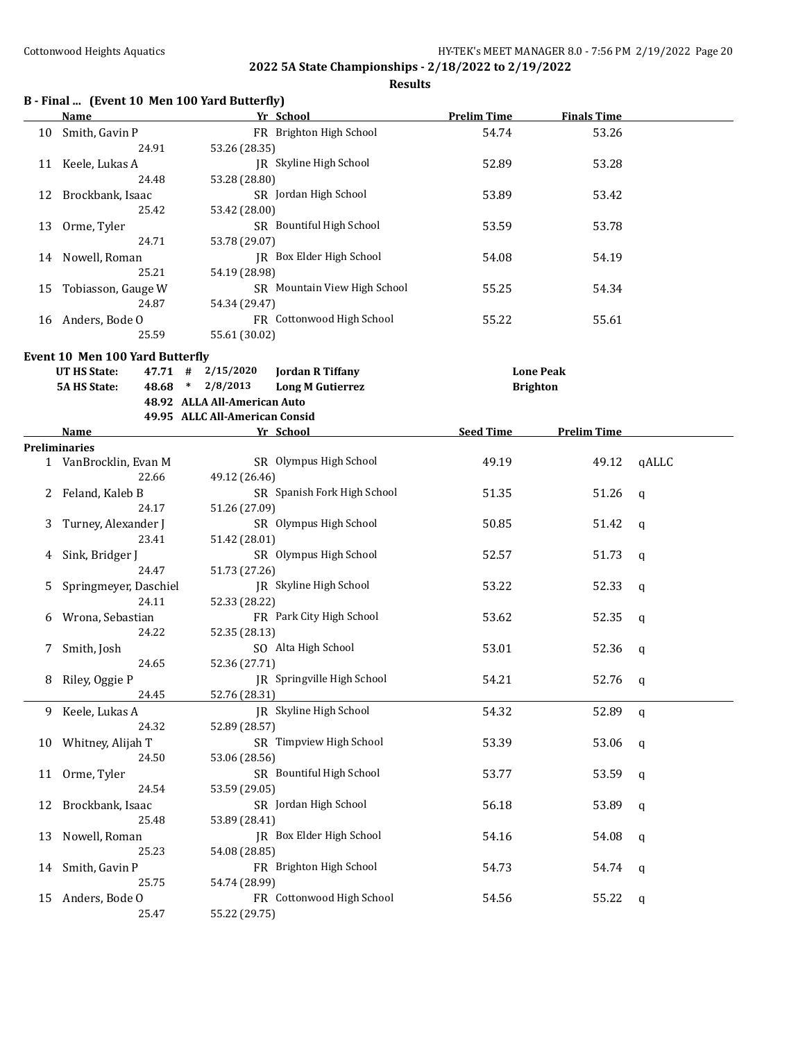| B - Final  (Event 10 Men 100 Yard Butterfly) |  |  |  |  |  |  |  |
|----------------------------------------------|--|--|--|--|--|--|--|
|----------------------------------------------|--|--|--|--|--|--|--|

|    | <b>Name</b>                     | Yr School                                        | <b>Prelim Time</b> | <b>Finals Time</b> |       |
|----|---------------------------------|--------------------------------------------------|--------------------|--------------------|-------|
|    | 10 Smith, Gavin P               | FR Brighton High School                          | 54.74              | 53.26              |       |
|    | 24.91                           | 53.26 (28.35)                                    |                    |                    |       |
|    | 11 Keele, Lukas A               | JR Skyline High School                           | 52.89              | 53.28              |       |
|    | 24.48                           | 53.28 (28.80)                                    |                    |                    |       |
| 12 | Brockbank, Isaac                | SR Jordan High School                            | 53.89              | 53.42              |       |
|    | 25.42                           | 53.42 (28.00)                                    |                    |                    |       |
| 13 | Orme, Tyler                     | SR Bountiful High School                         | 53.59              | 53.78              |       |
|    | 24.71                           | 53.78 (29.07)                                    |                    |                    |       |
|    | 14 Nowell, Roman                | JR Box Elder High School                         | 54.08              | 54.19              |       |
|    | 25.21                           | 54.19 (28.98)                                    |                    |                    |       |
|    | 15 Tobiasson, Gauge W           | SR Mountain View High School                     | 55.25              | 54.34              |       |
|    | 24.87                           | 54.34 (29.47)                                    |                    |                    |       |
|    | 16 Anders, Bode O               | FR Cottonwood High School                        | 55.22              | 55.61              |       |
|    | 25.59                           | 55.61 (30.02)                                    |                    |                    |       |
|    | Event 10 Men 100 Yard Butterfly |                                                  |                    |                    |       |
|    | UT HS State:                    | $47.71$ # $2/15/2020$<br><b>Jordan R Tiffany</b> | <b>Lone Peak</b>   |                    |       |
|    | <b>5A HS State:</b>             | 48.68 * 2/8/2013<br><b>Long M Gutierrez</b>      | <b>Brighton</b>    |                    |       |
|    |                                 | 48.92 ALLA All-American Auto                     |                    |                    |       |
|    |                                 | 49.95 ALLC All-American Consid                   |                    |                    |       |
|    | <u>Name</u>                     | Yr School                                        | Seed Time          | <b>Prelim Time</b> |       |
|    | Preliminaries                   |                                                  |                    |                    |       |
|    | 1 VanBrocklin, Evan M           | SR Olympus High School                           | 49.19              | 49.12              | qALLC |
|    | 22.66                           | 49.12 (26.46)                                    |                    |                    |       |
|    | Feland, Kaleb B                 | SR Spanish Fork High School                      | 51.35              | 51.26              | a     |
|    | 24.17                           | 51.26 (27.09)                                    |                    |                    |       |
| 3  | Turney, Alexander J             | SR Olympus High School                           | 50.85              | 51.42              | q     |
|    | 23.41                           | 51.42 (28.01)                                    |                    |                    |       |
| 4  | Sink, Bridger J                 | SR Olympus High School                           | 52.57              | 51.73              | q     |
|    | 24.47                           | 51.73 (27.26)                                    |                    |                    |       |
| 5  | Springmeyer, Daschiel           | JR Skyline High School                           | 53.22              | 52.33              | q     |
|    | 24.11                           | 52.33 (28.22)                                    |                    |                    |       |
| 6  | Wrona, Sebastian                | FR Park City High School                         | 53.62              | 52.35              | q     |
|    | 24.22                           | 52.35 (28.13)                                    |                    |                    |       |
| 7  | Smith, Josh                     | SO Alta High School                              | 53.01              | 52.36              | q     |
|    | 24.65                           | 52.36 (27.71)                                    |                    |                    |       |
| 8  | Riley, Oggie P                  | JR Springville High School                       | 54.21              | 52.76              | q     |
|    | 24.45                           | 52.76 (28.31)                                    |                    |                    |       |
| 9. | Keele, Lukas A                  | JR Skyline High School                           | 54.32              | 52.89              | q     |
|    | 24.32                           | 52.89 (28.57)                                    |                    |                    |       |
| 10 | Whitney, Alijah T               | SR Timpview High School                          | 53.39              | 53.06              | q     |
|    | 24.50                           | 53.06 (28.56)                                    |                    |                    |       |
| 11 | Orme, Tyler                     | SR Bountiful High School                         | 53.77              | 53.59              | q     |
|    | 24.54                           | 53.59 (29.05)                                    |                    |                    |       |
| 12 | Brockbank, Isaac                | SR Jordan High School                            | 56.18              | 53.89              | q     |
|    | 25.48                           | 53.89 (28.41)                                    |                    |                    |       |
| 13 | Nowell, Roman                   | JR Box Elder High School                         | 54.16              | 54.08              | q     |
|    | 25.23                           | 54.08 (28.85)                                    |                    |                    |       |
| 14 | Smith, Gavin P                  | FR Brighton High School                          | 54.73              | 54.74              | q     |
|    | 25.75                           | 54.74 (28.99)                                    |                    |                    |       |
| 15 | Anders, Bode O                  | FR Cottonwood High School                        | 54.56              | 55.22              | q     |
|    | 25.47                           | 55.22 (29.75)                                    |                    |                    |       |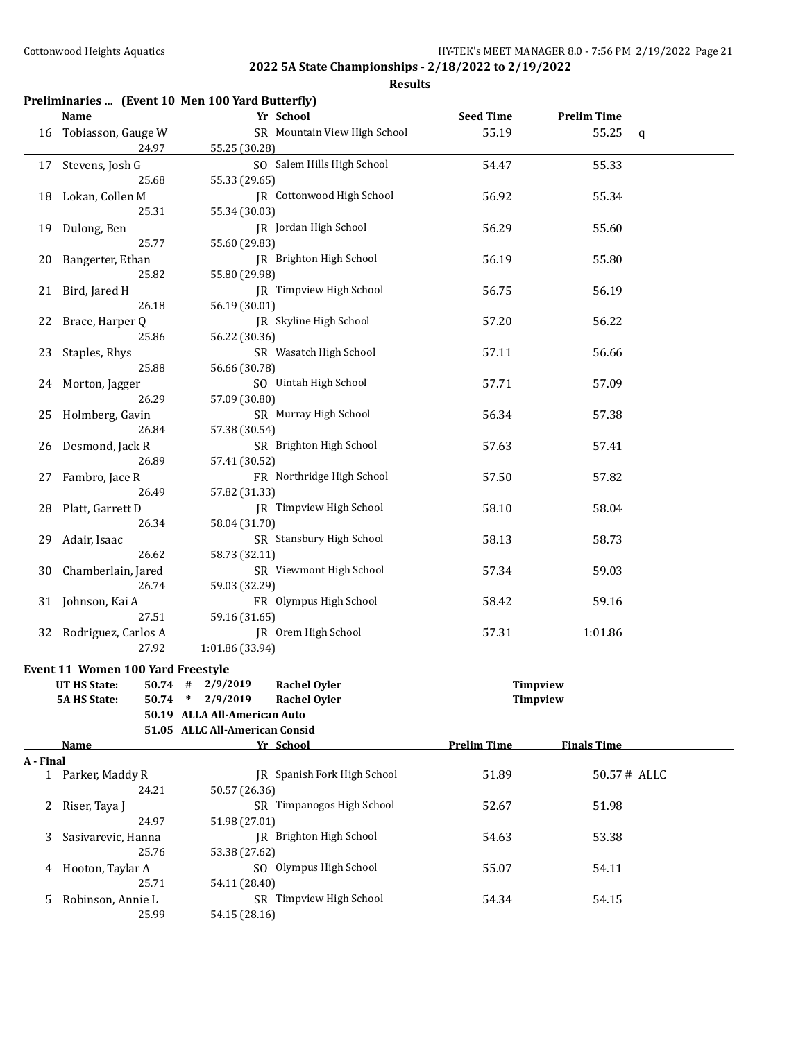|           | Preliminaries  (Event 10 Men 100 Yard Butterfly)               |                                |                              |                                    |                    |              |
|-----------|----------------------------------------------------------------|--------------------------------|------------------------------|------------------------------------|--------------------|--------------|
|           | <u>Name</u>                                                    |                                | Yr School                    | <b>Seed Time</b>                   | <b>Prelim Time</b> |              |
| 16        | Tobiasson, Gauge W                                             |                                | SR Mountain View High School | 55.19                              | 55.25              | $\mathsf{q}$ |
|           | 24.97                                                          | 55.25 (30.28)                  |                              |                                    |                    |              |
| 17        | Stevens, Josh G                                                |                                | SO Salem Hills High School   | 54.47                              | 55.33              |              |
|           | 25.68                                                          | 55.33 (29.65)                  |                              |                                    |                    |              |
| 18        | Lokan, Collen M                                                |                                | JR Cottonwood High School    | 56.92                              | 55.34              |              |
|           | 25.31                                                          | 55.34 (30.03)                  |                              |                                    |                    |              |
| 19        | Dulong, Ben                                                    |                                | JR Jordan High School        | 56.29                              | 55.60              |              |
|           | 25.77                                                          | 55.60 (29.83)                  |                              |                                    |                    |              |
| 20        | Bangerter, Ethan                                               |                                | JR Brighton High School      | 56.19                              | 55.80              |              |
|           | 25.82                                                          | 55.80 (29.98)                  |                              |                                    |                    |              |
| 21        | Bird, Jared H                                                  |                                | JR Timpview High School      | 56.75                              | 56.19              |              |
|           | 26.18                                                          | 56.19 (30.01)                  |                              |                                    |                    |              |
| 22        | Brace, Harper Q                                                |                                | JR Skyline High School       | 57.20                              | 56.22              |              |
|           | 25.86                                                          | 56.22 (30.36)                  |                              |                                    |                    |              |
| 23        | Staples, Rhys                                                  |                                | SR Wasatch High School       | 57.11                              | 56.66              |              |
|           | 25.88                                                          | 56.66 (30.78)                  |                              |                                    |                    |              |
| 24        | Morton, Jagger                                                 |                                | SO Uintah High School        | 57.71                              | 57.09              |              |
|           | 26.29                                                          | 57.09 (30.80)                  |                              |                                    |                    |              |
| 25        | Holmberg, Gavin                                                |                                | SR Murray High School        | 56.34                              | 57.38              |              |
|           | 26.84                                                          | 57.38 (30.54)                  |                              |                                    |                    |              |
| 26        | Desmond, Jack R                                                |                                | SR Brighton High School      | 57.63                              | 57.41              |              |
|           | 26.89                                                          | 57.41 (30.52)                  |                              |                                    |                    |              |
| 27        | Fambro, Jace R                                                 |                                | FR Northridge High School    | 57.50                              | 57.82              |              |
|           | 26.49                                                          | 57.82 (31.33)                  |                              |                                    |                    |              |
| 28        | Platt, Garrett D                                               |                                | JR Timpview High School      | 58.10                              | 58.04              |              |
|           | 26.34                                                          | 58.04 (31.70)                  |                              |                                    |                    |              |
| 29        | Adair, Isaac                                                   |                                | SR Stansbury High School     | 58.13                              | 58.73              |              |
|           | 26.62                                                          | 58.73 (32.11)                  |                              |                                    |                    |              |
| 30        | Chamberlain, Jared                                             |                                | SR Viewmont High School      | 57.34                              | 59.03              |              |
|           | 26.74                                                          | 59.03 (32.29)                  |                              |                                    |                    |              |
| 31        | Johnson, Kai A                                                 |                                | FR Olympus High School       | 58.42                              | 59.16              |              |
|           | 27.51                                                          | 59.16 (31.65)                  |                              |                                    |                    |              |
|           | 32 Rodriguez, Carlos A                                         |                                | JR Orem High School          | 57.31                              | 1:01.86            |              |
|           | 27.92                                                          | 1:01.86 (33.94)                |                              |                                    |                    |              |
|           |                                                                |                                |                              |                                    |                    |              |
|           | Event 11 Women 100 Yard Freestyle<br>UT HS State:<br>$50.74$ # | 2/9/2019                       | <b>Rachel Oyler</b>          |                                    |                    |              |
|           | <b>5A HS State:</b><br>50.74                                   | 2/9/2019<br>$\ast$             | <b>Rachel Oyler</b>          | <b>Timpview</b><br><b>Timpview</b> |                    |              |
|           |                                                                | 50.19 ALLA All-American Auto   |                              |                                    |                    |              |
|           |                                                                | 51.05 ALLC All-American Consid |                              |                                    |                    |              |
|           | Name                                                           |                                | Yr School                    | <b>Prelim Time</b>                 | <b>Finals Time</b> |              |
| A - Final |                                                                |                                |                              |                                    |                    |              |
|           | 1 Parker, Maddy R                                              |                                | JR Spanish Fork High School  | 51.89                              | 50.57# ALLC        |              |
|           | 24.21                                                          | 50.57 (26.36)                  |                              |                                    |                    |              |
| 2         | Riser, Taya J                                                  |                                | SR Timpanogos High School    | 52.67                              | 51.98              |              |
|           | 24.97                                                          | 51.98 (27.01)                  |                              |                                    |                    |              |
| 3         | Sasivarevic, Hanna                                             |                                | JR Brighton High School      | 54.63                              | 53.38              |              |
|           | 25.76                                                          | 53.38 (27.62)                  |                              |                                    |                    |              |
| 4         | Hooton, Taylar A                                               |                                | SO Olympus High School       | 55.07                              | 54.11              |              |
|           | 25.71                                                          | 54.11 (28.40)                  |                              |                                    |                    |              |
| 5.        | Robinson, Annie L                                              |                                | SR Timpview High School      | 54.34                              | 54.15              |              |
|           | 25.99                                                          | 54.15 (28.16)                  |                              |                                    |                    |              |
|           |                                                                |                                |                              |                                    |                    |              |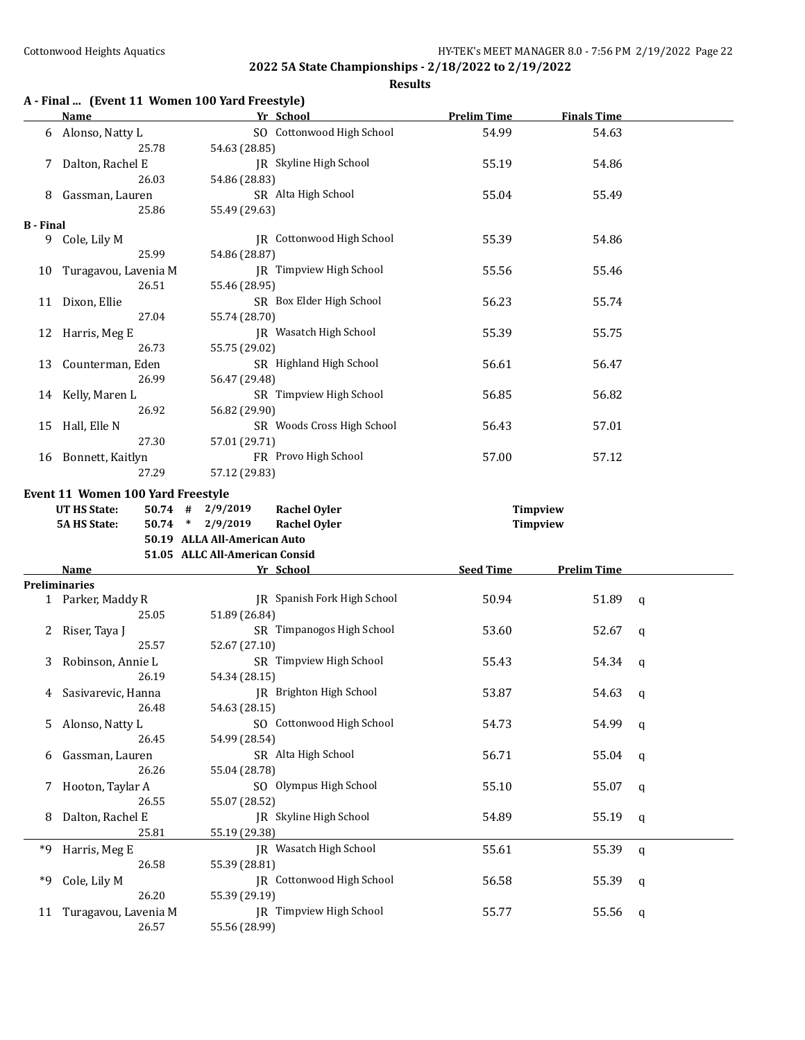|                  | A - Final  (Event 11 Women 100 Yard Freestyle)<br>Name | Yr School                                                                                                                                              | <b>Prelim Time</b>          | <b>Finals Time</b> |              |
|------------------|--------------------------------------------------------|--------------------------------------------------------------------------------------------------------------------------------------------------------|-----------------------------|--------------------|--------------|
|                  |                                                        | SO Cottonwood High School                                                                                                                              |                             |                    |              |
|                  | 6 Alonso, Natty L                                      |                                                                                                                                                        | 54.99                       | 54.63              |              |
|                  | 25.78                                                  | 54.63 (28.85)                                                                                                                                          |                             |                    |              |
|                  | Dalton, Rachel E                                       | JR Skyline High School                                                                                                                                 | 55.19                       | 54.86              |              |
|                  | 26.03                                                  | 54.86 (28.83)                                                                                                                                          |                             |                    |              |
| 8                | Gassman, Lauren                                        | SR Alta High School                                                                                                                                    | 55.04                       | 55.49              |              |
|                  | 25.86                                                  | 55.49 (29.63)                                                                                                                                          |                             |                    |              |
| <b>B</b> - Final |                                                        |                                                                                                                                                        |                             |                    |              |
|                  | 9 Cole, Lily M                                         | JR Cottonwood High School                                                                                                                              | 55.39                       | 54.86              |              |
|                  | 25.99                                                  | 54.86 (28.87)                                                                                                                                          |                             |                    |              |
| 10               | Turagavou, Lavenia M                                   | JR Timpview High School                                                                                                                                | 55.56                       | 55.46              |              |
|                  | 26.51                                                  | 55.46 (28.95)                                                                                                                                          |                             |                    |              |
|                  | 11 Dixon, Ellie                                        | SR Box Elder High School                                                                                                                               | 56.23                       | 55.74              |              |
|                  | 27.04                                                  | 55.74 (28.70)                                                                                                                                          |                             |                    |              |
|                  | 12 Harris, Meg E                                       | JR Wasatch High School                                                                                                                                 | 55.39                       | 55.75              |              |
|                  | 26.73                                                  | 55.75 (29.02)                                                                                                                                          |                             |                    |              |
| 13               | Counterman, Eden                                       | SR Highland High School                                                                                                                                | 56.61                       | 56.47              |              |
|                  | 26.99                                                  | 56.47 (29.48)                                                                                                                                          |                             |                    |              |
|                  | 14 Kelly, Maren L                                      | SR Timpview High School                                                                                                                                | 56.85                       | 56.82              |              |
|                  | 26.92                                                  | 56.82 (29.90)                                                                                                                                          |                             |                    |              |
| 15               | Hall, Elle N                                           | SR Woods Cross High School                                                                                                                             | 56.43                       | 57.01              |              |
|                  | 27.30                                                  | 57.01 (29.71)                                                                                                                                          |                             |                    |              |
|                  | 16 Bonnett, Kaitlyn                                    | FR Provo High School                                                                                                                                   | 57.00                       | 57.12              |              |
|                  | 27.29                                                  | 57.12 (29.83)                                                                                                                                          |                             |                    |              |
|                  | UT HS State:<br><b>5A HS State:</b>                    | $50.74$ # 2/9/2019<br><b>Rachel Oyler</b><br>50.74 * 2/9/2019<br><b>Rachel Oyler</b><br>50.19 ALLA All-American Auto<br>51.05 ALLC All-American Consid | Timpview<br><b>Timpview</b> |                    |              |
|                  |                                                        |                                                                                                                                                        |                             |                    |              |
|                  |                                                        |                                                                                                                                                        |                             |                    |              |
|                  | <b>Name</b>                                            | Yr School                                                                                                                                              | <b>Seed Time</b>            | <b>Prelim Time</b> |              |
|                  | Preliminaries                                          |                                                                                                                                                        |                             |                    |              |
|                  | 1 Parker, Maddy R                                      | JR Spanish Fork High School                                                                                                                            | 50.94                       | 51.89              | $\mathsf{q}$ |
|                  | 25.05                                                  | 51.89 (26.84)                                                                                                                                          |                             |                    |              |
|                  | 2 Riser, Taya J                                        | SR Timpanogos High School                                                                                                                              | 53.60                       | 52.67              | $\mathbf q$  |
|                  | 25.57                                                  | 52.67 (27.10)                                                                                                                                          |                             |                    |              |
| 3                | Robinson, Annie L                                      | SR Timpview High School                                                                                                                                | 55.43                       | 54.34              | q            |
|                  | 26.19                                                  | 54.34 (28.15)                                                                                                                                          |                             |                    |              |
|                  | Sasivarevic, Hanna                                     | JR Brighton High School                                                                                                                                | 53.87                       | 54.63              | q            |
|                  | 26.48                                                  | 54.63 (28.15)                                                                                                                                          |                             |                    |              |
| 5                | Alonso, Natty L                                        | SO Cottonwood High School                                                                                                                              | 54.73                       | 54.99              | q            |
|                  | 26.45                                                  | 54.99 (28.54)                                                                                                                                          |                             |                    |              |
| b                | Gassman, Lauren                                        | SR Alta High School                                                                                                                                    | 56.71                       | 55.04              | q            |
|                  | 26.26                                                  | 55.04 (28.78)                                                                                                                                          |                             |                    |              |
| 7.               | Hooton, Taylar A                                       | SO Olympus High School                                                                                                                                 | 55.10                       | 55.07              | q            |
|                  | 26.55                                                  | 55.07 (28.52)                                                                                                                                          |                             |                    |              |
| 8                | Dalton, Rachel E                                       | JR Skyline High School                                                                                                                                 | 54.89                       | 55.19              | q            |
|                  | 25.81                                                  | 55.19 (29.38)                                                                                                                                          |                             |                    |              |
| *9               | Harris, Meg E                                          | JR Wasatch High School                                                                                                                                 | 55.61                       | 55.39              | q            |
|                  | 26.58                                                  | 55.39 (28.81)                                                                                                                                          |                             |                    |              |
| *9               | Cole, Lily M                                           | JR Cottonwood High School                                                                                                                              | 56.58                       | 55.39              | q            |
|                  | 26.20                                                  | 55.39 (29.19)                                                                                                                                          |                             |                    |              |
| 11               | Turagavou, Lavenia M                                   | JR Timpview High School                                                                                                                                | 55.77                       | 55.56              | q            |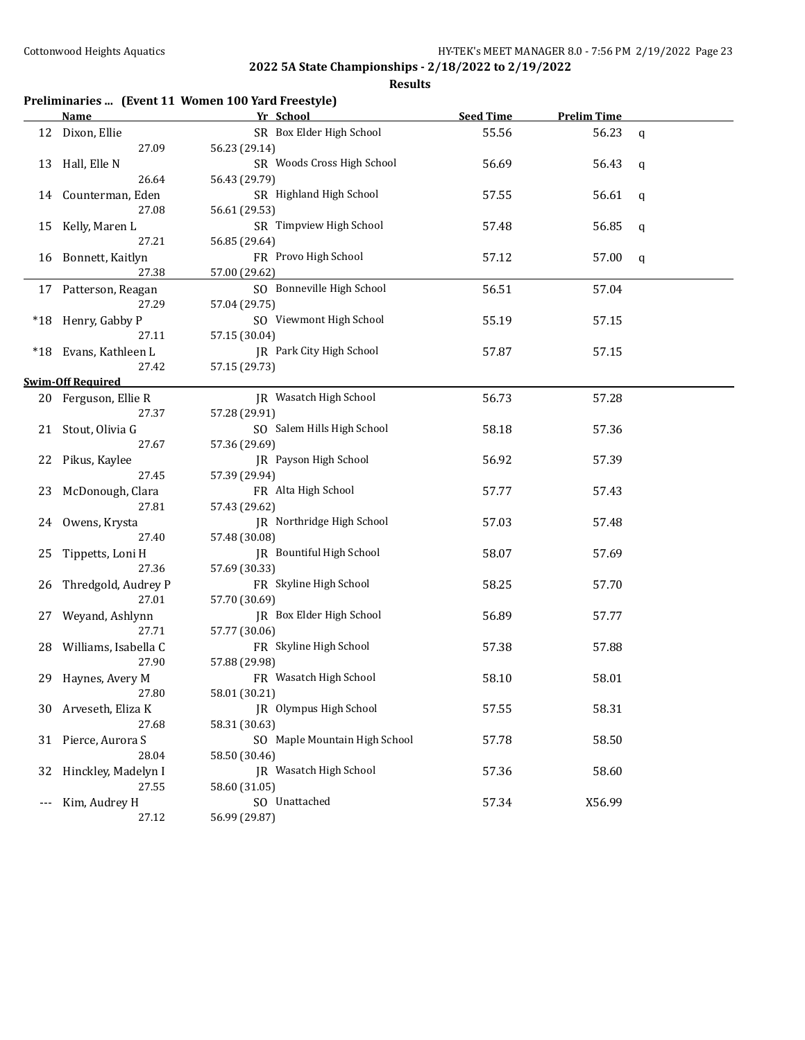|    | Preliminaries  (Event 11 Women 100 Yard Freestyle) |                               |                  |                    |   |  |  |
|----|----------------------------------------------------|-------------------------------|------------------|--------------------|---|--|--|
|    | <b>Name</b>                                        | Yr School                     | <b>Seed Time</b> | <b>Prelim Time</b> |   |  |  |
|    | 12 Dixon, Ellie                                    | SR Box Elder High School      | 55.56            | 56.23              | q |  |  |
|    | 27.09                                              | 56.23 (29.14)                 |                  |                    |   |  |  |
|    | 13 Hall, Elle N                                    | SR Woods Cross High School    | 56.69            | 56.43              | q |  |  |
|    | 26.64                                              | 56.43 (29.79)                 |                  |                    |   |  |  |
|    | 14 Counterman, Eden                                | SR Highland High School       | 57.55            | 56.61              | q |  |  |
|    | 27.08                                              | 56.61 (29.53)                 |                  |                    |   |  |  |
|    | 15 Kelly, Maren L                                  | SR Timpview High School       | 57.48            | 56.85              | q |  |  |
|    | 27.21                                              | 56.85 (29.64)                 |                  |                    |   |  |  |
|    | 16 Bonnett, Kaitlyn                                | FR Provo High School          | 57.12            | 57.00              | q |  |  |
|    | 27.38                                              | 57.00 (29.62)                 |                  |                    |   |  |  |
|    | 17 Patterson, Reagan                               | SO Bonneville High School     | 56.51            | 57.04              |   |  |  |
|    | 27.29                                              | 57.04 (29.75)                 |                  |                    |   |  |  |
|    | *18 Henry, Gabby P                                 | SO Viewmont High School       | 55.19            | 57.15              |   |  |  |
|    | 27.11                                              | 57.15 (30.04)                 |                  |                    |   |  |  |
|    | *18 Evans, Kathleen L                              | JR Park City High School      | 57.87            | 57.15              |   |  |  |
|    | 27.42                                              | 57.15 (29.73)                 |                  |                    |   |  |  |
|    | <b>Swim-Off Required</b>                           |                               |                  |                    |   |  |  |
|    | 20 Ferguson, Ellie R                               | <b>IR</b> Wasatch High School | 56.73            | 57.28              |   |  |  |
|    | 27.37                                              | 57.28 (29.91)                 |                  |                    |   |  |  |
|    | 21 Stout, Olivia G                                 | SO Salem Hills High School    | 58.18            | 57.36              |   |  |  |
|    | 27.67                                              | 57.36 (29.69)                 |                  |                    |   |  |  |
|    | 22 Pikus, Kaylee                                   | JR Payson High School         | 56.92            | 57.39              |   |  |  |
|    | 27.45                                              | 57.39 (29.94)                 |                  |                    |   |  |  |
|    | 23 McDonough, Clara                                | FR Alta High School           | 57.77            | 57.43              |   |  |  |
|    | 27.81                                              | 57.43 (29.62)                 |                  |                    |   |  |  |
|    | 24 Owens, Krysta                                   | JR Northridge High School     | 57.03            | 57.48              |   |  |  |
|    | 27.40                                              | 57.48 (30.08)                 |                  |                    |   |  |  |
| 25 | Tippetts, Loni H                                   | JR Bountiful High School      | 58.07            | 57.69              |   |  |  |
|    | 27.36                                              | 57.69 (30.33)                 |                  |                    |   |  |  |
|    | 26 Thredgold, Audrey P                             | FR Skyline High School        | 58.25            | 57.70              |   |  |  |
|    | 27.01                                              | 57.70 (30.69)                 |                  |                    |   |  |  |
|    | 27 Weyand, Ashlynn                                 | JR Box Elder High School      | 56.89            | 57.77              |   |  |  |
|    | 27.71                                              | 57.77 (30.06)                 |                  |                    |   |  |  |
|    | 28 Williams, Isabella C                            | FR Skyline High School        | 57.38            | 57.88              |   |  |  |
|    | 27.90                                              | 57.88 (29.98)                 |                  |                    |   |  |  |
|    | 29 Haynes, Avery M                                 | FR Wasatch High School        | 58.10            | 58.01              |   |  |  |
|    | 27.80                                              | 58.01 (30.21)                 |                  |                    |   |  |  |
| 30 | Arveseth, Eliza K                                  | JR Olympus High School        | 57.55            | 58.31              |   |  |  |
|    | 27.68                                              | 58.31 (30.63)                 |                  |                    |   |  |  |
| 31 | Pierce, Aurora S                                   | SO Maple Mountain High School | 57.78            | 58.50              |   |  |  |
|    | 28.04                                              | 58.50 (30.46)                 |                  |                    |   |  |  |
| 32 | Hinckley, Madelyn I                                | JR Wasatch High School        | 57.36            | 58.60              |   |  |  |
|    | 27.55                                              | 58.60 (31.05)                 |                  |                    |   |  |  |
|    | Kim, Audrey H                                      | SO Unattached                 | 57.34            | X56.99             |   |  |  |
|    | 27.12                                              | 56.99 (29.87)                 |                  |                    |   |  |  |
|    |                                                    |                               |                  |                    |   |  |  |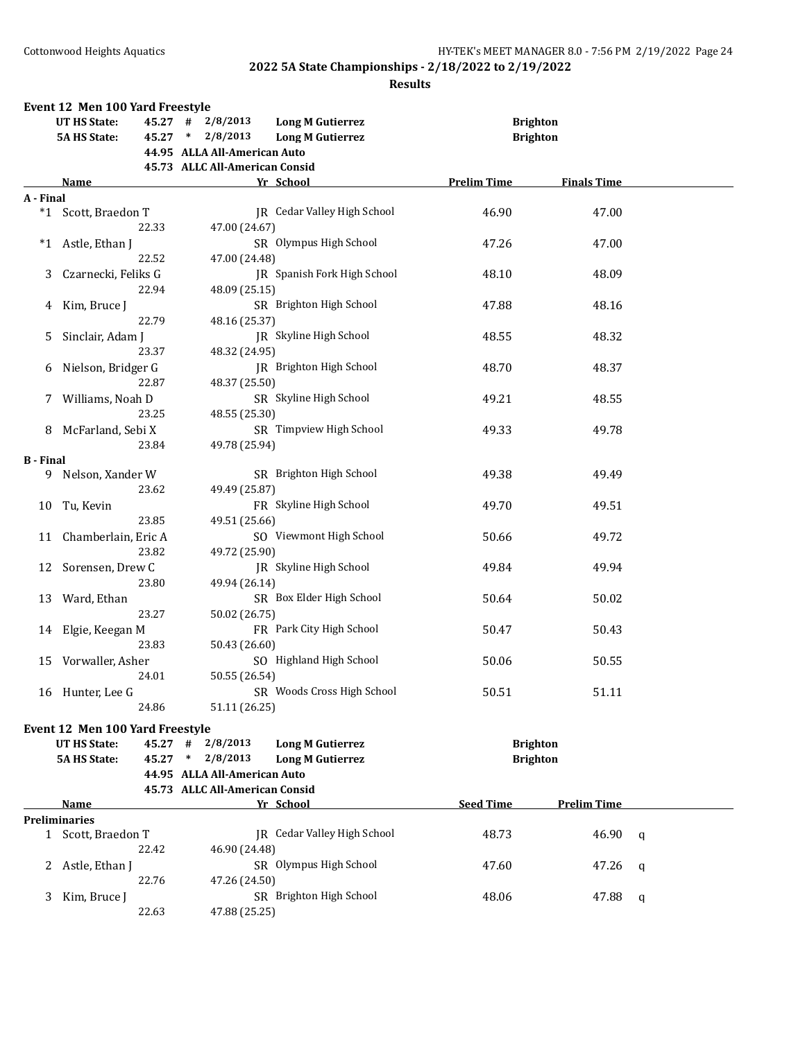|                  | Event 12 Men 100 Yard Freestyle |           |                                |                                    |                    |                    |   |
|------------------|---------------------------------|-----------|--------------------------------|------------------------------------|--------------------|--------------------|---|
|                  | <b>UT HS State:</b>             |           | $45.27$ # $2/8/2013$           | <b>Long M Gutierrez</b>            | <b>Brighton</b>    |                    |   |
|                  | <b>5A HS State:</b>             | $45.27$ * | 2/8/2013                       | <b>Long M Gutierrez</b>            | <b>Brighton</b>    |                    |   |
|                  |                                 |           | 44.95 ALLA All-American Auto   |                                    |                    |                    |   |
|                  |                                 |           | 45.73 ALLC All-American Consid |                                    |                    |                    |   |
|                  | Name                            |           |                                | Yr School                          | <b>Prelim Time</b> | <b>Finals Time</b> |   |
|                  |                                 |           |                                |                                    |                    |                    |   |
| A - Final        |                                 |           |                                |                                    |                    |                    |   |
|                  | *1 Scott, Braedon T             |           |                                | JR Cedar Valley High School        | 46.90              | 47.00              |   |
|                  |                                 | 22.33     | 47.00 (24.67)                  |                                    |                    |                    |   |
| $*1$             | Astle, Ethan J                  |           |                                | SR Olympus High School             | 47.26              | 47.00              |   |
|                  |                                 | 22.52     | 47.00 (24.48)                  |                                    |                    |                    |   |
| 3                | Czarnecki, Feliks G             |           |                                | JR Spanish Fork High School        | 48.10              | 48.09              |   |
|                  |                                 | 22.94     | 48.09 (25.15)                  |                                    |                    |                    |   |
|                  |                                 |           |                                |                                    |                    |                    |   |
| 4                | Kim, Bruce J                    |           |                                | SR Brighton High School            | 47.88              | 48.16              |   |
|                  |                                 | 22.79     | 48.16 (25.37)                  |                                    |                    |                    |   |
| 5                | Sinclair, Adam J                |           |                                | JR Skyline High School             | 48.55              | 48.32              |   |
|                  |                                 | 23.37     | 48.32 (24.95)                  |                                    |                    |                    |   |
| 6                | Nielson, Bridger G              |           |                                | JR Brighton High School            | 48.70              | 48.37              |   |
|                  |                                 | 22.87     | 48.37 (25.50)                  |                                    |                    |                    |   |
|                  |                                 |           |                                |                                    |                    |                    |   |
| 7.               | Williams, Noah D                |           |                                | SR Skyline High School             | 49.21              | 48.55              |   |
|                  |                                 | 23.25     | 48.55 (25.30)                  |                                    |                    |                    |   |
| 8                | McFarland, Sebi X               |           |                                | SR Timpview High School            | 49.33              | 49.78              |   |
|                  |                                 | 23.84     | 49.78 (25.94)                  |                                    |                    |                    |   |
| <b>B</b> - Final |                                 |           |                                |                                    |                    |                    |   |
|                  | 9 Nelson, Xander W              |           |                                | SR Brighton High School            | 49.38              | 49.49              |   |
|                  |                                 | 23.62     | 49.49 (25.87)                  |                                    |                    |                    |   |
|                  |                                 |           |                                |                                    |                    |                    |   |
| 10               | Tu, Kevin                       |           |                                | FR Skyline High School             | 49.70              | 49.51              |   |
|                  |                                 | 23.85     | 49.51 (25.66)                  |                                    |                    |                    |   |
|                  | 11 Chamberlain, Eric A          |           |                                | SO Viewmont High School            | 50.66              | 49.72              |   |
|                  |                                 | 23.82     | 49.72 (25.90)                  |                                    |                    |                    |   |
| 12               | Sorensen, Drew C                |           |                                | JR Skyline High School             | 49.84              | 49.94              |   |
|                  |                                 | 23.80     |                                |                                    |                    |                    |   |
|                  |                                 |           | 49.94 (26.14)                  |                                    |                    |                    |   |
| 13               | Ward, Ethan                     |           |                                | SR Box Elder High School           | 50.64              | 50.02              |   |
|                  |                                 | 23.27     | 50.02 (26.75)                  |                                    |                    |                    |   |
| 14               | Elgie, Keegan M                 |           |                                | FR Park City High School           | 50.47              | 50.43              |   |
|                  |                                 | 23.83     | 50.43 (26.60)                  |                                    |                    |                    |   |
|                  | 15 Vorwaller, Asher             |           |                                | SO Highland High School            | 50.06              | 50.55              |   |
|                  |                                 | 24.01     | 50.55 (26.54)                  |                                    |                    |                    |   |
|                  |                                 |           |                                |                                    |                    |                    |   |
|                  | 16 Hunter, Lee G                |           |                                | SR Woods Cross High School         | 50.51              | 51.11              |   |
|                  |                                 | 24.86     | 51.11 (26.25)                  |                                    |                    |                    |   |
|                  | Event 12 Men 100 Yard Freestyle |           |                                |                                    |                    |                    |   |
|                  | <b>UT HS State:</b>             |           | 2/8/2013<br>$\#$               |                                    |                    |                    |   |
|                  |                                 | 45.27     |                                | <b>Long M Gutierrez</b>            | <b>Brighton</b>    |                    |   |
|                  | <b>5A HS State:</b>             | $45.27$ * | 2/8/2013                       | <b>Long M Gutierrez</b>            | <b>Brighton</b>    |                    |   |
|                  |                                 |           | 44.95 ALLA All-American Auto   |                                    |                    |                    |   |
|                  |                                 |           | 45.73 ALLC All-American Consid |                                    |                    |                    |   |
|                  | <b>Name</b>                     |           |                                | Yr School                          | <b>Seed Time</b>   | <b>Prelim Time</b> |   |
|                  | <b>Preliminaries</b>            |           |                                |                                    |                    |                    |   |
|                  | 1 Scott, Braedon T              |           |                                | <b>IR</b> Cedar Valley High School | 48.73              | 46.90              | q |
|                  |                                 | 22.42     | 46.90 (24.48)                  |                                    |                    |                    |   |
|                  |                                 |           |                                |                                    |                    |                    |   |
|                  | 2 Astle, Ethan J                |           |                                | SR Olympus High School             | 47.60              | 47.26              | q |
|                  |                                 | 22.76     | 47.26 (24.50)                  |                                    |                    |                    |   |
| 3                | Kim, Bruce J                    |           |                                | SR Brighton High School            | 48.06              | 47.88              | q |
|                  |                                 | 22.63     | 47.88 (25.25)                  |                                    |                    |                    |   |
|                  |                                 |           |                                |                                    |                    |                    |   |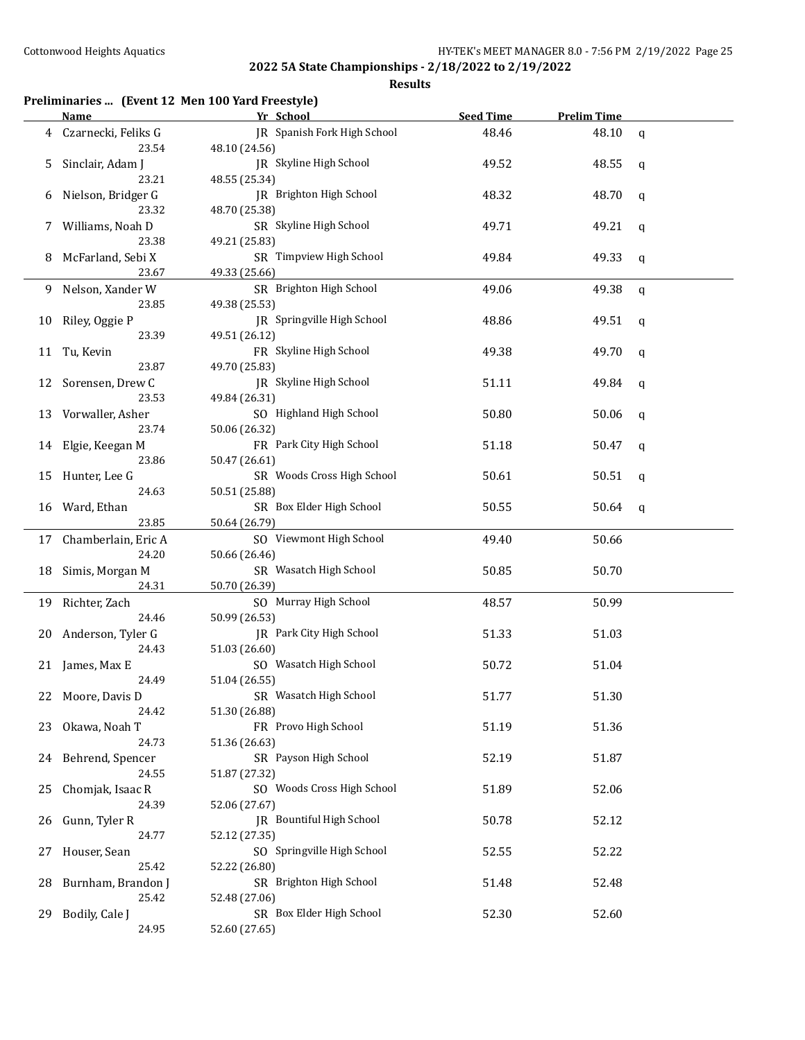**Results**

## **Preliminaries ... (Event 12 Men 100 Yard Freestyle)**

|    | <b>Name</b>                     | Yr School                                    | <b>Seed Time</b> | <b>Prelim Time</b> |             |
|----|---------------------------------|----------------------------------------------|------------------|--------------------|-------------|
| 4  | Czarnecki, Feliks G<br>23.54    | JR Spanish Fork High School<br>48.10 (24.56) | 48.46            | 48.10              | $\mathbf q$ |
| 5. | Sinclair, Adam J<br>23.21       | JR Skyline High School<br>48.55 (25.34)      | 49.52            | 48.55              | q           |
| 6  | Nielson, Bridger G<br>23.32     | JR Brighton High School<br>48.70 (25.38)     | 48.32            | 48.70              | q           |
| 7  | Williams, Noah D<br>23.38       | SR Skyline High School<br>49.21 (25.83)      | 49.71            | 49.21              | q           |
| 8  | McFarland, Sebi X<br>23.67      | SR Timpview High School<br>49.33 (25.66)     | 49.84            | 49.33              | q           |
| 9  | Nelson, Xander W<br>23.85       | SR Brighton High School<br>49.38 (25.53)     | 49.06            | 49.38              | q           |
| 10 | Riley, Oggie P<br>23.39         | JR Springville High School<br>49.51 (26.12)  | 48.86            | 49.51              | q           |
|    | 11 Tu, Kevin<br>23.87           | FR Skyline High School<br>49.70 (25.83)      | 49.38            | 49.70              | q           |
|    | 12 Sorensen, Drew C<br>23.53    | JR Skyline High School<br>49.84 (26.31)      | 51.11            | 49.84              | q           |
| 13 | Vorwaller, Asher<br>23.74       | SO Highland High School<br>50.06 (26.32)     | 50.80            | 50.06              | q           |
|    | 14 Elgie, Keegan M<br>23.86     | FR Park City High School<br>50.47 (26.61)    | 51.18            | 50.47              | q           |
| 15 | Hunter, Lee G<br>24.63          | SR Woods Cross High School<br>50.51 (25.88)  | 50.61            | 50.51              | q           |
| 16 | Ward, Ethan<br>23.85            | SR Box Elder High School<br>50.64 (26.79)    | 50.55            | 50.64              | q           |
|    | 17 Chamberlain, Eric A<br>24.20 | SO Viewmont High School<br>50.66 (26.46)     | 49.40            | 50.66              |             |
| 18 | Simis, Morgan M<br>24.31        | SR Wasatch High School<br>50.70 (26.39)      | 50.85            | 50.70              |             |
|    | 19 Richter, Zach<br>24.46       | SO Murray High School<br>50.99 (26.53)       | 48.57            | 50.99              |             |
| 20 | Anderson, Tyler G<br>24.43      | JR Park City High School<br>51.03 (26.60)    | 51.33            | 51.03              |             |
|    | 21 James, Max E<br>24.49        | SO Wasatch High School<br>51.04 (26.55)      | 50.72            | 51.04              |             |
|    | 22 Moore, Davis D<br>24.42      | SR Wasatch High School<br>51.30 (26.88)      | 51.77            | 51.30              |             |
| 23 | Okawa, Noah T<br>24.73          | FR Provo High School<br>51.36 (26.63)        | 51.19            | 51.36              |             |
|    | 24 Behrend, Spencer<br>24.55    | SR Payson High School<br>51.87 (27.32)       | 52.19            | 51.87              |             |
| 25 | Chomjak, Isaac R<br>24.39       | SO Woods Cross High School<br>52.06 (27.67)  | 51.89            | 52.06              |             |
| 26 | Gunn, Tyler R<br>24.77          | JR Bountiful High School<br>52.12 (27.35)    | 50.78            | 52.12              |             |
| 27 | Houser, Sean<br>25.42           | SO Springville High School<br>52.22 (26.80)  | 52.55            | 52.22              |             |
| 28 | Burnham, Brandon J<br>25.42     | SR Brighton High School<br>52.48 (27.06)     | 51.48            | 52.48              |             |
| 29 | Bodily, Cale J<br>24.95         | SR Box Elder High School<br>52.60 (27.65)    | 52.30            | 52.60              |             |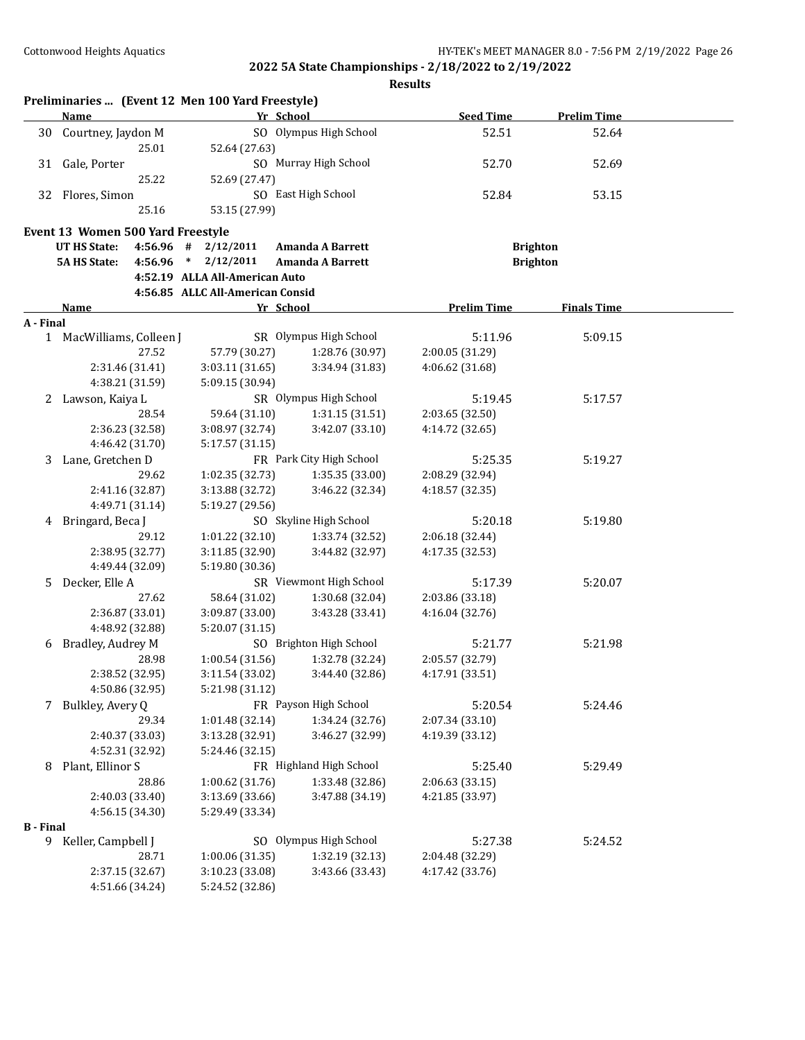|                  | Preliminaries  (Event 12 Men 100 Yard Freestyle)<br>Name | Yr School                          |                                    | <b>Seed Time</b>   | <b>Prelim Time</b> |  |
|------------------|----------------------------------------------------------|------------------------------------|------------------------------------|--------------------|--------------------|--|
| 30               | Courtney, Jaydon M                                       |                                    | SO Olympus High School             | 52.51              | 52.64              |  |
|                  | 25.01                                                    | 52.64 (27.63)                      |                                    |                    |                    |  |
| 31               | Gale, Porter                                             |                                    | SO Murray High School              | 52.70              | 52.69              |  |
|                  | 25.22                                                    | 52.69 (27.47)                      |                                    |                    |                    |  |
| 32               | Flores, Simon                                            |                                    | SO East High School                | 52.84              | 53.15              |  |
|                  | 25.16                                                    | 53.15 (27.99)                      |                                    |                    |                    |  |
|                  |                                                          |                                    |                                    |                    |                    |  |
|                  | Event 13 Women 500 Yard Freestyle                        |                                    |                                    |                    |                    |  |
|                  | <b>UT HS State:</b><br>4:56.96                           | 2/12/2011<br>#                     | <b>Amanda A Barrett</b>            |                    | <b>Brighton</b>    |  |
|                  | <b>5A HS State:</b><br>4:56.96                           | $\ast$<br>2/12/2011                | <b>Amanda A Barrett</b>            |                    | <b>Brighton</b>    |  |
|                  |                                                          | 4:52.19 ALLA All-American Auto     |                                    |                    |                    |  |
|                  |                                                          | 4:56.85 ALLC All-American Consid   |                                    |                    |                    |  |
|                  | Name                                                     | Yr School                          |                                    | <b>Prelim Time</b> | <b>Finals Time</b> |  |
| A - Final        |                                                          |                                    |                                    |                    |                    |  |
|                  | 1 MacWilliams, Colleen J                                 |                                    | SR Olympus High School             | 5:11.96            | 5:09.15            |  |
|                  | 27.52                                                    | 57.79 (30.27)                      | 1:28.76 (30.97)                    | 2:00.05 (31.29)    |                    |  |
|                  | 2:31.46 (31.41)                                          | 3:03.11 (31.65)                    | 3:34.94 (31.83)                    | 4:06.62 (31.68)    |                    |  |
|                  | 4:38.21 (31.59)                                          | 5:09.15 (30.94)                    | SR Olympus High School             |                    |                    |  |
| 2                | Lawson, Kaiya L<br>28.54                                 |                                    | 1:31.15(31.51)                     | 5:19.45            | 5:17.57            |  |
|                  |                                                          | 59.64 (31.10)                      |                                    | 2:03.65 (32.50)    |                    |  |
|                  | 2:36.23 (32.58)<br>4:46.42 (31.70)                       | 3:08.97 (32.74)                    | 3:42.07 (33.10)                    | 4:14.72 (32.65)    |                    |  |
|                  |                                                          | 5:17.57 (31.15)                    | FR Park City High School           |                    |                    |  |
| 3                | Lane, Gretchen D<br>29.62                                |                                    |                                    | 5:25.35            | 5:19.27            |  |
|                  |                                                          | 1:02.35 (32.73)                    | 1:35.35 (33.00)<br>3:46.22 (32.34) | 2:08.29 (32.94)    |                    |  |
|                  | 2:41.16 (32.87)<br>4:49.71 (31.14)                       | 3:13.88 (32.72)<br>5:19.27 (29.56) |                                    | 4:18.57 (32.35)    |                    |  |
|                  | 4 Bringard, Beca J                                       |                                    | SO Skyline High School             | 5:20.18            | 5:19.80            |  |
|                  | 29.12                                                    | 1:01.22 (32.10)                    | 1:33.74 (32.52)                    | 2:06.18 (32.44)    |                    |  |
|                  | 2:38.95 (32.77)                                          |                                    | 3:44.82 (32.97)                    | 4:17.35 (32.53)    |                    |  |
|                  |                                                          | 3:11.85 (32.90)                    |                                    |                    |                    |  |
|                  | 4:49.44 (32.09)<br>Decker, Elle A                        | 5:19.80 (30.36)                    | SR Viewmont High School            | 5:17.39            | 5:20.07            |  |
| 5.               | 27.62                                                    | 58.64 (31.02)                      | 1:30.68 (32.04)                    | 2:03.86 (33.18)    |                    |  |
|                  | 2:36.87 (33.01)                                          | 3:09.87 (33.00)                    | 3:43.28 (33.41)                    | 4:16.04 (32.76)    |                    |  |
|                  | 4:48.92 (32.88)                                          | 5:20.07 (31.15)                    |                                    |                    |                    |  |
| 6                | Bradley, Audrey M                                        |                                    | SO Brighton High School            | 5:21.77            | 5:21.98            |  |
|                  | 28.98                                                    | 1:00.54 (31.56)                    | 1:32.78 (32.24)                    | 2:05.57 (32.79)    |                    |  |
|                  | 2:38.52 (32.95)                                          | 3:11.54 (33.02)                    | 3:44.40 (32.86)                    | 4:17.91 (33.51)    |                    |  |
|                  | 4:50.86 (32.95)                                          | 5:21.98 (31.12)                    |                                    |                    |                    |  |
| 7                | Bulkley, Avery Q                                         |                                    | FR Payson High School              | 5:20.54            | 5:24.46            |  |
|                  | 29.34                                                    | 1:01.48 (32.14)                    | 1:34.24 (32.76)                    | 2:07.34 (33.10)    |                    |  |
|                  | 2:40.37 (33.03)                                          | 3:13.28 (32.91)                    | 3:46.27 (32.99)                    | 4:19.39 (33.12)    |                    |  |
|                  | 4:52.31 (32.92)                                          | 5:24.46 (32.15)                    |                                    |                    |                    |  |
| 8                | Plant, Ellinor S                                         |                                    | FR Highland High School            | 5:25.40            | 5:29.49            |  |
|                  | 28.86                                                    | 1:00.62 (31.76)                    | 1:33.48 (32.86)                    | 2:06.63 (33.15)    |                    |  |
|                  | 2:40.03 (33.40)                                          | 3:13.69 (33.66)                    | 3:47.88 (34.19)                    | 4:21.85 (33.97)    |                    |  |
|                  | 4:56.15 (34.30)                                          | 5:29.49 (33.34)                    |                                    |                    |                    |  |
| <b>B</b> - Final |                                                          |                                    |                                    |                    |                    |  |
|                  | 9 Keller, Campbell J                                     |                                    | SO Olympus High School             | 5:27.38            | 5:24.52            |  |
|                  | 28.71                                                    | 1:00.06(31.35)                     | 1:32.19 (32.13)                    | 2:04.48 (32.29)    |                    |  |
|                  | 2:37.15 (32.67)                                          | 3:10.23 (33.08)                    | 3:43.66 (33.43)                    | 4:17.42 (33.76)    |                    |  |
|                  | 4:51.66 (34.24)                                          | 5:24.52 (32.86)                    |                                    |                    |                    |  |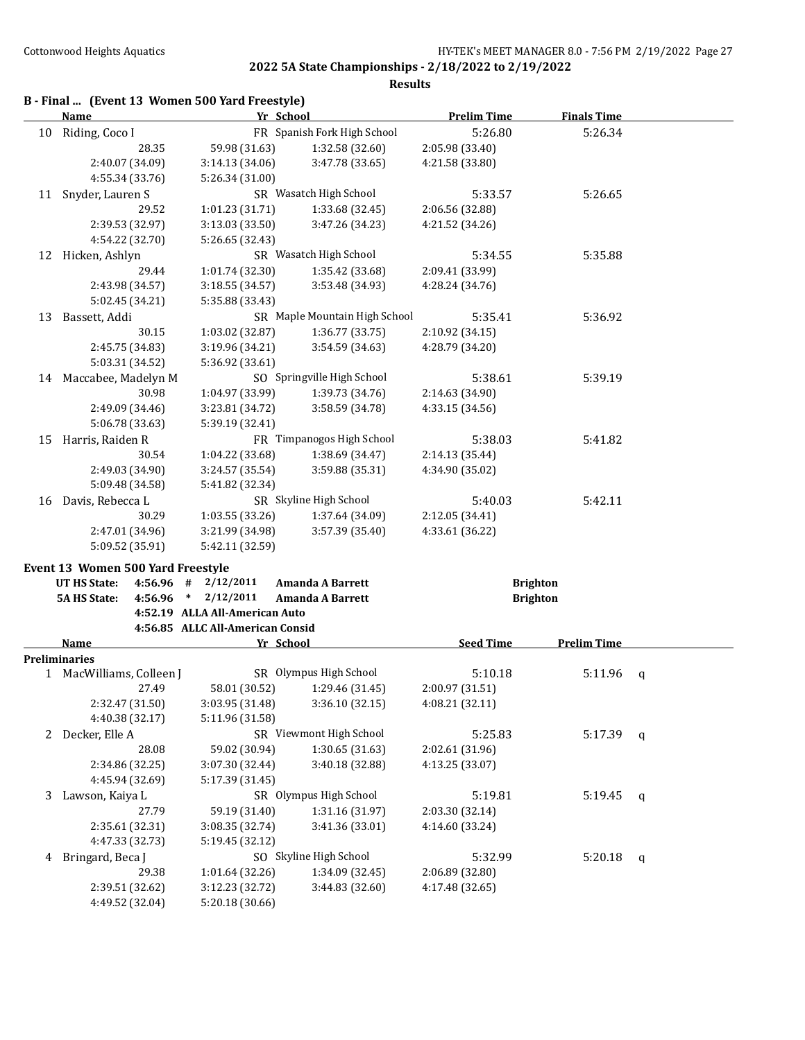|    | B - Final  (Event 13 Women 500 Yard Freestyle) |                                  |                               |                    |                    |              |
|----|------------------------------------------------|----------------------------------|-------------------------------|--------------------|--------------------|--------------|
|    | <b>Name</b>                                    | Yr School                        |                               | <b>Prelim Time</b> | <b>Finals Time</b> |              |
| 10 | Riding, Coco I                                 |                                  | FR Spanish Fork High School   | 5:26.80            | 5:26.34            |              |
|    | 28.35                                          | 59.98 (31.63)                    | 1:32.58 (32.60)               | 2:05.98 (33.40)    |                    |              |
|    | 2:40.07 (34.09)                                | 3:14.13 (34.06)                  | 3:47.78 (33.65)               | 4:21.58 (33.80)    |                    |              |
|    | 4:55.34 (33.76)                                | 5:26.34 (31.00)                  |                               |                    |                    |              |
| 11 | Snyder, Lauren S                               |                                  | SR Wasatch High School        | 5:33.57            | 5:26.65            |              |
|    | 29.52                                          | 1:01.23 (31.71)                  | 1:33.68 (32.45)               | 2:06.56 (32.88)    |                    |              |
|    | 2:39.53 (32.97)                                | 3:13.03 (33.50)                  | 3:47.26 (34.23)               | 4:21.52 (34.26)    |                    |              |
|    | 4:54.22 (32.70)                                | 5:26.65 (32.43)                  |                               |                    |                    |              |
|    | 12 Hicken, Ashlyn                              |                                  | SR Wasatch High School        | 5:34.55            | 5:35.88            |              |
|    | 29.44                                          | 1:01.74 (32.30)                  | 1:35.42 (33.68)               | 2:09.41 (33.99)    |                    |              |
|    | 2:43.98 (34.57)                                | 3:18.55 (34.57)                  | 3:53.48 (34.93)               | 4:28.24 (34.76)    |                    |              |
|    | 5:02.45 (34.21)                                | 5:35.88 (33.43)                  |                               |                    |                    |              |
| 13 | Bassett, Addi                                  |                                  | SR Maple Mountain High School | 5:35.41            | 5:36.92            |              |
|    | 30.15                                          | 1:03.02 (32.87)                  | 1:36.77 (33.75)               | 2:10.92 (34.15)    |                    |              |
|    | 2:45.75 (34.83)                                | 3:19.96 (34.21)                  | 3:54.59 (34.63)               | 4:28.79 (34.20)    |                    |              |
|    | 5:03.31 (34.52)                                | 5:36.92 (33.61)                  |                               |                    |                    |              |
|    | 14 Maccabee, Madelyn M                         |                                  | SO Springville High School    | 5:38.61            | 5:39.19            |              |
|    | 30.98                                          | 1:04.97 (33.99)                  | 1:39.73 (34.76)               | 2:14.63 (34.90)    |                    |              |
|    | 2:49.09 (34.46)                                | 3:23.81 (34.72)                  | 3:58.59 (34.78)               | 4:33.15 (34.56)    |                    |              |
|    | 5:06.78 (33.63)                                | 5:39.19 (32.41)                  |                               |                    |                    |              |
| 15 | Harris, Raiden R                               |                                  | FR Timpanogos High School     | 5:38.03            | 5:41.82            |              |
|    | 30.54                                          | 1:04.22 (33.68)                  | 1:38.69 (34.47)               | 2:14.13 (35.44)    |                    |              |
|    | 2:49.03 (34.90)                                | 3:24.57 (35.54)                  | 3:59.88 (35.31)               | 4:34.90 (35.02)    |                    |              |
|    | 5:09.48 (34.58)                                | 5:41.82 (32.34)                  |                               |                    |                    |              |
| 16 | Davis, Rebecca L                               |                                  | SR Skyline High School        | 5:40.03            | 5:42.11            |              |
|    | 30.29                                          | 1:03.55 (33.26)                  | 1:37.64 (34.09)               | 2:12.05 (34.41)    |                    |              |
|    | 2:47.01 (34.96)                                | 3:21.99 (34.98)                  | 3:57.39 (35.40)               | 4:33.61 (36.22)    |                    |              |
|    | 5:09.52 (35.91)                                | 5:42.11 (32.59)                  |                               |                    |                    |              |
|    | Event 13 Women 500 Yard Freestyle              |                                  |                               |                    |                    |              |
|    | <b>UT HS State:</b><br>4:56.96 #               | 2/12/2011                        | <b>Amanda A Barrett</b>       |                    | <b>Brighton</b>    |              |
|    | <b>5A HS State:</b><br>4:56.96 *               | 2/12/2011                        | Amanda A Barrett              |                    | <b>Brighton</b>    |              |
|    |                                                | 4:52.19 ALLA All-American Auto   |                               |                    |                    |              |
|    |                                                | 4:56.85 ALLC All-American Consid |                               |                    |                    |              |
|    | Name                                           | Yr School                        |                               | <b>Seed Time</b>   | <b>Prelim Time</b> |              |
|    | <b>Preliminaries</b>                           |                                  |                               |                    |                    |              |
|    | 1 MacWilliams, Colleen J                       |                                  | SR Olympus High School        | 5:10.18            | 5:11.96            | q            |
|    | 27.49                                          | 58.01 (30.52)                    | 1:29.46 (31.45)               | 2:00.97 (31.51)    |                    |              |
|    | 2:32.47 (31.50)                                | 3:03.95 (31.48)                  | 3:36.10 (32.15)               | 4:08.21 (32.11)    |                    |              |
|    | 4:40.38 (32.17)                                | 5:11.96 (31.58)                  |                               |                    |                    |              |
|    | 2 Decker, Elle A                               |                                  | SR Viewmont High School       | 5:25.83            | 5:17.39            | q            |
|    | 28.08                                          | 59.02 (30.94)                    | 1:30.65 (31.63)               | 2:02.61 (31.96)    |                    |              |
|    | 2:34.86 (32.25)                                | 3:07.30 (32.44)                  | 3:40.18 (32.88)               | 4:13.25 (33.07)    |                    |              |
|    | 4:45.94 (32.69)                                | 5:17.39 (31.45)                  |                               |                    |                    |              |
| 3  | Lawson, Kaiya L                                |                                  | SR Olympus High School        | 5:19.81            | 5:19.45            | $\mathsf{q}$ |
|    | 27.79                                          | 59.19 (31.40)                    | 1:31.16 (31.97)               | 2:03.30 (32.14)    |                    |              |
|    | 2:35.61 (32.31)                                | 3:08.35 (32.74)                  | 3:41.36 (33.01)               | 4:14.60 (33.24)    |                    |              |
|    | 4:47.33 (32.73)                                | 5:19.45 (32.12)                  |                               |                    |                    |              |
| 4  | Bringard, Beca J                               |                                  | SO Skyline High School        | 5:32.99            | 5:20.18            | $\mathbf q$  |
|    | 29.38                                          | 1:01.64 (32.26)                  | 1:34.09 (32.45)               | 2:06.89 (32.80)    |                    |              |
|    | 2:39.51 (32.62)                                | 3:12.23 (32.72)                  | 3:44.83 (32.60)               | 4:17.48 (32.65)    |                    |              |
|    | 4:49.52 (32.04)                                | 5:20.18 (30.66)                  |                               |                    |                    |              |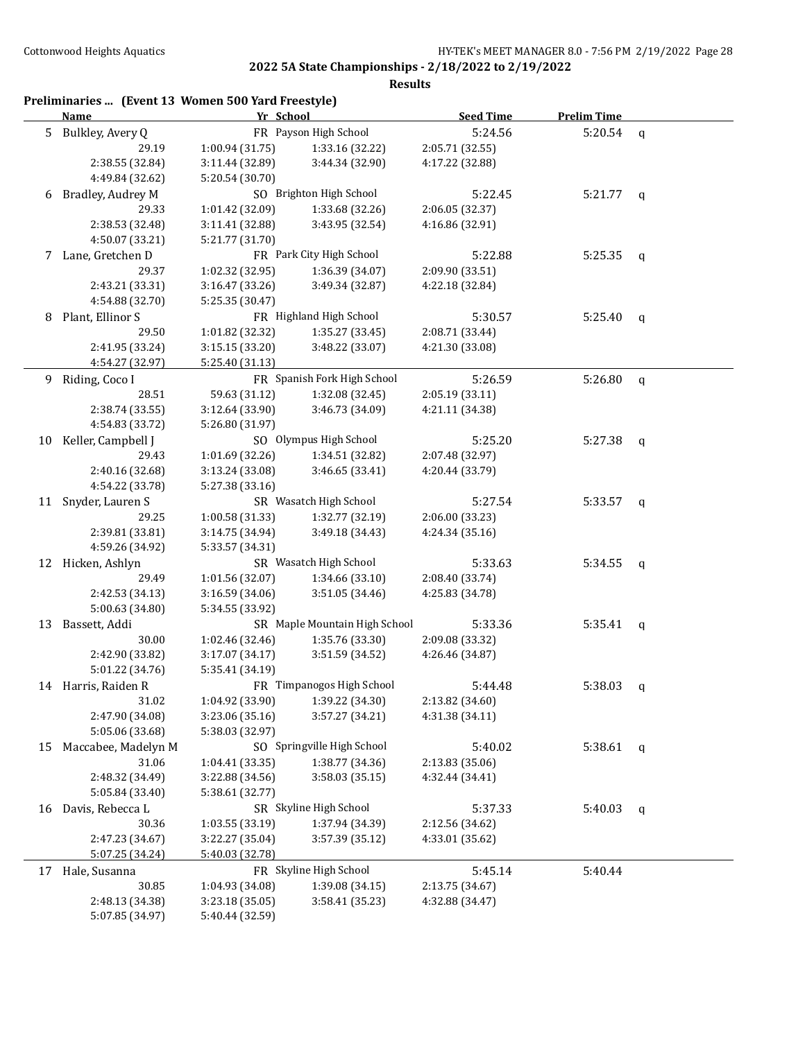|    | Preliminaries  (Event 13 Women 500 Yard Freestyle)<br>Name | Yr School       |                               | <b>Seed Time</b> | <b>Prelim Time</b> |              |
|----|------------------------------------------------------------|-----------------|-------------------------------|------------------|--------------------|--------------|
| 5  | Bulkley, Avery Q                                           |                 | FR Payson High School         | 5:24.56          | 5:20.54            | $\mathsf{q}$ |
|    | 29.19                                                      | 1:00.94 (31.75) | 1:33.16 (32.22)               | 2:05.71 (32.55)  |                    |              |
|    | 2:38.55 (32.84)                                            | 3:11.44 (32.89) | 3:44.34 (32.90)               | 4:17.22 (32.88)  |                    |              |
|    | 4:49.84 (32.62)                                            | 5:20.54 (30.70) |                               |                  |                    |              |
| 6  | Bradley, Audrey M                                          |                 | SO Brighton High School       | 5:22.45          | $5:21.77$ q        |              |
|    | 29.33                                                      | 1:01.42 (32.09) | 1:33.68 (32.26)               | 2:06.05 (32.37)  |                    |              |
|    | 2:38.53 (32.48)                                            | 3:11.41 (32.88) | 3:43.95 (32.54)               | 4:16.86 (32.91)  |                    |              |
|    | 4:50.07 (33.21)                                            | 5:21.77 (31.70) |                               |                  |                    |              |
| 7  | Lane, Gretchen D                                           |                 | FR Park City High School      | 5:22.88          | 5:25.35            | q            |
|    | 29.37                                                      | 1:02.32 (32.95) | 1:36.39 (34.07)               | 2:09.90 (33.51)  |                    |              |
|    | 2:43.21 (33.31)                                            | 3:16.47 (33.26) | 3:49.34 (32.87)               | 4:22.18 (32.84)  |                    |              |
|    | 4:54.88 (32.70)                                            | 5:25.35 (30.47) |                               |                  |                    |              |
| 8  | Plant, Ellinor S                                           |                 | FR Highland High School       | 5:30.57          | 5:25.40            | q            |
|    | 29.50                                                      | 1:01.82 (32.32) | 1:35.27 (33.45)               | 2:08.71 (33.44)  |                    |              |
|    | 2:41.95 (33.24)                                            | 3:15.15 (33.20) | 3:48.22 (33.07)               | 4:21.30 (33.08)  |                    |              |
|    | 4:54.27 (32.97)                                            | 5:25.40 (31.13) |                               |                  |                    |              |
| 9. | Riding, Coco I                                             |                 | FR Spanish Fork High School   | 5:26.59          | 5:26.80            | q            |
|    | 28.51                                                      | 59.63 (31.12)   | 1:32.08 (32.45)               | 2:05.19 (33.11)  |                    |              |
|    | 2:38.74 (33.55)                                            | 3:12.64 (33.90) | 3:46.73 (34.09)               | 4:21.11 (34.38)  |                    |              |
|    | 4:54.83 (33.72)                                            | 5:26.80 (31.97) |                               |                  |                    |              |
| 10 | Keller, Campbell J                                         |                 | SO Olympus High School        | 5:25.20          | 5:27.38            | q            |
|    | 29.43                                                      | 1:01.69 (32.26) | 1:34.51 (32.82)               | 2:07.48 (32.97)  |                    |              |
|    | 2:40.16 (32.68)                                            | 3:13.24 (33.08) | 3:46.65 (33.41)               | 4:20.44 (33.79)  |                    |              |
|    | 4:54.22 (33.78)                                            | 5:27.38 (33.16) |                               |                  |                    |              |
| 11 | Snyder, Lauren S                                           |                 | SR Wasatch High School        | 5:27.54          | 5:33.57            | q            |
|    | 29.25                                                      | 1:00.58 (31.33) | 1:32.77 (32.19)               | 2:06.00 (33.23)  |                    |              |
|    | 2:39.81 (33.81)                                            | 3:14.75 (34.94) | 3:49.18 (34.43)               | 4:24.34 (35.16)  |                    |              |
|    | 4:59.26 (34.92)                                            | 5:33.57 (34.31) |                               |                  |                    |              |
|    | 12 Hicken, Ashlyn                                          |                 | SR Wasatch High School        | 5:33.63          | 5:34.55            | q            |
|    | 29.49                                                      | 1:01.56 (32.07) | 1:34.66 (33.10)               | 2:08.40 (33.74)  |                    |              |
|    | 2:42.53 (34.13)                                            | 3:16.59 (34.06) | 3:51.05 (34.46)               | 4:25.83 (34.78)  |                    |              |
|    | 5:00.63 (34.80)                                            | 5:34.55 (33.92) |                               |                  |                    |              |
| 13 | Bassett, Addi                                              |                 | SR Maple Mountain High School | 5:33.36          | 5:35.41            | $\mathsf{q}$ |
|    | 30.00                                                      | 1:02.46 (32.46) | 1:35.76 (33.30)               | 2:09.08 (33.32)  |                    |              |
|    | 2:42.90 (33.82)                                            | 3:17.07 (34.17) | 3:51.59 (34.52)               | 4:26.46 (34.87)  |                    |              |
|    | 5:01.22 (34.76)                                            | 5:35.41 (34.19) |                               |                  |                    |              |
|    | 14 Harris, Raiden R                                        |                 | FR Timpanogos High School     | 5:44.48          | 5:38.03            |              |
|    | 31.02                                                      | 1:04.92 (33.90) | 1:39.22 (34.30)               | 2:13.82 (34.60)  |                    | q            |
|    | 2:47.90 (34.08)                                            | 3:23.06 (35.16) | 3:57.27 (34.21)               | 4:31.38 (34.11)  |                    |              |
|    | 5:05.06 (33.68)                                            | 5:38.03 (32.97) |                               |                  |                    |              |
| 15 | Maccabee, Madelyn M                                        |                 | SO Springville High School    | 5:40.02          | 5:38.61            |              |
|    | 31.06                                                      | 1:04.41 (33.35) | 1:38.77 (34.36)               | 2:13.83 (35.06)  |                    | q            |
|    | 2:48.32 (34.49)                                            | 3:22.88 (34.56) | 3:58.03 (35.15)               | 4:32.44 (34.41)  |                    |              |
|    | 5:05.84 (33.40)                                            | 5:38.61 (32.77) |                               |                  |                    |              |
|    | 16 Davis, Rebecca L                                        |                 | SR Skyline High School        | 5:37.33          | 5:40.03            |              |
|    | 30.36                                                      | 1:03.55 (33.19) | 1:37.94 (34.39)               | 2:12.56 (34.62)  |                    | q            |
|    | 2:47.23 (34.67)                                            | 3:22.27 (35.04) | 3:57.39 (35.12)               | 4:33.01 (35.62)  |                    |              |
|    | 5:07.25 (34.24)                                            | 5:40.03 (32.78) |                               |                  |                    |              |
|    |                                                            |                 | FR Skyline High School        |                  |                    |              |
|    | 17 Hale, Susanna                                           |                 |                               | 5:45.14          | 5:40.44            |              |
|    | 30.85                                                      | 1:04.93 (34.08) | 1:39.08 (34.15)               | 2:13.75 (34.67)  |                    |              |
|    | 2:48.13 (34.38)                                            | 3:23.18 (35.05) | 3:58.41 (35.23)               | 4:32.88 (34.47)  |                    |              |
|    | 5:07.85 (34.97)                                            | 5:40.44 (32.59) |                               |                  |                    |              |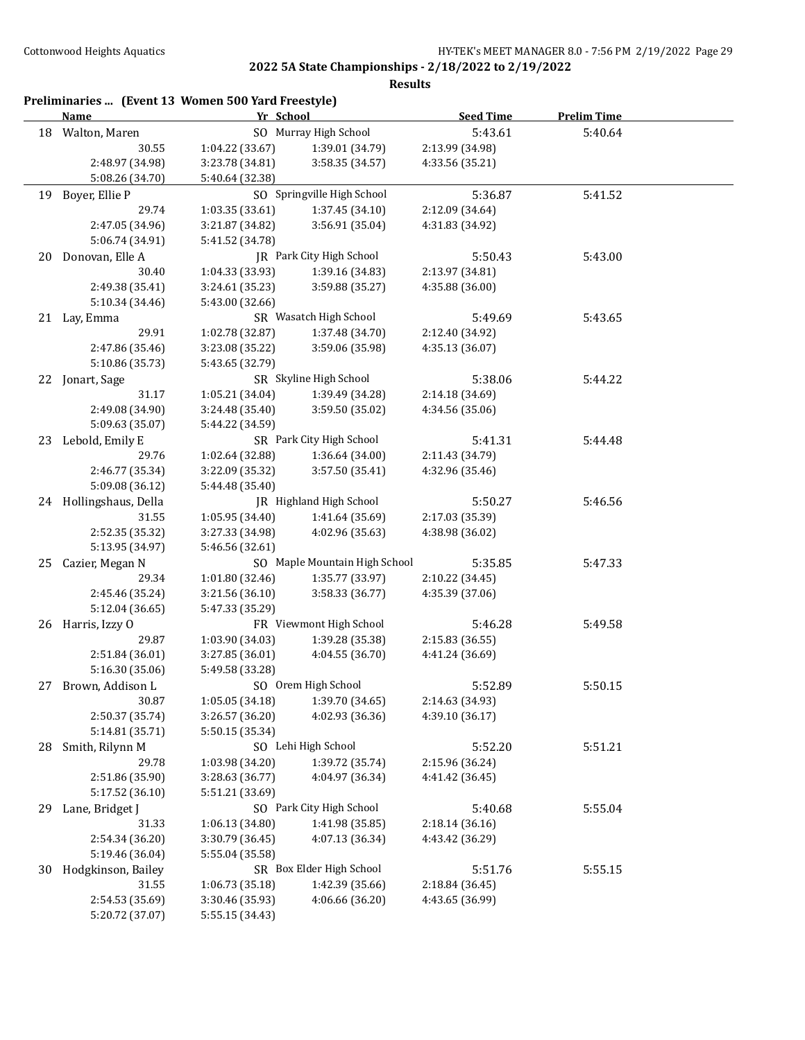|    | Preliminaries  (Event 13 Women 500 Yard Freestyle)<br><b>Name</b> | Yr School       |                               | <b>Seed Time</b> | <b>Prelim Time</b> |  |
|----|-------------------------------------------------------------------|-----------------|-------------------------------|------------------|--------------------|--|
| 18 | Walton, Maren                                                     |                 | SO Murray High School         | 5:43.61          | 5:40.64            |  |
|    | 30.55                                                             | 1:04.22 (33.67) | 1:39.01 (34.79)               | 2:13.99 (34.98)  |                    |  |
|    | 2:48.97 (34.98)                                                   | 3:23.78 (34.81) | 3:58.35 (34.57)               | 4:33.56 (35.21)  |                    |  |
|    | 5:08.26 (34.70)                                                   | 5:40.64 (32.38) |                               |                  |                    |  |
| 19 | Boyer, Ellie P                                                    |                 | SO Springville High School    | 5:36.87          | 5:41.52            |  |
|    | 29.74                                                             | 1:03.35 (33.61) | 1:37.45 (34.10)               | 2:12.09 (34.64)  |                    |  |
|    | 2:47.05 (34.96)                                                   | 3:21.87 (34.82) | 3:56.91 (35.04)               | 4:31.83 (34.92)  |                    |  |
|    | 5:06.74 (34.91)                                                   | 5:41.52 (34.78) |                               |                  |                    |  |
| 20 | Donovan, Elle A                                                   |                 | JR Park City High School      | 5:50.43          | 5:43.00            |  |
|    | 30.40                                                             | 1:04.33 (33.93) | 1:39.16 (34.83)               | 2:13.97 (34.81)  |                    |  |
|    | 2:49.38 (35.41)                                                   | 3:24.61 (35.23) | 3:59.88 (35.27)               | 4:35.88 (36.00)  |                    |  |
|    | 5:10.34 (34.46)                                                   | 5:43.00 (32.66) |                               |                  |                    |  |
|    | 21 Lay, Emma                                                      |                 | SR Wasatch High School        | 5:49.69          | 5:43.65            |  |
|    | 29.91                                                             | 1:02.78 (32.87) | 1:37.48 (34.70)               | 2:12.40 (34.92)  |                    |  |
|    | 2:47.86 (35.46)                                                   | 3:23.08 (35.22) | 3:59.06 (35.98)               | 4:35.13 (36.07)  |                    |  |
|    | 5:10.86 (35.73)                                                   | 5:43.65 (32.79) |                               |                  |                    |  |
|    | 22 Jonart, Sage                                                   |                 | SR Skyline High School        | 5:38.06          | 5:44.22            |  |
|    | 31.17                                                             | 1:05.21 (34.04) | 1:39.49 (34.28)               | 2:14.18 (34.69)  |                    |  |
|    | 2:49.08 (34.90)                                                   | 3:24.48 (35.40) | 3:59.50 (35.02)               | 4:34.56 (35.06)  |                    |  |
|    | 5:09.63 (35.07)                                                   | 5:44.22 (34.59) |                               |                  |                    |  |
|    | 23 Lebold, Emily E                                                |                 | SR Park City High School      | 5:41.31          | 5:44.48            |  |
|    | 29.76                                                             | 1:02.64 (32.88) | 1:36.64 (34.00)               | 2:11.43 (34.79)  |                    |  |
|    | 2:46.77 (35.34)                                                   | 3:22.09 (35.32) | 3:57.50 (35.41)               | 4:32.96 (35.46)  |                    |  |
|    | 5:09.08 (36.12)                                                   | 5:44.48 (35.40) |                               |                  |                    |  |
|    | 24 Hollingshaus, Della                                            |                 | JR Highland High School       | 5:50.27          | 5:46.56            |  |
|    | 31.55                                                             | 1:05.95 (34.40) | 1:41.64 (35.69)               | 2:17.03 (35.39)  |                    |  |
|    |                                                                   |                 |                               |                  |                    |  |
|    | 2:52.35 (35.32)<br>5:13.95 (34.97)                                | 3:27.33 (34.98) | 4:02.96 (35.63)               | 4:38.98 (36.02)  |                    |  |
|    |                                                                   | 5:46.56 (32.61) |                               |                  |                    |  |
| 25 | Cazier, Megan N                                                   |                 | SO Maple Mountain High School | 5:35.85          | 5:47.33            |  |
|    | 29.34                                                             | 1:01.80 (32.46) | 1:35.77 (33.97)               | 2:10.22 (34.45)  |                    |  |
|    | 2:45.46 (35.24)                                                   | 3:21.56 (36.10) | 3:58.33 (36.77)               | 4:35.39 (37.06)  |                    |  |
|    | 5:12.04 (36.65)                                                   | 5:47.33 (35.29) |                               |                  |                    |  |
| 26 | Harris, Izzy O                                                    |                 | FR Viewmont High School       | 5:46.28          | 5:49.58            |  |
|    | 29.87                                                             | 1:03.90 (34.03) | 1:39.28 (35.38)               | 2:15.83 (36.55)  |                    |  |
|    | 2:51.84 (36.01)                                                   | 3:27.85 (36.01) | 4:04.55 (36.70)               | 4:41.24 (36.69)  |                    |  |
|    | 5:16.30 (35.06)                                                   | 5:49.58 (33.28) |                               |                  |                    |  |
| 27 | Brown, Addison L                                                  |                 | SO Orem High School           | 5:52.89          | 5:50.15            |  |
|    | 30.87                                                             | 1:05.05 (34.18) | 1:39.70 (34.65)               | 2:14.63 (34.93)  |                    |  |
|    | 2:50.37 (35.74)                                                   | 3:26.57 (36.20) | 4:02.93 (36.36)               | 4:39.10 (36.17)  |                    |  |
|    | 5:14.81 (35.71)                                                   | 5:50.15 (35.34) |                               |                  |                    |  |
| 28 | Smith, Rilynn M                                                   |                 | SO Lehi High School           | 5:52.20          | 5:51.21            |  |
|    | 29.78                                                             | 1:03.98 (34.20) | 1:39.72 (35.74)               | 2:15.96 (36.24)  |                    |  |
|    | 2:51.86 (35.90)                                                   | 3:28.63 (36.77) | 4:04.97 (36.34)               | 4:41.42 (36.45)  |                    |  |
|    | 5:17.52 (36.10)                                                   | 5:51.21 (33.69) |                               |                  |                    |  |
| 29 | Lane, Bridget J                                                   |                 | SO Park City High School      | 5:40.68          | 5:55.04            |  |
|    | 31.33                                                             | 1:06.13 (34.80) | 1:41.98 (35.85)               | 2:18.14 (36.16)  |                    |  |
|    | 2:54.34 (36.20)                                                   | 3:30.79 (36.45) | 4:07.13 (36.34)               | 4:43.42 (36.29)  |                    |  |
|    | 5:19.46 (36.04)                                                   | 5:55.04 (35.58) |                               |                  |                    |  |
| 30 | Hodgkinson, Bailey                                                |                 | SR Box Elder High School      | 5:51.76          | 5:55.15            |  |
|    | 31.55                                                             | 1:06.73 (35.18) | 1:42.39 (35.66)               | 2:18.84 (36.45)  |                    |  |
|    | 2:54.53 (35.69)                                                   | 3:30.46 (35.93) | 4:06.66 (36.20)               | 4:43.65 (36.99)  |                    |  |
|    | 5:20.72 (37.07)                                                   | 5:55.15 (34.43) |                               |                  |                    |  |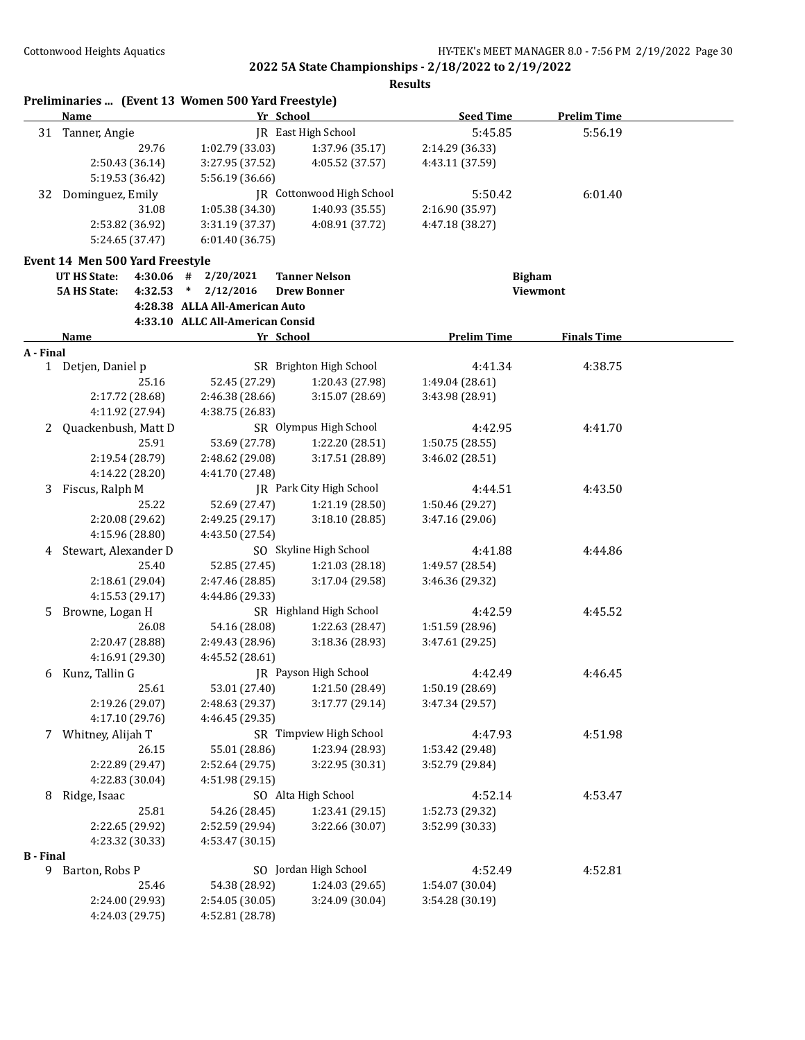|                  | <b>Name</b>                                            | Preliminaries  (Event 13 Women 500 Yard Freestyle) | Yr School                  | <b>Seed Time</b>   | <b>Prelim Time</b> |  |
|------------------|--------------------------------------------------------|----------------------------------------------------|----------------------------|--------------------|--------------------|--|
|                  | 31 Tanner, Angie                                       |                                                    | <b>IR</b> East High School | 5:45.85            | 5:56.19            |  |
|                  | 29.76                                                  | 1:02.79 (33.03)                                    | 1:37.96 (35.17)            | 2:14.29 (36.33)    |                    |  |
|                  | 2:50.43 (36.14)                                        | 3:27.95 (37.52)                                    | 4:05.52 (37.57)            | 4:43.11 (37.59)    |                    |  |
|                  | 5:19.53 (36.42)                                        | 5:56.19 (36.66)                                    |                            |                    |                    |  |
| 32               | Dominguez, Emily                                       |                                                    | JR Cottonwood High School  | 5:50.42            | 6:01.40            |  |
|                  | 31.08                                                  | 1:05.38 (34.30)                                    | 1:40.93 (35.55)            | 2:16.90 (35.97)    |                    |  |
|                  | 2:53.82 (36.92)                                        | 3:31.19 (37.37)                                    | 4:08.91 (37.72)            | 4:47.18 (38.27)    |                    |  |
|                  | 5:24.65 (37.47)                                        | 6:01.40 (36.75)                                    |                            |                    |                    |  |
|                  |                                                        |                                                    |                            |                    |                    |  |
|                  | Event 14 Men 500 Yard Freestyle<br><b>UT HS State:</b> | 2/20/2021<br>$4:30.06$ #                           | <b>Tanner Nelson</b>       | <b>Bigham</b>      |                    |  |
|                  | <b>5A HS State:</b><br>4:32.53                         | $*$ 2/12/2016                                      | <b>Drew Bonner</b>         |                    | Viewmont           |  |
|                  |                                                        | 4:28.38 ALLA All-American Auto                     |                            |                    |                    |  |
|                  |                                                        | 4:33.10 ALLC All-American Consid                   |                            |                    |                    |  |
|                  | <b>Name</b>                                            |                                                    | Yr School                  | <b>Prelim Time</b> | <b>Finals Time</b> |  |
| A - Final        |                                                        |                                                    |                            |                    |                    |  |
|                  | 1 Detjen, Daniel p                                     |                                                    | SR Brighton High School    | 4:41.34            | 4:38.75            |  |
|                  | 25.16                                                  | 52.45 (27.29)                                      | 1:20.43 (27.98)            | 1:49.04 (28.61)    |                    |  |
|                  | 2:17.72 (28.68)                                        | 2:46.38 (28.66)                                    | 3:15.07 (28.69)            | 3:43.98 (28.91)    |                    |  |
|                  | 4:11.92 (27.94)                                        | 4:38.75 (26.83)                                    |                            |                    |                    |  |
| 2                | Quackenbush, Matt D                                    |                                                    | SR Olympus High School     | 4:42.95            | 4:41.70            |  |
|                  | 25.91                                                  | 53.69 (27.78)                                      | 1:22.20 (28.51)            | 1:50.75(28.55)     |                    |  |
|                  | 2:19.54 (28.79)                                        | 2:48.62 (29.08)                                    | 3:17.51 (28.89)            | 3:46.02 (28.51)    |                    |  |
|                  | 4:14.22 (28.20)                                        | 4:41.70 (27.48)                                    |                            |                    |                    |  |
| 3                | Fiscus, Ralph M                                        |                                                    | JR Park City High School   | 4:44.51            | 4:43.50            |  |
|                  | 25.22                                                  | 52.69 (27.47)                                      | 1:21.19 (28.50)            | 1:50.46 (29.27)    |                    |  |
|                  | 2:20.08 (29.62)                                        | 2:49.25 (29.17)                                    | 3:18.10 (28.85)            | 3:47.16 (29.06)    |                    |  |
|                  | 4:15.96 (28.80)                                        | 4:43.50 (27.54)                                    |                            |                    |                    |  |
| 4                | Stewart, Alexander D                                   |                                                    | SO Skyline High School     | 4:41.88            | 4:44.86            |  |
|                  | 25.40                                                  | 52.85 (27.45)                                      | 1:21.03 (28.18)            | 1:49.57 (28.54)    |                    |  |
|                  | 2:18.61 (29.04)                                        | 2:47.46 (28.85)                                    | 3:17.04 (29.58)            | 3:46.36 (29.32)    |                    |  |
|                  | 4:15.53 (29.17)                                        | 4:44.86 (29.33)                                    |                            |                    |                    |  |
| 5.               | Browne, Logan H                                        |                                                    | SR Highland High School    | 4:42.59            | 4:45.52            |  |
|                  | 26.08                                                  | 54.16 (28.08)                                      | 1:22.63 (28.47)            | 1:51.59 (28.96)    |                    |  |
|                  | 2:20.47 (28.88)                                        | 2:49.43 (28.96)                                    | 3:18.36 (28.93)            | 3:47.61 (29.25)    |                    |  |
|                  | 4:16.91 (29.30)                                        | 4:45.52 (28.61)                                    |                            |                    |                    |  |
| 6                | Kunz, Tallin G                                         |                                                    | JR Payson High School      | 4:42.49            | 4:46.45            |  |
|                  | 25.61                                                  | 53.01 (27.40)                                      | 1:21.50 (28.49)            | 1:50.19 (28.69)    |                    |  |
|                  | 2:19.26 (29.07)                                        | 2:48.63 (29.37)                                    | 3:17.77 (29.14)            | 3:47.34 (29.57)    |                    |  |
|                  | 4:17.10 (29.76)                                        | 4:46.45 (29.35)                                    |                            |                    |                    |  |
|                  | 7 Whitney, Alijah T                                    |                                                    | SR Timpview High School    | 4:47.93            | 4:51.98            |  |
|                  | 26.15                                                  | 55.01 (28.86)                                      | 1:23.94 (28.93)            | 1:53.42 (29.48)    |                    |  |
|                  | 2:22.89 (29.47)                                        | 2:52.64 (29.75)                                    | 3:22.95 (30.31)            | 3:52.79 (29.84)    |                    |  |
|                  | 4:22.83 (30.04)                                        | 4:51.98 (29.15)                                    |                            |                    |                    |  |
| 8                | Ridge, Isaac                                           |                                                    | SO Alta High School        | 4:52.14            | 4:53.47            |  |
|                  | 25.81                                                  | 54.26 (28.45)                                      | 1:23.41 (29.15)            | 1:52.73 (29.32)    |                    |  |
|                  | 2:22.65 (29.92)                                        | 2:52.59 (29.94)                                    | 3:22.66 (30.07)            | 3:52.99 (30.33)    |                    |  |
|                  | 4:23.32 (30.33)                                        | 4:53.47 (30.15)                                    |                            |                    |                    |  |
| <b>B</b> - Final |                                                        |                                                    |                            |                    |                    |  |
|                  | 9 Barton, Robs P                                       |                                                    | SO Jordan High School      | 4:52.49            | 4:52.81            |  |
|                  | 25.46                                                  | 54.38 (28.92)                                      | 1:24.03 (29.65)            | 1:54.07 (30.04)    |                    |  |
|                  | 2:24.00 (29.93)                                        | 2:54.05 (30.05)                                    | 3:24.09 (30.04)            | 3:54.28 (30.19)    |                    |  |
|                  | 4:24.03 (29.75)                                        | 4:52.81 (28.78)                                    |                            |                    |                    |  |
|                  |                                                        |                                                    |                            |                    |                    |  |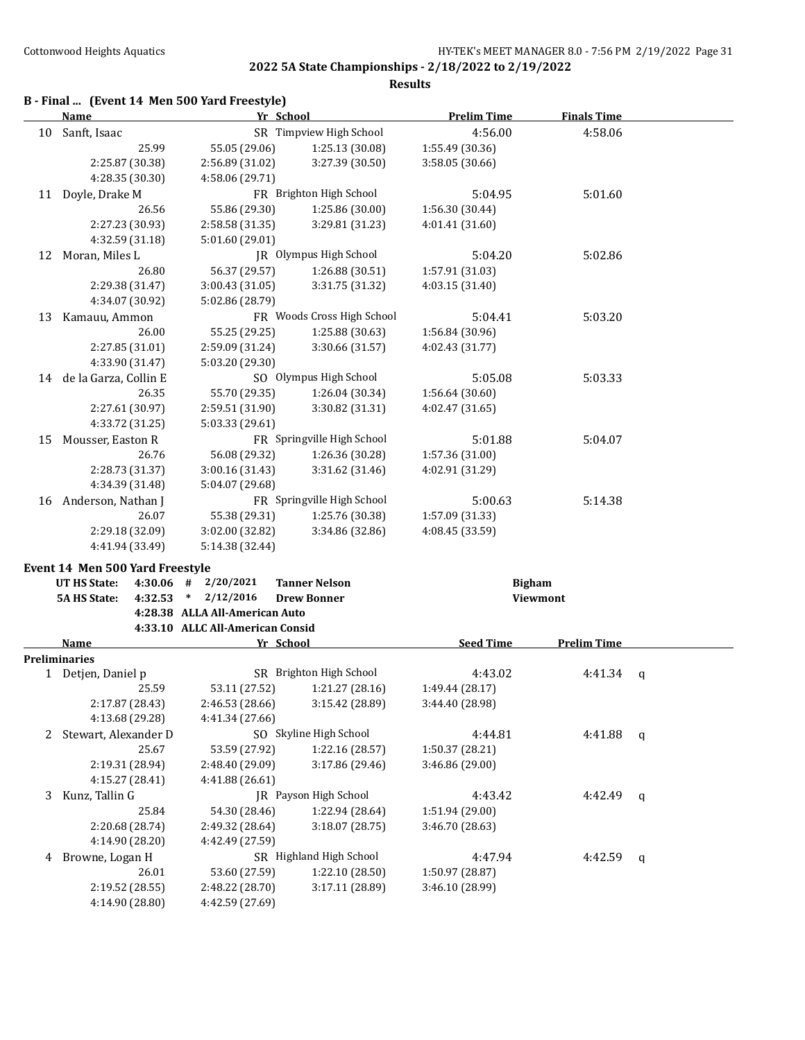**Results**

# **B - Final ... (Event 14 Men 500 Yard Freestyle)**

|    | Yr School<br><b>Name</b>                        |                                  | <b>Prelim Time</b>                         | <b>Finals Time</b> |                    |   |
|----|-------------------------------------------------|----------------------------------|--------------------------------------------|--------------------|--------------------|---|
| 10 | Sanft, Isaac                                    |                                  | SR Timpview High School                    | 4:56.00            | 4:58.06            |   |
|    | 25.99                                           | 55.05 (29.06)                    | 1:25.13 (30.08)                            | 1:55.49 (30.36)    |                    |   |
|    | 2:25.87 (30.38)                                 | 2:56.89 (31.02)                  | 3:27.39 (30.50)                            | 3:58.05 (30.66)    |                    |   |
|    | 4:28.35 (30.30)                                 | 4:58.06 (29.71)                  |                                            |                    |                    |   |
| 11 | Doyle, Drake M                                  |                                  | FR Brighton High School                    | 5:04.95            | 5:01.60            |   |
|    | 26.56                                           | 55.86 (29.30)                    | 1:25.86 (30.00)                            | 1:56.30 (30.44)    |                    |   |
|    | 2:27.23 (30.93)                                 | 2:58.58 (31.35)                  | 3:29.81 (31.23)                            | 4:01.41 (31.60)    |                    |   |
|    | 4:32.59 (31.18)                                 | 5:01.60 (29.01)                  |                                            |                    |                    |   |
| 12 | Moran, Miles L                                  |                                  | JR Olympus High School                     | 5:04.20            | 5:02.86            |   |
|    | 26.80                                           | 56.37 (29.57)                    | 1:26.88 (30.51)                            | 1:57.91 (31.03)    |                    |   |
|    | 2:29.38 (31.47)                                 | 3:00.43 (31.05)                  | 3:31.75 (31.32)                            | 4:03.15 (31.40)    |                    |   |
|    | 4:34.07 (30.92)                                 | 5:02.86 (28.79)                  |                                            |                    |                    |   |
| 13 | Kamauu, Ammon                                   |                                  | FR Woods Cross High School                 | 5:04.41            | 5:03.20            |   |
|    | 26.00                                           | 55.25 (29.25)                    | 1:25.88 (30.63)                            | 1:56.84 (30.96)    |                    |   |
|    | 2:27.85 (31.01)                                 | 2:59.09 (31.24)                  | 3:30.66 (31.57)                            | 4:02.43 (31.77)    |                    |   |
|    | 4:33.90 (31.47)                                 | 5:03.20 (29.30)                  |                                            |                    |                    |   |
|    | 14 de la Garza, Collin E                        |                                  | SO Olympus High School                     | 5:05.08            | 5:03.33            |   |
|    | 26.35                                           | 55.70 (29.35)                    | 1:26.04 (30.34)                            | 1:56.64 (30.60)    |                    |   |
|    | 2:27.61 (30.97)                                 | 2:59.51 (31.90)                  | 3:30.82 (31.31)                            | 4:02.47 (31.65)    |                    |   |
|    | 4:33.72 (31.25)                                 | 5:03.33 (29.61)                  |                                            |                    |                    |   |
| 15 | Mousser, Easton R                               |                                  | FR Springville High School                 | 5:01.88            | 5:04.07            |   |
|    | 26.76                                           | 56.08 (29.32)                    | 1:26.36 (30.28)                            | 1:57.36 (31.00)    |                    |   |
|    | 2:28.73 (31.37)                                 | 3:00.16 (31.43)                  | 3:31.62 (31.46)                            | 4:02.91 (31.29)    |                    |   |
|    | 4:34.39 (31.48)                                 | 5:04.07 (29.68)                  |                                            |                    |                    |   |
|    | 16 Anderson, Nathan J                           |                                  | FR Springville High School                 | 5:00.63            | 5:14.38            |   |
|    | 26.07                                           | 55.38 (29.31)                    | 1:25.76 (30.38)                            | 1:57.09 (31.33)    |                    |   |
|    | 2:29.18 (32.09)                                 | 3:02.00 (32.82)                  | 3:34.86 (32.86)                            | 4:08.45 (33.59)    |                    |   |
|    | 4:41.94 (33.49)                                 | 5:14.38 (32.44)                  |                                            |                    |                    |   |
|    |                                                 |                                  |                                            |                    |                    |   |
|    | Event 14 Men 500 Yard Freestyle<br>UT HS State: |                                  |                                            |                    |                    |   |
|    | 4:30.06 #<br><b>5A HS State:</b><br>4:32.53     | 2/20/2021<br>2/12/2016<br>$\ast$ | <b>Tanner Nelson</b><br><b>Drew Bonner</b> | <b>Bigham</b>      | Viewmont           |   |
|    |                                                 | 4:28.38 ALLA All-American Auto   |                                            |                    |                    |   |
|    |                                                 | 4:33.10 ALLC All-American Consid |                                            |                    |                    |   |
|    | Name                                            |                                  | Yr School                                  | <b>Seed Time</b>   | <b>Prelim Time</b> |   |
|    | Preliminaries                                   |                                  |                                            |                    |                    |   |
|    | 1 Detjen, Daniel p                              |                                  | SR Brighton High School                    | 4:43.02            | 4:41.34            | q |
|    | 25.59                                           | 53.11 (27.52)                    | 1:21.27 (28.16)                            | 1:49.44 (28.17)    |                    |   |
|    | 2:17.87 (28.43)                                 | 2:46.53 (28.66)                  | 3:15.42 (28.89)                            | 3:44.40 (28.98)    |                    |   |
|    | 4:13.68 (29.28)                                 | 4:41.34 (27.66)                  |                                            |                    |                    |   |
|    | 2 Stewart, Alexander D                          |                                  | SO Skyline High School                     | 4:44.81            | 4:41.88            | q |
|    | 25.67                                           | 53.59 (27.92)                    | 1:22.16 (28.57)                            | 1:50.37 (28.21)    |                    |   |
|    | 2:19.31 (28.94)                                 | 2:48.40 (29.09)                  | 3:17.86 (29.46)                            | 3:46.86 (29.00)    |                    |   |
|    | 4:15.27 (28.41)                                 | 4:41.88 (26.61)                  |                                            |                    |                    |   |
| 3  | Kunz, Tallin G                                  |                                  | JR Payson High School                      | 4:43.42            | 4:42.49            | q |
|    | 25.84                                           | 54.30 (28.46)                    | 1:22.94 (28.64)                            | 1:51.94 (29.00)    |                    |   |
|    | 2:20.68 (28.74)                                 | 2:49.32 (28.64)                  | 3:18.07 (28.75)                            | 3:46.70 (28.63)    |                    |   |
|    | 4:14.90 (28.20)                                 | 4:42.49 (27.59)                  |                                            |                    |                    |   |
|    | 4 Browne, Logan H                               |                                  | SR Highland High School                    | 4:47.94            | 4:42.59            | q |
|    | 26.01                                           | 53.60 (27.59)                    | 1:22.10 (28.50)                            | 1:50.97 (28.87)    |                    |   |
|    | 2:19.52 (28.55)                                 | 2:48.22 (28.70)                  | 3:17.11 (28.89)                            | 3:46.10 (28.99)    |                    |   |
|    |                                                 |                                  |                                            |                    |                    |   |
|    | 4:14.90 (28.80)                                 | 4:42.59 (27.69)                  |                                            |                    |                    |   |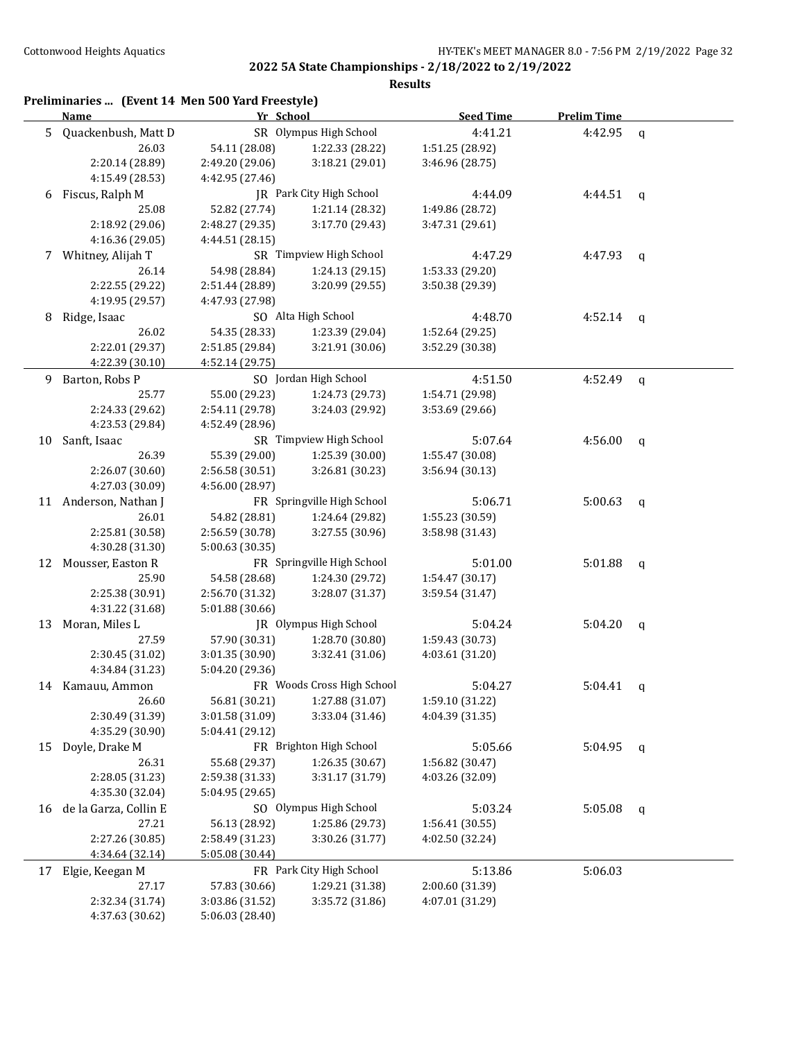|    | Preliminaries  (Event 14 Men 500 Yard Freestyle)<br>Name | Yr School       |                            | <b>Seed Time</b> | <b>Prelim Time</b> |              |
|----|----------------------------------------------------------|-----------------|----------------------------|------------------|--------------------|--------------|
| 5  | Quackenbush, Matt D                                      |                 | SR Olympus High School     | 4:41.21          | 4:42.95            | q            |
|    | 26.03                                                    | 54.11 (28.08)   | 1:22.33 (28.22)            | 1:51.25 (28.92)  |                    |              |
|    | 2:20.14 (28.89)                                          | 2:49.20 (29.06) | 3:18.21 (29.01)            | 3:46.96 (28.75)  |                    |              |
|    | 4:15.49 (28.53)                                          | 4:42.95 (27.46) |                            |                  |                    |              |
| 6  | Fiscus, Ralph M                                          |                 | JR Park City High School   | 4:44.09          | 4:44.51            | $\mathbf{q}$ |
|    | 25.08                                                    | 52.82 (27.74)   | 1:21.14 (28.32)            | 1:49.86 (28.72)  |                    |              |
|    | 2:18.92 (29.06)                                          | 2:48.27 (29.35) | 3:17.70 (29.43)            | 3:47.31 (29.61)  |                    |              |
|    | 4:16.36 (29.05)                                          | 4:44.51 (28.15) |                            |                  |                    |              |
|    | 7 Whitney, Alijah T                                      |                 | SR Timpview High School    | 4:47.29          | 4:47.93            | q            |
|    | 26.14                                                    | 54.98 (28.84)   | 1:24.13 (29.15)            | 1:53.33 (29.20)  |                    |              |
|    | 2:22.55 (29.22)                                          | 2:51.44 (28.89) | 3:20.99 (29.55)            | 3:50.38 (29.39)  |                    |              |
|    | 4:19.95 (29.57)                                          | 4:47.93 (27.98) |                            |                  |                    |              |
| 8  | Ridge, Isaac                                             |                 | SO Alta High School        | 4:48.70          | 4:52.14            | q            |
|    | 26.02                                                    | 54.35 (28.33)   | 1:23.39 (29.04)            | 1:52.64 (29.25)  |                    |              |
|    | 2:22.01 (29.37)                                          | 2:51.85 (29.84) | 3:21.91 (30.06)            | 3:52.29 (30.38)  |                    |              |
|    | 4:22.39 (30.10)                                          | 4:52.14 (29.75) |                            |                  |                    |              |
| 9  | Barton, Robs P                                           |                 | SO Jordan High School      | 4:51.50          | 4:52.49            | $\mathsf{q}$ |
|    | 25.77                                                    | 55.00 (29.23)   | 1:24.73 (29.73)            | 1:54.71 (29.98)  |                    |              |
|    | 2:24.33 (29.62)                                          | 2:54.11 (29.78) | 3:24.03 (29.92)            | 3:53.69 (29.66)  |                    |              |
|    | 4:23.53 (29.84)                                          | 4:52.49 (28.96) |                            |                  |                    |              |
| 10 | Sanft, Isaac                                             |                 | SR Timpview High School    | 5:07.64          | 4:56.00            | $\mathsf{q}$ |
|    | 26.39                                                    | 55.39 (29.00)   | 1:25.39 (30.00)            | 1:55.47 (30.08)  |                    |              |
|    | 2:26.07 (30.60)                                          | 2:56.58 (30.51) | 3:26.81 (30.23)            | 3:56.94 (30.13)  |                    |              |
|    | 4:27.03 (30.09)                                          | 4:56.00 (28.97) |                            |                  |                    |              |
|    | 11 Anderson, Nathan J                                    |                 | FR Springville High School | 5:06.71          | 5:00.63            |              |
|    | 26.01                                                    | 54.82 (28.81)   | 1:24.64 (29.82)            | 1:55.23 (30.59)  |                    | $\mathsf{q}$ |
|    | 2:25.81 (30.58)                                          | 2:56.59 (30.78) | 3:27.55 (30.96)            | 3:58.98 (31.43)  |                    |              |
|    | 4:30.28 (31.30)                                          | 5:00.63 (30.35) |                            |                  |                    |              |
|    | 12 Mousser, Easton R                                     |                 | FR Springville High School | 5:01.00          | 5:01.88            |              |
|    | 25.90                                                    | 54.58 (28.68)   | 1:24.30 (29.72)            | 1:54.47 (30.17)  |                    | q            |
|    | 2:25.38 (30.91)                                          |                 | 3:28.07 (31.37)            |                  |                    |              |
|    | 4:31.22 (31.68)                                          | 2:56.70 (31.32) |                            | 3:59.54 (31.47)  |                    |              |
|    |                                                          | 5:01.88 (30.66) | JR Olympus High School     |                  | 5:04.20            |              |
| 13 | Moran, Miles L                                           |                 |                            | 5:04.24          |                    | q            |
|    | 27.59                                                    | 57.90 (30.31)   | 1:28.70 (30.80)            | 1:59.43 (30.73)  |                    |              |
|    | 2:30.45 (31.02)                                          | 3:01.35 (30.90) | 3:32.41 (31.06)            | 4:03.61 (31.20)  |                    |              |
|    | 4:34.84 (31.23)                                          | 5:04.20 (29.36) | FR Woods Cross High School | 5:04.27          |                    |              |
| 14 | Kamauu, Ammon<br>26.60                                   |                 |                            |                  | 5:04.41            | q            |
|    |                                                          | 56.81 (30.21)   | 1:27.88 (31.07)            | 1:59.10 (31.22)  |                    |              |
|    | 2:30.49 (31.39)                                          | 3:01.58 (31.09) | 3:33.04 (31.46)            | 4:04.39 (31.35)  |                    |              |
|    | 4:35.29 (30.90)                                          | 5:04.41 (29.12) |                            |                  |                    |              |
| 15 | Doyle, Drake M                                           |                 | FR Brighton High School    | 5:05.66          | 5:04.95            | $\mathsf{q}$ |
|    | 26.31                                                    | 55.68 (29.37)   | 1:26.35 (30.67)            | 1:56.82 (30.47)  |                    |              |
|    | 2:28.05 (31.23)                                          | 2:59.38 (31.33) | 3:31.17 (31.79)            | 4:03.26 (32.09)  |                    |              |
|    | 4:35.30 (32.04)                                          | 5:04.95 (29.65) |                            |                  |                    |              |
| 16 | de la Garza, Collin E                                    |                 | SO Olympus High School     | 5:03.24          | 5:05.08            | q            |
|    | 27.21                                                    | 56.13 (28.92)   | 1:25.86 (29.73)            | 1:56.41 (30.55)  |                    |              |
|    | 2:27.26 (30.85)                                          | 2:58.49 (31.23) | 3:30.26 (31.77)            | 4:02.50 (32.24)  |                    |              |
|    | 4:34.64 (32.14)                                          | 5:05.08 (30.44) |                            |                  |                    |              |
| 17 | Elgie, Keegan M                                          |                 | FR Park City High School   | 5:13.86          | 5:06.03            |              |
|    | 27.17                                                    | 57.83 (30.66)   | 1:29.21 (31.38)            | 2:00.60 (31.39)  |                    |              |
|    | 2:32.34 (31.74)                                          | 3:03.86 (31.52) | 3:35.72 (31.86)            | 4:07.01 (31.29)  |                    |              |
|    | 4:37.63 (30.62)                                          | 5:06.03 (28.40) |                            |                  |                    |              |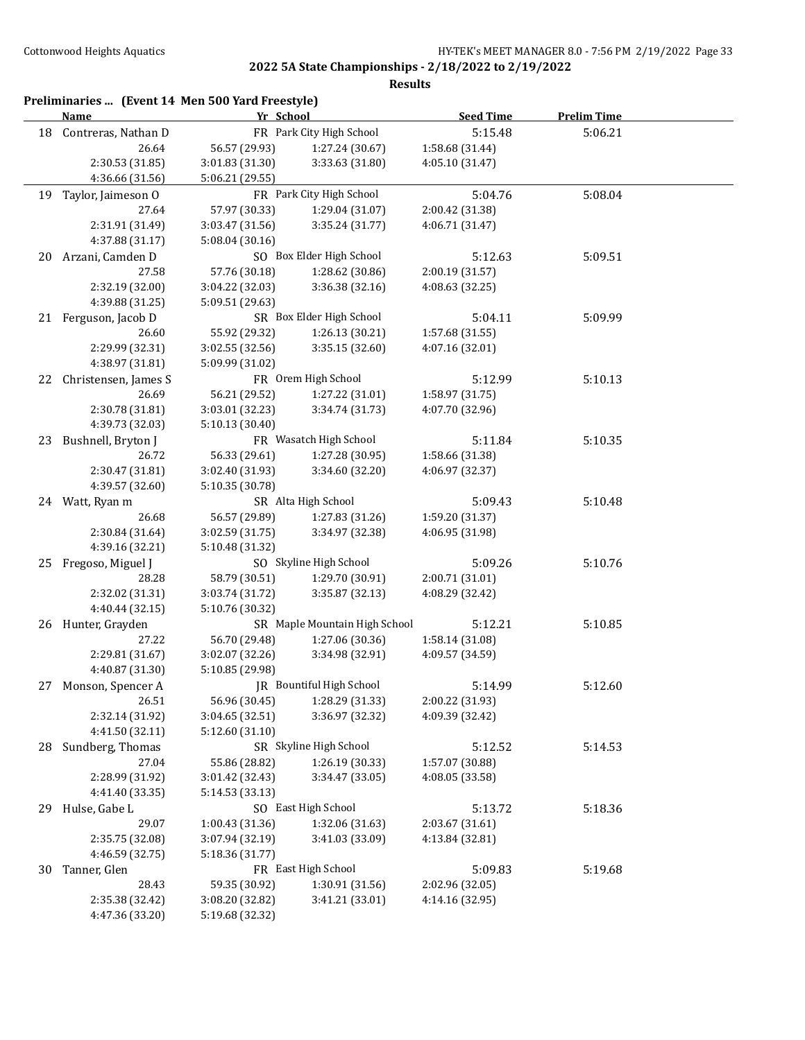|    | Name                      | Yr School       |                               | <b>Seed Time</b> | <b>Prelim Time</b> |
|----|---------------------------|-----------------|-------------------------------|------------------|--------------------|
| 18 | Contreras, Nathan D       |                 | FR Park City High School      | 5:15.48          | 5:06.21            |
|    | 26.64                     | 56.57 (29.93)   | 1:27.24 (30.67)               | 1:58.68 (31.44)  |                    |
|    | 2:30.53 (31.85)           | 3:01.83 (31.30) | 3:33.63 (31.80)               | 4:05.10 (31.47)  |                    |
|    | 4:36.66 (31.56)           | 5:06.21 (29.55) |                               |                  |                    |
| 19 | Taylor, Jaimeson O        |                 | FR Park City High School      | 5:04.76          | 5:08.04            |
|    | 27.64                     | 57.97 (30.33)   | 1:29.04 (31.07)               | 2:00.42 (31.38)  |                    |
|    | 2:31.91 (31.49)           | 3:03.47 (31.56) | 3:35.24 (31.77)               | 4:06.71 (31.47)  |                    |
|    | 4:37.88 (31.17)           | 5:08.04 (30.16) |                               |                  |                    |
| 20 | Arzani, Camden D          |                 | SO Box Elder High School      | 5:12.63          | 5:09.51            |
|    | 27.58                     | 57.76 (30.18)   | 1:28.62 (30.86)               | 2:00.19 (31.57)  |                    |
|    | 2:32.19 (32.00)           | 3:04.22 (32.03) | 3:36.38 (32.16)               | 4:08.63 (32.25)  |                    |
|    | 4:39.88 (31.25)           | 5:09.51 (29.63) |                               |                  |                    |
|    | 21 Ferguson, Jacob D      |                 | SR Box Elder High School      | 5:04.11          | 5:09.99            |
|    | 26.60                     | 55.92 (29.32)   | 1:26.13 (30.21)               | 1:57.68 (31.55)  |                    |
|    | 2:29.99 (32.31)           | 3:02.55 (32.56) | 3:35.15 (32.60)               | 4:07.16 (32.01)  |                    |
|    | 4:38.97 (31.81)           | 5:09.99 (31.02) |                               |                  |                    |
| 22 | Christensen, James S      |                 | FR Orem High School           | 5:12.99          | 5:10.13            |
|    | 26.69                     | 56.21 (29.52)   | 1:27.22 (31.01)               | 1:58.97 (31.75)  |                    |
|    | 2:30.78 (31.81)           | 3:03.01 (32.23) | 3:34.74 (31.73)               | 4:07.70 (32.96)  |                    |
|    | 4:39.73 (32.03)           | 5:10.13 (30.40) |                               |                  |                    |
| 23 | Bushnell, Bryton J        |                 | FR Wasatch High School        | 5:11.84          | 5:10.35            |
|    | 26.72                     | 56.33 (29.61)   | 1:27.28 (30.95)               | 1:58.66 (31.38)  |                    |
|    | 2:30.47 (31.81)           | 3:02.40 (31.93) | 3:34.60 (32.20)               | 4:06.97 (32.37)  |                    |
|    | 4:39.57 (32.60)           | 5:10.35 (30.78) |                               |                  |                    |
|    | 24 Watt, Ryan m           |                 | SR Alta High School           | 5:09.43          | 5:10.48            |
|    | 26.68                     | 56.57 (29.89)   | 1:27.83 (31.26)               | 1:59.20 (31.37)  |                    |
|    | 2:30.84 (31.64)           | 3:02.59 (31.75) | 3:34.97 (32.38)               | 4:06.95 (31.98)  |                    |
|    | 4:39.16 (32.21)           | 5:10.48 (31.32) |                               |                  |                    |
|    | 25 Fregoso, Miguel J      |                 | SO Skyline High School        | 5:09.26          | 5:10.76            |
|    | 28.28                     | 58.79 (30.51)   | 1:29.70 (30.91)               | 2:00.71 (31.01)  |                    |
|    | 2:32.02 (31.31)           | 3:03.74 (31.72) | 3:35.87 (32.13)               | 4:08.29 (32.42)  |                    |
|    | 4:40.44 (32.15)           | 5:10.76 (30.32) |                               |                  |                    |
|    | 26 Hunter, Grayden        |                 | SR Maple Mountain High School | 5:12.21          | 5:10.85            |
|    | 27.22                     | 56.70 (29.48)   | 1:27.06 (30.36)               | 1:58.14 (31.08)  |                    |
|    | 2:29.81 (31.67)           | 3:02.07 (32.26) | 3:34.98 (32.91)               | 4:09.57 (34.59)  |                    |
|    | 4:40.87 (31.30)           | 5:10.85 (29.98) |                               |                  |                    |
| 27 | Monson, Spencer A         |                 | JR Bountiful High School      | 5:14.99          | 5:12.60            |
|    | 26.51                     | 56.96 (30.45)   | 1:28.29 (31.33)               | 2:00.22 (31.93)  |                    |
|    | 2:32.14 (31.92)           | 3:04.65 (32.51) | 3:36.97 (32.32)               | 4:09.39 (32.42)  |                    |
|    | 4:41.50 (32.11)           | 5:12.60 (31.10) |                               |                  |                    |
|    |                           |                 | SR Skyline High School        |                  |                    |
| 28 | Sundberg, Thomas<br>27.04 |                 |                               | 5:12.52          | 5:14.53            |
|    |                           | 55.86 (28.82)   | 1:26.19 (30.33)               | 1:57.07 (30.88)  |                    |
|    | 2:28.99 (31.92)           | 3:01.42 (32.43) | 3:34.47 (33.05)               | 4:08.05 (33.58)  |                    |
|    | 4:41.40 (33.35)           | 5:14.53 (33.13) |                               |                  |                    |
| 29 | Hulse, Gabe L             |                 | SO East High School           | 5:13.72          | 5:18.36            |
|    | 29.07                     | 1:00.43 (31.36) | 1:32.06 (31.63)               | 2:03.67 (31.61)  |                    |
|    | 2:35.75 (32.08)           | 3:07.94 (32.19) | 3:41.03 (33.09)               | 4:13.84 (32.81)  |                    |
|    | 4:46.59 (32.75)           | 5:18.36 (31.77) |                               |                  |                    |
| 30 | Tanner, Glen              |                 | FR East High School           | 5:09.83          | 5:19.68            |
|    | 28.43                     | 59.35 (30.92)   | 1:30.91 (31.56)               | 2:02.96 (32.05)  |                    |
|    | 2:35.38 (32.42)           | 3:08.20 (32.82) | 3:41.21 (33.01)               | 4:14.16 (32.95)  |                    |
|    | 4:47.36 (33.20)           | 5:19.68 (32.32) |                               |                  |                    |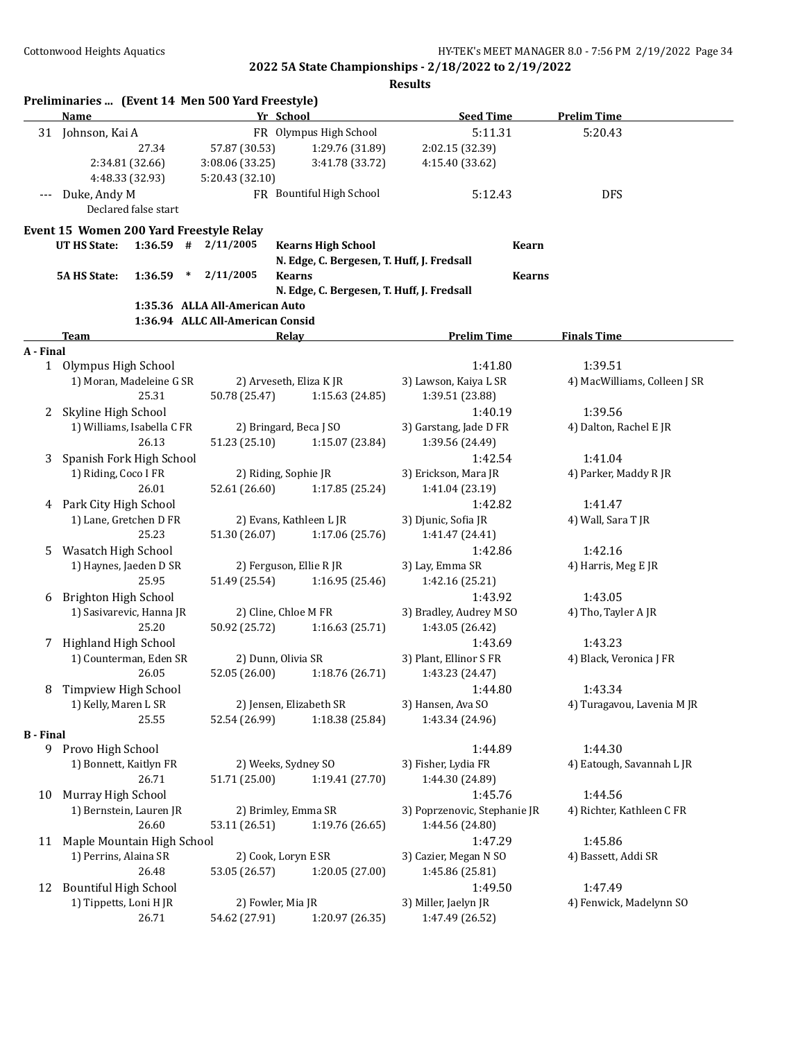|                  | Preliminaries  (Event 14 Men 500 Yard Freestyle)<br>Name |         |        |                                  | Yr School                                  | <b>Seed Time</b>                 | <b>Prelim Time</b>                      |
|------------------|----------------------------------------------------------|---------|--------|----------------------------------|--------------------------------------------|----------------------------------|-----------------------------------------|
|                  | 31 Johnson, Kai A                                        |         |        |                                  | FR Olympus High School                     | 5:11.31                          | 5:20.43                                 |
|                  |                                                          | 27.34   |        | 57.87 (30.53)                    | 1:29.76 (31.89)                            | 2:02.15 (32.39)                  |                                         |
|                  | 2:34.81 (32.66)                                          |         |        | 3:08.06 (33.25)                  | 3:41.78 (33.72)                            | 4:15.40 (33.62)                  |                                         |
|                  | 4:48.33 (32.93)                                          |         |        | 5:20.43 (32.10)                  |                                            |                                  |                                         |
| ---              | Duke, Andy M                                             |         |        |                                  | FR Bountiful High School                   | 5:12.43                          | <b>DFS</b>                              |
|                  | Declared false start                                     |         |        |                                  |                                            |                                  |                                         |
|                  | Event 15 Women 200 Yard Freestyle Relay                  |         |        |                                  |                                            |                                  |                                         |
|                  | UT HS State:                                             |         |        | $1:36.59$ # $2/11/2005$          | <b>Kearns High School</b>                  | Kearn                            |                                         |
|                  |                                                          |         |        |                                  | N. Edge, C. Bergesen, T. Huff, J. Fredsall |                                  |                                         |
|                  | <b>5A HS State:</b>                                      | 1:36.59 | $\ast$ | 2/11/2005                        | <b>Kearns</b>                              | <b>Kearns</b>                    |                                         |
|                  |                                                          |         |        |                                  | N. Edge, C. Bergesen, T. Huff, J. Fredsall |                                  |                                         |
|                  |                                                          |         |        | 1:35.36 ALLA All-American Auto   |                                            |                                  |                                         |
|                  |                                                          |         |        | 1:36.94 ALLC All-American Consid |                                            |                                  |                                         |
|                  | Team                                                     |         |        |                                  | Relay                                      | <b>Prelim Time</b>               | <b>Finals Time</b>                      |
| A - Final        |                                                          |         |        |                                  |                                            |                                  |                                         |
|                  | 1 Olympus High School                                    |         |        |                                  |                                            | 1:41.80<br>3) Lawson, Kaiya L SR | 1:39.51<br>4) MacWilliams, Colleen J SR |
|                  | 1) Moran, Madeleine G SR                                 | 25.31   |        | 50.78 (25.47)                    | 2) Arveseth, Eliza K JR<br>1:15.63 (24.85) |                                  |                                         |
| 2                | Skyline High School                                      |         |        |                                  |                                            | 1:39.51 (23.88)<br>1:40.19       | 1:39.56                                 |
|                  | 1) Williams, Isabella C FR                               |         |        |                                  | 2) Bringard, Beca J SO                     | 3) Garstang, Jade D FR           | 4) Dalton, Rachel E JR                  |
|                  |                                                          | 26.13   |        | 51.23 (25.10)                    | 1:15.07 (23.84)                            | 1:39.56 (24.49)                  |                                         |
| 3                | Spanish Fork High School                                 |         |        |                                  |                                            | 1:42.54                          | 1:41.04                                 |
|                  | 1) Riding, Coco I FR                                     |         |        |                                  | 2) Riding, Sophie JR                       | 3) Erickson, Mara JR             | 4) Parker, Maddy R JR                   |
|                  |                                                          | 26.01   |        | 52.61 (26.60)                    | 1:17.85 (25.24)                            | 1:41.04 (23.19)                  |                                         |
|                  | 4 Park City High School                                  |         |        |                                  |                                            | 1:42.82                          | 1:41.47                                 |
|                  | 1) Lane, Gretchen D FR                                   |         |        |                                  | 2) Evans, Kathleen L JR                    | 3) Djunic, Sofia JR              | 4) Wall, Sara T JR                      |
|                  |                                                          | 25.23   |        | 51.30 (26.07)                    | 1:17.06 (25.76)                            | 1:41.47 (24.41)                  |                                         |
| 5.               | Wasatch High School                                      |         |        |                                  |                                            | 1:42.86                          | 1:42.16                                 |
|                  | 1) Haynes, Jaeden D SR                                   |         |        |                                  | 2) Ferguson, Ellie R JR                    | 3) Lay, Emma SR                  | 4) Harris, Meg E JR                     |
|                  |                                                          | 25.95   |        | 51.49 (25.54)                    | 1:16.95 (25.46)                            | 1:42.16 (25.21)                  |                                         |
| 6                | Brighton High School                                     |         |        |                                  |                                            | 1:43.92                          | 1:43.05                                 |
|                  | 1) Sasivarevic, Hanna JR                                 |         |        |                                  | 2) Cline, Chloe M FR                       | 3) Bradley, Audrey M SO          | 4) Tho, Tayler A JR                     |
|                  |                                                          | 25.20   |        | 50.92 (25.72)                    | 1:16.63(25.71)                             | 1:43.05 (26.42)                  |                                         |
| 7.               | Highland High School                                     |         |        |                                  |                                            | 1:43.69                          | 1:43.23                                 |
|                  | 1) Counterman, Eden SR                                   |         |        |                                  | 2) Dunn, Olivia SR                         | 3) Plant, Ellinor S FR           | 4) Black, Veronica J FR                 |
|                  |                                                          | 26.05   |        | 52.05 (26.00)                    | 1:18.76 (26.71)                            | 1:43.23 (24.47)                  |                                         |
| 8                | Timpview High School                                     |         |        |                                  |                                            | 1:44.80                          | 1:43.34                                 |
|                  | 1) Kelly, Maren L SR                                     |         |        |                                  | 2) Jensen, Elizabeth SR                    | 3) Hansen, Ava SO                | 4) Turagavou, Lavenia M JR              |
|                  |                                                          | 25.55   |        | 52.54 (26.99)                    | 1:18.38 (25.84)                            | 1:43.34 (24.96)                  |                                         |
| <b>B</b> - Final |                                                          |         |        |                                  |                                            |                                  |                                         |
|                  | 9 Provo High School                                      |         |        |                                  |                                            | 1:44.89                          | 1:44.30                                 |
|                  | 1) Bonnett, Kaitlyn FR                                   |         |        |                                  | 2) Weeks, Sydney SO                        | 3) Fisher, Lydia FR              | 4) Eatough, Savannah L JR               |
|                  |                                                          | 26.71   |        | 51.71 (25.00)                    | 1:19.41 (27.70)                            | 1:44.30 (24.89)                  |                                         |
| 10               | Murray High School                                       |         |        |                                  |                                            | 1:45.76                          | 1:44.56                                 |
|                  | 1) Bernstein, Lauren JR                                  |         |        |                                  | 2) Brimley, Emma SR                        | 3) Poprzenovic, Stephanie JR     | 4) Richter, Kathleen C FR               |
|                  |                                                          | 26.60   |        | 53.11 (26.51)                    | 1:19.76 (26.65)                            | 1:44.56 (24.80)                  |                                         |
|                  | 11 Maple Mountain High School                            |         |        |                                  |                                            | 1:47.29                          | 1:45.86                                 |
|                  | 1) Perrins, Alaina SR                                    |         |        |                                  | 2) Cook, Loryn E SR                        | 3) Cazier, Megan N SO            | 4) Bassett, Addi SR                     |
|                  |                                                          | 26.48   |        | 53.05 (26.57)                    | 1:20.05 (27.00)                            | 1:45.86 (25.81)                  |                                         |
| 12               | <b>Bountiful High School</b>                             |         |        |                                  |                                            | 1:49.50                          | 1:47.49                                 |
|                  | 1) Tippetts, Loni H JR                                   |         |        |                                  | 2) Fowler, Mia JR                          | 3) Miller, Jaelyn JR             | 4) Fenwick, Madelynn SO                 |
|                  |                                                          | 26.71   |        | 54.62 (27.91)                    | 1:20.97 (26.35)                            | 1:47.49 (26.52)                  |                                         |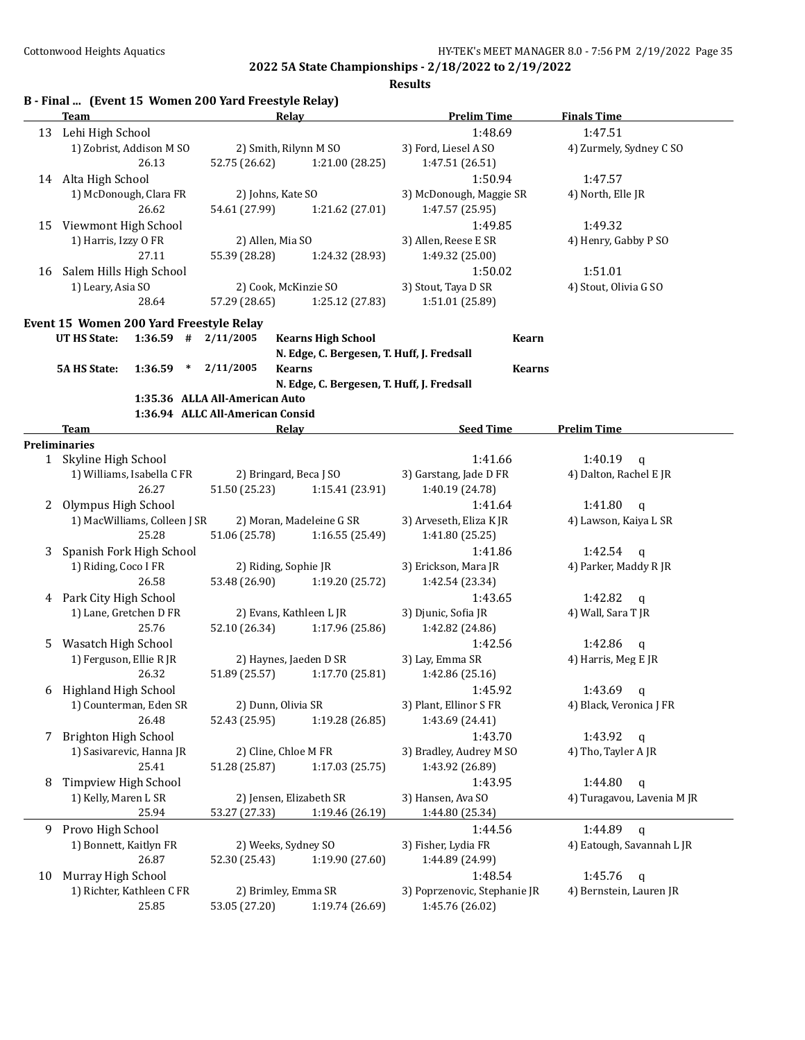|    | B - Final  (Event 15 Women 200 Yard Freestyle Relay)<br><b>Team</b>                |                                  | Relay                                      | <b>Prelim Time</b>           | <b>Finals Time</b>         |
|----|------------------------------------------------------------------------------------|----------------------------------|--------------------------------------------|------------------------------|----------------------------|
|    | 13 Lehi High School                                                                |                                  |                                            | 1:48.69                      | 1:47.51                    |
|    | 1) Zobrist, Addison M SO                                                           |                                  | 2) Smith, Rilynn M SO                      | 3) Ford, Liesel A SO         |                            |
|    | 26.13                                                                              | 52.75 (26.62)                    | 1:21.00 (28.25)                            | 1:47.51 (26.51)              | 4) Zurmely, Sydney C SO    |
|    | 14 Alta High School                                                                |                                  |                                            | 1:50.94                      | 1:47.57                    |
|    | 1) McDonough, Clara FR                                                             |                                  | 2) Johns, Kate SO                          | 3) McDonough, Maggie SR      | 4) North, Elle JR          |
|    | 26.62                                                                              | 54.61 (27.99)                    | 1:21.62 (27.01)                            | 1:47.57 (25.95)              |                            |
| 15 | Viewmont High School                                                               |                                  |                                            | 1:49.85                      | 1:49.32                    |
|    | 1) Harris, Izzy O FR                                                               | 2) Allen, Mia SO                 |                                            | 3) Allen, Reese E SR         | 4) Henry, Gabby P SO       |
|    | 27.11                                                                              | 55.39 (28.28)                    | 1:24.32 (28.93)                            | 1:49.32 (25.00)              |                            |
|    | 16 Salem Hills High School                                                         |                                  |                                            | 1:50.02                      | 1:51.01                    |
|    | 1) Leary, Asia SO                                                                  |                                  | 2) Cook, McKinzie SO                       | 3) Stout, Taya D SR          | 4) Stout, Olivia G SO      |
|    | 28.64                                                                              | 57.29 (28.65)                    | 1:25.12 (27.83)                            | 1:51.01 (25.89)              |                            |
|    |                                                                                    |                                  |                                            |                              |                            |
|    | Event 15 Women 200 Yard Freestyle Relay<br>UT HS State:<br>$1:36.59$ # $2/11/2005$ |                                  | <b>Kearns High School</b>                  | Kearn                        |                            |
|    |                                                                                    |                                  | N. Edge, C. Bergesen, T. Huff, J. Fredsall |                              |                            |
|    | 1:36.59<br>$\ast$<br><b>5A HS State:</b>                                           | 2/11/2005                        | <b>Kearns</b>                              | <b>Kearns</b>                |                            |
|    |                                                                                    |                                  | N. Edge, C. Bergesen, T. Huff, J. Fredsall |                              |                            |
|    |                                                                                    | 1:35.36 ALLA All-American Auto   |                                            |                              |                            |
|    |                                                                                    | 1:36.94 ALLC All-American Consid |                                            |                              |                            |
|    | Team                                                                               |                                  | Relay                                      | <b>Seed Time</b>             | <b>Prelim Time</b>         |
|    | <b>Preliminaries</b>                                                               |                                  |                                            |                              |                            |
|    | 1 Skyline High School                                                              |                                  |                                            | 1:41.66                      | 1:40.19<br>$\alpha$        |
|    | 1) Williams, Isabella C FR                                                         |                                  | 2) Bringard, Beca J SO                     | 3) Garstang, Jade D FR       | 4) Dalton, Rachel E JR     |
|    | 26.27                                                                              | 51.50 (25.23)                    | 1:15.41 (23.91)                            | 1:40.19 (24.78)              |                            |
| 2  | Olympus High School                                                                |                                  |                                            | 1:41.64                      | 1:41.80<br>q               |
|    | 1) MacWilliams, Colleen J SR                                                       |                                  | 2) Moran, Madeleine G SR                   | 3) Arveseth, Eliza KJR       | 4) Lawson, Kaiya L SR      |
|    | 25.28                                                                              | 51.06 (25.78)                    | 1:16.55 (25.49)                            | 1:41.80 (25.25)              |                            |
| 3  | Spanish Fork High School                                                           |                                  |                                            | 1:41.86                      | 1:42.54<br>$\mathbf{q}$    |
|    | 1) Riding, Coco I FR                                                               |                                  | 2) Riding, Sophie JR                       | 3) Erickson, Mara JR         | 4) Parker, Maddy R JR      |
|    | 26.58                                                                              | 53.48 (26.90)                    | 1:19.20 (25.72)                            | 1:42.54 (23.34)              |                            |
|    | 4 Park City High School                                                            |                                  |                                            | 1:43.65                      | 1:42.82<br>$\mathbf q$     |
|    | 1) Lane, Gretchen D FR                                                             |                                  | 2) Evans, Kathleen L JR                    | 3) Djunic, Sofia JR          | 4) Wall, Sara T JR         |
|    | 25.76                                                                              | 52.10 (26.34)                    | 1:17.96 (25.86)                            | 1:42.82 (24.86)              |                            |
| 5  | Wasatch High School                                                                |                                  |                                            | 1:42.56                      | 1:42.86<br>$\mathbf{q}$    |
|    | 1) Ferguson, Ellie R JR                                                            |                                  | 2) Haynes, Jaeden D SR                     | 3) Lay, Emma SR              | 4) Harris, Meg E JR        |
|    | 26.32                                                                              |                                  | 51.89 (25.57) 1:17.70 (25.81)              | 1:42.86 (25.16)              |                            |
|    | 6 Highland High School                                                             |                                  |                                            | 1:45.92                      | 1:43.69<br>$\mathfrak q$   |
|    | 1) Counterman, Eden SR                                                             |                                  | 2) Dunn, Olivia SR                         | 3) Plant, Ellinor S FR       | 4) Black, Veronica J FR    |
|    | 26.48                                                                              | 52.43 (25.95)                    | 1:19.28 (26.85)                            | 1:43.69 (24.41)              |                            |
| 7  | Brighton High School                                                               |                                  |                                            | 1:43.70                      | 1:43.92<br>$\mathbf q$     |
|    | 1) Sasivarevic, Hanna JR                                                           |                                  | 2) Cline, Chloe M FR                       | 3) Bradley, Audrey M SO      | 4) Tho, Tayler A JR        |
|    | 25.41                                                                              | 51.28 (25.87)                    | 1:17.03 (25.75)                            | 1:43.92 (26.89)              |                            |
| 8  | Timpview High School                                                               |                                  |                                            | 1:43.95                      | 1:44.80<br>$\mathbf q$     |
|    | 1) Kelly, Maren L SR                                                               |                                  | 2) Jensen, Elizabeth SR                    | 3) Hansen, Ava SO            | 4) Turagavou, Lavenia M JR |
|    | 25.94                                                                              | 53.27 (27.33)                    | 1:19.46 (26.19)                            | 1:44.80 (25.34)              |                            |
| 9  | Provo High School                                                                  |                                  |                                            | 1:44.56                      | 1:44.89<br>$\mathbf q$     |
|    | 1) Bonnett, Kaitlyn FR                                                             |                                  | 2) Weeks, Sydney SO                        | 3) Fisher, Lydia FR          | 4) Eatough, Savannah L JR  |
|    | 26.87                                                                              | 52.30 (25.43)                    | 1:19.90 (27.60)                            | 1:44.89 (24.99)              |                            |
| 10 | Murray High School                                                                 |                                  |                                            | 1:48.54                      | 1:45.76<br>q               |
|    | 1) Richter, Kathleen C FR                                                          |                                  | 2) Brimley, Emma SR                        | 3) Poprzenovic, Stephanie JR | 4) Bernstein, Lauren JR    |
|    | 25.85                                                                              | 53.05 (27.20)                    | 1:19.74 (26.69)                            | 1:45.76 (26.02)              |                            |
|    |                                                                                    |                                  |                                            |                              |                            |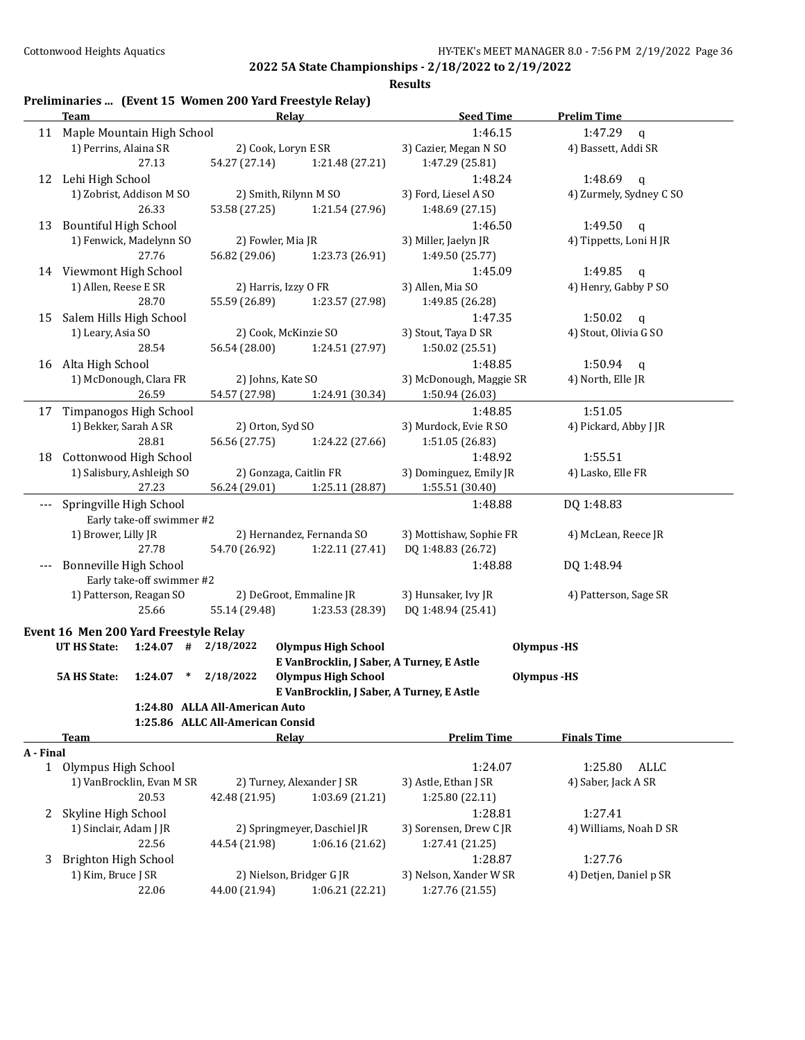**Results**

## **Preliminaries ... (Event 15 Women 200 Yard Freestyle Relay)**

|           | <b>Team</b>                                   | Relay                            |                                           | <b>Seed Time</b>                   | <b>Prelim Time</b>      |
|-----------|-----------------------------------------------|----------------------------------|-------------------------------------------|------------------------------------|-------------------------|
|           | 11 Maple Mountain High School                 |                                  |                                           | 1:46.15                            | 1:47.29<br>$\mathbf q$  |
|           | 1) Perrins, Alaina SR                         | 2) Cook, Loryn E SR              |                                           | 3) Cazier, Megan N SO              | 4) Bassett, Addi SR     |
|           | 27.13                                         | 54.27 (27.14)                    | 1:21.48 (27.21)                           | 1:47.29 (25.81)                    |                         |
|           | 12 Lehi High School                           |                                  |                                           | 1:48.24                            | 1:48.69<br>q            |
|           | 1) Zobrist, Addison M SO                      | 2) Smith, Rilynn M SO            |                                           | 3) Ford, Liesel A SO               | 4) Zurmely, Sydney C SO |
|           | 26.33                                         | 53.58 (27.25)                    | 1:21.54 (27.96)                           | 1:48.69 (27.15)                    |                         |
| 13        | <b>Bountiful High School</b>                  |                                  |                                           | 1:46.50                            | 1:49.50<br>q            |
|           | 1) Fenwick, Madelynn SO                       | 2) Fowler, Mia JR                |                                           | 3) Miller, Jaelyn JR               | 4) Tippetts, Loni H JR  |
|           | 27.76                                         | 56.82 (29.06)                    | 1:23.73 (26.91)                           | 1:49.50 (25.77)                    |                         |
|           | 14 Viewmont High School                       |                                  |                                           | 1:45.09                            | 1:49.85<br>$\mathsf{q}$ |
|           | 1) Allen, Reese E SR                          | 2) Harris, Izzy O FR             |                                           | 3) Allen, Mia SO                   | 4) Henry, Gabby P SO    |
|           | 28.70                                         | 55.59 (26.89)                    | 1:23.57 (27.98)                           | 1:49.85 (26.28)                    |                         |
| 15        | Salem Hills High School                       |                                  |                                           | 1:47.35                            | 1:50.02<br>$\mathbf q$  |
|           | 1) Leary, Asia SO                             | 2) Cook, McKinzie SO             |                                           | 3) Stout, Taya D SR                | 4) Stout, Olivia G SO   |
|           | 28.54                                         | 56.54 (28.00)                    | 1:24.51 (27.97)                           | 1:50.02 (25.51)                    |                         |
|           |                                               |                                  |                                           |                                    |                         |
|           | 16 Alta High School<br>1) McDonough, Clara FR | 2) Johns, Kate SO                |                                           | 1:48.85<br>3) McDonough, Maggie SR | 1:50.94<br>q            |
|           |                                               |                                  |                                           |                                    | 4) North, Elle JR       |
|           | 26.59                                         | 54.57 (27.98)                    | 1:24.91 (30.34)                           | 1:50.94 (26.03)                    |                         |
| 17        | Timpanogos High School                        |                                  |                                           | 1:48.85                            | 1:51.05                 |
|           | 1) Bekker, Sarah A SR                         | 2) Orton, Syd SO                 |                                           | 3) Murdock, Evie R SO              | 4) Pickard, Abby J JR   |
|           | 28.81                                         | 56.56 (27.75)                    | 1:24.22 (27.66)                           | 1:51.05 (26.83)                    |                         |
| 18        | Cottonwood High School                        |                                  |                                           | 1:48.92                            | 1:55.51                 |
|           | 1) Salisbury, Ashleigh SO                     | 2) Gonzaga, Caitlin FR           |                                           | 3) Dominguez, Emily JR             | 4) Lasko, Elle FR       |
|           | 27.23                                         | 56.24 (29.01)                    | 1:25.11 (28.87)                           | 1:55.51 (30.40)                    |                         |
| ---       | Springville High School                       |                                  |                                           | 1:48.88                            | DQ 1:48.83              |
|           | Early take-off swimmer #2                     |                                  |                                           |                                    |                         |
|           | 1) Brower, Lilly JR                           |                                  | 2) Hernandez, Fernanda SO                 | 3) Mottishaw, Sophie FR            | 4) McLean, Reece JR     |
|           | 27.78                                         | 54.70 (26.92)                    | 1:22.11 (27.41)                           | DQ 1:48.83 (26.72)                 |                         |
|           | Bonneville High School                        |                                  |                                           | 1:48.88                            | DQ 1:48.94              |
|           | Early take-off swimmer #2                     |                                  |                                           |                                    |                         |
|           | 1) Patterson, Reagan SO                       |                                  | 2) DeGroot, Emmaline JR                   | 3) Hunsaker, Ivy JR                | 4) Patterson, Sage SR   |
|           | 25.66                                         | 55.14 (29.48)                    | 1:23.53 (28.39)                           | DQ 1:48.94 (25.41)                 |                         |
|           | Event 16 Men 200 Yard Freestyle Relay         |                                  |                                           |                                    |                         |
|           | <b>UT HS State:</b>                           | $1:24.07$ # $2/18/2022$          | <b>Olympus High School</b>                |                                    | <b>Olympus</b> -HS      |
|           |                                               |                                  | E VanBrocklin, J Saber, A Turney, E Astle |                                    |                         |
|           | <b>5A HS State:</b><br>1:24.07                | 2/18/2022                        | <b>Olympus High School</b>                |                                    | <b>Olympus</b> -HS      |
|           |                                               |                                  | E VanBrocklin, J Saber, A Turney, E Astle |                                    |                         |
|           |                                               | 1:24.80 ALLA All-American Auto   |                                           |                                    |                         |
|           |                                               | 1:25.86 ALLC All-American Consid |                                           |                                    |                         |
|           | <b>Team</b>                                   | Relay                            |                                           | <b>Prelim Time</b>                 | <b>Finals Time</b>      |
| A - Final |                                               |                                  |                                           |                                    |                         |
|           | 1 Olympus High School                         |                                  |                                           | 1:24.07                            | 1:25.80<br>ALLC         |
|           | 1) VanBrocklin, Evan M SR                     |                                  | 2) Turney, Alexander J SR                 | 3) Astle, Ethan J SR               | 4) Saber, Jack A SR     |
|           | 20.53                                         | 42.48 (21.95)                    | 1:03.69(21.21)                            | 1:25.80 (22.11)                    |                         |
|           |                                               |                                  |                                           |                                    |                         |
| 2         | Skyline High School                           |                                  |                                           | 1:28.81                            | 1:27.41                 |
|           | 1) Sinclair, Adam J JR                        |                                  | 2) Springmeyer, Daschiel JR               | 3) Sorensen, Drew CJR              | 4) Williams, Noah D SR  |
|           | 22.56                                         | 44.54 (21.98)                    | 1:06.16(21.62)                            | 1:27.41 (21.25)                    |                         |
| 3         | Brighton High School                          |                                  |                                           | 1:28.87                            | 1:27.76                 |
|           | 1) Kim, Bruce J SR                            | 2) Nielson, Bridger G JR         |                                           | 3) Nelson, Xander W SR             | 4) Detjen, Daniel p SR  |
|           | 22.06                                         | 44.00 (21.94)                    | 1:06.21(22.21)                            | 1:27.76 (21.55)                    |                         |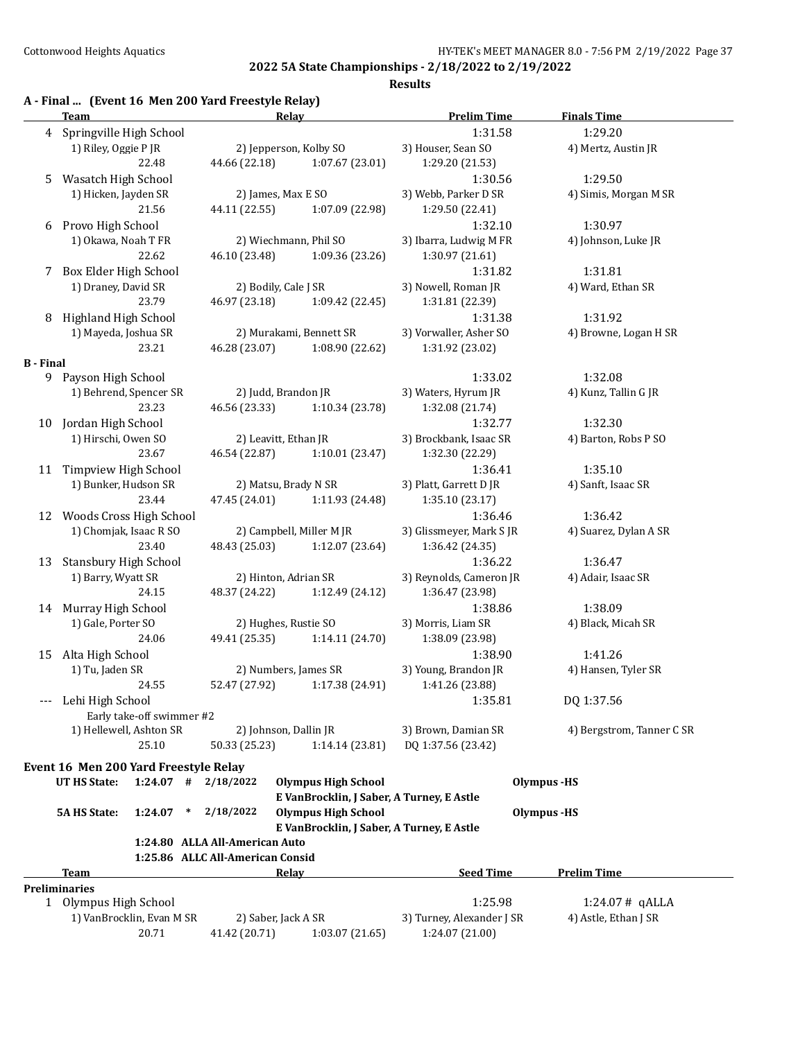## **Results**

## **A - Final ... (Event 16 Men 200 Yard Freestyle Relay)**

|                  | <b>Team</b>                              | Relay                            |                                           | <b>Prelim Time</b>        | <b>Finals Time</b>        |
|------------------|------------------------------------------|----------------------------------|-------------------------------------------|---------------------------|---------------------------|
|                  | 4 Springville High School                |                                  |                                           | 1:31.58                   | 1:29.20                   |
|                  | 1) Riley, Oggie P JR                     | 2) Jepperson, Kolby SO           |                                           | 3) Houser, Sean SO        | 4) Mertz, Austin JR       |
|                  | 22.48                                    | 44.66 (22.18)                    | 1:07.67(23.01)                            | 1:29.20 (21.53)           |                           |
| 5                | Wasatch High School                      |                                  |                                           | 1:30.56                   | 1:29.50                   |
|                  | 1) Hicken, Jayden SR                     | 2) James, Max E SO               |                                           | 3) Webb, Parker D SR      | 4) Simis, Morgan M SR     |
|                  | 21.56                                    | 44.11 (22.55)                    | 1:07.09 (22.98)                           | 1:29.50 (22.41)           |                           |
| 6                | Provo High School                        |                                  |                                           | 1:32.10                   | 1:30.97                   |
|                  | 1) Okawa, Noah T FR                      | 2) Wiechmann, Phil SO            |                                           | 3) Ibarra, Ludwig M FR    | 4) Johnson, Luke JR       |
|                  | 22.62                                    | 46.10 (23.48)                    | 1:09.36 (23.26)                           | 1:30.97 (21.61)           |                           |
| 7                | Box Elder High School                    |                                  |                                           | 1:31.82                   | 1:31.81                   |
|                  | 1) Draney, David SR                      | 2) Bodily, Cale J SR             |                                           | 3) Nowell, Roman JR       | 4) Ward, Ethan SR         |
|                  | 23.79                                    | 46.97 (23.18)                    | 1:09.42 (22.45)                           | 1:31.81 (22.39)           |                           |
| 8                | <b>Highland High School</b>              |                                  |                                           | 1:31.38                   | 1:31.92                   |
|                  | 1) Mayeda, Joshua SR                     |                                  | 2) Murakami, Bennett SR                   | 3) Vorwaller, Asher SO    | 4) Browne, Logan H SR     |
|                  | 23.21                                    | 46.28 (23.07)                    | 1:08.90 (22.62)                           | 1:31.92 (23.02)           |                           |
| <b>B</b> - Final |                                          |                                  |                                           |                           |                           |
|                  | 9 Payson High School                     |                                  |                                           | 1:33.02                   | 1:32.08                   |
|                  | 1) Behrend, Spencer SR                   | 2) Judd, Brandon JR              |                                           | 3) Waters, Hyrum JR       | 4) Kunz, Tallin G JR      |
|                  | 23.23                                    | 46.56 (23.33)                    | 1:10.34(23.78)                            | 1:32.08 (21.74)           |                           |
|                  |                                          |                                  |                                           |                           |                           |
|                  | 10 Jordan High School                    |                                  |                                           | 1:32.77                   | 1:32.30                   |
|                  | 1) Hirschi, Owen SO                      | 2) Leavitt, Ethan JR             |                                           | 3) Brockbank, Isaac SR    | 4) Barton, Robs P SO      |
|                  | 23.67                                    | 46.54 (22.87)                    | 1:10.01 (23.47)                           | 1:32.30 (22.29)           |                           |
|                  | 11 Timpview High School                  |                                  |                                           | 1:36.41                   | 1:35.10                   |
|                  | 1) Bunker, Hudson SR                     | 2) Matsu, Brady N SR             |                                           | 3) Platt, Garrett D JR    | 4) Sanft, Isaac SR        |
|                  | 23.44                                    | 47.45 (24.01)                    | 1:11.93 (24.48)                           | 1:35.10 (23.17)           |                           |
|                  | 12 Woods Cross High School               |                                  |                                           | 1:36.46                   | 1:36.42                   |
|                  | 1) Chomjak, Isaac R SO                   |                                  | 2) Campbell, Miller M JR                  | 3) Glissmeyer, Mark S JR  | 4) Suarez, Dylan A SR     |
|                  | 23.40                                    | 48.43 (25.03)                    | 1:12.07 (23.64)                           | 1:36.42 (24.35)           |                           |
| 13               | <b>Stansbury High School</b>             |                                  |                                           | 1:36.22                   | 1:36.47                   |
|                  | 1) Barry, Wyatt SR                       | 2) Hinton, Adrian SR             |                                           | 3) Reynolds, Cameron JR   | 4) Adair, Isaac SR        |
|                  | 24.15                                    | 48.37 (24.22)                    | 1:12.49 (24.12)                           | 1:36.47 (23.98)           |                           |
|                  | 14 Murray High School                    |                                  |                                           | 1:38.86                   | 1:38.09                   |
|                  | 1) Gale, Porter SO                       | 2) Hughes, Rustie SO             |                                           | 3) Morris, Liam SR        | 4) Black, Micah SR        |
|                  | 24.06                                    | 49.41 (25.35)                    | 1:14.11(24.70)                            | 1:38.09 (23.98)           |                           |
| 15               | Alta High School                         |                                  |                                           | 1:38.90                   | 1:41.26                   |
|                  | 1) Tu, Jaden SR                          | 2) Numbers, James SR             |                                           | 3) Young, Brandon JR      | 4) Hansen, Tyler SR       |
|                  | 24.55                                    | 52.47 (27.92)                    | 1:17.38 (24.91)                           | 1:41.26 (23.88)           |                           |
|                  | Lehi High School                         |                                  |                                           | 1:35.81                   | DQ 1:37.56                |
|                  | Early take-off swimmer #2                |                                  |                                           |                           |                           |
|                  | 1) Hellewell, Ashton SR                  | 2) Johnson, Dallin JR            |                                           | 3) Brown, Damian SR       | 4) Bergstrom, Tanner C SR |
|                  | 25.10                                    | 50.33 (25.23)                    | 1:14.14 (23.81)                           | DQ 1:37.56 (23.42)        |                           |
|                  |                                          |                                  |                                           |                           |                           |
|                  | Event 16 Men 200 Yard Freestyle Relay    |                                  |                                           |                           |                           |
|                  | <b>UT HS State:</b><br>$1:24.07$ #       | 2/18/2022                        | <b>Olympus High School</b>                |                           | <b>Olympus</b> -HS        |
|                  |                                          |                                  | E VanBrocklin, J Saber, A Turney, E Astle |                           |                           |
|                  | <b>5A HS State:</b><br>1:24.07<br>$\ast$ | 2/18/2022                        | <b>Olympus High School</b>                |                           | <b>Olympus</b> -HS        |
|                  |                                          |                                  | E VanBrocklin, J Saber, A Turney, E Astle |                           |                           |
|                  |                                          | 1:24.80 ALLA All-American Auto   |                                           |                           |                           |
|                  |                                          | 1:25.86 ALLC All-American Consid |                                           |                           |                           |
|                  | <b>Team</b>                              | Relay                            |                                           | <b>Seed Time</b>          | <b>Prelim Time</b>        |
|                  | <b>Preliminaries</b>                     |                                  |                                           |                           |                           |
|                  | 1 Olympus High School                    |                                  |                                           | 1:25.98                   | $1:24.07#$ qALLA          |
|                  | 1) VanBrocklin, Evan M SR                | 2) Saber, Jack A SR              |                                           | 3) Turney, Alexander J SR | 4) Astle, Ethan J SR      |
|                  | 20.71                                    | 41.42 (20.71)                    | 1:03.07 (21.65)                           | 1:24.07 (21.00)           |                           |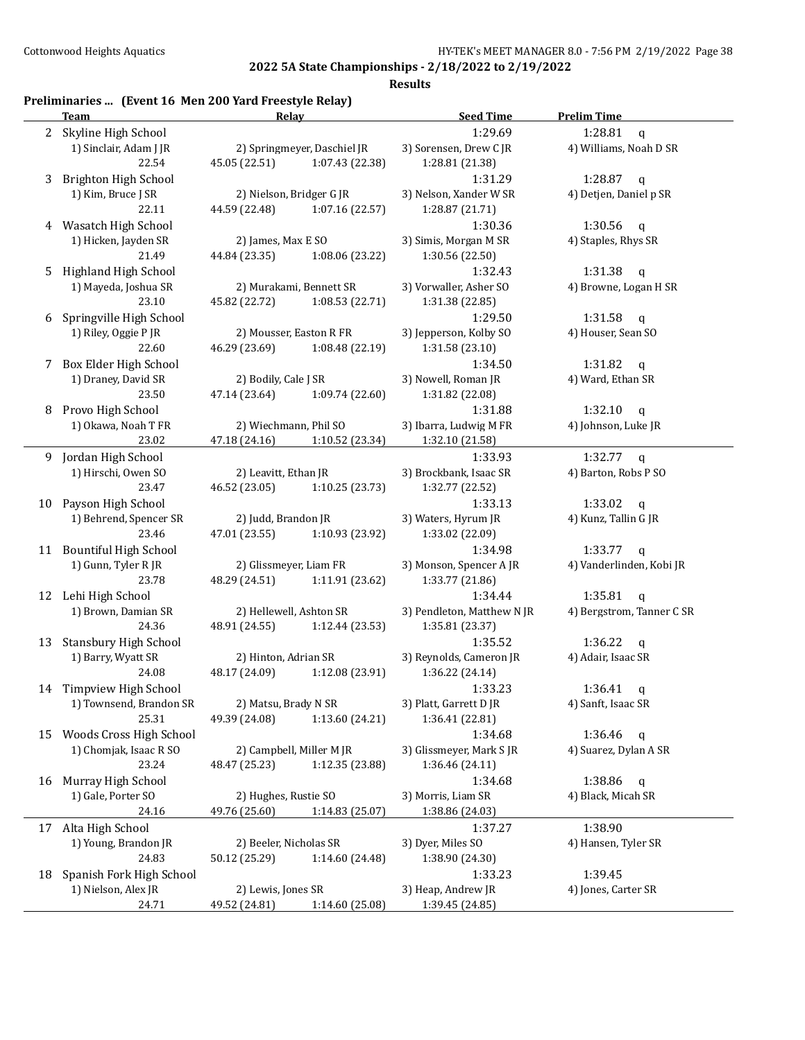#### **Results**

## **Preliminaries ... (Event 16 Men 200 Yard Freestyle Relay)**

|             | <b>Team</b>              | Relay                  |                             | <b>Seed Time</b>           | <b>Prelim Time</b>        |
|-------------|--------------------------|------------------------|-----------------------------|----------------------------|---------------------------|
| $2^{\circ}$ | Skyline High School      |                        |                             | 1:29.69                    | 1:28.81<br>$\mathbf q$    |
|             | 1) Sinclair, Adam J JR   |                        | 2) Springmeyer, Daschiel JR | 3) Sorensen, Drew CJR      | 4) Williams, Noah D SR    |
|             | 22.54                    | 45.05 (22.51)          | 1:07.43 (22.38)             | 1:28.81 (21.38)            |                           |
| 3           | Brighton High School     |                        |                             | 1:31.29                    | 1:28.87<br>$\mathsf{q}$   |
|             | 1) Kim, Bruce J SR       |                        | 2) Nielson, Bridger G JR    | 3) Nelson, Xander W SR     | 4) Detjen, Daniel p SR    |
|             |                          |                        | 1:07.16(22.57)              |                            |                           |
|             | 22.11                    | 44.59 (22.48)          |                             | 1:28.87 (21.71)            |                           |
| 4           | Wasatch High School      |                        |                             | 1:30.36                    | 1:30.56<br>q              |
|             | 1) Hicken, Jayden SR     | 2) James, Max E SO     |                             | 3) Simis, Morgan M SR      | 4) Staples, Rhys SR       |
|             | 21.49                    | 44.84 (23.35)          | 1:08.06 (23.22)             | 1:30.56 (22.50)            |                           |
| 5           | Highland High School     |                        |                             | 1:32.43                    | 1:31.38<br>$\mathfrak{q}$ |
|             | 1) Mayeda, Joshua SR     |                        | 2) Murakami, Bennett SR     | 3) Vorwaller, Asher SO     | 4) Browne, Logan H SR     |
|             | 23.10                    | 45.82 (22.72)          | 1:08.53 (22.71)             | 1:31.38 (22.85)            |                           |
| 6           | Springville High School  |                        |                             | 1:29.50                    | 1:31.58<br>$\mathbf q$    |
|             | 1) Riley, Oggie P JR     |                        | 2) Mousser, Easton R FR     | 3) Jepperson, Kolby SO     | 4) Houser, Sean SO        |
|             | 22.60                    | 46.29 (23.69)          | 1:08.48 (22.19)             | 1:31.58 (23.10)            |                           |
| 7           | Box Elder High School    |                        |                             | 1:34.50                    | 1:31.82<br>$\mathbf q$    |
|             | 1) Draney, David SR      | 2) Bodily, Cale J SR   |                             | 3) Nowell, Roman JR        | 4) Ward, Ethan SR         |
|             | 23.50                    | 47.14 (23.64)          | 1:09.74(22.60)              | 1:31.82 (22.08)            |                           |
|             |                          |                        |                             |                            | 1:32.10                   |
| 8           | Provo High School        |                        |                             | 1:31.88                    | $\mathsf{q}$              |
|             | 1) Okawa, Noah T FR      | 2) Wiechmann, Phil SO  |                             | 3) Ibarra, Ludwig M FR     | 4) Johnson, Luke JR       |
|             | 23.02                    | 47.18 (24.16)          | 1:10.52 (23.34)             | 1:32.10 (21.58)            |                           |
|             | 9 Jordan High School     |                        |                             | 1:33.93                    | 1:32.77 $q$               |
|             | 1) Hirschi, Owen SO      | 2) Leavitt, Ethan JR   |                             | 3) Brockbank, Isaac SR     | 4) Barton, Robs P SO      |
|             | 23.47                    | 46.52 (23.05)          | 1:10.25 (23.73)             | 1:32.77 (22.52)            |                           |
| 10          | Payson High School       |                        |                             | 1:33.13                    | 1:33.02<br>q              |
|             | 1) Behrend, Spencer SR   | 2) Judd, Brandon JR    |                             | 3) Waters, Hyrum JR        | 4) Kunz, Tallin G JR      |
|             | 23.46                    | 47.01 (23.55)          | 1:10.93 (23.92)             | 1:33.02 (22.09)            |                           |
|             | 11 Bountiful High School |                        |                             | 1:34.98                    | 1:33.77<br>q              |
|             | 1) Gunn, Tyler R JR      | 2) Glissmeyer, Liam FR |                             | 3) Monson, Spencer A JR    | 4) Vanderlinden, Kobi JR  |
|             | 23.78                    | 48.29 (24.51)          | 1:11.91 (23.62)             | 1:33.77 (21.86)            |                           |
|             |                          |                        |                             | 1:34.44                    | 1:35.81                   |
|             | 12 Lehi High School      |                        |                             |                            | $\mathbf{q}$              |
|             | 1) Brown, Damian SR      |                        | 2) Hellewell, Ashton SR     | 3) Pendleton, Matthew N JR | 4) Bergstrom, Tanner C SR |
|             | 24.36                    | 48.91 (24.55)          | 1:12.44 (23.53)             | 1:35.81 (23.37)            |                           |
| 13          | Stansbury High School    |                        |                             | 1:35.52                    | 1:36.22<br>$\mathsf{q}$   |
|             | 1) Barry, Wyatt SR       | 2) Hinton, Adrian SR   |                             | 3) Reynolds, Cameron JR    | 4) Adair, Isaac SR        |
|             | 24.08                    | 48.17 (24.09)          | 1:12.08 (23.91)             | 1:36.22 (24.14)            |                           |
|             | 14 Timpview High School  |                        |                             | 1:33.23                    | 1:36.41<br>q              |
|             | 1) Townsend, Brandon SR  | 2) Matsu, Brady N SR   |                             | 3) Platt, Garrett D JR     | 4) Sanft, Isaac SR        |
|             | 25.31                    | 49.39 (24.08)          | 1:13.60 (24.21)             | 1:36.41 (22.81)            |                           |
| 15          | Woods Cross High School  |                        |                             | 1:34.68                    | 1:36.46<br>$\mathbf q$    |
|             | 1) Chomjak, Isaac R SO   |                        | 2) Campbell, Miller M JR    | 3) Glissmeyer, Mark S JR   | 4) Suarez, Dylan A SR     |
|             | 23.24                    | 48.47 (25.23)          | 1:12.35 (23.88)             | 1:36.46 (24.11)            |                           |
| 16          | Murray High School       |                        |                             | 1:34.68                    | 1:38.86<br>$\mathsf{q}$   |
|             | 1) Gale, Porter SO       | 2) Hughes, Rustie SO   |                             | 3) Morris, Liam SR         | 4) Black, Micah SR        |
|             |                          |                        |                             |                            |                           |
|             | 24.16                    | 49.76 (25.60)          | 1:14.83 (25.07)             | 1:38.86 (24.03)            |                           |
| 17          | Alta High School         |                        |                             | 1:37.27                    | 1:38.90                   |
|             | 1) Young, Brandon JR     | 2) Beeler, Nicholas SR |                             | 3) Dyer, Miles SO          | 4) Hansen, Tyler SR       |
|             | 24.83                    | 50.12 (25.29)          | 1:14.60 (24.48)             | 1:38.90 (24.30)            |                           |
| 18          | Spanish Fork High School |                        |                             | 1:33.23                    | 1:39.45                   |
|             | 1) Nielson, Alex JR      | 2) Lewis, Jones SR     |                             | 3) Heap, Andrew JR         | 4) Jones, Carter SR       |
|             | 24.71                    | 49.52 (24.81)          | 1:14.60 (25.08)             | 1:39.45 (24.85)            |                           |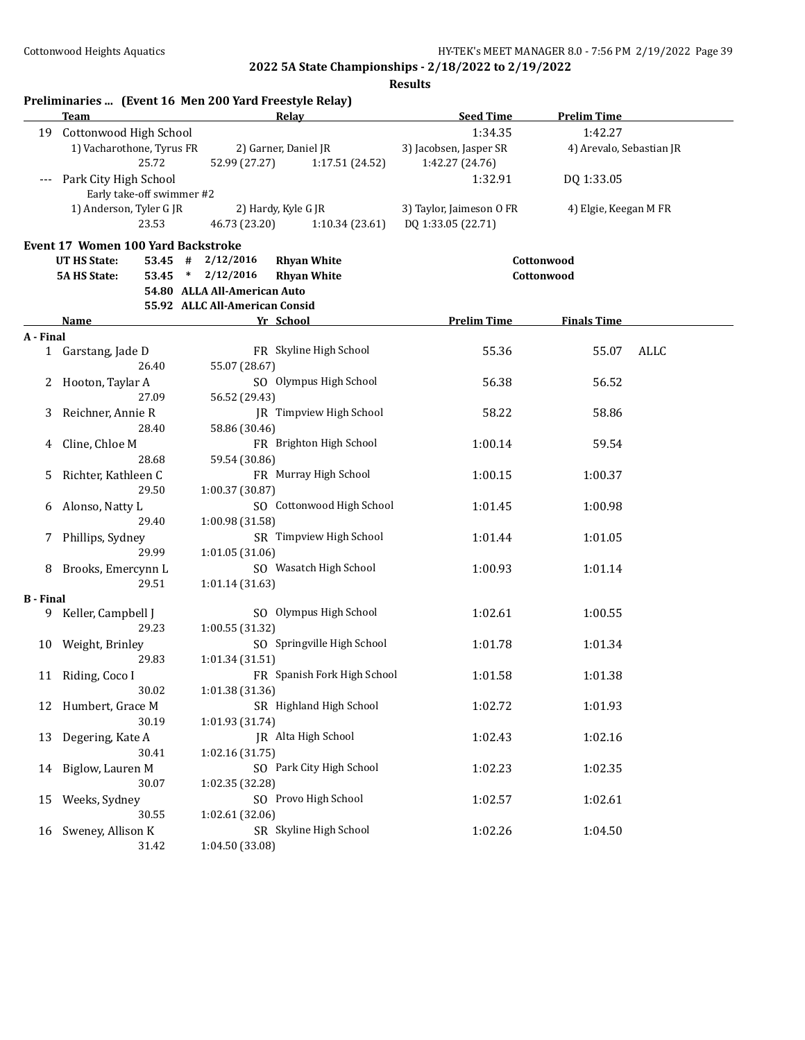|                  |                                           | Preliminaries  (Event 16 Men 200 Yard Freestyle Relay) |                             |                          |                          |      |
|------------------|-------------------------------------------|--------------------------------------------------------|-----------------------------|--------------------------|--------------------------|------|
|                  | Team                                      | Relay                                                  |                             | <b>Seed Time</b>         | <b>Prelim Time</b>       |      |
| 19               | Cottonwood High School                    |                                                        |                             | 1:34.35                  | 1:42.27                  |      |
|                  | 1) Vacharothone, Tyrus FR                 | 2) Garner, Daniel JR                                   |                             | 3) Jacobsen, Jasper SR   | 4) Arevalo, Sebastian JR |      |
|                  | 25.72                                     | 52.99 (27.27)                                          | 1:17.51 (24.52)             | 1:42.27 (24.76)          |                          |      |
| $---$            | Park City High School                     |                                                        |                             | 1:32.91                  | DQ 1:33.05               |      |
|                  | Early take-off swimmer #2                 |                                                        |                             |                          |                          |      |
|                  | 1) Anderson, Tyler G JR                   | 2) Hardy, Kyle G JR                                    |                             | 3) Taylor, Jaimeson O FR | 4) Elgie, Keegan M FR    |      |
|                  | 23.53                                     | 46.73 (23.20)                                          | 1:10.34(23.61)              | DQ 1:33.05 (22.71)       |                          |      |
|                  |                                           |                                                        |                             |                          |                          |      |
|                  | <b>Event 17 Women 100 Yard Backstroke</b> |                                                        |                             |                          |                          |      |
|                  | <b>UT HS State:</b><br>$53.45$ #          | 2/12/2016<br><b>Rhyan White</b>                        |                             |                          | Cottonwood               |      |
|                  | <b>5A HS State:</b>                       | 53.45 * 2/12/2016<br><b>Rhyan White</b>                |                             |                          | Cottonwood               |      |
|                  |                                           | 54.80 ALLA All-American Auto                           |                             |                          |                          |      |
|                  |                                           | 55.92 ALLC All-American Consid                         |                             |                          |                          |      |
|                  | Name                                      | Yr School                                              |                             | <b>Prelim Time</b>       | <b>Finals Time</b>       |      |
| A - Final        |                                           |                                                        |                             |                          |                          |      |
|                  | 1 Garstang, Jade D                        | FR Skyline High School                                 |                             | 55.36                    | 55.07                    | ALLC |
|                  | 26.40                                     | 55.07 (28.67)                                          |                             |                          |                          |      |
| 2                | Hooton, Taylar A                          |                                                        | SO Olympus High School      | 56.38                    | 56.52                    |      |
|                  | 27.09                                     | 56.52 (29.43)                                          |                             |                          |                          |      |
| 3                | Reichner, Annie R                         |                                                        | JR Timpview High School     | 58.22                    | 58.86                    |      |
|                  | 28.40                                     | 58.86 (30.46)                                          |                             |                          |                          |      |
|                  |                                           |                                                        |                             |                          |                          |      |
| 4                | Cline, Chloe M                            |                                                        | FR Brighton High School     | 1:00.14                  | 59.54                    |      |
|                  | 28.68                                     | 59.54 (30.86)                                          |                             |                          |                          |      |
| 5                | Richter, Kathleen C                       | FR Murray High School                                  |                             | 1:00.15                  | 1:00.37                  |      |
|                  | 29.50                                     | 1:00.37 (30.87)                                        |                             |                          |                          |      |
| 6                | Alonso, Natty L                           |                                                        | SO Cottonwood High School   | 1:01.45                  | 1:00.98                  |      |
|                  | 29.40                                     | 1:00.98 (31.58)                                        |                             |                          |                          |      |
| 7                | Phillips, Sydney                          |                                                        | SR Timpview High School     | 1:01.44                  | 1:01.05                  |      |
|                  | 29.99                                     | 1:01.05(31.06)                                         |                             |                          |                          |      |
| 8                | Brooks, Emercynn L                        |                                                        | SO Wasatch High School      | 1:00.93                  | 1:01.14                  |      |
|                  | 29.51                                     | 1:01.14 (31.63)                                        |                             |                          |                          |      |
| <b>B</b> - Final |                                           |                                                        |                             |                          |                          |      |
| 9.               | Keller, Campbell J                        |                                                        | SO Olympus High School      | 1:02.61                  | 1:00.55                  |      |
|                  | 29.23                                     | 1:00.55 (31.32)                                        |                             |                          |                          |      |
|                  | 10 Weight, Brinley                        |                                                        | SO Springville High School  | 1:01.78                  | 1:01.34                  |      |
|                  | 29.83                                     | 1:01.34 (31.51)                                        |                             |                          |                          |      |
|                  |                                           |                                                        |                             |                          |                          |      |
|                  | 11 Riding, Coco I                         |                                                        | FR Spanish Fork High School | 1:01.58                  | 1:01.38                  |      |
|                  | 30.02                                     | 1:01.38 (31.36)                                        |                             |                          |                          |      |
|                  | 12 Humbert, Grace M                       |                                                        | SR Highland High School     | 1:02.72                  | 1:01.93                  |      |
|                  | 30.19                                     | 1:01.93 (31.74)                                        |                             |                          |                          |      |
| 13               | Degering, Kate A                          | JR Alta High School                                    |                             | 1:02.43                  | 1:02.16                  |      |
|                  | 30.41                                     | 1:02.16 (31.75)                                        |                             |                          |                          |      |
| 14               | Biglow, Lauren M                          |                                                        | SO Park City High School    | 1:02.23                  | 1:02.35                  |      |
|                  | 30.07                                     | 1:02.35 (32.28)                                        |                             |                          |                          |      |
| 15               | Weeks, Sydney                             | SO Provo High School                                   |                             | 1:02.57                  | 1:02.61                  |      |
|                  | 30.55                                     | 1:02.61 (32.06)                                        |                             |                          |                          |      |
| 16               | Sweney, Allison K                         | SR Skyline High School                                 |                             | 1:02.26                  | 1:04.50                  |      |
|                  | 31.42                                     | 1:04.50 (33.08)                                        |                             |                          |                          |      |
|                  |                                           |                                                        |                             |                          |                          |      |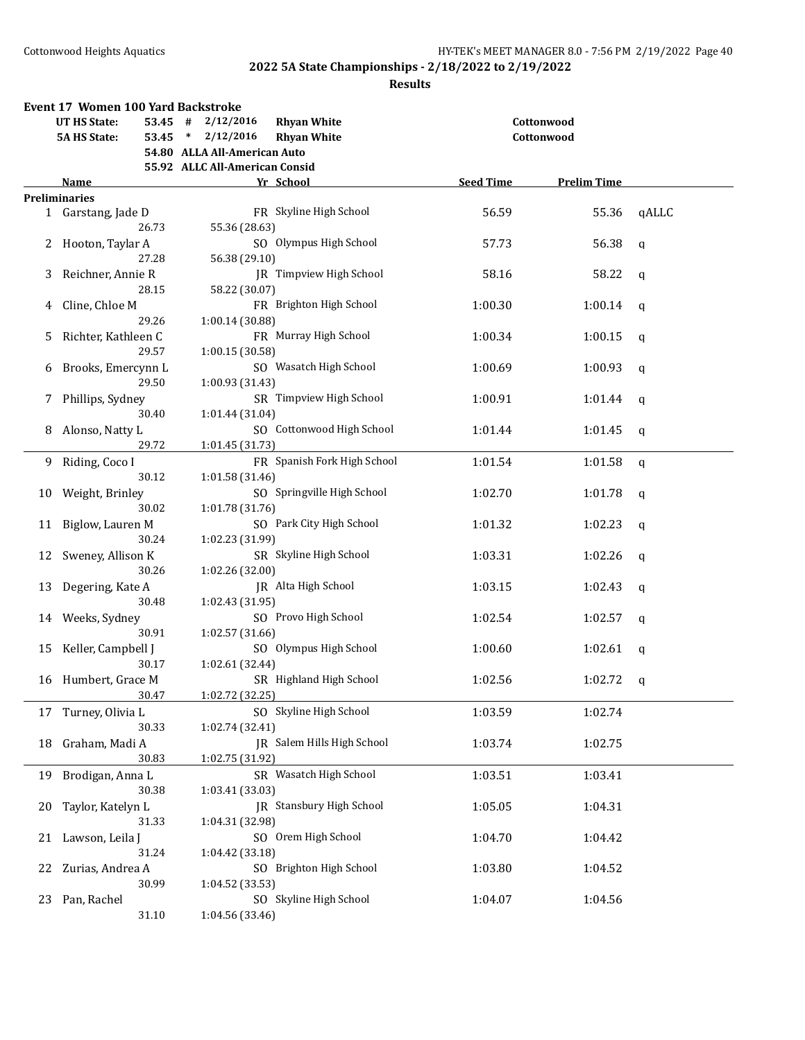|    | <b>Event 17 Women 100 Yard Backstroke</b> |                                           |                  |                    |       |  |  |  |  |
|----|-------------------------------------------|-------------------------------------------|------------------|--------------------|-------|--|--|--|--|
|    | <b>UT HS State:</b>                       | 53.45 # 2/12/2016<br><b>Rhyan White</b>   |                  | Cottonwood         |       |  |  |  |  |
|    | <b>5A HS State:</b>                       | <b>Rhyan White</b><br>$53.45 * 2/12/2016$ |                  | Cottonwood         |       |  |  |  |  |
|    |                                           | 54.80 ALLA All-American Auto              |                  |                    |       |  |  |  |  |
|    | 55.92 ALLC All-American Consid            |                                           |                  |                    |       |  |  |  |  |
|    | Name                                      | Yr School                                 | <b>Seed Time</b> | <b>Prelim Time</b> |       |  |  |  |  |
|    | <b>Preliminaries</b>                      |                                           |                  |                    |       |  |  |  |  |
|    | 1 Garstang, Jade D                        | FR Skyline High School                    | 56.59            | 55.36              | qALLC |  |  |  |  |
|    | 26.73                                     | 55.36 (28.63)                             |                  |                    |       |  |  |  |  |
| 2  | Hooton, Taylar A                          | SO Olympus High School                    | 57.73            | 56.38              | q     |  |  |  |  |
|    | 27.28                                     | 56.38 (29.10)                             |                  |                    |       |  |  |  |  |
| 3  | Reichner, Annie R                         | <b>IR</b> Timpview High School            | 58.16            | 58.22              | q     |  |  |  |  |
|    | 28.15                                     | 58.22 (30.07)                             |                  |                    |       |  |  |  |  |
| 4  | Cline, Chloe M                            | FR Brighton High School                   | 1:00.30          | 1:00.14            | q     |  |  |  |  |
|    | 29.26                                     | 1:00.14 (30.88)                           |                  |                    |       |  |  |  |  |
| 5. | Richter, Kathleen C                       | FR Murray High School                     | 1:00.34          | 1:00.15            | q     |  |  |  |  |
|    | 29.57                                     | 1:00.15 (30.58)                           |                  |                    |       |  |  |  |  |
| 6  | Brooks, Emercynn L                        | SO Wasatch High School                    | 1:00.69          | 1:00.93            | q     |  |  |  |  |
|    | 29.50                                     | 1:00.93 (31.43)                           |                  |                    |       |  |  |  |  |
| 7  | Phillips, Sydney                          | SR Timpview High School                   | 1:00.91          | 1:01.44            | q     |  |  |  |  |
|    | 30.40                                     | 1:01.44 (31.04)                           |                  |                    |       |  |  |  |  |
| 8  | Alonso, Natty L                           | SO Cottonwood High School                 | 1:01.44          | 1:01.45            | q     |  |  |  |  |
|    | 29.72                                     | 1:01.45 (31.73)                           |                  |                    |       |  |  |  |  |
| 9  | Riding, Coco I                            | FR Spanish Fork High School               | 1:01.54          | 1:01.58            | q     |  |  |  |  |
|    | 30.12                                     | 1:01.58 (31.46)                           |                  |                    |       |  |  |  |  |
| 10 | Weight, Brinley                           | SO Springville High School                | 1:02.70          | 1:01.78            | q     |  |  |  |  |
|    | 30.02                                     | 1:01.78 (31.76)                           |                  |                    |       |  |  |  |  |
| 11 | Biglow, Lauren M                          | SO Park City High School                  | 1:01.32          | 1:02.23            | q     |  |  |  |  |
|    | 30.24                                     | 1:02.23 (31.99)                           |                  |                    |       |  |  |  |  |
| 12 | Sweney, Allison K                         | SR Skyline High School                    | 1:03.31          | 1:02.26            | q     |  |  |  |  |
|    | 30.26                                     | 1:02.26 (32.00)                           |                  |                    |       |  |  |  |  |
| 13 | Degering, Kate A                          | JR Alta High School                       | 1:03.15          | 1:02.43            | q     |  |  |  |  |
|    | 30.48                                     | 1:02.43 (31.95)                           |                  |                    |       |  |  |  |  |
| 14 | Weeks, Sydney                             | SO Provo High School                      | 1:02.54          | 1:02.57            | q     |  |  |  |  |
|    | 30.91                                     | 1:02.57(31.66)                            |                  |                    |       |  |  |  |  |
| 15 | Keller, Campbell J                        | SO Olympus High School                    | 1:00.60          | 1:02.61            | q     |  |  |  |  |
|    | 30.17                                     | 1:02.61 (32.44)                           |                  |                    |       |  |  |  |  |
|    | 16 Humbert, Grace M                       | SR Highland High School                   | 1:02.56          | 1:02.72            | q     |  |  |  |  |
|    | 30.47                                     | 1:02.72 (32.25)                           |                  |                    |       |  |  |  |  |
| 17 | Turney, Olivia L                          | SO Skyline High School                    | 1:03.59          | 1:02.74            |       |  |  |  |  |
|    | 30.33                                     | 1:02.74 (32.41)                           |                  |                    |       |  |  |  |  |
| 18 | Graham, Madi A                            | JR Salem Hills High School                | 1:03.74          | 1:02.75            |       |  |  |  |  |
|    | 30.83                                     | 1:02.75 (31.92)                           |                  |                    |       |  |  |  |  |
| 19 | Brodigan, Anna L                          | SR Wasatch High School                    | 1:03.51          | 1:03.41            |       |  |  |  |  |
|    | 30.38                                     | 1:03.41 (33.03)                           |                  |                    |       |  |  |  |  |
| 20 | Taylor, Katelyn L                         | JR Stansbury High School                  | 1:05.05          | 1:04.31            |       |  |  |  |  |
|    | 31.33                                     | 1:04.31 (32.98)                           |                  |                    |       |  |  |  |  |
|    |                                           | SO Orem High School                       | 1:04.70          | 1:04.42            |       |  |  |  |  |
| 21 | Lawson, Leila J<br>31.24                  | 1:04.42 (33.18)                           |                  |                    |       |  |  |  |  |
|    |                                           | SO Brighton High School                   |                  |                    |       |  |  |  |  |
| 22 | Zurias, Andrea A                          |                                           | 1:03.80          | 1:04.52            |       |  |  |  |  |
|    | 30.99                                     | 1:04.52 (33.53)<br>SO Skyline High School |                  |                    |       |  |  |  |  |
| 23 | Pan, Rachel                               |                                           | 1:04.07          | 1:04.56            |       |  |  |  |  |
|    | 31.10                                     | 1:04.56 (33.46)                           |                  |                    |       |  |  |  |  |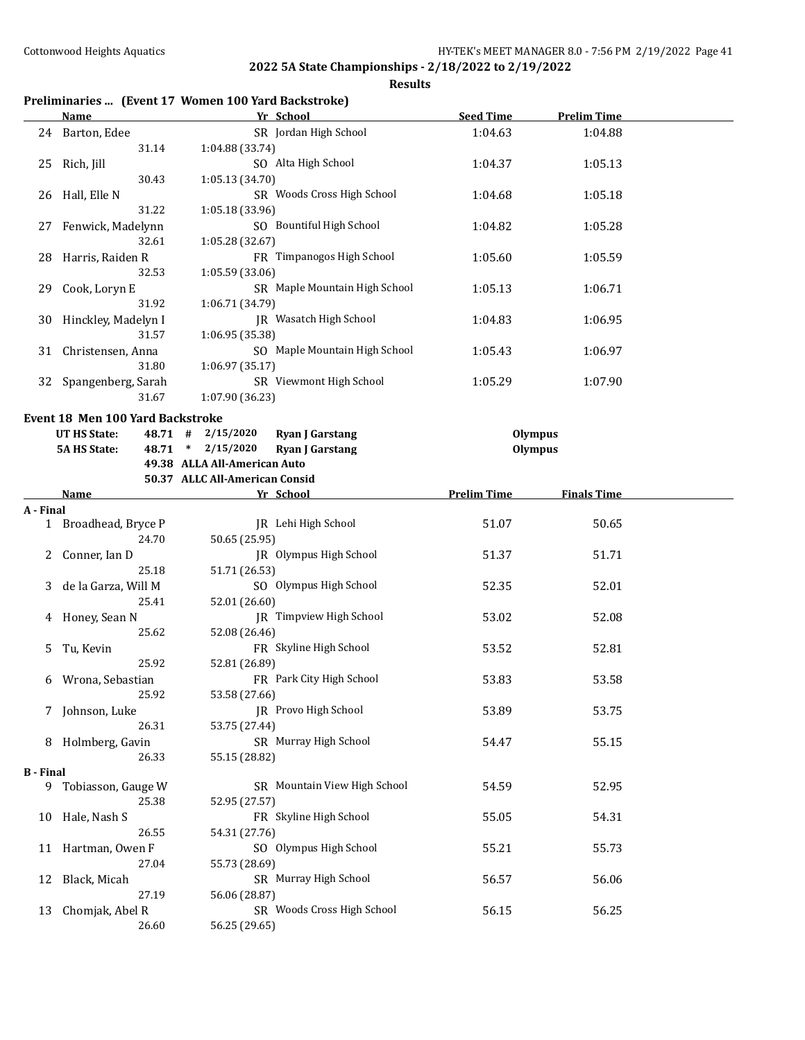|  |  |  | Preliminaries  (Event 17 Women 100 Yard Backstroke) |
|--|--|--|-----------------------------------------------------|
|--|--|--|-----------------------------------------------------|

|    | <b>Name</b>                             |                                | Yr School                     | <b>Seed Time</b>   | <b>Prelim Time</b> |  |
|----|-----------------------------------------|--------------------------------|-------------------------------|--------------------|--------------------|--|
| 24 | Barton, Edee                            |                                | SR Jordan High School         | 1:04.63            | 1:04.88            |  |
|    | 31.14                                   | 1:04.88 (33.74)                |                               |                    |                    |  |
| 25 | Rich, Jill                              |                                | SO Alta High School           | 1:04.37            | 1:05.13            |  |
|    | 30.43                                   | 1:05.13 (34.70)                |                               |                    |                    |  |
| 26 | Hall, Elle N                            |                                | SR Woods Cross High School    | 1:04.68            | 1:05.18            |  |
|    | 31.22                                   | 1:05.18(33.96)                 |                               |                    |                    |  |
| 27 | Fenwick, Madelynn                       |                                | SO Bountiful High School      | 1:04.82            | 1:05.28            |  |
|    | 32.61                                   | 1:05.28 (32.67)                |                               |                    |                    |  |
| 28 | Harris, Raiden R                        |                                | FR Timpanogos High School     | 1:05.60            | 1:05.59            |  |
|    | 32.53                                   | 1:05.59 (33.06)                |                               |                    |                    |  |
| 29 | Cook, Loryn E                           |                                | SR Maple Mountain High School | 1:05.13            | 1:06.71            |  |
|    | 31.92                                   | 1:06.71 (34.79)                |                               |                    |                    |  |
| 30 | Hinckley, Madelyn I                     |                                | <b>IR</b> Wasatch High School | 1:04.83            | 1:06.95            |  |
|    | 31.57                                   | 1:06.95 (35.38)                |                               |                    |                    |  |
| 31 | Christensen, Anna                       |                                | SO Maple Mountain High School | 1:05.43            | 1:06.97            |  |
|    | 31.80                                   | 1:06.97(35.17)                 |                               |                    |                    |  |
| 32 | Spangenberg, Sarah                      |                                | SR Viewmont High School       | 1:05.29            | 1:07.90            |  |
|    | 31.67                                   | 1:07.90 (36.23)                |                               |                    |                    |  |
|    | <b>Event 18 Men 100 Yard Backstroke</b> |                                |                               |                    |                    |  |
|    | UT HS State:<br>48.71 #                 | 2/15/2020                      | <b>Ryan J Garstang</b>        | Olympus            |                    |  |
|    | <b>5A HS State:</b><br>48.71            | $\ast$<br>2/15/2020            | <b>Ryan J Garstang</b>        | Olympus            |                    |  |
|    |                                         | 49.38 ALLA All-American Auto   |                               |                    |                    |  |
|    |                                         | 50.37 ALLC All-American Consid |                               |                    |                    |  |
|    | Name                                    |                                | Yr School                     | <b>Prelim Time</b> | <b>Finals Time</b> |  |

| A - Final        |                      |                                |       |       |  |
|------------------|----------------------|--------------------------------|-------|-------|--|
|                  | 1 Broadhead, Bryce P | JR Lehi High School            | 51.07 | 50.65 |  |
|                  | 24.70                | 50.65 (25.95)                  |       |       |  |
|                  | 2 Conner, Ian D      | JR Olympus High School         | 51.37 | 51.71 |  |
|                  | 25.18                | 51.71 (26.53)                  |       |       |  |
| 3                | de la Garza, Will M  | SO Olympus High School         | 52.35 | 52.01 |  |
|                  | 25.41                | 52.01 (26.60)                  |       |       |  |
|                  | 4 Honey, Sean N      | <b>IR</b> Timpview High School | 53.02 | 52.08 |  |
|                  | 25.62                | 52.08 (26.46)                  |       |       |  |
| 5.               | Tu, Kevin            | FR Skyline High School         | 53.52 | 52.81 |  |
|                  | 25.92                | 52.81 (26.89)                  |       |       |  |
| 6                | Wrona, Sebastian     | FR Park City High School       | 53.83 | 53.58 |  |
|                  | 25.92                | 53.58 (27.66)                  |       |       |  |
|                  | 7 Johnson, Luke      | JR Provo High School           | 53.89 | 53.75 |  |
|                  | 26.31                | 53.75 (27.44)                  |       |       |  |
|                  | 8 Holmberg, Gavin    | SR Murray High School          | 54.47 | 55.15 |  |
|                  | 26.33                | 55.15 (28.82)                  |       |       |  |
| <b>B</b> - Final |                      |                                |       |       |  |
| 9                | Tobiasson, Gauge W   | SR Mountain View High School   | 54.59 | 52.95 |  |
|                  | 25.38                | 52.95 (27.57)                  |       |       |  |
|                  | 10 Hale, Nash S      | FR Skyline High School         | 55.05 | 54.31 |  |
|                  | 26.55                | 54.31 (27.76)                  |       |       |  |
| 11               | Hartman, Owen F      | SO Olympus High School         | 55.21 | 55.73 |  |
|                  | 27.04                | 55.73 (28.69)                  |       |       |  |
| 12               | Black, Micah         | SR Murray High School          | 56.57 | 56.06 |  |
|                  | 27.19                | 56.06 (28.87)                  |       |       |  |
| 13               | Chomjak, Abel R      | SR Woods Cross High School     | 56.15 | 56.25 |  |
|                  | 26.60                | 56.25 (29.65)                  |       |       |  |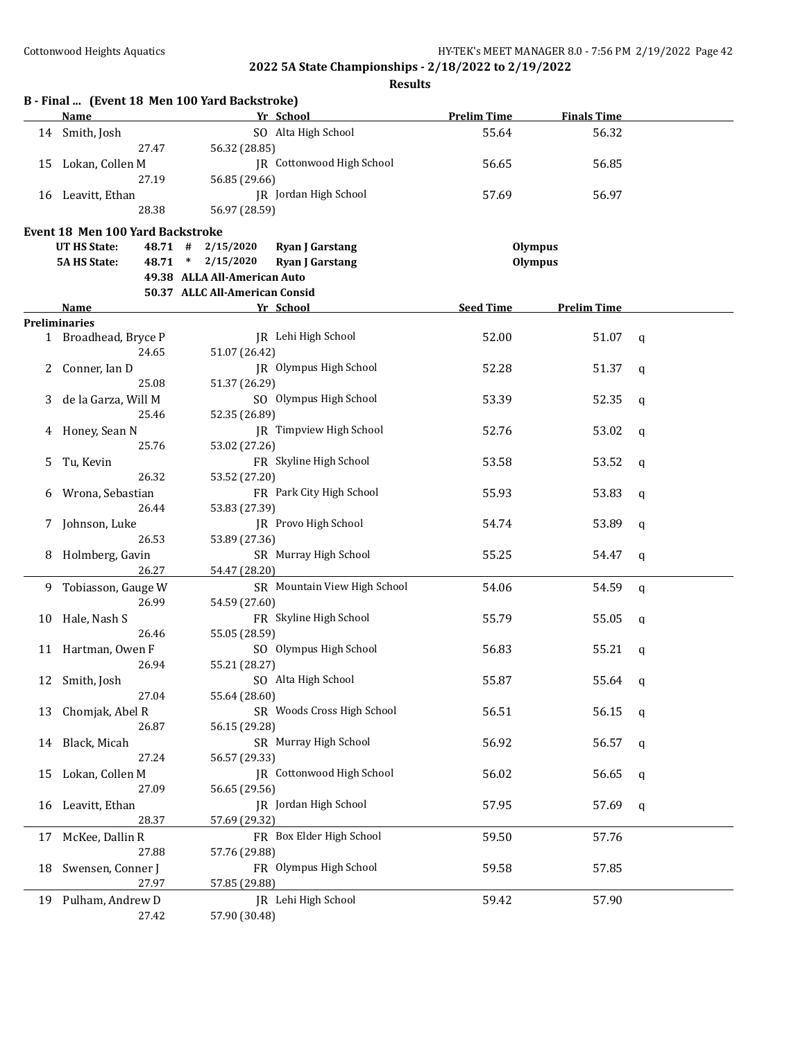|    | <b>Name</b>                      |                                | Yr School                    | <b>Prelim Time</b> | <b>Finals Time</b> |              |
|----|----------------------------------|--------------------------------|------------------------------|--------------------|--------------------|--------------|
|    | 14 Smith, Josh                   |                                | SO Alta High School          | 55.64              | 56.32              |              |
|    | 27.47                            | 56.32 (28.85)                  |                              |                    |                    |              |
| 15 | Lokan, Collen M                  |                                | JR Cottonwood High School    | 56.65              | 56.85              |              |
|    | 27.19                            | 56.85 (29.66)                  |                              |                    |                    |              |
|    | 16 Leavitt, Ethan                |                                | JR Jordan High School        | 57.69              | 56.97              |              |
|    | 28.38                            | 56.97 (28.59)                  |                              |                    |                    |              |
|    |                                  |                                |                              |                    |                    |              |
|    | Event 18 Men 100 Yard Backstroke |                                |                              |                    |                    |              |
|    | UT HS State:                     | 48.71 # 2/15/2020              | <b>Ryan J Garstang</b>       | <b>Olympus</b>     |                    |              |
|    | <b>5A HS State:</b>              | 48.71 * 2/15/2020              | <b>Ryan J Garstang</b>       | <b>Olympus</b>     |                    |              |
|    |                                  | 49.38 ALLA All-American Auto   |                              |                    |                    |              |
|    |                                  | 50.37 ALLC All-American Consid |                              |                    |                    |              |
|    | Name                             |                                | Yr School                    | <b>Seed Time</b>   | <b>Prelim Time</b> |              |
|    | <b>Preliminaries</b>             |                                |                              |                    |                    |              |
|    | 1 Broadhead, Bryce P             |                                | JR Lehi High School          | 52.00              | 51.07              | $\mathbf q$  |
|    | 24.65                            | 51.07 (26.42)                  |                              |                    |                    |              |
| 2  | Conner, Ian D                    |                                | JR Olympus High School       | 52.28              | 51.37              | q            |
|    | 25.08                            | 51.37 (26.29)                  |                              |                    |                    |              |
| 3  | de la Garza, Will M              |                                | SO Olympus High School       | 53.39              | 52.35              | q            |
|    | 25.46                            | 52.35 (26.89)                  |                              |                    |                    |              |
| 4  | Honey, Sean N                    |                                | JR Timpview High School      | 52.76              | 53.02              | q            |
|    | 25.76                            | 53.02 (27.26)                  |                              |                    |                    |              |
| 5  | Tu, Kevin                        |                                | FR Skyline High School       | 53.58              | 53.52              | q            |
|    | 26.32                            | 53.52 (27.20)                  |                              |                    |                    |              |
|    | Wrona, Sebastian                 |                                | FR Park City High School     | 55.93              | 53.83              |              |
| 6  | 26.44                            | 53.83 (27.39)                  |                              |                    |                    | q            |
|    |                                  |                                | JR Provo High School         |                    |                    |              |
| 7  | Johnson, Luke                    |                                |                              | 54.74              | 53.89              | q            |
|    | 26.53                            | 53.89 (27.36)                  |                              |                    |                    |              |
|    | 8 Holmberg, Gavin                |                                | SR Murray High School        | 55.25              | 54.47              | $\mathbf q$  |
|    | 26.27                            | 54.47 (28.20)                  |                              |                    |                    |              |
| 9. | Tobiasson, Gauge W               |                                | SR Mountain View High School | 54.06              | 54.59              | $\mathsf{q}$ |
|    | 26.99                            | 54.59 (27.60)                  |                              |                    |                    |              |
| 10 | Hale, Nash S                     |                                | FR Skyline High School       | 55.79              | 55.05              | q            |
|    | 26.46                            | 55.05 (28.59)                  |                              |                    |                    |              |
|    | 11 Hartman, Owen F               |                                | SO Olympus High School       | 56.83              | 55.21              | q            |
|    | 26.94                            | 55.21 (28.27)                  |                              |                    |                    |              |
|    | 12 Smith, Josh                   |                                | SO Alta High School          | 55.87              | 55.64              | q            |
|    | 27.04                            | 55.64 (28.60)                  |                              |                    |                    |              |
| 13 | Chomjak, Abel R                  |                                | SR Woods Cross High School   | 56.51              | 56.15              | q            |
|    | 26.87                            | 56.15 (29.28)                  |                              |                    |                    |              |
| 14 | Black, Micah                     |                                | SR Murray High School        | 56.92              | 56.57              | q            |
|    | 27.24                            | 56.57 (29.33)                  |                              |                    |                    |              |
| 15 | Lokan, Collen M                  |                                | JR Cottonwood High School    | 56.02              | 56.65              | q            |
|    | 27.09                            | 56.65 (29.56)                  |                              |                    |                    |              |
|    |                                  |                                | JR Jordan High School        |                    |                    |              |
| 16 | Leavitt, Ethan                   |                                |                              | 57.95              | 57.69              | q            |
|    | 28.37                            | 57.69 (29.32)                  |                              |                    |                    |              |
| 17 | McKee, Dallin R                  |                                | FR Box Elder High School     | 59.50              | 57.76              |              |
|    | 27.88                            | 57.76 (29.88)                  |                              |                    |                    |              |
| 18 | Swensen, Conner J                |                                | FR Olympus High School       | 59.58              | 57.85              |              |
|    | 27.97                            | 57.85 (29.88)                  |                              |                    |                    |              |
| 19 | Pulham, Andrew D                 |                                | JR Lehi High School          | 59.42              | 57.90              |              |
|    | 27.42                            | 57.90 (30.48)                  |                              |                    |                    |              |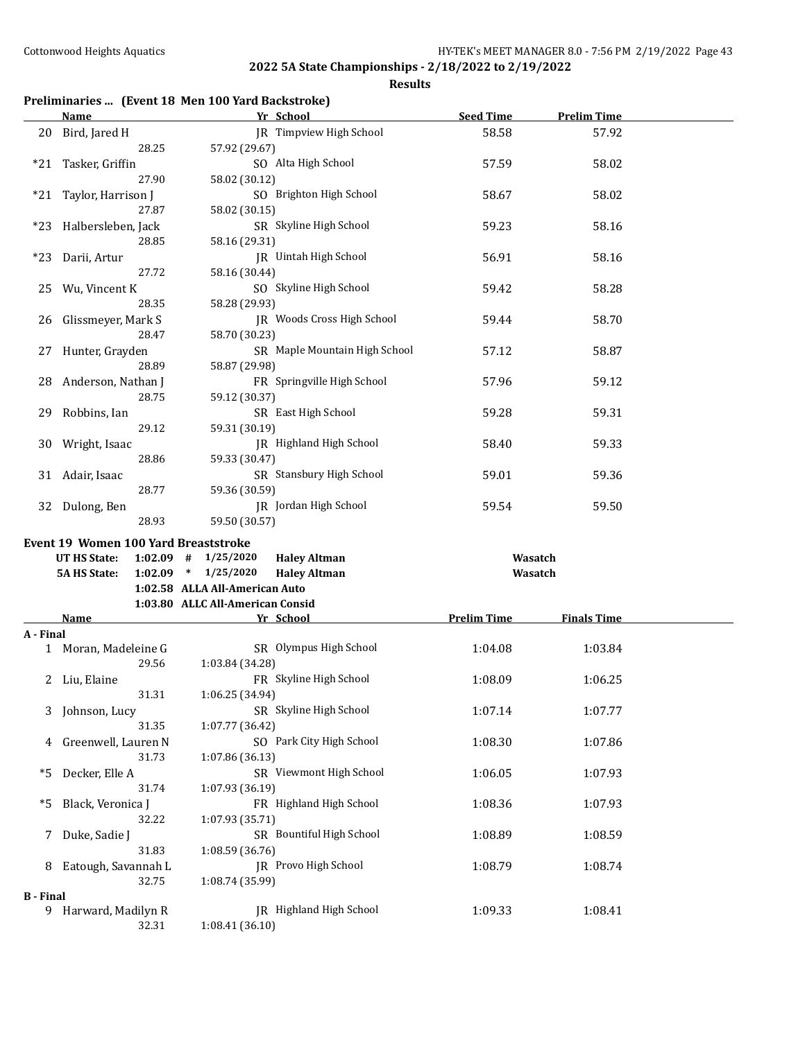**Results**

## **Preliminaries ... (Event 18 Men 100 Yard Backstroke)**

|                  | <b>Name</b>                                        | Yr School                                                                          | <b>Seed Time</b>   | <b>Prelim Time</b> |  |
|------------------|----------------------------------------------------|------------------------------------------------------------------------------------|--------------------|--------------------|--|
| 20               | Bird, Jared H                                      | JR Timpview High School                                                            | 58.58              | 57.92              |  |
|                  | 28.25                                              | 57.92 (29.67)                                                                      |                    |                    |  |
| $*21$            | Tasker, Griffin                                    | SO Alta High School                                                                | 57.59              | 58.02              |  |
|                  | 27.90                                              | 58.02 (30.12)                                                                      |                    |                    |  |
| *21              | Taylor, Harrison J                                 | SO Brighton High School                                                            | 58.67              | 58.02              |  |
|                  | 27.87                                              | 58.02 (30.15)                                                                      |                    |                    |  |
| *23              | Halbersleben, Jack                                 | SR Skyline High School                                                             | 59.23              | 58.16              |  |
|                  | 28.85                                              | 58.16 (29.31)                                                                      |                    |                    |  |
| $*23$            | Darii, Artur                                       | <b>IR</b> Uintah High School                                                       | 56.91              | 58.16              |  |
|                  | 27.72                                              | 58.16 (30.44)                                                                      |                    |                    |  |
| 25               | Wu, Vincent K                                      | SO Skyline High School                                                             | 59.42              | 58.28              |  |
|                  | 28.35                                              | 58.28 (29.93)                                                                      |                    |                    |  |
| 26               | Glissmeyer, Mark S                                 | JR Woods Cross High School                                                         | 59.44              | 58.70              |  |
|                  | 28.47                                              | 58.70 (30.23)                                                                      |                    |                    |  |
| 27               | Hunter, Grayden                                    | SR Maple Mountain High School                                                      | 57.12              | 58.87              |  |
|                  | 28.89                                              | 58.87 (29.98)                                                                      |                    |                    |  |
| 28               | Anderson, Nathan J                                 | FR Springville High School                                                         | 57.96              | 59.12              |  |
|                  | 28.75                                              | 59.12 (30.37)                                                                      |                    |                    |  |
| 29               | Robbins, Ian                                       | SR East High School                                                                | 59.28              | 59.31              |  |
|                  | 29.12                                              | 59.31 (30.19)                                                                      |                    |                    |  |
| 30               | Wright, Isaac                                      | JR Highland High School                                                            | 58.40              | 59.33              |  |
|                  | 28.86                                              | 59.33 (30.47)                                                                      |                    |                    |  |
| 31               | Adair, Isaac                                       | SR Stansbury High School                                                           | 59.01              | 59.36              |  |
|                  | 28.77                                              | 59.36 (30.59)                                                                      |                    |                    |  |
|                  | 32 Dulong, Ben                                     | JR Jordan High School                                                              | 59.54              | 59.50              |  |
|                  | 28.93                                              | 59.50 (30.57)                                                                      |                    |                    |  |
|                  |                                                    |                                                                                    |                    |                    |  |
|                  |                                                    |                                                                                    |                    |                    |  |
|                  | Event 19 Women 100 Yard Breaststroke               |                                                                                    |                    |                    |  |
|                  | UT HS State:<br>$1:02.09$ #<br><b>5A HS State:</b> | 1/25/2020<br><b>Haley Altman</b><br>$1:02.09$ * $1/25/2020$<br><b>Haley Altman</b> | Wasatch<br>Wasatch |                    |  |
|                  |                                                    | 1:02.58 ALLA All-American Auto                                                     |                    |                    |  |
|                  |                                                    | 1:03.80 ALLC All-American Consid                                                   |                    |                    |  |
|                  | <b>Name</b>                                        | Yr School                                                                          | <b>Prelim Time</b> | <b>Finals Time</b> |  |
| A - Final        |                                                    |                                                                                    |                    |                    |  |
|                  | 1 Moran, Madeleine G                               | SR Olympus High School                                                             | 1:04.08            | 1:03.84            |  |
|                  | 29.56                                              | 1:03.84 (34.28)                                                                    |                    |                    |  |
|                  | 2 Liu, Elaine                                      | FR Skyline High School                                                             | 1:08.09            | 1:06.25            |  |
|                  | 31.31                                              | 1:06.25 (34.94)                                                                    |                    |                    |  |
|                  | Johnson, Lucy                                      | SR Skyline High School                                                             | 1:07.14            | 1:07.77            |  |
|                  | 31.35                                              | 1:07.77 (36.42)                                                                    |                    |                    |  |
| 4                | Greenwell, Lauren N                                | SO Park City High School                                                           | 1:08.30            | 1:07.86            |  |
|                  | 31.73                                              | 1:07.86 (36.13)                                                                    |                    |                    |  |
| *5               | Decker, Elle A                                     | SR Viewmont High School                                                            | 1:06.05            | 1:07.93            |  |
|                  | 31.74                                              | 1:07.93 (36.19)                                                                    |                    |                    |  |
| *5               | Black, Veronica J                                  | FR Highland High School                                                            | 1:08.36            | 1:07.93            |  |
|                  | 32.22                                              | 1:07.93 (35.71)                                                                    |                    |                    |  |
| 7                | Duke, Sadie J                                      | SR Bountiful High School                                                           | 1:08.89            | 1:08.59            |  |
|                  | 31.83                                              | 1:08.59 (36.76)                                                                    |                    |                    |  |
| 8                | Eatough, Savannah L                                | JR Provo High School                                                               | 1:08.79            | 1:08.74            |  |
|                  | 32.75                                              | 1:08.74 (35.99)                                                                    |                    |                    |  |
| <b>B</b> - Final |                                                    |                                                                                    |                    |                    |  |
|                  | 9 Harward, Madilyn R<br>32.31                      | JR Highland High School<br>1:08.41 (36.10)                                         | 1:09.33            | 1:08.41            |  |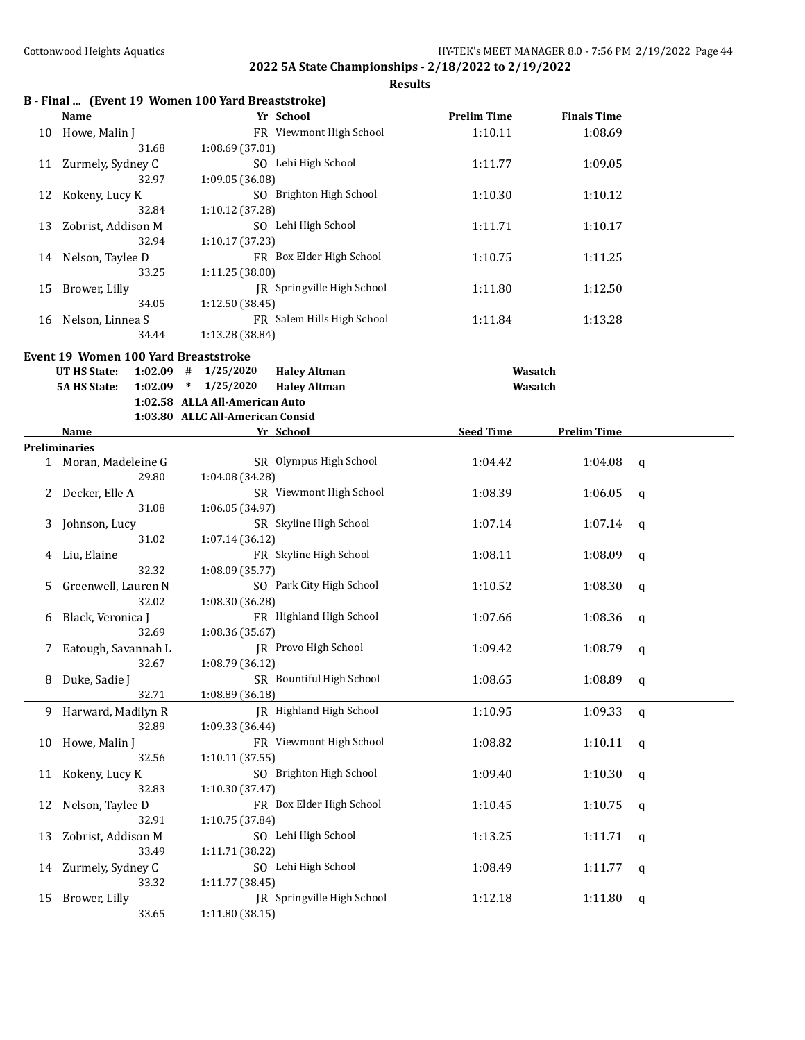|  |  |  |  | B - Final  (Event 19 Women 100 Yard Breaststroke) |
|--|--|--|--|---------------------------------------------------|
|--|--|--|--|---------------------------------------------------|

|    | <b>Name</b>                          | Yr School                                      | <b>Prelim Time</b> | <b>Finals Time</b> |   |
|----|--------------------------------------|------------------------------------------------|--------------------|--------------------|---|
|    | 10 Howe, Malin J                     | FR Viewmont High School                        | 1:10.11            | 1:08.69            |   |
|    | 31.68                                | 1:08.69 (37.01)                                |                    |                    |   |
|    | 11 Zurmely, Sydney C                 | SO Lehi High School                            | 1:11.77            | 1:09.05            |   |
|    | 32.97                                | 1:09.05 (36.08)                                |                    |                    |   |
| 12 | Kokeny, Lucy K                       | SO Brighton High School                        | 1:10.30            | 1:10.12            |   |
|    | 32.84                                | 1:10.12 (37.28)                                |                    |                    |   |
| 13 | Zobrist, Addison M                   | SO Lehi High School                            | 1:11.71            | 1:10.17            |   |
|    | 32.94                                | 1:10.17 (37.23)                                |                    |                    |   |
| 14 | Nelson, Taylee D                     | FR Box Elder High School                       | 1:10.75            | 1:11.25            |   |
|    | 33.25                                | 1:11.25 (38.00)                                |                    |                    |   |
| 15 | Brower, Lilly                        | JR Springville High School                     | 1:11.80            | 1:12.50            |   |
|    | 34.05                                | 1:12.50 (38.45)                                |                    |                    |   |
|    | 16 Nelson, Linnea S                  | FR Salem Hills High School                     | 1:11.84            | 1:13.28            |   |
|    | 34.44                                | 1:13.28 (38.84)                                |                    |                    |   |
|    | Event 19 Women 100 Yard Breaststroke |                                                |                    |                    |   |
|    | <b>UT HS State:</b>                  | $1:02.09$ # $1/25/2020$<br><b>Haley Altman</b> | Wasatch            |                    |   |
|    | <b>5A HS State:</b>                  | $1:02.09$ * $1/25/2020$<br><b>Haley Altman</b> | Wasatch            |                    |   |
|    |                                      | 1:02.58 ALLA All-American Auto                 |                    |                    |   |
|    |                                      | 1:03.80 ALLC All-American Consid               |                    |                    |   |
|    | Name                                 | Yr School                                      | <b>Seed Time</b>   | <b>Prelim Time</b> |   |
|    | <b>Preliminaries</b>                 |                                                |                    |                    |   |
|    | 1 Moran, Madeleine G                 | SR Olympus High School                         | 1:04.42            | 1:04.08            | q |
|    | 29.80                                | 1:04.08 (34.28)                                |                    |                    |   |
|    | Decker, Elle A                       | SR Viewmont High School                        | 1:08.39            | 1:06.05            | q |
|    | 31.08                                | 1:06.05 (34.97)                                |                    |                    |   |
| 3  | Johnson, Lucy                        | SR Skyline High School                         | 1:07.14            | 1:07.14            | q |
|    | 31.02                                | 1:07.14 (36.12)                                |                    |                    |   |
| 4  | Liu, Elaine                          | FR Skyline High School                         | 1:08.11            | 1:08.09            | q |
|    | 32.32                                | 1:08.09 (35.77)                                |                    |                    |   |
| 5  | Greenwell, Lauren N                  | SO Park City High School                       | 1:10.52            | 1:08.30            | q |
|    | 32.02                                | 1:08.30 (36.28)                                |                    |                    |   |
| 6  | Black, Veronica J                    | FR Highland High School                        | 1:07.66            | 1:08.36            | q |
|    | 32.69                                | 1:08.36 (35.67)                                |                    |                    |   |
| 7  | Eatough, Savannah L                  | JR Provo High School                           | 1:09.42            | 1:08.79            | q |
|    | 32.67                                | 1:08.79 (36.12)                                |                    |                    |   |
| 8  | Duke, Sadie J                        | SR Bountiful High School                       | 1:08.65            | 1:08.89            | q |
|    | 32.71                                | 1:08.89 (36.18)                                |                    |                    |   |
| 9  | Harward, Madilyn R                   | JR Highland High School                        | 1:10.95            | 1:09.33            | q |
|    | 32.89                                | 1:09.33 (36.44)                                |                    |                    |   |
| 10 | Howe, Malin J                        | FR Viewmont High School                        | 1:08.82            | 1:10.11            | q |
|    | 32.56                                | 1:10.11 (37.55)                                |                    |                    |   |
| 11 | Kokeny, Lucy K                       | SO Brighton High School                        | 1:09.40            | 1:10.30            | q |
|    | 32.83                                | 1:10.30 (37.47)                                |                    |                    |   |
| 12 | Nelson, Taylee D                     | FR Box Elder High School                       | 1:10.45            | 1:10.75            | q |
|    | 32.91                                | 1:10.75 (37.84)                                |                    |                    |   |
| 13 | Zobrist, Addison M                   | SO Lehi High School                            | 1:13.25            | 1:11.71            | q |
|    | 33.49                                | 1:11.71 (38.22)                                |                    |                    |   |
|    | 14 Zurmely, Sydney C                 | SO Lehi High School                            | 1:08.49            | 1:11.77            | q |
|    | 33.32                                | 1:11.77 (38.45)                                |                    |                    |   |
| 15 | Brower, Lilly                        | JR Springville High School                     | 1:12.18            | 1:11.80            | q |
|    | 33.65                                | 1:11.80 (38.15)                                |                    |                    |   |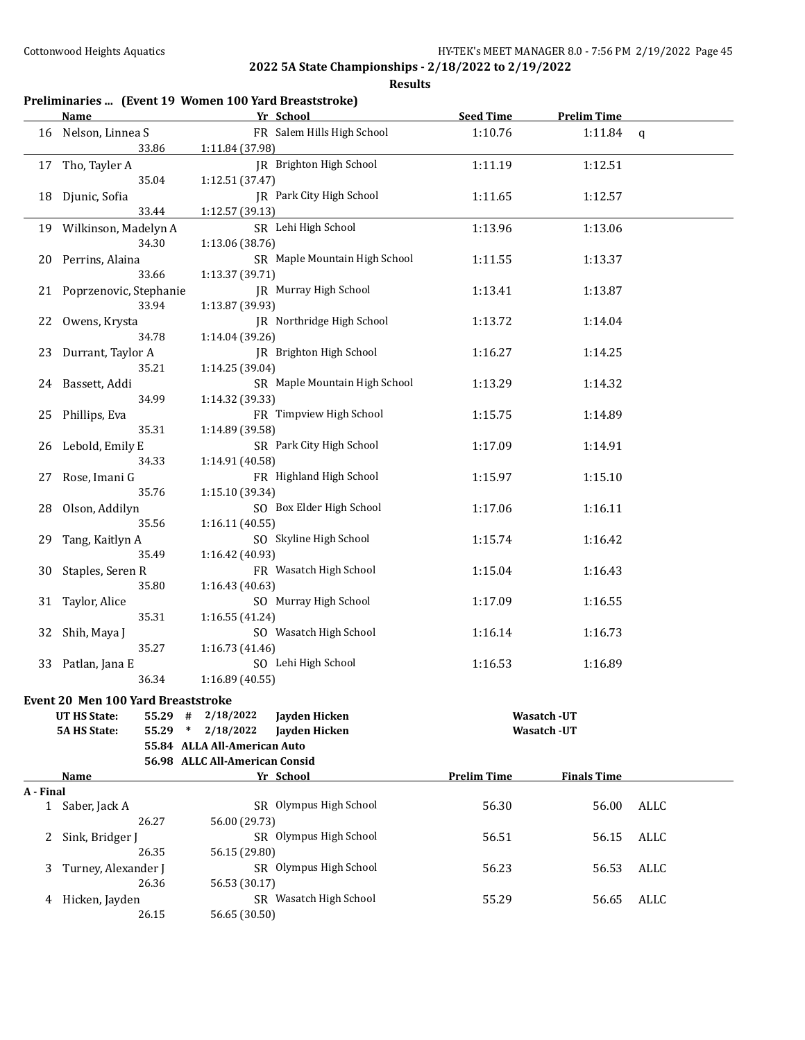|           |                                           | Preliminaries  (Event 19 Women 100 Yard Breaststroke) |                    |                    |             |
|-----------|-------------------------------------------|-------------------------------------------------------|--------------------|--------------------|-------------|
|           | Name                                      | Yr School                                             | <b>Seed Time</b>   | <b>Prelim Time</b> |             |
| 16        | Nelson, Linnea S                          | FR Salem Hills High School                            | 1:10.76            | 1:11.84            | $\mathbf q$ |
|           | 33.86                                     | 1:11.84 (37.98)                                       |                    |                    |             |
|           | 17 Tho, Tayler A                          | <b>IR</b> Brighton High School                        | 1:11.19            | 1:12.51            |             |
|           | 35.04                                     | 1:12.51 (37.47)                                       |                    |                    |             |
| 18        | Djunic, Sofia                             | JR Park City High School                              | 1:11.65            | 1:12.57            |             |
|           | 33.44                                     | 1:12.57 (39.13)                                       |                    |                    |             |
| 19        | Wilkinson, Madelyn A                      | SR Lehi High School                                   | 1:13.96            | 1:13.06            |             |
|           | 34.30                                     | 1:13.06 (38.76)                                       |                    |                    |             |
| 20        | Perrins, Alaina                           | SR Maple Mountain High School                         | 1:11.55            | 1:13.37            |             |
|           | 33.66                                     | 1:13.37 (39.71)                                       |                    |                    |             |
| 21        | Poprzenovic, Stephanie                    | JR Murray High School                                 | 1:13.41            | 1:13.87            |             |
|           | 33.94                                     | 1:13.87 (39.93)                                       |                    |                    |             |
| 22        | Owens, Krysta                             | JR Northridge High School                             | 1:13.72            | 1:14.04            |             |
|           | 34.78                                     | 1:14.04 (39.26)                                       |                    |                    |             |
| 23        | Durrant, Taylor A                         | JR Brighton High School                               | 1:16.27            | 1:14.25            |             |
|           | 35.21                                     | 1:14.25 (39.04)                                       |                    |                    |             |
| 24        | Bassett, Addi                             | SR Maple Mountain High School                         | 1:13.29            | 1:14.32            |             |
|           | 34.99                                     | 1:14.32 (39.33)                                       |                    |                    |             |
| 25        | Phillips, Eva                             | FR Timpview High School                               | 1:15.75            | 1:14.89            |             |
|           | 35.31                                     | 1:14.89 (39.58)                                       |                    |                    |             |
| 26        | Lebold, Emily E                           | SR Park City High School                              | 1:17.09            | 1:14.91            |             |
|           | 34.33                                     | 1:14.91 (40.58)                                       |                    |                    |             |
| 27        | Rose, Imani G                             | FR Highland High School                               | 1:15.97            | 1:15.10            |             |
|           | 35.76                                     | 1:15.10 (39.34)                                       |                    |                    |             |
| 28        | Olson, Addilyn                            | SO Box Elder High School                              | 1:17.06            | 1:16.11            |             |
|           | 35.56                                     | 1:16.11 (40.55)                                       |                    |                    |             |
| 29        | Tang, Kaitlyn A                           | SO Skyline High School                                | 1:15.74            | 1:16.42            |             |
|           | 35.49                                     | 1:16.42 (40.93)                                       |                    |                    |             |
| 30        | Staples, Seren R                          | FR Wasatch High School                                | 1:15.04            | 1:16.43            |             |
|           | 35.80                                     | 1:16.43 (40.63)                                       |                    |                    |             |
| 31        | Taylor, Alice                             | SO Murray High School                                 | 1:17.09            | 1:16.55            |             |
|           | 35.31                                     | 1:16.55 (41.24)                                       |                    |                    |             |
| 32        | Shih, Maya J                              | SO Wasatch High School                                | 1:16.14            | 1:16.73            |             |
|           | 35.27                                     | 1:16.73 (41.46)                                       |                    |                    |             |
| 33        | Patlan, Jana E                            | SO Lehi High School                                   | 1:16.53            | 1:16.89            |             |
|           | 36.34                                     | 1:16.89(40.55)                                        |                    |                    |             |
|           | <b>Event 20 Men 100 Yard Breaststroke</b> |                                                       |                    |                    |             |
|           | UT HS State:<br>55.29 #                   | 2/18/2022<br>Jayden Hicken                            |                    | Wasatch -UT        |             |
|           | 55.29<br><b>5A HS State:</b>              | 2/18/2022<br>$\ast$<br>Jayden Hicken                  |                    | Wasatch -UT        |             |
|           |                                           | 55.84 ALLA All-American Auto                          |                    |                    |             |
|           |                                           | 56.98 ALLC All-American Consid                        |                    |                    |             |
|           | Name                                      | Yr School                                             | <b>Prelim Time</b> | <b>Finals Time</b> |             |
| A - Final |                                           |                                                       |                    |                    |             |
|           | 1 Saber, Jack A                           | SR Olympus High School                                | 56.30              | 56.00              | ALLC        |
|           | 26.27                                     | 56.00 (29.73)                                         |                    |                    |             |
| 2         | Sink, Bridger J                           | SR Olympus High School                                | 56.51              | 56.15              | ALLC        |
|           | 26.35                                     | 56.15 (29.80)                                         |                    |                    |             |
| 3         | Turney, Alexander J                       | SR Olympus High School                                | 56.23              | 56.53              | ALLC        |
|           | 26.36                                     | 56.53 (30.17)                                         |                    |                    |             |
| 4         | Hicken, Jayden                            | SR Wasatch High School                                | 55.29              | 56.65              | ALLC        |
|           | 26.15                                     | 56.65 (30.50)                                         |                    |                    |             |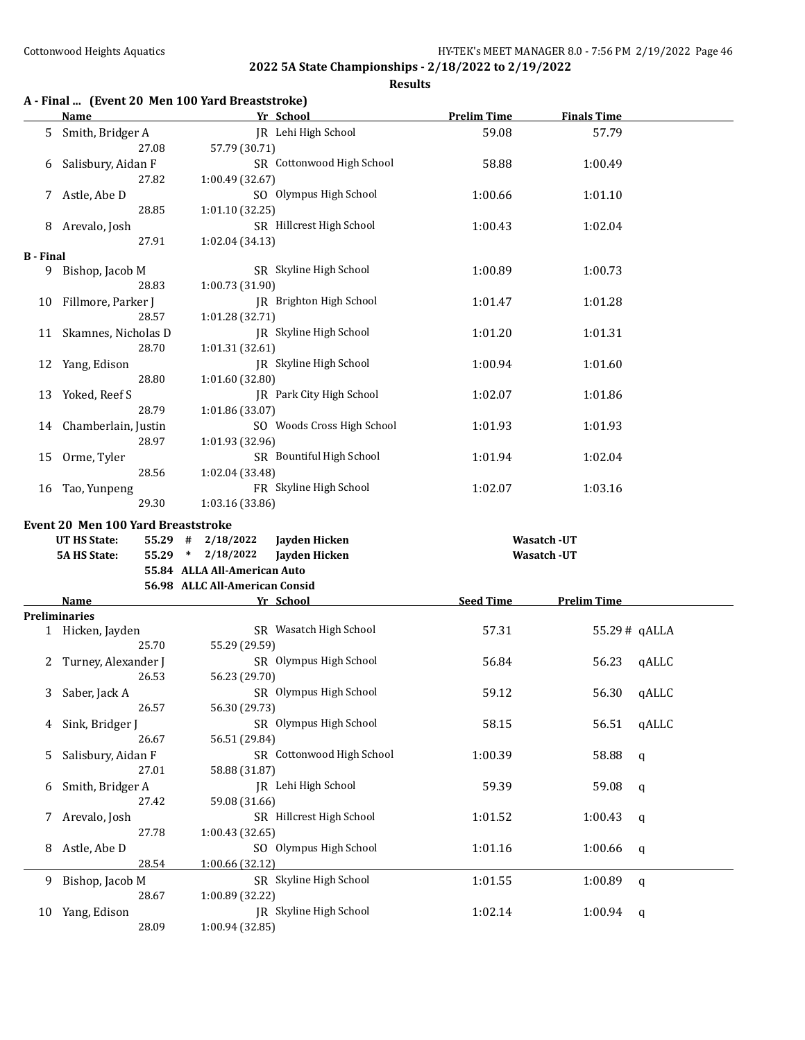|  |  |  |  | A - Final  (Event 20 Men 100 Yard Breaststroke) |
|--|--|--|--|-------------------------------------------------|
|--|--|--|--|-------------------------------------------------|

|                  | Name                                      | Yr School                                                    | <b>Prelim Time</b> | <b>Finals Time</b> |  |
|------------------|-------------------------------------------|--------------------------------------------------------------|--------------------|--------------------|--|
| 5.               | Smith, Bridger A<br>27.08                 | JR Lehi High School<br>57.79 (30.71)                         | 59.08              | 57.79              |  |
| 6                | Salisbury, Aidan F                        | SR Cottonwood High School                                    | 58.88              | 1:00.49            |  |
| 7                | 27.82<br>Astle, Abe D                     | 1:00.49 (32.67)<br>SO Olympus High School                    | 1:00.66            | 1:01.10            |  |
| 8                | 28.85<br>Arevalo, Josh                    | 1:01.10 (32.25)<br>SR Hillcrest High School                  | 1:00.43            | 1:02.04            |  |
|                  | 27.91                                     | 1:02.04 (34.13)                                              |                    |                    |  |
| <b>B</b> - Final |                                           |                                                              |                    |                    |  |
| 9                | Bishop, Jacob M<br>28.83                  | SR Skyline High School<br>1:00.73 (31.90)                    | 1:00.89            | 1:00.73            |  |
| 10               | Fillmore, Parker J<br>28.57               | <b>IR</b> Brighton High School<br>1:01.28 (32.71)            | 1:01.47            | 1:01.28            |  |
|                  | 11 Skamnes, Nicholas D<br>28.70           | JR Skyline High School<br>1:01.31 (32.61)                    | 1:01.20            | 1:01.31            |  |
|                  | 12 Yang, Edison<br>28.80                  | JR Skyline High School<br>1:01.60 (32.80)                    | 1:00.94            | 1:01.60            |  |
| 13               | Yoked, Reef S<br>28.79                    | IR Park City High School<br>1:01.86 (33.07)                  | 1:02.07            | 1:01.86            |  |
|                  | 14 Chamberlain, Justin<br>28.97           | SO Woods Cross High School                                   | 1:01.93            | 1:01.93            |  |
| 15               | Orme, Tyler                               | 1:01.93 (32.96)<br>SR Bountiful High School                  | 1:01.94            | 1:02.04            |  |
| 16               | 28.56<br>Tao, Yunpeng<br>29.30            | 1:02.04 (33.48)<br>FR Skyline High School<br>1:03.16 (33.86) | 1:02.07            | 1:03.16            |  |
|                  |                                           |                                                              |                    |                    |  |
|                  | <b>Event 20 Men 100 Yard Breaststroke</b> |                                                              |                    |                    |  |
|                  | <b>UT HS State:</b><br>55.29 #            | 2/18/2022<br>Jayden Hicken                                   |                    | Wasatch -UT        |  |
|                  | <b>5A HS State:</b><br>55.29              | * $2/18/2022$<br>Jayden Hicken                               |                    | <b>Wasatch -UT</b> |  |
|                  |                                           | 55.84 ALLA All-American Auto                                 |                    |                    |  |
|                  |                                           | 56.98 ALLC All-American Consid                               |                    |                    |  |
|                  | Name                                      | Yr School                                                    | <b>Seed Time</b>   | <b>Prelim Time</b> |  |
|                  | Preliminaries                             |                                                              |                    |                    |  |
|                  |                                           | SR Wasatch High School                                       | 57.31              | 55.29# gALLA       |  |
|                  | 1 Hicken, Jayden                          |                                                              |                    |                    |  |
|                  | 25.70                                     | 55.29 (29.59)                                                |                    |                    |  |
| 2                | Turney, Alexander J                       | SR Olympus High School                                       | 56.84              |                    |  |
|                  | 26.53                                     |                                                              |                    | 56.23<br>qALLC     |  |
|                  |                                           | 56.23 (29.70)                                                |                    |                    |  |
|                  | 3 Saber, Jack A                           | SR Olympus High School                                       | 59.12              | 56.30<br>qALLC     |  |
|                  | 26.57                                     | 56.30 (29.73)                                                |                    |                    |  |
| 4                | Sink, Bridger J                           | SR Olympus High School                                       | 58.15              | 56.51<br>qALLC     |  |
|                  | 26.67                                     | 56.51 (29.84)                                                |                    |                    |  |
| 5                |                                           | SR Cottonwood High School                                    |                    |                    |  |
|                  | Salisbury, Aidan F<br>27.01               |                                                              | 1:00.39            | 58.88<br>q         |  |
|                  |                                           | 58.88 (31.87)                                                |                    |                    |  |
| 6                | Smith, Bridger A                          | JR Lehi High School                                          | 59.39              | 59.08<br>q         |  |
|                  | 27.42                                     | 59.08 (31.66)                                                |                    |                    |  |
| 7                | Arevalo, Josh                             | SR Hillcrest High School                                     | 1:01.52            | 1:00.43<br>q       |  |
|                  | 27.78                                     | 1:00.43(32.65)                                               |                    |                    |  |
| 8                | Astle, Abe D                              | SO Olympus High School                                       | 1:01.16            | 1:00.66<br>q       |  |
|                  | 28.54                                     | 1:00.66 (32.12)                                              |                    |                    |  |
| 9                | Bishop, Jacob M                           | SR Skyline High School                                       | 1:01.55            | 1:00.89<br>q       |  |
|                  | 28.67                                     | 1:00.89 (32.22)                                              |                    |                    |  |
| 10               | Yang, Edison<br>28.09                     | JR Skyline High School<br>1:00.94 (32.85)                    | 1:02.14            | 1:00.94<br>q       |  |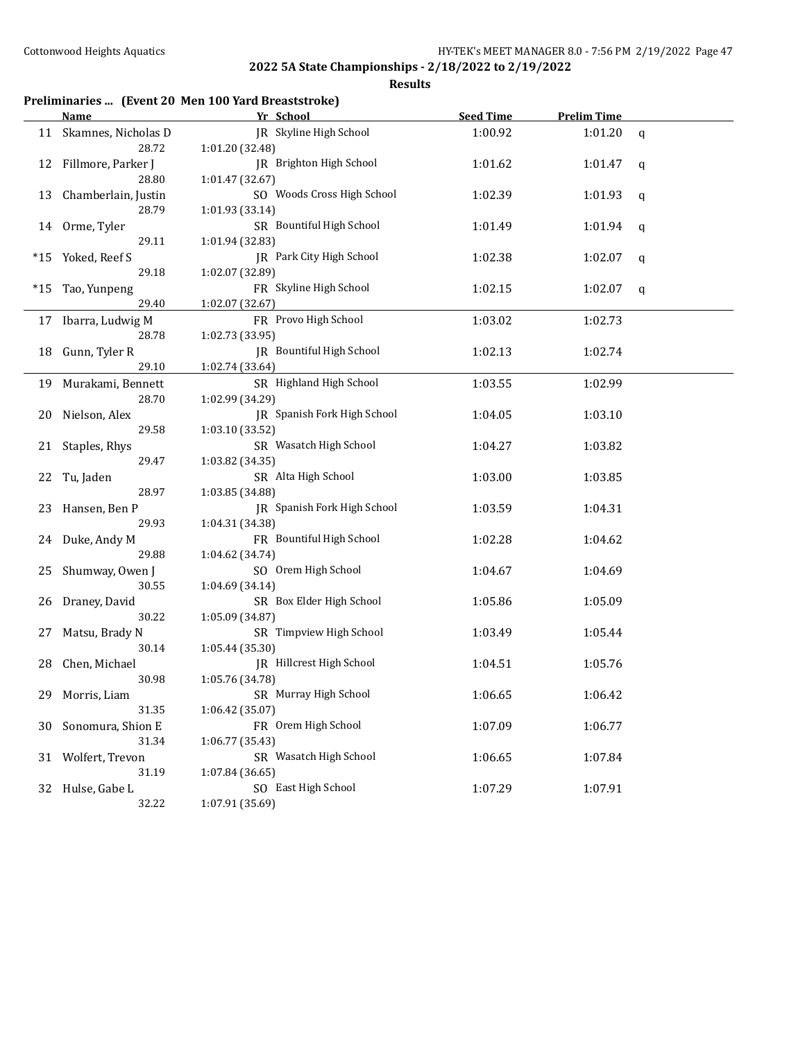|       |                             | Preliminaries  (Event 20 Men 100 Yard Breaststroke) |                  |                    |              |
|-------|-----------------------------|-----------------------------------------------------|------------------|--------------------|--------------|
|       | Name                        | Yr School                                           | <b>Seed Time</b> | <b>Prelim Time</b> |              |
| 11    | Skamnes, Nicholas D         | <b>IR</b> Skyline High School                       | 1:00.92          | 1:01.20            | $\mathsf{q}$ |
|       | 28.72                       | 1:01.20 (32.48)                                     |                  |                    |              |
| 12    | Fillmore, Parker J<br>28.80 | JR Brighton High School<br>1:01.47 (32.67)          | 1:01.62          | 1:01.47            | q            |
| 13    | Chamberlain, Justin         | SO Woods Cross High School                          | 1:02.39          | 1:01.93            | q            |
|       | 28.79                       | 1:01.93 (33.14)                                     |                  |                    |              |
| 14    | Orme, Tyler<br>29.11        | SR Bountiful High School<br>1:01.94 (32.83)         | 1:01.49          | 1:01.94            | q            |
| $*15$ | Yoked, Reef S               | JR Park City High School                            | 1:02.38          | 1:02.07            |              |
|       | 29.18                       | 1:02.07 (32.89)                                     |                  |                    | q            |
| *15   | Tao, Yunpeng                | FR Skyline High School                              | 1:02.15          | 1:02.07            | q            |
|       | 29.40                       | 1:02.07 (32.67)                                     |                  |                    |              |
|       | 17 Ibarra, Ludwig M         | FR Provo High School                                | 1:03.02          | 1:02.73            |              |
|       | 28.78                       | 1:02.73 (33.95)                                     |                  |                    |              |
| 18    | Gunn, Tyler R               | JR Bountiful High School                            | 1:02.13          | 1:02.74            |              |
|       | 29.10                       | 1:02.74 (33.64)                                     |                  |                    |              |
|       | 19 Murakami, Bennett        | SR Highland High School                             | 1:03.55          | 1:02.99            |              |
|       | 28.70                       | 1:02.99 (34.29)                                     |                  |                    |              |
| 20    | Nielson, Alex               | JR Spanish Fork High School                         | 1:04.05          | 1:03.10            |              |
|       | 29.58                       | 1:03.10 (33.52)                                     |                  |                    |              |
| 21    | Staples, Rhys               | SR Wasatch High School                              | 1:04.27          | 1:03.82            |              |
|       | 29.47                       | 1:03.82 (34.35)                                     |                  |                    |              |
| 22    | Tu, Jaden                   | SR Alta High School                                 | 1:03.00          | 1:03.85            |              |
|       | 28.97                       | 1:03.85 (34.88)                                     |                  |                    |              |
| 23    | Hansen, Ben P               | JR Spanish Fork High School                         | 1:03.59          | 1:04.31            |              |
|       | 29.93                       | 1:04.31 (34.38)                                     |                  |                    |              |
| 24    | Duke, Andy M                | FR Bountiful High School                            | 1:02.28          | 1:04.62            |              |
|       | 29.88                       | 1:04.62 (34.74)                                     |                  |                    |              |
| 25    | Shumway, Owen J             | SO Orem High School                                 | 1:04.67          | 1:04.69            |              |
|       | 30.55                       | 1:04.69 (34.14)                                     |                  |                    |              |
| 26    | Draney, David               | SR Box Elder High School                            | 1:05.86          | 1:05.09            |              |
|       | 30.22                       | 1:05.09 (34.87)                                     |                  |                    |              |
| 27    | Matsu, Brady N              | SR Timpview High School                             | 1:03.49          | 1:05.44            |              |
|       | 30.14                       | 1:05.44 (35.30)                                     |                  |                    |              |
| 28    | Chen, Michael               | JR Hillcrest High School                            | 1:04.51          | 1:05.76            |              |
|       | 30.98                       | 1:05.76 (34.78)                                     |                  |                    |              |
| 29    | Morris, Liam                | SR Murray High School                               | 1:06.65          | 1:06.42            |              |
|       | 31.35                       | 1:06.42 (35.07)                                     |                  |                    |              |
| 30    | Sonomura, Shion E           | FR Orem High School                                 | 1:07.09          | 1:06.77            |              |
|       | 31.34                       | 1:06.77 (35.43)                                     |                  |                    |              |
| 31    | Wolfert, Trevon             | SR Wasatch High School                              | 1:06.65          | 1:07.84            |              |
|       | 31.19                       | 1:07.84 (36.65)                                     |                  |                    |              |
|       | 32 Hulse, Gabe L            | SO East High School                                 | 1:07.29          | 1:07.91            |              |
|       | 32.22                       | 1:07.91 (35.69)                                     |                  |                    |              |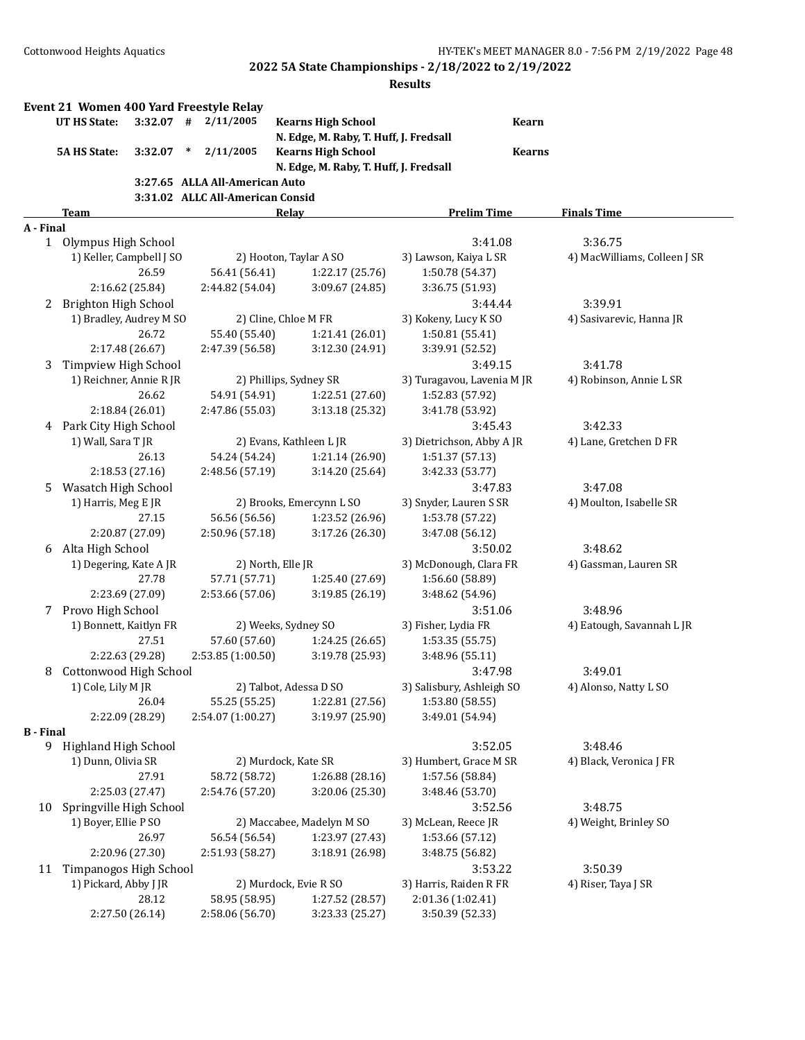|                  | Event 21 Women 400 Yard Freestyle Relay<br>UT HS State: |                 |        | $3:32.07$ # $2/11/2005$          | <b>Kearns High School</b>              | Kearn                      |                              |
|------------------|---------------------------------------------------------|-----------------|--------|----------------------------------|----------------------------------------|----------------------------|------------------------------|
|                  |                                                         |                 |        |                                  | N. Edge, M. Raby, T. Huff, J. Fredsall |                            |                              |
|                  | <b>5A HS State:</b>                                     | 3:32.07         | $\ast$ | 2/11/2005                        | <b>Kearns High School</b>              | <b>Kearns</b>              |                              |
|                  |                                                         |                 |        |                                  | N. Edge, M. Raby, T. Huff, J. Fredsall |                            |                              |
|                  |                                                         |                 |        | 3:27.65 ALLA All-American Auto   |                                        |                            |                              |
|                  |                                                         |                 |        | 3:31.02 ALLC All-American Consid |                                        |                            |                              |
|                  | <b>Team</b>                                             |                 |        |                                  | <b>Relay</b>                           | <b>Prelim Time</b>         | <b>Finals Time</b>           |
| A - Final        |                                                         |                 |        |                                  |                                        |                            |                              |
|                  | 1 Olympus High School                                   |                 |        |                                  |                                        | 3:41.08                    | 3:36.75                      |
|                  | 1) Keller, Campbell J SO                                |                 |        |                                  | 2) Hooton, Taylar A SO                 | 3) Lawson, Kaiya L SR      | 4) MacWilliams, Colleen J SR |
|                  |                                                         | 26.59           |        | 56.41 (56.41)<br>2:44.82 (54.04) | 1:22.17(25.76)                         | 1:50.78 (54.37)            |                              |
|                  |                                                         | 2:16.62 (25.84) |        |                                  | 3:09.67 (24.85)                        | 3:36.75 (51.93)            |                              |
| 2                | <b>Brighton High School</b>                             |                 |        |                                  |                                        | 3:44.44                    | 3:39.91                      |
|                  | 1) Bradley, Audrey M SO                                 |                 |        |                                  | 2) Cline, Chloe M FR                   | 3) Kokeny, Lucy K SO       | 4) Sasivarevic, Hanna JR     |
|                  |                                                         | 26.72           |        | 55.40 (55.40)                    | 1:21.41 (26.01)                        | 1:50.81 (55.41)            |                              |
|                  |                                                         | 2:17.48 (26.67) |        | 2:47.39 (56.58)                  | 3:12.30 (24.91)                        | 3:39.91 (52.52)            |                              |
| 3                | Timpview High School                                    |                 |        |                                  |                                        | 3:49.15                    | 3:41.78                      |
|                  | 1) Reichner, Annie R JR                                 |                 |        |                                  | 2) Phillips, Sydney SR                 | 3) Turagavou, Lavenia M JR | 4) Robinson, Annie L SR      |
|                  |                                                         | 26.62           |        | 54.91 (54.91)                    | 1:22.51 (27.60)                        | 1:52.83 (57.92)            |                              |
|                  |                                                         | 2:18.84 (26.01) |        | 2:47.86 (55.03)                  | 3:13.18 (25.32)                        | 3:41.78 (53.92)            |                              |
|                  | 4 Park City High School                                 |                 |        |                                  |                                        | 3:45.43                    | 3:42.33                      |
|                  | 1) Wall, Sara T JR                                      |                 |        |                                  | 2) Evans, Kathleen L JR                | 3) Dietrichson, Abby A JR  | 4) Lane, Gretchen D FR       |
|                  |                                                         | 26.13           |        | 54.24 (54.24)                    | 1:21.14 (26.90)                        | 1:51.37 (57.13)            |                              |
|                  |                                                         | 2:18.53 (27.16) |        | 2:48.56 (57.19)                  | 3:14.20 (25.64)                        | 3:42.33 (53.77)            |                              |
| 5.               | Wasatch High School                                     |                 |        |                                  |                                        | 3:47.83                    | 3:47.08                      |
|                  | 1) Harris, Meg E JR                                     |                 |        |                                  | 2) Brooks, Emercynn L SO               | 3) Snyder, Lauren S SR     | 4) Moulton, Isabelle SR      |
|                  |                                                         | 27.15           |        | 56.56 (56.56)                    | 1:23.52 (26.96)                        | 1:53.78 (57.22)            |                              |
|                  |                                                         | 2:20.87 (27.09) |        | 2:50.96 (57.18)                  | 3:17.26 (26.30)                        | 3:47.08 (56.12)            |                              |
| 6                | Alta High School                                        |                 |        |                                  |                                        | 3:50.02                    | 3:48.62                      |
|                  | 1) Degering, Kate A JR                                  |                 |        |                                  | 2) North, Elle JR                      | 3) McDonough, Clara FR     | 4) Gassman, Lauren SR        |
|                  |                                                         | 27.78           |        | 57.71 (57.71)                    | 1:25.40 (27.69)                        | 1:56.60 (58.89)            |                              |
|                  |                                                         | 2:23.69 (27.09) |        | 2:53.66 (57.06)                  | 3:19.85 (26.19)                        | 3:48.62 (54.96)            |                              |
| 7                | Provo High School                                       |                 |        |                                  |                                        | 3:51.06                    | 3:48.96                      |
|                  | 1) Bonnett, Kaitlyn FR                                  |                 |        |                                  | 2) Weeks, Sydney SO                    | 3) Fisher, Lydia FR        | 4) Eatough, Savannah L JR    |
|                  |                                                         | 27.51           |        | 57.60 (57.60)                    | 1:24.25 (26.65)                        | 1:53.35(55.75)             |                              |
|                  |                                                         | 2:22.63 (29.28) |        | 2:53.85 (1:00.50)                | 3:19.78 (25.93)                        | 3:48.96 (55.11)            |                              |
| 8                | Cottonwood High School                                  |                 |        |                                  |                                        | 3:47.98                    | 3:49.01                      |
|                  | 1) Cole, Lily M JR                                      |                 |        |                                  | 2) Talbot, Adessa D SO                 | 3) Salisbury, Ashleigh SO  | 4) Alonso, Natty L SO        |
|                  |                                                         | 26.04           |        | 55.25 (55.25)                    | 1:22.81 (27.56)                        | 1:53.80(58.55)             |                              |
|                  |                                                         | 2:22.09 (28.29) |        | 2:54.07 (1:00.27)                | 3:19.97 (25.90)                        | 3:49.01 (54.94)            |                              |
| <b>B</b> - Final |                                                         |                 |        |                                  |                                        |                            |                              |
|                  | 9 Highland High School                                  |                 |        |                                  |                                        | 3:52.05                    | 3:48.46                      |
|                  | 1) Dunn, Olivia SR                                      | 27.91           |        |                                  | 2) Murdock, Kate SR                    | 3) Humbert, Grace M SR     | 4) Black, Veronica J FR      |
|                  |                                                         |                 |        | 58.72 (58.72)                    | 1:26.88 (28.16)                        | 1:57.56 (58.84)            |                              |
|                  |                                                         | 2:25.03 (27.47) |        | 2:54.76 (57.20)                  | 3:20.06 (25.30)                        | 3:48.46 (53.70)            |                              |
| 10               | Springville High School                                 |                 |        |                                  |                                        | 3:52.56                    | 3:48.75                      |
|                  | 1) Boyer, Ellie P SO                                    |                 |        |                                  | 2) Maccabee, Madelyn M SO              | 3) McLean, Reece JR        | 4) Weight, Brinley SO        |
|                  |                                                         | 26.97           |        | 56.54 (56.54)                    | 1:23.97 (27.43)                        | 1:53.66 (57.12)            |                              |
|                  |                                                         | 2:20.96 (27.30) |        | 2:51.93 (58.27)                  | 3:18.91 (26.98)                        | 3:48.75 (56.82)            |                              |
| 11               | Timpanogos High School                                  |                 |        |                                  |                                        | 3:53.22                    | 3:50.39                      |
|                  | 1) Pickard, Abby J JR                                   |                 |        |                                  | 2) Murdock, Evie R SO                  | 3) Harris, Raiden R FR     | 4) Riser, Taya J SR          |
|                  |                                                         | 28.12           |        | 58.95 (58.95)                    | 1:27.52 (28.57)                        | 2:01.36 (1:02.41)          |                              |
|                  |                                                         | 2:27.50 (26.14) |        | 2:58.06 (56.70)                  | 3:23.33 (25.27)                        | 3:50.39 (52.33)            |                              |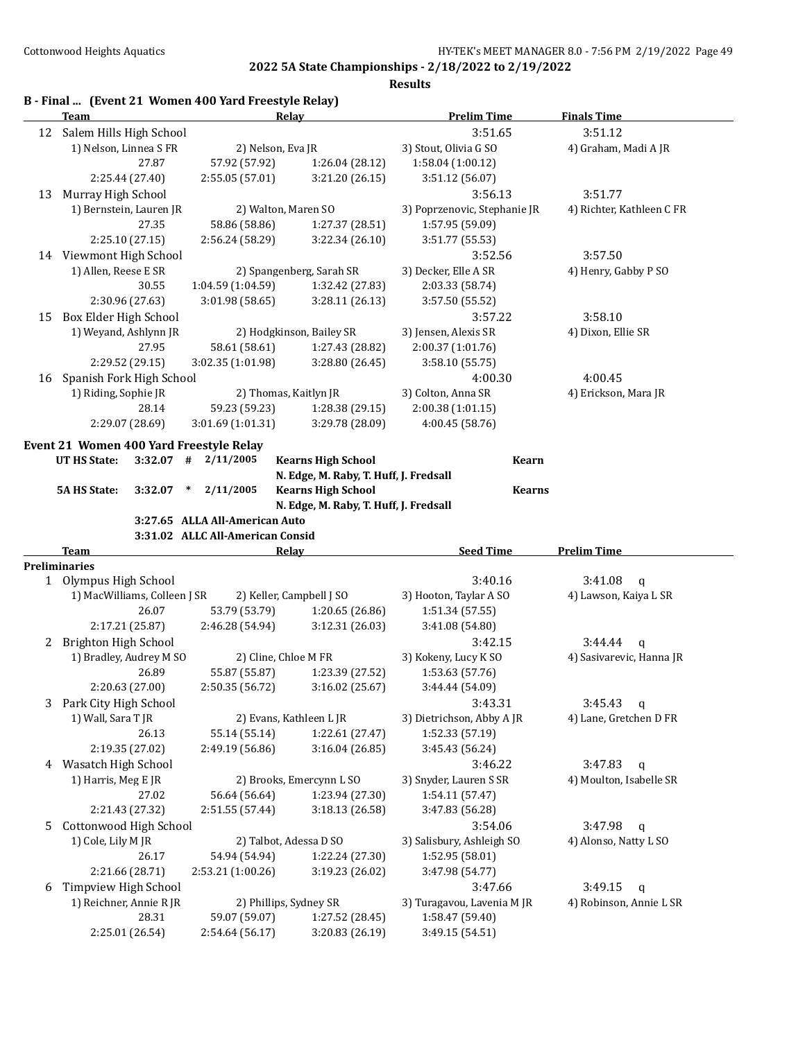|    | Team                                    |                                  | <b>Relay</b>                           | <b>Prelim Time</b>                 | <b>Finals Time</b>        |
|----|-----------------------------------------|----------------------------------|----------------------------------------|------------------------------------|---------------------------|
|    | 12 Salem Hills High School              |                                  |                                        | 3:51.65                            | 3:51.12                   |
|    | 1) Nelson, Linnea S FR                  | 2) Nelson, Eva JR                |                                        | 3) Stout, Olivia G SO              | 4) Graham, Madi A JR      |
|    | 27.87                                   | 57.92 (57.92)                    | 1:26.04 (28.12)                        | 1:58.04 (1:00.12)                  |                           |
|    | 2:25.44 (27.40)                         | 2:55.05 (57.01)                  | 3:21.20 (26.15)                        | 3:51.12 (56.07)                    |                           |
| 13 | Murray High School                      |                                  |                                        | 3:56.13                            | 3:51.77                   |
|    | 1) Bernstein, Lauren JR                 |                                  | 2) Walton, Maren SO                    | 3) Poprzenovic, Stephanie JR       | 4) Richter, Kathleen C FR |
|    | 27.35                                   | 58.86 (58.86)                    | 1:27.37 (28.51)                        | 1:57.95 (59.09)                    |                           |
|    | 2:25.10 (27.15)                         | 2:56.24 (58.29)                  | 3:22.34 (26.10)                        | 3:51.77 (55.53)                    |                           |
|    | 14 Viewmont High School                 |                                  |                                        | 3:52.56                            | 3:57.50                   |
|    | 1) Allen, Reese E SR                    |                                  | 2) Spangenberg, Sarah SR               | 3) Decker, Elle A SR               | 4) Henry, Gabby P SO      |
|    | 30.55                                   | 1:04.59 (1:04.59)                | 1:32.42 (27.83)                        | 2:03.33 (58.74)                    |                           |
|    | 2:30.96 (27.63)                         | 3:01.98 (58.65)                  | 3:28.11 (26.13)                        | 3:57.50 (55.52)                    |                           |
| 15 | Box Elder High School                   |                                  |                                        | 3:57.22                            | 3:58.10                   |
|    | 1) Weyand, Ashlynn JR                   |                                  | 2) Hodgkinson, Bailey SR               | 3) Jensen, Alexis SR               | 4) Dixon, Ellie SR        |
|    | 27.95                                   | 58.61 (58.61)                    | 1:27.43 (28.82)                        | 2:00.37 (1:01.76)                  |                           |
|    | 2:29.52 (29.15)                         | 3:02.35 (1:01.98)                | 3:28.80 (26.45)                        | 3:58.10 (55.75)                    |                           |
| 16 | Spanish Fork High School                |                                  |                                        | 4:00.30                            | 4:00.45                   |
|    | 1) Riding, Sophie JR                    |                                  | 2) Thomas, Kaitlyn JR                  | 3) Colton, Anna SR                 | 4) Erickson, Mara JR      |
|    | 28.14                                   | 59.23 (59.23)                    | 1:28.38 (29.15)                        | 2:00.38 (1:01.15)                  |                           |
|    | 2:29.07 (28.69)                         | 3:01.69 (1:01.31)                | 3:29.78 (28.09)                        | 4:00.45 (58.76)                    |                           |
|    |                                         |                                  |                                        |                                    |                           |
|    | Event 21 Women 400 Yard Freestyle Relay |                                  |                                        |                                    |                           |
|    | <b>UT HS State:</b><br>3:32.07          | $\#$ 2/11/2005                   | <b>Kearns High School</b>              | <b>Kearn</b>                       |                           |
|    |                                         |                                  | N. Edge, M. Raby, T. Huff, J. Fredsall |                                    |                           |
|    | <b>5A HS State:</b><br>3:32.07          | 2/11/2005<br>$\ast$              | <b>Kearns High School</b>              | <b>Kearns</b>                      |                           |
|    |                                         |                                  |                                        |                                    |                           |
|    |                                         |                                  | N. Edge, M. Raby, T. Huff, J. Fredsall |                                    |                           |
|    |                                         | 3:27.65 ALLA All-American Auto   |                                        |                                    |                           |
|    |                                         | 3:31.02 ALLC All-American Consid |                                        |                                    |                           |
|    | Team                                    |                                  | <b>Relay</b>                           | <b>Seed Time</b>                   | <b>Prelim Time</b>        |
|    | <b>Preliminaries</b>                    |                                  |                                        |                                    |                           |
|    | 1 Olympus High School                   |                                  |                                        | 3:40.16                            | 3:41.08<br>$\mathsf{q}$   |
|    | 1) MacWilliams, Colleen J SR            |                                  | 2) Keller, Campbell J SO               | 3) Hooton, Taylar A SO             | 4) Lawson, Kaiya L SR     |
|    | 26.07                                   | 53.79 (53.79)                    | 1:20.65 (26.86)                        | 1:51.34 (57.55)                    |                           |
|    | 2:17.21 (25.87)                         | 2:46.28 (54.94)                  | 3:12.31 (26.03)                        | 3:41.08 (54.80)                    |                           |
| 2  | Brighton High School                    |                                  |                                        | 3:42.15                            | 3:44.44<br>q              |
|    | 1) Bradley, Audrey M SO                 |                                  | 2) Cline, Chloe M FR                   | 3) Kokeny, Lucy K SO               | 4) Sasivarevic, Hanna JR  |
|    | 26.89                                   | 55.87 (55.87)                    | 1:23.39 (27.52)                        | 1:53.63 (57.76)                    |                           |
|    | 2:20.63 (27.00)                         | 2:50.35 (56.72)                  | 3:16.02 (25.67)                        | 3:44.44 (54.09)                    |                           |
|    | 3 Park City High School                 |                                  |                                        | 3:43.31                            | 3:45.43<br>$\mathbf{q}$   |
|    | 1) Wall, Sara T JR                      |                                  | 2) Evans, Kathleen L JR                | 3) Dietrichson, Abby A JR          | 4) Lane, Gretchen D FR    |
|    | 26.13                                   | 55.14 (55.14)                    | 1:22.61 (27.47)                        | 1:52.33 (57.19)                    |                           |
|    | 2:19.35 (27.02)                         | 2:49.19 (56.86)                  | 3:16.04 (26.85)                        | 3:45.43 (56.24)                    |                           |
|    | 4 Wasatch High School                   |                                  |                                        | 3:46.22                            | 3:47.83<br>$\mathbf{q}$   |
|    | 1) Harris, Meg E JR                     |                                  | 2) Brooks, Emercynn L SO               | 3) Snyder, Lauren S SR             | 4) Moulton, Isabelle SR   |
|    | 27.02                                   | 56.64 (56.64)                    | 1:23.94 (27.30)                        | 1:54.11 (57.47)                    |                           |
|    | 2:21.43 (27.32)                         | 2:51.55 (57.44)                  | 3:18.13 (26.58)                        | 3:47.83 (56.28)                    |                           |
| 5. | Cottonwood High School                  |                                  |                                        | 3:54.06                            | 3:47.98<br>$\mathbf{q}$   |
|    | 1) Cole, Lily M JR                      |                                  | 2) Talbot, Adessa D SO                 | 3) Salisbury, Ashleigh SO          | 4) Alonso, Natty L SO     |
|    | 26.17                                   | 54.94 (54.94)                    | 1:22.24 (27.30)                        | 1:52.95 (58.01)                    |                           |
|    | 2:21.66 (28.71)                         | 2:53.21 (1:00.26)                | 3:19.23 (26.02)                        | 3:47.98 (54.77)                    |                           |
| 6  | Timpview High School                    |                                  |                                        | 3:47.66                            | 3:49.15<br>q              |
|    | 1) Reichner, Annie R JR                 |                                  | 2) Phillips, Sydney SR                 | 3) Turagavou, Lavenia M JR         | 4) Robinson, Annie L SR   |
|    | 28.31<br>2:25.01 (26.54)                | 59.07 (59.07)<br>2:54.64 (56.17) | 1:27.52 (28.45)<br>3:20.83 (26.19)     | 1:58.47 (59.40)<br>3:49.15 (54.51) |                           |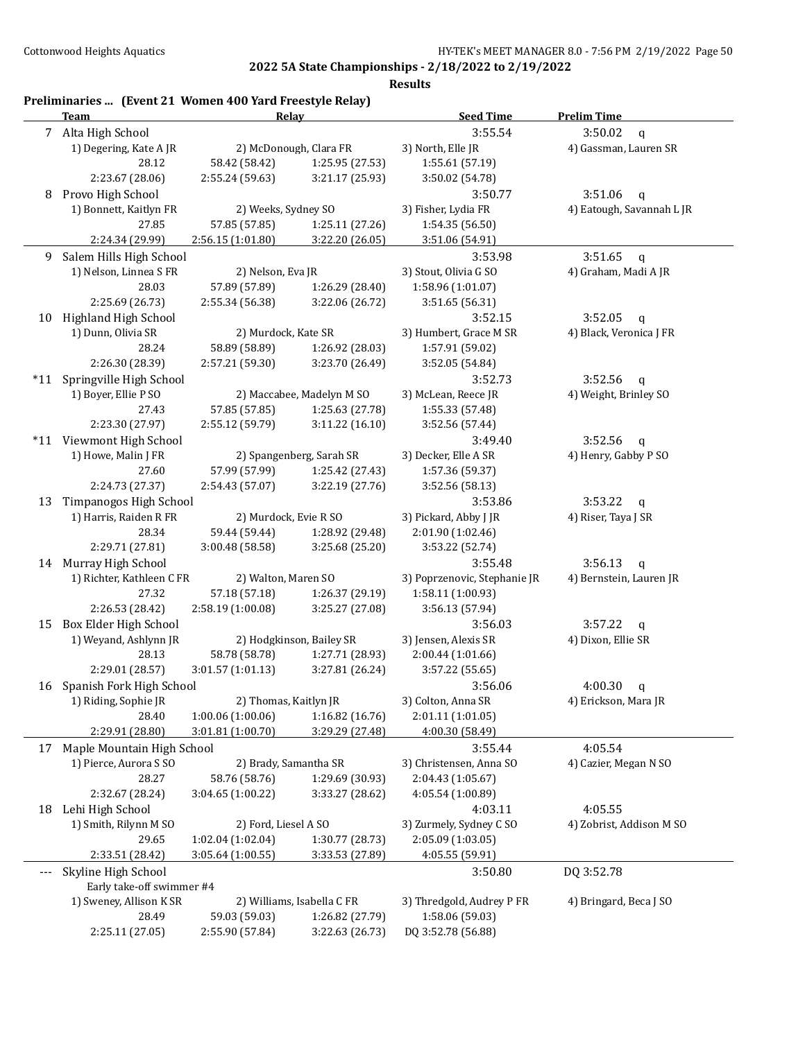|       | Preliminaries  (Event 21 Women 400 Yard Freestyle Relay)<br><b>Team</b> | Relay                 |                                    | <b>Seed Time</b>                     | <b>Prelim Time</b>                |
|-------|-------------------------------------------------------------------------|-----------------------|------------------------------------|--------------------------------------|-----------------------------------|
|       | 7 Alta High School                                                      |                       |                                    | 3:55.54                              | 3:50.02<br>$\mathbf q$            |
|       | 1) Degering, Kate A JR                                                  |                       | 2) McDonough, Clara FR             | 3) North, Elle JR                    | 4) Gassman, Lauren SR             |
|       | 28.12                                                                   | 58.42 (58.42)         | 1:25.95 (27.53)                    | 1:55.61 (57.19)                      |                                   |
|       | 2:23.67 (28.06)                                                         | 2:55.24 (59.63)       | 3:21.17 (25.93)                    | 3:50.02 (54.78)                      |                                   |
| 8     | Provo High School                                                       |                       |                                    | 3:50.77                              | 3:51.06<br>$\mathbf q$            |
|       | 1) Bonnett, Kaitlyn FR                                                  | 2) Weeks, Sydney SO   |                                    | 3) Fisher, Lydia FR                  | 4) Eatough, Savannah L JR         |
|       | 27.85                                                                   | 57.85 (57.85)         | 1:25.11 (27.26)                    | 1:54.35(56.50)                       |                                   |
|       | 2:24.34 (29.99)                                                         | 2:56.15 (1:01.80)     | 3:22.20 (26.05)                    | 3:51.06 (54.91)                      |                                   |
| 9     | Salem Hills High School                                                 |                       |                                    | 3:53.98                              | 3:51.65<br>$\mathsf{q}$           |
|       | 1) Nelson, Linnea S FR                                                  | 2) Nelson, Eva JR     |                                    | 3) Stout, Olivia G SO                | 4) Graham, Madi A JR              |
|       | 28.03                                                                   | 57.89 (57.89)         | 1:26.29 (28.40)                    | 1:58.96 (1:01.07)                    |                                   |
|       | 2:25.69 (26.73)                                                         | 2:55.34 (56.38)       | 3:22.06 (26.72)                    | 3:51.65 (56.31)                      |                                   |
| 10    | Highland High School                                                    |                       |                                    | 3:52.15                              | 3:52.05<br>$\mathbf q$            |
|       | 1) Dunn, Olivia SR                                                      | 2) Murdock, Kate SR   |                                    | 3) Humbert, Grace M SR               | 4) Black, Veronica J FR           |
|       |                                                                         |                       |                                    |                                      |                                   |
|       | 28.24                                                                   | 58.89 (58.89)         | 1:26.92 (28.03)                    | 1:57.91 (59.02)                      |                                   |
|       | 2:26.30 (28.39)                                                         | 2:57.21 (59.30)       | 3:23.70 (26.49)                    | 3:52.05 (54.84)                      |                                   |
| $*11$ | Springville High School                                                 |                       |                                    | 3:52.73                              | 3:52.56<br>$\mathbf q$            |
|       | 1) Boyer, Ellie P SO                                                    |                       | 2) Maccabee, Madelyn M SO          | 3) McLean, Reece JR                  | 4) Weight, Brinley SO             |
|       | 27.43                                                                   | 57.85 (57.85)         | 1:25.63 (27.78)                    | 1:55.33 (57.48)                      |                                   |
|       | 2:23.30 (27.97)                                                         | 2:55.12 (59.79)       | 3:11.22 (16.10)                    | 3:52.56 (57.44)                      |                                   |
|       | *11 Viewmont High School                                                |                       |                                    | 3:49.40                              | 3:52.56<br>$\mathsf{q}$           |
|       | 1) Howe, Malin J FR                                                     |                       | 2) Spangenberg, Sarah SR           | 3) Decker, Elle A SR                 | 4) Henry, Gabby P SO              |
|       | 27.60                                                                   | 57.99 (57.99)         | 1:25.42 (27.43)                    | 1:57.36 (59.37)                      |                                   |
|       | 2:24.73 (27.37)                                                         | 2:54.43 (57.07)       | 3:22.19 (27.76)                    | 3:52.56 (58.13)                      |                                   |
| 13    | Timpanogos High School                                                  |                       |                                    | 3:53.86                              | 3:53.22<br>$\mathbf q$            |
|       | 1) Harris, Raiden R FR                                                  | 2) Murdock, Evie R SO |                                    | 3) Pickard, Abby J JR                | 4) Riser, Taya J SR               |
|       | 28.34                                                                   | 59.44 (59.44)         | 1:28.92 (29.48)                    | 2:01.90 (1:02.46)                    |                                   |
|       | 2:29.71 (27.81)                                                         | 3:00.48 (58.58)       | 3:25.68 (25.20)                    | 3:53.22 (52.74)                      |                                   |
|       | 14 Murray High School                                                   |                       |                                    | 3:55.48                              | 3:56.13<br>$\mathsf{q}$           |
|       | 1) Richter, Kathleen C FR                                               | 2) Walton, Maren SO   |                                    | 3) Poprzenovic, Stephanie JR         | 4) Bernstein, Lauren JR           |
|       | 27.32                                                                   | 57.18 (57.18)         | 1:26.37 (29.19)                    | 1:58.11 (1:00.93)                    |                                   |
|       | 2:26.53 (28.42)                                                         | 2:58.19 (1:00.08)     | 3:25.27 (27.08)                    | 3:56.13 (57.94)                      |                                   |
| 15    | Box Elder High School                                                   |                       |                                    | 3:56.03                              | 3:57.22                           |
|       | 1) Weyand, Ashlynn JR                                                   |                       | 2) Hodgkinson, Bailey SR           | 3) Jensen, Alexis SR                 | $\mathbf q$<br>4) Dixon, Ellie SR |
|       |                                                                         |                       |                                    |                                      |                                   |
|       | 28.13<br>2:29.01 (28.57)                                                | 58.78 (58.78)         | 1:27.71 (28.93)<br>3:27.81 (26.24) | 2:00.44 (1:01.66)<br>3:57.22 (55.65) |                                   |
|       |                                                                         | 3:01.57 (1:01.13)     |                                    |                                      |                                   |
| 16    | Spanish Fork High School                                                |                       |                                    | 3:56.06                              | 4:00.30<br>q                      |
|       | 1) Riding, Sophie JR                                                    | 2) Thomas, Kaitlyn JR |                                    | 3) Colton, Anna SR                   | 4) Erickson, Mara JR              |
|       | 28.40                                                                   | 1:00.06(1:00.06)      | 1:16.82(16.76)                     | 2:01.11 (1:01.05)                    |                                   |
|       | 2:29.91 (28.80)                                                         | 3:01.81 (1:00.70)     | 3:29.29 (27.48)                    | 4:00.30 (58.49)                      |                                   |
| 17    | Maple Mountain High School                                              |                       |                                    | 3:55.44                              | 4:05.54                           |
|       | 1) Pierce, Aurora S SO                                                  | 2) Brady, Samantha SR |                                    | 3) Christensen, Anna SO              | 4) Cazier, Megan N SO             |
|       | 28.27                                                                   | 58.76 (58.76)         | 1:29.69 (30.93)                    | 2:04.43 (1:05.67)                    |                                   |
|       | 2:32.67 (28.24)                                                         | 3:04.65(1:00.22)      | 3:33.27 (28.62)                    | 4:05.54 (1:00.89)                    |                                   |
| 18    | Lehi High School                                                        |                       |                                    | 4:03.11                              | 4:05.55                           |
|       | 1) Smith, Rilynn M SO                                                   | 2) Ford, Liesel A SO  |                                    | 3) Zurmely, Sydney C SO              | 4) Zobrist, Addison M SO          |
|       | 29.65                                                                   | 1:02.04(1:02.04)      | 1:30.77 (28.73)                    | 2:05.09 (1:03.05)                    |                                   |
|       | 2:33.51 (28.42)                                                         | 3:05.64 (1:00.55)     | 3:33.53 (27.89)                    | 4:05.55 (59.91)                      |                                   |
| ---   | Skyline High School                                                     |                       |                                    | 3:50.80                              | DQ 3:52.78                        |
|       | Early take-off swimmer #4                                               |                       |                                    |                                      |                                   |
|       | 1) Sweney, Allison K SR                                                 |                       | 2) Williams, Isabella C FR         | 3) Thredgold, Audrey P FR            | 4) Bringard, Beca J SO            |
|       | 28.49                                                                   | 59.03 (59.03)         | 1:26.82 (27.79)                    | 1:58.06 (59.03)                      |                                   |
|       | 2:25.11 (27.05)                                                         | 2:55.90 (57.84)       | 3:22.63 (26.73)                    | DQ 3:52.78 (56.88)                   |                                   |
|       |                                                                         |                       |                                    |                                      |                                   |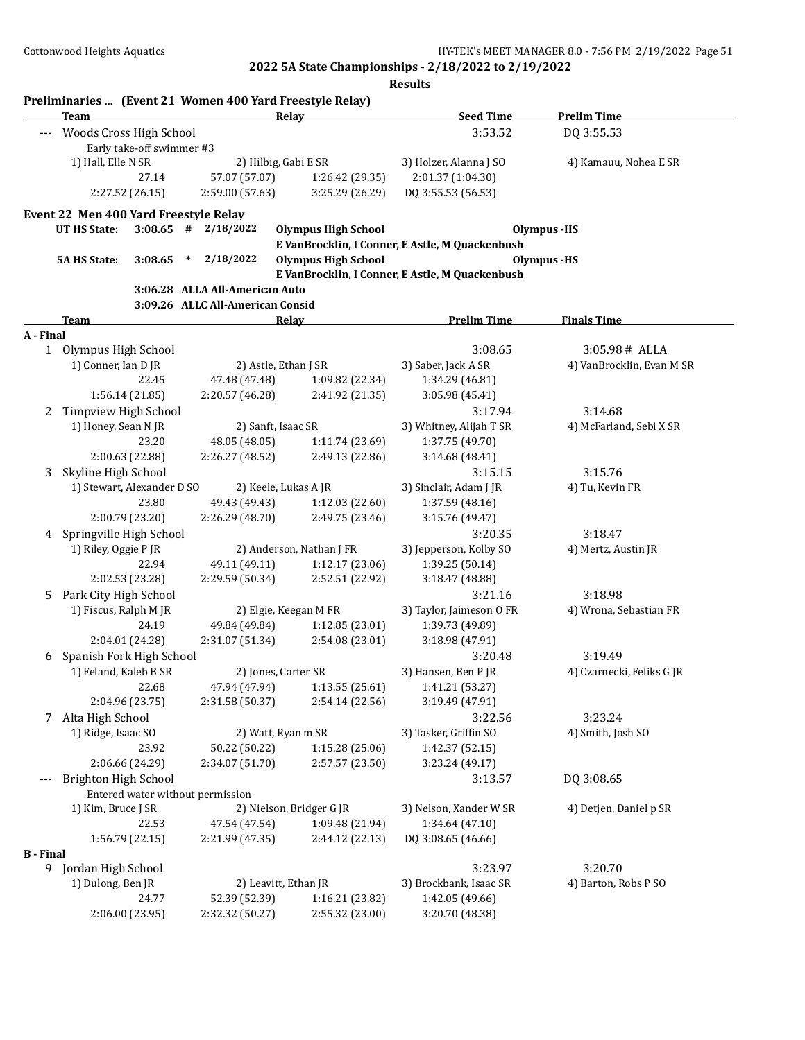|                  | Team                                             |                                  |        |                                  | Preliminaries  (Event 21 Women 400 Yard Freestyle Relay)<br>Relay | <b>Seed Time</b>                                | <b>Prelim Time</b>        |
|------------------|--------------------------------------------------|----------------------------------|--------|----------------------------------|-------------------------------------------------------------------|-------------------------------------------------|---------------------------|
| $---$            | Woods Cross High School                          |                                  |        |                                  |                                                                   | 3:53.52                                         | DQ 3:55.53                |
|                  |                                                  | Early take-off swimmer #3        |        |                                  |                                                                   |                                                 |                           |
|                  | 1) Hall, Elle N SR                               |                                  |        |                                  | 2) Hilbig, Gabi E SR                                              | 3) Holzer, Alanna J SO                          | 4) Kamauu, Nohea E SR     |
|                  |                                                  | 27.14                            |        | 57.07 (57.07)                    | 1:26.42 (29.35)                                                   | 2:01.37 (1:04.30)                               |                           |
|                  |                                                  | 2:27.52 (26.15)                  |        | 2:59.00 (57.63)                  | 3:25.29 (26.29)                                                   | DQ 3:55.53 (56.53)                              |                           |
|                  | Event 22 Men 400 Yard Freestyle Relay            |                                  |        |                                  |                                                                   |                                                 |                           |
|                  | <b>UT HS State:</b>                              |                                  |        | $3:08.65$ # $2/18/2022$          | <b>Olympus High School</b>                                        |                                                 | <b>Olympus</b> -HS        |
|                  |                                                  |                                  |        |                                  |                                                                   | E VanBrocklin, I Conner, E Astle, M Quackenbush |                           |
|                  | <b>5A HS State:</b>                              | 3:08.65                          | $\ast$ | 2/18/2022                        | <b>Olympus High School</b>                                        |                                                 | Olympus -HS               |
|                  |                                                  |                                  |        |                                  |                                                                   | E VanBrocklin, I Conner, E Astle, M Quackenbush |                           |
|                  |                                                  |                                  |        | 3:06.28 ALLA All-American Auto   |                                                                   |                                                 |                           |
|                  |                                                  |                                  |        | 3:09.26 ALLC All-American Consid |                                                                   |                                                 |                           |
|                  | Team                                             |                                  |        |                                  | <b>Relay</b>                                                      | <b>Prelim Time</b>                              | <b>Finals Time</b>        |
| A - Final        |                                                  |                                  |        |                                  |                                                                   |                                                 |                           |
|                  | 1 Olympus High School                            |                                  |        |                                  |                                                                   | 3:08.65                                         | 3:05.98# ALLA             |
|                  | 1) Conner, Ian D JR                              |                                  |        |                                  | 2) Astle, Ethan J SR                                              | 3) Saber, Jack A SR                             | 4) VanBrocklin, Evan M SR |
|                  |                                                  | 22.45                            |        | 47.48 (47.48)                    | 1:09.82 (22.34)                                                   | 1:34.29 (46.81)                                 |                           |
|                  |                                                  | 1:56.14 (21.85)                  |        | 2:20.57 (46.28)                  | 2:41.92 (21.35)                                                   | 3:05.98 (45.41)                                 |                           |
| 2                | Timpview High School                             |                                  |        |                                  |                                                                   | 3:17.94                                         | 3:14.68                   |
|                  | 1) Honey, Sean N JR                              |                                  |        |                                  | 2) Sanft, Isaac SR                                                | 3) Whitney, Alijah T SR                         | 4) McFarland, Sebi X SR   |
|                  |                                                  | 23.20                            |        | 48.05 (48.05)                    | 1:11.74 (23.69)                                                   | 1:37.75 (49.70)                                 |                           |
|                  |                                                  | 2:00.63 (22.88)                  |        | 2:26.27 (48.52)                  | 2:49.13 (22.86)                                                   | 3:14.68 (48.41)                                 |                           |
| 3                | Skyline High School                              |                                  |        |                                  |                                                                   | 3:15.15                                         | 3:15.76                   |
|                  | 1) Stewart, Alexander D SO                       |                                  |        |                                  | 2) Keele, Lukas A JR                                              | 3) Sinclair, Adam J JR                          | 4) Tu, Kevin FR           |
|                  |                                                  | 23.80                            |        | 49.43 (49.43)                    | 1:12.03 (22.60)                                                   | 1:37.59 (48.16)                                 |                           |
|                  |                                                  | 2:00.79 (23.20)                  |        | 2:26.29 (48.70)                  | 2:49.75 (23.46)                                                   | 3:15.76 (49.47)                                 |                           |
| 4                | Springville High School                          |                                  |        |                                  |                                                                   | 3:20.35                                         | 3:18.47                   |
|                  | 1) Riley, Oggie P JR<br>2) Anderson, Nathan J FR |                                  |        |                                  |                                                                   | 3) Jepperson, Kolby SO                          | 4) Mertz, Austin JR       |
|                  |                                                  | 22.94                            |        | 49.11 (49.11)                    | 1:12.17 (23.06)                                                   | 1:39.25 (50.14)                                 |                           |
|                  |                                                  | 2:02.53 (23.28)                  |        | 2:29.59 (50.34)                  | 2:52.51 (22.92)                                                   | 3:18.47 (48.88)                                 |                           |
| 5                | Park City High School                            |                                  |        |                                  |                                                                   | 3:21.16                                         | 3:18.98                   |
|                  | 1) Fiscus, Ralph M JR                            |                                  |        |                                  | 2) Elgie, Keegan M FR                                             | 3) Taylor, Jaimeson O FR                        | 4) Wrona, Sebastian FR    |
|                  |                                                  | 24.19                            |        | 49.84 (49.84)                    | 1:12.85 (23.01)                                                   | 1:39.73 (49.89)                                 |                           |
|                  |                                                  | 2:04.01 (24.28)                  |        | 2:31.07 (51.34)                  | 2:54.08 (23.01)                                                   | 3:18.98 (47.91)                                 |                           |
| 6                | Spanish Fork High School                         |                                  |        |                                  |                                                                   | 3:20.48                                         | 3:19.49                   |
|                  | 1) Feland, Kaleb B SR                            |                                  |        |                                  | 2) Jones, Carter SR                                               | 3) Hansen, Ben P JR                             | 4) Czarnecki, Feliks G JR |
|                  |                                                  | 22.68                            |        | 47.94 (47.94)                    | 1:13.55(25.61)                                                    | 1:41.21 (53.27)                                 |                           |
|                  |                                                  | 2:04.96 (23.75)                  |        | 2:31.58 (50.37)                  | 2:54.14 (22.56)                                                   | 3:19.49 (47.91)                                 |                           |
| 7                | Alta High School                                 |                                  |        |                                  |                                                                   | 3:22.56                                         | 3:23.24                   |
|                  | 1) Ridge, Isaac SO                               |                                  |        |                                  | 2) Watt, Ryan m SR                                                | 3) Tasker, Griffin SO                           | 4) Smith, Josh SO         |
|                  |                                                  | 23.92                            |        | 50.22 (50.22)                    | 1:15.28 (25.06)                                                   | 1:42.37 (52.15)                                 |                           |
|                  |                                                  | 2:06.66 (24.29)                  |        | 2:34.07 (51.70)                  | 2:57.57 (23.50)                                                   | 3:23.24 (49.17)                                 |                           |
| $---$            | Brighton High School                             |                                  |        |                                  |                                                                   | 3:13.57                                         | DQ 3:08.65                |
|                  |                                                  | Entered water without permission |        |                                  |                                                                   |                                                 |                           |
|                  | 1) Kim, Bruce J SR                               |                                  |        |                                  | 2) Nielson, Bridger G JR                                          | 3) Nelson, Xander W SR                          | 4) Detjen, Daniel p SR    |
|                  |                                                  | 22.53                            |        | 47.54 (47.54)                    | 1:09.48 (21.94)                                                   | 1:34.64 (47.10)                                 |                           |
|                  |                                                  | 1:56.79(22.15)                   |        | 2:21.99 (47.35)                  | 2:44.12 (22.13)                                                   | DQ 3:08.65 (46.66)                              |                           |
| <b>B</b> - Final |                                                  |                                  |        |                                  |                                                                   |                                                 |                           |
| 9                | Jordan High School<br>1) Dulong, Ben JR          |                                  |        |                                  |                                                                   | 3:23.97                                         | 3:20.70                   |
|                  |                                                  |                                  |        |                                  | 2) Leavitt, Ethan JR                                              | 3) Brockbank, Isaac SR                          | 4) Barton, Robs P SO      |
|                  |                                                  | 24.77                            |        | 52.39 (52.39)                    | 1:16.21 (23.82)                                                   | 1:42.05 (49.66)                                 |                           |
|                  |                                                  | 2:06.00 (23.95)                  |        | 2:32.32 (50.27)                  | 2:55.32 (23.00)                                                   | 3:20.70 (48.38)                                 |                           |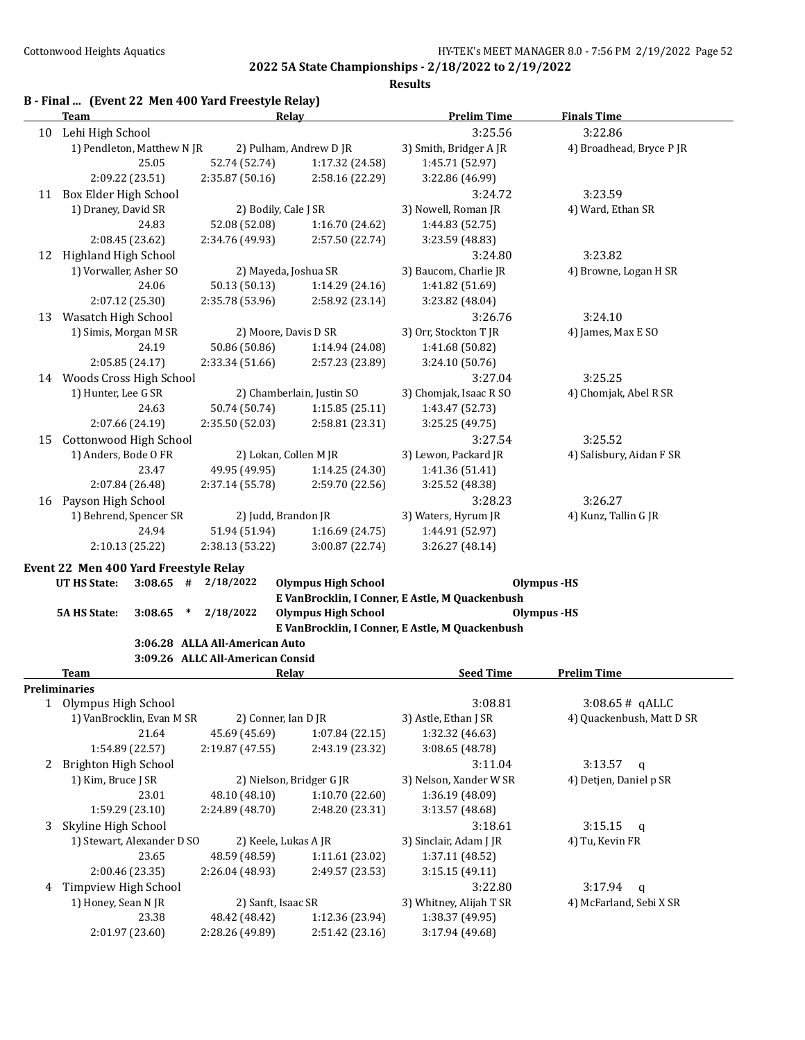|  | B - Final  (Event 22 Men 400 Yard Freestyle Relay) |  |
|--|----------------------------------------------------|--|
|  |                                                    |  |

|    | <b>Team</b>                                   |                                                |        |                                                          | Relay        |                            | <b>Prelim Time</b>                              | <b>Finals Time</b>        |  |
|----|-----------------------------------------------|------------------------------------------------|--------|----------------------------------------------------------|--------------|----------------------------|-------------------------------------------------|---------------------------|--|
| 10 | Lehi High School                              |                                                |        |                                                          |              |                            | 3:25.56                                         | 3:22.86                   |  |
|    | 1) Pendleton, Matthew N JR                    |                                                |        | 2) Pulham, Andrew D JR                                   |              |                            | 3) Smith, Bridger AJR                           | 4) Broadhead, Bryce P JR  |  |
|    |                                               | 25.05                                          |        | 52.74 (52.74)                                            |              | 1:17.32 (24.58)            | 1:45.71 (52.97)                                 |                           |  |
|    | 2:09.22 (23.51)                               |                                                |        | 2:35.87 (50.16)                                          |              | 2:58.16 (22.29)            | 3:22.86 (46.99)                                 |                           |  |
|    | 11 Box Elder High School                      |                                                |        |                                                          |              |                            | 3:24.72                                         | 3:23.59                   |  |
|    | 1) Draney, David SR                           |                                                |        | 2) Bodily, Cale J SR                                     |              |                            | 3) Nowell, Roman JR                             | 4) Ward, Ethan SR         |  |
|    |                                               | 24.83                                          |        | 52.08 (52.08)                                            |              | 1:16.70 (24.62)            | 1:44.83 (52.75)                                 |                           |  |
|    | 2:08.45 (23.62)                               |                                                |        | 2:34.76 (49.93)                                          |              | 2:57.50 (22.74)            | 3:23.59 (48.83)                                 |                           |  |
| 12 | Highland High School                          |                                                |        |                                                          |              |                            | 3:24.80                                         | 3:23.82                   |  |
|    | 1) Vorwaller, Asher SO                        |                                                |        | 2) Mayeda, Joshua SR                                     |              |                            | 3) Baucom, Charlie JR                           | 4) Browne, Logan H SR     |  |
|    | 24.06                                         |                                                |        | 50.13 (50.13)<br>1:14.29 (24.16)                         |              |                            | 1:41.82 (51.69)                                 |                           |  |
|    | 2:07.12 (25.30)                               |                                                |        | 2:35.78 (53.96)                                          |              | 2:58.92 (23.14)            | 3:23.82 (48.04)                                 |                           |  |
| 13 | Wasatch High School                           |                                                |        |                                                          |              |                            | 3:26.76                                         | 3:24.10                   |  |
|    | 1) Simis, Morgan M SR                         |                                                |        |                                                          |              |                            | 3) Orr, Stockton T JR                           | 4) James, Max E SO        |  |
|    |                                               | 24.19                                          |        | 2) Moore, Davis D SR<br>50.86 (50.86)<br>1:14.94 (24.08) |              |                            | 1:41.68 (50.82)                                 |                           |  |
|    | 2:05.85 (24.17)                               |                                                |        | 2:33.34 (51.66)                                          |              | 2:57.23 (23.89)            | 3:24.10 (50.76)                                 |                           |  |
|    | 14 Woods Cross High School                    |                                                |        |                                                          |              |                            | 3:27.04                                         | 3:25.25                   |  |
|    | 1) Hunter, Lee G SR                           |                                                |        | 2) Chamberlain, Justin SO                                |              | 3) Chomjak, Isaac R SO     | 4) Chomjak, Abel R SR                           |                           |  |
|    |                                               | 24.63                                          |        | 50.74 (50.74)                                            |              | 1:15.85(25.11)             | 1:43.47 (52.73)                                 |                           |  |
|    |                                               |                                                |        | 2:35.50 (52.03)                                          |              | 2:58.81 (23.31)            | 3:25.25 (49.75)                                 |                           |  |
| 15 | 2:07.66 (24.19)                               |                                                |        |                                                          |              |                            |                                                 |                           |  |
|    |                                               | Cottonwood High School<br>1) Anders, Bode O FR |        |                                                          |              |                            | 3:27.54                                         | 3:25.52                   |  |
|    |                                               |                                                |        | 2) Lokan, Collen M JR                                    |              |                            | 3) Lewon, Packard JR                            | 4) Salisbury, Aidan F SR  |  |
|    |                                               | 23.47                                          |        | 49.95 (49.95)                                            |              | 1:14.25 (24.30)            | 1:41.36 (51.41)                                 |                           |  |
|    | 2:07.84 (26.48)                               |                                                |        | 2:37.14 (55.78)                                          |              | 2:59.70 (22.56)            | 3:25.52 (48.38)                                 |                           |  |
| 16 | Payson High School                            |                                                |        |                                                          |              |                            | 3:28.23                                         | 3:26.27                   |  |
|    | 1) Behrend, Spencer SR                        |                                                |        | 2) Judd, Brandon JR                                      |              |                            | 3) Waters, Hyrum JR                             | 4) Kunz, Tallin G JR      |  |
|    | 24.94                                         |                                                |        | 51.94 (51.94)                                            |              | 1:16.69 (24.75)            | 1:44.91 (52.97)                                 |                           |  |
|    | 2:10.13 (25.22)                               |                                                |        | 2:38.13 (53.22)                                          |              | 3:00.87 (22.74)            | 3:26.27 (48.14)                                 |                           |  |
|    | Event 22 Men 400 Yard Freestyle Relay         |                                                |        |                                                          |              |                            |                                                 |                           |  |
|    | UT HS State:                                  | $3:08.65$ #                                    |        | 2/18/2022                                                |              | <b>Olympus High School</b> |                                                 | <b>Olympus</b> -HS        |  |
|    |                                               |                                                |        |                                                          |              |                            | E VanBrocklin, I Conner, E Astle, M Quackenbush |                           |  |
|    | <b>5A HS State:</b>                           | 3:08.65                                        | $\ast$ | 2/18/2022                                                |              | <b>Olympus High School</b> |                                                 | <b>Olympus</b> -HS        |  |
|    |                                               |                                                |        |                                                          |              |                            | E VanBrocklin, I Conner, E Astle, M Quackenbush |                           |  |
|    |                                               |                                                |        | 3:06.28 ALLA All-American Auto                           |              |                            |                                                 |                           |  |
|    |                                               |                                                |        | 3:09.26 ALLC All-American Consid                         |              |                            |                                                 |                           |  |
|    | Team                                          |                                                |        |                                                          | <b>Relay</b> |                            | <b>Seed Time</b>                                | <b>Prelim Time</b>        |  |
|    | <b>Preliminaries</b>                          |                                                |        |                                                          |              |                            |                                                 |                           |  |
| 1  | Olympus High School                           |                                                |        |                                                          |              |                            | 3:08.81                                         | $3:08.65#$ qALLC          |  |
|    | 1) VanBrocklin, Evan M SR                     |                                                |        | 2) Conner, Ian D JR                                      |              |                            | 3) Astle, Ethan J SR                            | 4) Quackenbush, Matt D SR |  |
|    | 21.64                                         |                                                |        | 45.69 (45.69)                                            |              | 1:07.84 (22.15)            | 1:32.32 (46.63)                                 |                           |  |
|    | 1:54.89 (22.57)                               |                                                |        | 2:19.87 (47.55)                                          |              | 2:43.19 (23.32)            | 3:08.65 (48.78)                                 |                           |  |
| 2  | Brighton High School                          |                                                |        |                                                          |              |                            | 3:11.04                                         | 3:13.57<br>q              |  |
|    | 1) Kim, Bruce J SR                            |                                                |        |                                                          |              | 2) Nielson, Bridger G JR   | 3) Nelson, Xander W SR                          | 4) Detjen, Daniel p SR    |  |
|    | 23.01                                         |                                                |        | 48.10 (48.10)                                            |              | 1:10.70 (22.60)            | 1:36.19 (48.09)                                 |                           |  |
|    | 1:59.29 (23.10)                               |                                                |        | 2:24.89 (48.70)                                          |              | 2:48.20 (23.31)            | 3:13.57 (48.68)                                 |                           |  |
| 3  | Skyline High School                           |                                                |        |                                                          |              |                            | 3:18.61                                         | 3:15.15<br>q              |  |
|    | 1) Stewart, Alexander D SO                    |                                                |        | 2) Keele, Lukas A JR                                     |              | 3) Sinclair, Adam J JR     | 4) Tu, Kevin FR                                 |                           |  |
|    | 23.65                                         |                                                |        | 48.59 (48.59)<br>1:11.61 (23.02)                         |              | 1:37.11 (48.52)            |                                                 |                           |  |
|    | 2:00.46 (23.35)                               |                                                |        | 2:26.04 (48.93)                                          |              | 2:49.57 (23.53)            | 3:15.15(49.11)                                  |                           |  |
|    |                                               |                                                |        |                                                          |              |                            | 3:22.80                                         | 3:17.94<br>q              |  |
|    | 4 Timpview High School<br>1) Honey, Sean N JR |                                                |        | 2) Sanft, Isaac SR                                       |              |                            | 3) Whitney, Alijah T SR                         | 4) McFarland, Sebi X SR   |  |
|    | 23.38                                         |                                                |        | 48.42 (48.42)                                            |              | 1:12.36 (23.94)            | 1:38.37 (49.95)                                 |                           |  |
|    | 2:01.97 (23.60)                               |                                                |        | 2:28.26 (49.89)                                          |              | 2:51.42 (23.16)            | 3:17.94 (49.68)                                 |                           |  |
|    |                                               |                                                |        |                                                          |              |                            |                                                 |                           |  |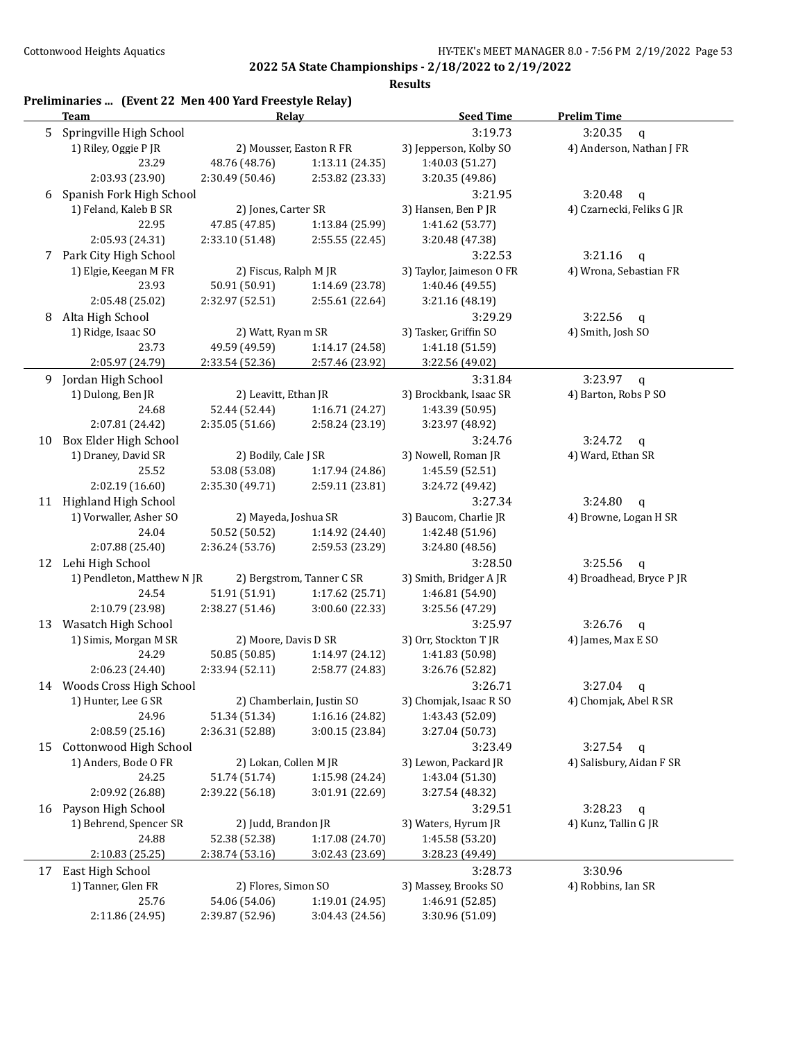| Springville High School<br>3:19.73<br>3:20.35<br>q<br>1) Riley, Oggie P JR<br>2) Mousser, Easton R FR<br>3) Jepperson, Kolby SO<br>23.29<br>48.76 (48.76)<br>1:13.11 (24.35)<br>1:40.03 (51.27)<br>2:03.93 (23.90)<br>2:30.49 (50.46)<br>2:53.82 (23.33)<br>3:20.35 (49.86)<br>Spanish Fork High School<br>3:21.95<br>3:20.48<br>$\mathsf{q}$<br>1) Feland, Kaleb B SR<br>2) Jones, Carter SR<br>3) Hansen, Ben P JR<br>22.95<br>47.85 (47.85)<br>1:13.84 (25.99)<br>1:41.62 (53.77)<br>2:05.93 (24.31)<br>2:33.10 (51.48)<br>2:55.55 (22.45)<br>3:20.48 (47.38)<br>Park City High School<br>3:22.53<br>3:21.16<br>$\mathbf q$<br>4) Wrona, Sebastian FR<br>1) Elgie, Keegan M FR<br>2) Fiscus, Ralph M JR<br>3) Taylor, Jaimeson O FR<br>23.93<br>50.91 (50.91)<br>1:14.69 (23.78)<br>1:40.46 (49.55)<br>2:05.48 (25.02)<br>2:32.97 (52.51)<br>2:55.61 (22.64)<br>3:21.16 (48.19)<br>Alta High School<br>3:29.29<br>3:22.56<br>$\mathsf{q}$<br>1) Ridge, Isaac SO<br>2) Watt, Ryan m SR<br>3) Tasker, Griffin SO<br>4) Smith, Josh SO<br>23.73<br>49.59 (49.59)<br>1:14.17 (24.58)<br>1:41.18 (51.59)<br>2:05.97 (24.79)<br>2:33.54 (52.36)<br>2:57.46 (23.92)<br>3:22.56 (49.02)<br>3:31.84<br>3:23.97<br>Jordan High School<br>$\mathsf{q}$<br>3) Brockbank, Isaac SR<br>1) Dulong, Ben JR<br>2) Leavitt, Ethan JR<br>4) Barton, Robs P SO<br>24.68<br>52.44 (52.44)<br>1:16.71 (24.27)<br>1:43.39 (50.95)<br>2:07.81 (24.42)<br>2:35.05 (51.66)<br>2:58.24 (23.19)<br>3:23.97 (48.92)<br>Box Elder High School<br>3:24.72<br>3:24.76<br>$\mathsf{q}$<br>1) Draney, David SR<br>2) Bodily, Cale J SR<br>3) Nowell, Roman JR<br>4) Ward, Ethan SR<br>25.52<br>53.08 (53.08)<br>1:17.94 (24.86)<br>1:45.59 (52.51)<br>2:02.19 (16.60)<br>2:35.30 (49.71)<br>2:59.11 (23.81)<br>3:24.72 (49.42)<br>11 Highland High School<br>3:24.80<br>3:27.34<br>$\mathsf{q}$<br>1) Vorwaller, Asher SO<br>2) Mayeda, Joshua SR<br>3) Baucom, Charlie JR<br>4) Browne, Logan H SR<br>24.04<br>1:14.92 (24.40)<br>50.52 (50.52)<br>1:42.48 (51.96)<br>2:07.88 (25.40)<br>2:36.24 (53.76)<br>2:59.53 (23.29)<br>3:24.80 (48.56)<br>12 Lehi High School<br>3:28.50<br>3:25.56<br>q<br>1) Pendleton, Matthew N JR<br>2) Bergstrom, Tanner C SR<br>4) Broadhead, Bryce P JR<br>3) Smith, Bridger A JR<br>24.54<br>51.91 (51.91)<br>1:17.62 (25.71)<br>1:46.81 (54.90)<br>2:10.79 (23.98)<br>2:38.27 (51.46)<br>3:00.60 (22.33)<br>3:25.56 (47.29)<br>13 Wasatch High School<br>3:25.97<br>3:26.76<br>$\mathsf{q}$<br>2) Moore, Davis D SR<br>1) Simis, Morgan M SR<br>3) Orr, Stockton T JR<br>4) James, Max E SO<br>24.29<br>1:14.97 (24.12)<br>50.85 (50.85)<br>1:41.83 (50.98)<br>2:58.77 (24.83)<br>2:06.23 (24.40)<br>2:33.94 (52.11)<br>3:26.76 (52.82)<br>Woods Cross High School<br>3:26.71<br>3:27.04<br>$\mathbf{q}$<br>2) Chamberlain, Justin SO<br>1) Hunter, Lee G SR<br>3) Chomjak, Isaac R SO<br>4) Chomjak, Abel R SR<br>51.34 (51.34)<br>1:16.16 (24.82)<br>24.96<br>1:43.43 (52.09)<br>2:08.59 (25.16)<br>3:00.15 (23.84)<br>2:36.31 (52.88)<br>3:27.04 (50.73)<br>Cottonwood High School<br>3:27.54<br>3:23.49<br>$\mathsf{q}$<br>1) Anders, Bode O FR<br>2) Lokan, Collen M JR<br>3) Lewon, Packard JR<br>4) Salisbury, Aidan F SR<br>1:15.98 (24.24)<br>1:43.04 (51.30)<br>24.25<br>51.74 (51.74)<br>2:09.92 (26.88)<br>2:39.22 (56.18)<br>3:01.91 (22.69)<br>3:27.54 (48.32)<br>16 Payson High School<br>3:28.23<br>3:29.51<br>q<br>1) Behrend, Spencer SR<br>2) Judd, Brandon JR<br>4) Kunz, Tallin G JR<br>3) Waters, Hyrum JR<br>24.88<br>1:45.58 (53.20)<br>52.38 (52.38)<br>1:17.08 (24.70)<br>2:10.83(25.25)<br>2:38.74 (53.16)<br>3:02.43 (23.69)<br>3:28.23 (49.49)<br>3:30.96<br>East High School<br>3:28.73<br>1) Tanner, Glen FR<br>2) Flores, Simon SO<br>3) Massey, Brooks SO<br>4) Robbins, Ian SR |    | Preliminaries  (Event 22 Men 400 Yard Freestyle Relay)<br>Team | Relay |  | <b>Seed Time</b> | <b>Prelim Time</b>        |
|----------------------------------------------------------------------------------------------------------------------------------------------------------------------------------------------------------------------------------------------------------------------------------------------------------------------------------------------------------------------------------------------------------------------------------------------------------------------------------------------------------------------------------------------------------------------------------------------------------------------------------------------------------------------------------------------------------------------------------------------------------------------------------------------------------------------------------------------------------------------------------------------------------------------------------------------------------------------------------------------------------------------------------------------------------------------------------------------------------------------------------------------------------------------------------------------------------------------------------------------------------------------------------------------------------------------------------------------------------------------------------------------------------------------------------------------------------------------------------------------------------------------------------------------------------------------------------------------------------------------------------------------------------------------------------------------------------------------------------------------------------------------------------------------------------------------------------------------------------------------------------------------------------------------------------------------------------------------------------------------------------------------------------------------------------------------------------------------------------------------------------------------------------------------------------------------------------------------------------------------------------------------------------------------------------------------------------------------------------------------------------------------------------------------------------------------------------------------------------------------------------------------------------------------------------------------------------------------------------------------------------------------------------------------------------------------------------------------------------------------------------------------------------------------------------------------------------------------------------------------------------------------------------------------------------------------------------------------------------------------------------------------------------------------------------------------------------------------------------------------------------------------------------------------------------------------------------------------------------------------------------------------------------------------------------------------------------------------------------------------------------------------------------------------------------------------------------------------------------------------------------------------------------------------------------------------------------------------------------------------------------------------------------------------------------------------------------------------------------------------------------------------------------------------------------------------|----|----------------------------------------------------------------|-------|--|------------------|---------------------------|
|                                                                                                                                                                                                                                                                                                                                                                                                                                                                                                                                                                                                                                                                                                                                                                                                                                                                                                                                                                                                                                                                                                                                                                                                                                                                                                                                                                                                                                                                                                                                                                                                                                                                                                                                                                                                                                                                                                                                                                                                                                                                                                                                                                                                                                                                                                                                                                                                                                                                                                                                                                                                                                                                                                                                                                                                                                                                                                                                                                                                                                                                                                                                                                                                                                                                                                                                                                                                                                                                                                                                                                                                                                                                                                                                                                                                                      | 5  |                                                                |       |  |                  |                           |
|                                                                                                                                                                                                                                                                                                                                                                                                                                                                                                                                                                                                                                                                                                                                                                                                                                                                                                                                                                                                                                                                                                                                                                                                                                                                                                                                                                                                                                                                                                                                                                                                                                                                                                                                                                                                                                                                                                                                                                                                                                                                                                                                                                                                                                                                                                                                                                                                                                                                                                                                                                                                                                                                                                                                                                                                                                                                                                                                                                                                                                                                                                                                                                                                                                                                                                                                                                                                                                                                                                                                                                                                                                                                                                                                                                                                                      |    |                                                                |       |  |                  | 4) Anderson, Nathan J FR  |
|                                                                                                                                                                                                                                                                                                                                                                                                                                                                                                                                                                                                                                                                                                                                                                                                                                                                                                                                                                                                                                                                                                                                                                                                                                                                                                                                                                                                                                                                                                                                                                                                                                                                                                                                                                                                                                                                                                                                                                                                                                                                                                                                                                                                                                                                                                                                                                                                                                                                                                                                                                                                                                                                                                                                                                                                                                                                                                                                                                                                                                                                                                                                                                                                                                                                                                                                                                                                                                                                                                                                                                                                                                                                                                                                                                                                                      |    |                                                                |       |  |                  |                           |
|                                                                                                                                                                                                                                                                                                                                                                                                                                                                                                                                                                                                                                                                                                                                                                                                                                                                                                                                                                                                                                                                                                                                                                                                                                                                                                                                                                                                                                                                                                                                                                                                                                                                                                                                                                                                                                                                                                                                                                                                                                                                                                                                                                                                                                                                                                                                                                                                                                                                                                                                                                                                                                                                                                                                                                                                                                                                                                                                                                                                                                                                                                                                                                                                                                                                                                                                                                                                                                                                                                                                                                                                                                                                                                                                                                                                                      |    |                                                                |       |  |                  |                           |
|                                                                                                                                                                                                                                                                                                                                                                                                                                                                                                                                                                                                                                                                                                                                                                                                                                                                                                                                                                                                                                                                                                                                                                                                                                                                                                                                                                                                                                                                                                                                                                                                                                                                                                                                                                                                                                                                                                                                                                                                                                                                                                                                                                                                                                                                                                                                                                                                                                                                                                                                                                                                                                                                                                                                                                                                                                                                                                                                                                                                                                                                                                                                                                                                                                                                                                                                                                                                                                                                                                                                                                                                                                                                                                                                                                                                                      | 6  |                                                                |       |  |                  |                           |
|                                                                                                                                                                                                                                                                                                                                                                                                                                                                                                                                                                                                                                                                                                                                                                                                                                                                                                                                                                                                                                                                                                                                                                                                                                                                                                                                                                                                                                                                                                                                                                                                                                                                                                                                                                                                                                                                                                                                                                                                                                                                                                                                                                                                                                                                                                                                                                                                                                                                                                                                                                                                                                                                                                                                                                                                                                                                                                                                                                                                                                                                                                                                                                                                                                                                                                                                                                                                                                                                                                                                                                                                                                                                                                                                                                                                                      |    |                                                                |       |  |                  | 4) Czarnecki, Feliks G JR |
|                                                                                                                                                                                                                                                                                                                                                                                                                                                                                                                                                                                                                                                                                                                                                                                                                                                                                                                                                                                                                                                                                                                                                                                                                                                                                                                                                                                                                                                                                                                                                                                                                                                                                                                                                                                                                                                                                                                                                                                                                                                                                                                                                                                                                                                                                                                                                                                                                                                                                                                                                                                                                                                                                                                                                                                                                                                                                                                                                                                                                                                                                                                                                                                                                                                                                                                                                                                                                                                                                                                                                                                                                                                                                                                                                                                                                      |    |                                                                |       |  |                  |                           |
|                                                                                                                                                                                                                                                                                                                                                                                                                                                                                                                                                                                                                                                                                                                                                                                                                                                                                                                                                                                                                                                                                                                                                                                                                                                                                                                                                                                                                                                                                                                                                                                                                                                                                                                                                                                                                                                                                                                                                                                                                                                                                                                                                                                                                                                                                                                                                                                                                                                                                                                                                                                                                                                                                                                                                                                                                                                                                                                                                                                                                                                                                                                                                                                                                                                                                                                                                                                                                                                                                                                                                                                                                                                                                                                                                                                                                      |    |                                                                |       |  |                  |                           |
|                                                                                                                                                                                                                                                                                                                                                                                                                                                                                                                                                                                                                                                                                                                                                                                                                                                                                                                                                                                                                                                                                                                                                                                                                                                                                                                                                                                                                                                                                                                                                                                                                                                                                                                                                                                                                                                                                                                                                                                                                                                                                                                                                                                                                                                                                                                                                                                                                                                                                                                                                                                                                                                                                                                                                                                                                                                                                                                                                                                                                                                                                                                                                                                                                                                                                                                                                                                                                                                                                                                                                                                                                                                                                                                                                                                                                      | 7  |                                                                |       |  |                  |                           |
|                                                                                                                                                                                                                                                                                                                                                                                                                                                                                                                                                                                                                                                                                                                                                                                                                                                                                                                                                                                                                                                                                                                                                                                                                                                                                                                                                                                                                                                                                                                                                                                                                                                                                                                                                                                                                                                                                                                                                                                                                                                                                                                                                                                                                                                                                                                                                                                                                                                                                                                                                                                                                                                                                                                                                                                                                                                                                                                                                                                                                                                                                                                                                                                                                                                                                                                                                                                                                                                                                                                                                                                                                                                                                                                                                                                                                      |    |                                                                |       |  |                  |                           |
|                                                                                                                                                                                                                                                                                                                                                                                                                                                                                                                                                                                                                                                                                                                                                                                                                                                                                                                                                                                                                                                                                                                                                                                                                                                                                                                                                                                                                                                                                                                                                                                                                                                                                                                                                                                                                                                                                                                                                                                                                                                                                                                                                                                                                                                                                                                                                                                                                                                                                                                                                                                                                                                                                                                                                                                                                                                                                                                                                                                                                                                                                                                                                                                                                                                                                                                                                                                                                                                                                                                                                                                                                                                                                                                                                                                                                      |    |                                                                |       |  |                  |                           |
|                                                                                                                                                                                                                                                                                                                                                                                                                                                                                                                                                                                                                                                                                                                                                                                                                                                                                                                                                                                                                                                                                                                                                                                                                                                                                                                                                                                                                                                                                                                                                                                                                                                                                                                                                                                                                                                                                                                                                                                                                                                                                                                                                                                                                                                                                                                                                                                                                                                                                                                                                                                                                                                                                                                                                                                                                                                                                                                                                                                                                                                                                                                                                                                                                                                                                                                                                                                                                                                                                                                                                                                                                                                                                                                                                                                                                      |    |                                                                |       |  |                  |                           |
|                                                                                                                                                                                                                                                                                                                                                                                                                                                                                                                                                                                                                                                                                                                                                                                                                                                                                                                                                                                                                                                                                                                                                                                                                                                                                                                                                                                                                                                                                                                                                                                                                                                                                                                                                                                                                                                                                                                                                                                                                                                                                                                                                                                                                                                                                                                                                                                                                                                                                                                                                                                                                                                                                                                                                                                                                                                                                                                                                                                                                                                                                                                                                                                                                                                                                                                                                                                                                                                                                                                                                                                                                                                                                                                                                                                                                      | 8  |                                                                |       |  |                  |                           |
|                                                                                                                                                                                                                                                                                                                                                                                                                                                                                                                                                                                                                                                                                                                                                                                                                                                                                                                                                                                                                                                                                                                                                                                                                                                                                                                                                                                                                                                                                                                                                                                                                                                                                                                                                                                                                                                                                                                                                                                                                                                                                                                                                                                                                                                                                                                                                                                                                                                                                                                                                                                                                                                                                                                                                                                                                                                                                                                                                                                                                                                                                                                                                                                                                                                                                                                                                                                                                                                                                                                                                                                                                                                                                                                                                                                                                      |    |                                                                |       |  |                  |                           |
|                                                                                                                                                                                                                                                                                                                                                                                                                                                                                                                                                                                                                                                                                                                                                                                                                                                                                                                                                                                                                                                                                                                                                                                                                                                                                                                                                                                                                                                                                                                                                                                                                                                                                                                                                                                                                                                                                                                                                                                                                                                                                                                                                                                                                                                                                                                                                                                                                                                                                                                                                                                                                                                                                                                                                                                                                                                                                                                                                                                                                                                                                                                                                                                                                                                                                                                                                                                                                                                                                                                                                                                                                                                                                                                                                                                                                      |    |                                                                |       |  |                  |                           |
|                                                                                                                                                                                                                                                                                                                                                                                                                                                                                                                                                                                                                                                                                                                                                                                                                                                                                                                                                                                                                                                                                                                                                                                                                                                                                                                                                                                                                                                                                                                                                                                                                                                                                                                                                                                                                                                                                                                                                                                                                                                                                                                                                                                                                                                                                                                                                                                                                                                                                                                                                                                                                                                                                                                                                                                                                                                                                                                                                                                                                                                                                                                                                                                                                                                                                                                                                                                                                                                                                                                                                                                                                                                                                                                                                                                                                      |    |                                                                |       |  |                  |                           |
|                                                                                                                                                                                                                                                                                                                                                                                                                                                                                                                                                                                                                                                                                                                                                                                                                                                                                                                                                                                                                                                                                                                                                                                                                                                                                                                                                                                                                                                                                                                                                                                                                                                                                                                                                                                                                                                                                                                                                                                                                                                                                                                                                                                                                                                                                                                                                                                                                                                                                                                                                                                                                                                                                                                                                                                                                                                                                                                                                                                                                                                                                                                                                                                                                                                                                                                                                                                                                                                                                                                                                                                                                                                                                                                                                                                                                      | 9  |                                                                |       |  |                  |                           |
|                                                                                                                                                                                                                                                                                                                                                                                                                                                                                                                                                                                                                                                                                                                                                                                                                                                                                                                                                                                                                                                                                                                                                                                                                                                                                                                                                                                                                                                                                                                                                                                                                                                                                                                                                                                                                                                                                                                                                                                                                                                                                                                                                                                                                                                                                                                                                                                                                                                                                                                                                                                                                                                                                                                                                                                                                                                                                                                                                                                                                                                                                                                                                                                                                                                                                                                                                                                                                                                                                                                                                                                                                                                                                                                                                                                                                      |    |                                                                |       |  |                  |                           |
|                                                                                                                                                                                                                                                                                                                                                                                                                                                                                                                                                                                                                                                                                                                                                                                                                                                                                                                                                                                                                                                                                                                                                                                                                                                                                                                                                                                                                                                                                                                                                                                                                                                                                                                                                                                                                                                                                                                                                                                                                                                                                                                                                                                                                                                                                                                                                                                                                                                                                                                                                                                                                                                                                                                                                                                                                                                                                                                                                                                                                                                                                                                                                                                                                                                                                                                                                                                                                                                                                                                                                                                                                                                                                                                                                                                                                      |    |                                                                |       |  |                  |                           |
|                                                                                                                                                                                                                                                                                                                                                                                                                                                                                                                                                                                                                                                                                                                                                                                                                                                                                                                                                                                                                                                                                                                                                                                                                                                                                                                                                                                                                                                                                                                                                                                                                                                                                                                                                                                                                                                                                                                                                                                                                                                                                                                                                                                                                                                                                                                                                                                                                                                                                                                                                                                                                                                                                                                                                                                                                                                                                                                                                                                                                                                                                                                                                                                                                                                                                                                                                                                                                                                                                                                                                                                                                                                                                                                                                                                                                      |    |                                                                |       |  |                  |                           |
|                                                                                                                                                                                                                                                                                                                                                                                                                                                                                                                                                                                                                                                                                                                                                                                                                                                                                                                                                                                                                                                                                                                                                                                                                                                                                                                                                                                                                                                                                                                                                                                                                                                                                                                                                                                                                                                                                                                                                                                                                                                                                                                                                                                                                                                                                                                                                                                                                                                                                                                                                                                                                                                                                                                                                                                                                                                                                                                                                                                                                                                                                                                                                                                                                                                                                                                                                                                                                                                                                                                                                                                                                                                                                                                                                                                                                      | 10 |                                                                |       |  |                  |                           |
|                                                                                                                                                                                                                                                                                                                                                                                                                                                                                                                                                                                                                                                                                                                                                                                                                                                                                                                                                                                                                                                                                                                                                                                                                                                                                                                                                                                                                                                                                                                                                                                                                                                                                                                                                                                                                                                                                                                                                                                                                                                                                                                                                                                                                                                                                                                                                                                                                                                                                                                                                                                                                                                                                                                                                                                                                                                                                                                                                                                                                                                                                                                                                                                                                                                                                                                                                                                                                                                                                                                                                                                                                                                                                                                                                                                                                      |    |                                                                |       |  |                  |                           |
|                                                                                                                                                                                                                                                                                                                                                                                                                                                                                                                                                                                                                                                                                                                                                                                                                                                                                                                                                                                                                                                                                                                                                                                                                                                                                                                                                                                                                                                                                                                                                                                                                                                                                                                                                                                                                                                                                                                                                                                                                                                                                                                                                                                                                                                                                                                                                                                                                                                                                                                                                                                                                                                                                                                                                                                                                                                                                                                                                                                                                                                                                                                                                                                                                                                                                                                                                                                                                                                                                                                                                                                                                                                                                                                                                                                                                      |    |                                                                |       |  |                  |                           |
|                                                                                                                                                                                                                                                                                                                                                                                                                                                                                                                                                                                                                                                                                                                                                                                                                                                                                                                                                                                                                                                                                                                                                                                                                                                                                                                                                                                                                                                                                                                                                                                                                                                                                                                                                                                                                                                                                                                                                                                                                                                                                                                                                                                                                                                                                                                                                                                                                                                                                                                                                                                                                                                                                                                                                                                                                                                                                                                                                                                                                                                                                                                                                                                                                                                                                                                                                                                                                                                                                                                                                                                                                                                                                                                                                                                                                      |    |                                                                |       |  |                  |                           |
|                                                                                                                                                                                                                                                                                                                                                                                                                                                                                                                                                                                                                                                                                                                                                                                                                                                                                                                                                                                                                                                                                                                                                                                                                                                                                                                                                                                                                                                                                                                                                                                                                                                                                                                                                                                                                                                                                                                                                                                                                                                                                                                                                                                                                                                                                                                                                                                                                                                                                                                                                                                                                                                                                                                                                                                                                                                                                                                                                                                                                                                                                                                                                                                                                                                                                                                                                                                                                                                                                                                                                                                                                                                                                                                                                                                                                      |    |                                                                |       |  |                  |                           |
|                                                                                                                                                                                                                                                                                                                                                                                                                                                                                                                                                                                                                                                                                                                                                                                                                                                                                                                                                                                                                                                                                                                                                                                                                                                                                                                                                                                                                                                                                                                                                                                                                                                                                                                                                                                                                                                                                                                                                                                                                                                                                                                                                                                                                                                                                                                                                                                                                                                                                                                                                                                                                                                                                                                                                                                                                                                                                                                                                                                                                                                                                                                                                                                                                                                                                                                                                                                                                                                                                                                                                                                                                                                                                                                                                                                                                      |    |                                                                |       |  |                  |                           |
|                                                                                                                                                                                                                                                                                                                                                                                                                                                                                                                                                                                                                                                                                                                                                                                                                                                                                                                                                                                                                                                                                                                                                                                                                                                                                                                                                                                                                                                                                                                                                                                                                                                                                                                                                                                                                                                                                                                                                                                                                                                                                                                                                                                                                                                                                                                                                                                                                                                                                                                                                                                                                                                                                                                                                                                                                                                                                                                                                                                                                                                                                                                                                                                                                                                                                                                                                                                                                                                                                                                                                                                                                                                                                                                                                                                                                      |    |                                                                |       |  |                  |                           |
|                                                                                                                                                                                                                                                                                                                                                                                                                                                                                                                                                                                                                                                                                                                                                                                                                                                                                                                                                                                                                                                                                                                                                                                                                                                                                                                                                                                                                                                                                                                                                                                                                                                                                                                                                                                                                                                                                                                                                                                                                                                                                                                                                                                                                                                                                                                                                                                                                                                                                                                                                                                                                                                                                                                                                                                                                                                                                                                                                                                                                                                                                                                                                                                                                                                                                                                                                                                                                                                                                                                                                                                                                                                                                                                                                                                                                      |    |                                                                |       |  |                  |                           |
|                                                                                                                                                                                                                                                                                                                                                                                                                                                                                                                                                                                                                                                                                                                                                                                                                                                                                                                                                                                                                                                                                                                                                                                                                                                                                                                                                                                                                                                                                                                                                                                                                                                                                                                                                                                                                                                                                                                                                                                                                                                                                                                                                                                                                                                                                                                                                                                                                                                                                                                                                                                                                                                                                                                                                                                                                                                                                                                                                                                                                                                                                                                                                                                                                                                                                                                                                                                                                                                                                                                                                                                                                                                                                                                                                                                                                      |    |                                                                |       |  |                  |                           |
|                                                                                                                                                                                                                                                                                                                                                                                                                                                                                                                                                                                                                                                                                                                                                                                                                                                                                                                                                                                                                                                                                                                                                                                                                                                                                                                                                                                                                                                                                                                                                                                                                                                                                                                                                                                                                                                                                                                                                                                                                                                                                                                                                                                                                                                                                                                                                                                                                                                                                                                                                                                                                                                                                                                                                                                                                                                                                                                                                                                                                                                                                                                                                                                                                                                                                                                                                                                                                                                                                                                                                                                                                                                                                                                                                                                                                      |    |                                                                |       |  |                  |                           |
|                                                                                                                                                                                                                                                                                                                                                                                                                                                                                                                                                                                                                                                                                                                                                                                                                                                                                                                                                                                                                                                                                                                                                                                                                                                                                                                                                                                                                                                                                                                                                                                                                                                                                                                                                                                                                                                                                                                                                                                                                                                                                                                                                                                                                                                                                                                                                                                                                                                                                                                                                                                                                                                                                                                                                                                                                                                                                                                                                                                                                                                                                                                                                                                                                                                                                                                                                                                                                                                                                                                                                                                                                                                                                                                                                                                                                      |    |                                                                |       |  |                  |                           |
|                                                                                                                                                                                                                                                                                                                                                                                                                                                                                                                                                                                                                                                                                                                                                                                                                                                                                                                                                                                                                                                                                                                                                                                                                                                                                                                                                                                                                                                                                                                                                                                                                                                                                                                                                                                                                                                                                                                                                                                                                                                                                                                                                                                                                                                                                                                                                                                                                                                                                                                                                                                                                                                                                                                                                                                                                                                                                                                                                                                                                                                                                                                                                                                                                                                                                                                                                                                                                                                                                                                                                                                                                                                                                                                                                                                                                      |    |                                                                |       |  |                  |                           |
|                                                                                                                                                                                                                                                                                                                                                                                                                                                                                                                                                                                                                                                                                                                                                                                                                                                                                                                                                                                                                                                                                                                                                                                                                                                                                                                                                                                                                                                                                                                                                                                                                                                                                                                                                                                                                                                                                                                                                                                                                                                                                                                                                                                                                                                                                                                                                                                                                                                                                                                                                                                                                                                                                                                                                                                                                                                                                                                                                                                                                                                                                                                                                                                                                                                                                                                                                                                                                                                                                                                                                                                                                                                                                                                                                                                                                      |    |                                                                |       |  |                  |                           |
|                                                                                                                                                                                                                                                                                                                                                                                                                                                                                                                                                                                                                                                                                                                                                                                                                                                                                                                                                                                                                                                                                                                                                                                                                                                                                                                                                                                                                                                                                                                                                                                                                                                                                                                                                                                                                                                                                                                                                                                                                                                                                                                                                                                                                                                                                                                                                                                                                                                                                                                                                                                                                                                                                                                                                                                                                                                                                                                                                                                                                                                                                                                                                                                                                                                                                                                                                                                                                                                                                                                                                                                                                                                                                                                                                                                                                      |    |                                                                |       |  |                  |                           |
|                                                                                                                                                                                                                                                                                                                                                                                                                                                                                                                                                                                                                                                                                                                                                                                                                                                                                                                                                                                                                                                                                                                                                                                                                                                                                                                                                                                                                                                                                                                                                                                                                                                                                                                                                                                                                                                                                                                                                                                                                                                                                                                                                                                                                                                                                                                                                                                                                                                                                                                                                                                                                                                                                                                                                                                                                                                                                                                                                                                                                                                                                                                                                                                                                                                                                                                                                                                                                                                                                                                                                                                                                                                                                                                                                                                                                      |    |                                                                |       |  |                  |                           |
|                                                                                                                                                                                                                                                                                                                                                                                                                                                                                                                                                                                                                                                                                                                                                                                                                                                                                                                                                                                                                                                                                                                                                                                                                                                                                                                                                                                                                                                                                                                                                                                                                                                                                                                                                                                                                                                                                                                                                                                                                                                                                                                                                                                                                                                                                                                                                                                                                                                                                                                                                                                                                                                                                                                                                                                                                                                                                                                                                                                                                                                                                                                                                                                                                                                                                                                                                                                                                                                                                                                                                                                                                                                                                                                                                                                                                      |    |                                                                |       |  |                  |                           |
|                                                                                                                                                                                                                                                                                                                                                                                                                                                                                                                                                                                                                                                                                                                                                                                                                                                                                                                                                                                                                                                                                                                                                                                                                                                                                                                                                                                                                                                                                                                                                                                                                                                                                                                                                                                                                                                                                                                                                                                                                                                                                                                                                                                                                                                                                                                                                                                                                                                                                                                                                                                                                                                                                                                                                                                                                                                                                                                                                                                                                                                                                                                                                                                                                                                                                                                                                                                                                                                                                                                                                                                                                                                                                                                                                                                                                      | 14 |                                                                |       |  |                  |                           |
|                                                                                                                                                                                                                                                                                                                                                                                                                                                                                                                                                                                                                                                                                                                                                                                                                                                                                                                                                                                                                                                                                                                                                                                                                                                                                                                                                                                                                                                                                                                                                                                                                                                                                                                                                                                                                                                                                                                                                                                                                                                                                                                                                                                                                                                                                                                                                                                                                                                                                                                                                                                                                                                                                                                                                                                                                                                                                                                                                                                                                                                                                                                                                                                                                                                                                                                                                                                                                                                                                                                                                                                                                                                                                                                                                                                                                      |    |                                                                |       |  |                  |                           |
|                                                                                                                                                                                                                                                                                                                                                                                                                                                                                                                                                                                                                                                                                                                                                                                                                                                                                                                                                                                                                                                                                                                                                                                                                                                                                                                                                                                                                                                                                                                                                                                                                                                                                                                                                                                                                                                                                                                                                                                                                                                                                                                                                                                                                                                                                                                                                                                                                                                                                                                                                                                                                                                                                                                                                                                                                                                                                                                                                                                                                                                                                                                                                                                                                                                                                                                                                                                                                                                                                                                                                                                                                                                                                                                                                                                                                      |    |                                                                |       |  |                  |                           |
|                                                                                                                                                                                                                                                                                                                                                                                                                                                                                                                                                                                                                                                                                                                                                                                                                                                                                                                                                                                                                                                                                                                                                                                                                                                                                                                                                                                                                                                                                                                                                                                                                                                                                                                                                                                                                                                                                                                                                                                                                                                                                                                                                                                                                                                                                                                                                                                                                                                                                                                                                                                                                                                                                                                                                                                                                                                                                                                                                                                                                                                                                                                                                                                                                                                                                                                                                                                                                                                                                                                                                                                                                                                                                                                                                                                                                      |    |                                                                |       |  |                  |                           |
|                                                                                                                                                                                                                                                                                                                                                                                                                                                                                                                                                                                                                                                                                                                                                                                                                                                                                                                                                                                                                                                                                                                                                                                                                                                                                                                                                                                                                                                                                                                                                                                                                                                                                                                                                                                                                                                                                                                                                                                                                                                                                                                                                                                                                                                                                                                                                                                                                                                                                                                                                                                                                                                                                                                                                                                                                                                                                                                                                                                                                                                                                                                                                                                                                                                                                                                                                                                                                                                                                                                                                                                                                                                                                                                                                                                                                      | 15 |                                                                |       |  |                  |                           |
|                                                                                                                                                                                                                                                                                                                                                                                                                                                                                                                                                                                                                                                                                                                                                                                                                                                                                                                                                                                                                                                                                                                                                                                                                                                                                                                                                                                                                                                                                                                                                                                                                                                                                                                                                                                                                                                                                                                                                                                                                                                                                                                                                                                                                                                                                                                                                                                                                                                                                                                                                                                                                                                                                                                                                                                                                                                                                                                                                                                                                                                                                                                                                                                                                                                                                                                                                                                                                                                                                                                                                                                                                                                                                                                                                                                                                      |    |                                                                |       |  |                  |                           |
|                                                                                                                                                                                                                                                                                                                                                                                                                                                                                                                                                                                                                                                                                                                                                                                                                                                                                                                                                                                                                                                                                                                                                                                                                                                                                                                                                                                                                                                                                                                                                                                                                                                                                                                                                                                                                                                                                                                                                                                                                                                                                                                                                                                                                                                                                                                                                                                                                                                                                                                                                                                                                                                                                                                                                                                                                                                                                                                                                                                                                                                                                                                                                                                                                                                                                                                                                                                                                                                                                                                                                                                                                                                                                                                                                                                                                      |    |                                                                |       |  |                  |                           |
|                                                                                                                                                                                                                                                                                                                                                                                                                                                                                                                                                                                                                                                                                                                                                                                                                                                                                                                                                                                                                                                                                                                                                                                                                                                                                                                                                                                                                                                                                                                                                                                                                                                                                                                                                                                                                                                                                                                                                                                                                                                                                                                                                                                                                                                                                                                                                                                                                                                                                                                                                                                                                                                                                                                                                                                                                                                                                                                                                                                                                                                                                                                                                                                                                                                                                                                                                                                                                                                                                                                                                                                                                                                                                                                                                                                                                      |    |                                                                |       |  |                  |                           |
|                                                                                                                                                                                                                                                                                                                                                                                                                                                                                                                                                                                                                                                                                                                                                                                                                                                                                                                                                                                                                                                                                                                                                                                                                                                                                                                                                                                                                                                                                                                                                                                                                                                                                                                                                                                                                                                                                                                                                                                                                                                                                                                                                                                                                                                                                                                                                                                                                                                                                                                                                                                                                                                                                                                                                                                                                                                                                                                                                                                                                                                                                                                                                                                                                                                                                                                                                                                                                                                                                                                                                                                                                                                                                                                                                                                                                      |    |                                                                |       |  |                  |                           |
|                                                                                                                                                                                                                                                                                                                                                                                                                                                                                                                                                                                                                                                                                                                                                                                                                                                                                                                                                                                                                                                                                                                                                                                                                                                                                                                                                                                                                                                                                                                                                                                                                                                                                                                                                                                                                                                                                                                                                                                                                                                                                                                                                                                                                                                                                                                                                                                                                                                                                                                                                                                                                                                                                                                                                                                                                                                                                                                                                                                                                                                                                                                                                                                                                                                                                                                                                                                                                                                                                                                                                                                                                                                                                                                                                                                                                      |    |                                                                |       |  |                  |                           |
|                                                                                                                                                                                                                                                                                                                                                                                                                                                                                                                                                                                                                                                                                                                                                                                                                                                                                                                                                                                                                                                                                                                                                                                                                                                                                                                                                                                                                                                                                                                                                                                                                                                                                                                                                                                                                                                                                                                                                                                                                                                                                                                                                                                                                                                                                                                                                                                                                                                                                                                                                                                                                                                                                                                                                                                                                                                                                                                                                                                                                                                                                                                                                                                                                                                                                                                                                                                                                                                                                                                                                                                                                                                                                                                                                                                                                      |    |                                                                |       |  |                  |                           |
|                                                                                                                                                                                                                                                                                                                                                                                                                                                                                                                                                                                                                                                                                                                                                                                                                                                                                                                                                                                                                                                                                                                                                                                                                                                                                                                                                                                                                                                                                                                                                                                                                                                                                                                                                                                                                                                                                                                                                                                                                                                                                                                                                                                                                                                                                                                                                                                                                                                                                                                                                                                                                                                                                                                                                                                                                                                                                                                                                                                                                                                                                                                                                                                                                                                                                                                                                                                                                                                                                                                                                                                                                                                                                                                                                                                                                      |    |                                                                |       |  |                  |                           |
|                                                                                                                                                                                                                                                                                                                                                                                                                                                                                                                                                                                                                                                                                                                                                                                                                                                                                                                                                                                                                                                                                                                                                                                                                                                                                                                                                                                                                                                                                                                                                                                                                                                                                                                                                                                                                                                                                                                                                                                                                                                                                                                                                                                                                                                                                                                                                                                                                                                                                                                                                                                                                                                                                                                                                                                                                                                                                                                                                                                                                                                                                                                                                                                                                                                                                                                                                                                                                                                                                                                                                                                                                                                                                                                                                                                                                      |    |                                                                |       |  |                  |                           |
|                                                                                                                                                                                                                                                                                                                                                                                                                                                                                                                                                                                                                                                                                                                                                                                                                                                                                                                                                                                                                                                                                                                                                                                                                                                                                                                                                                                                                                                                                                                                                                                                                                                                                                                                                                                                                                                                                                                                                                                                                                                                                                                                                                                                                                                                                                                                                                                                                                                                                                                                                                                                                                                                                                                                                                                                                                                                                                                                                                                                                                                                                                                                                                                                                                                                                                                                                                                                                                                                                                                                                                                                                                                                                                                                                                                                                      | 17 |                                                                |       |  |                  |                           |
|                                                                                                                                                                                                                                                                                                                                                                                                                                                                                                                                                                                                                                                                                                                                                                                                                                                                                                                                                                                                                                                                                                                                                                                                                                                                                                                                                                                                                                                                                                                                                                                                                                                                                                                                                                                                                                                                                                                                                                                                                                                                                                                                                                                                                                                                                                                                                                                                                                                                                                                                                                                                                                                                                                                                                                                                                                                                                                                                                                                                                                                                                                                                                                                                                                                                                                                                                                                                                                                                                                                                                                                                                                                                                                                                                                                                                      |    |                                                                |       |  |                  |                           |
| 25.76<br>54.06 (54.06)<br>1:19.01 (24.95)<br>1:46.91 (52.85)                                                                                                                                                                                                                                                                                                                                                                                                                                                                                                                                                                                                                                                                                                                                                                                                                                                                                                                                                                                                                                                                                                                                                                                                                                                                                                                                                                                                                                                                                                                                                                                                                                                                                                                                                                                                                                                                                                                                                                                                                                                                                                                                                                                                                                                                                                                                                                                                                                                                                                                                                                                                                                                                                                                                                                                                                                                                                                                                                                                                                                                                                                                                                                                                                                                                                                                                                                                                                                                                                                                                                                                                                                                                                                                                                         |    |                                                                |       |  |                  |                           |
| 2:39.87 (52.96)<br>2:11.86 (24.95)<br>3:04.43 (24.56)<br>3:30.96 (51.09)                                                                                                                                                                                                                                                                                                                                                                                                                                                                                                                                                                                                                                                                                                                                                                                                                                                                                                                                                                                                                                                                                                                                                                                                                                                                                                                                                                                                                                                                                                                                                                                                                                                                                                                                                                                                                                                                                                                                                                                                                                                                                                                                                                                                                                                                                                                                                                                                                                                                                                                                                                                                                                                                                                                                                                                                                                                                                                                                                                                                                                                                                                                                                                                                                                                                                                                                                                                                                                                                                                                                                                                                                                                                                                                                             |    |                                                                |       |  |                  |                           |